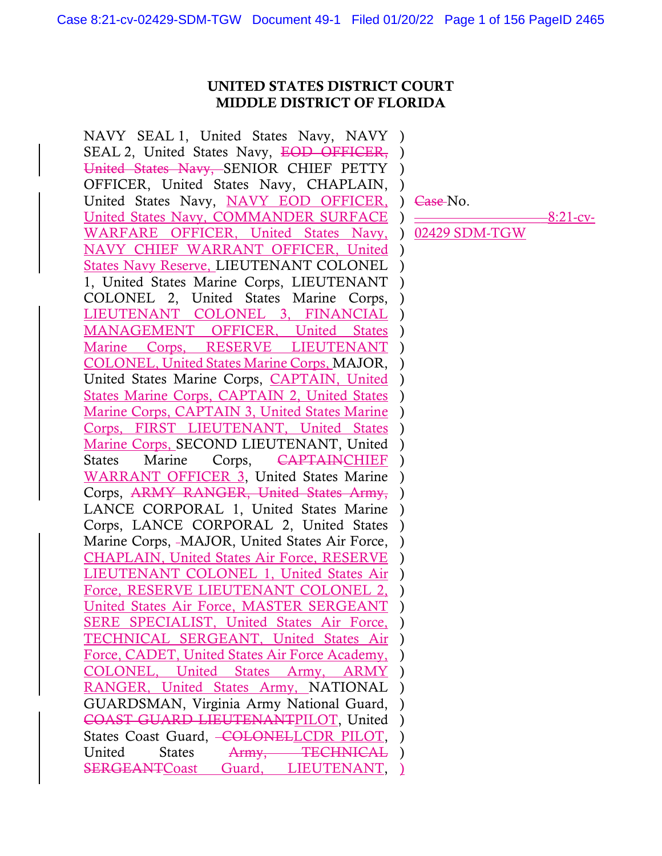#### UNITED STATES DISTRICT COURT MIDDLE DISTRICT OF FLORIDA

NAVY SEAL 1, United States Navy, NAVY SEAL 2, United States Navy, EOD OFFICER, United States Navy, SENIOR CHIEF PETTY OFFICER, United States Navy, CHAPLAIN, United States Navy, NAVY EOD OFFICER, United States Navy, COMMANDER SURFACE WARFARE OFFICER, United States Navy, NAVY CHIEF WARRANT OFFICER, United States Navy Reserve, LIEUTENANT COLONEL 1, United States Marine Corps, LIEUTENANT COLONEL 2, United States Marine Corps, LIEUTENANT COLONEL 3, FINANCIAL MANAGEMENT OFFICER, United States ) Marine Corps, RESERVE LIEUTENANT COLONEL, United States Marine Corps, MAJOR, ) United States Marine Corps, CAPTAIN, United States Marine Corps, CAPTAIN 2, United States Marine Corps, CAPTAIN 3, United States Marine ) Corps, FIRST LIEUTENANT, United States Marine Corps, SECOND LIEUTENANT, United States Marine Corps, CAPTAINCHIEF WARRANT OFFICER 3, United States Marine Corps, ARMY RANGER, United States Army, LANCE CORPORAL 1, United States Marine Corps, LANCE CORPORAL 2, United States ) Marine Corps, MAJOR, United States Air Force, CHAPLAIN, United States Air Force, RESERVE LIEUTENANT COLONEL 1, United States Air ) Force, RESERVE LIEUTENANT COLONEL 2, United States Air Force, MASTER SERGEANT SERE SPECIALIST, United States Air Force, TECHNICAL SERGEANT, United States Air ) Force, CADET, United States Air Force Academy, COLONEL, United States Army, ARMY RANGER, United States Army, NATIONAL GUARDSMAN, Virginia Army National Guard, COAST GUARD LIEUTENANTPILOT, United States Coast Guard, **COLONELLCDR PILOT**, United States Army, TECHNICAL SERGEANTCoast Guard, LIEUTENANT, )  $\lambda$  $\lambda$  $\lambda$  $\lambda$  $\lambda$ ) )  $\lambda$  $\lambda$ ) ) ) ) ) ) )  $\lambda$ ) ) )  $\lambda$ ) ) ) ) )

) Case No.

 $-8:21$ -cv-

02429 SDM-TGW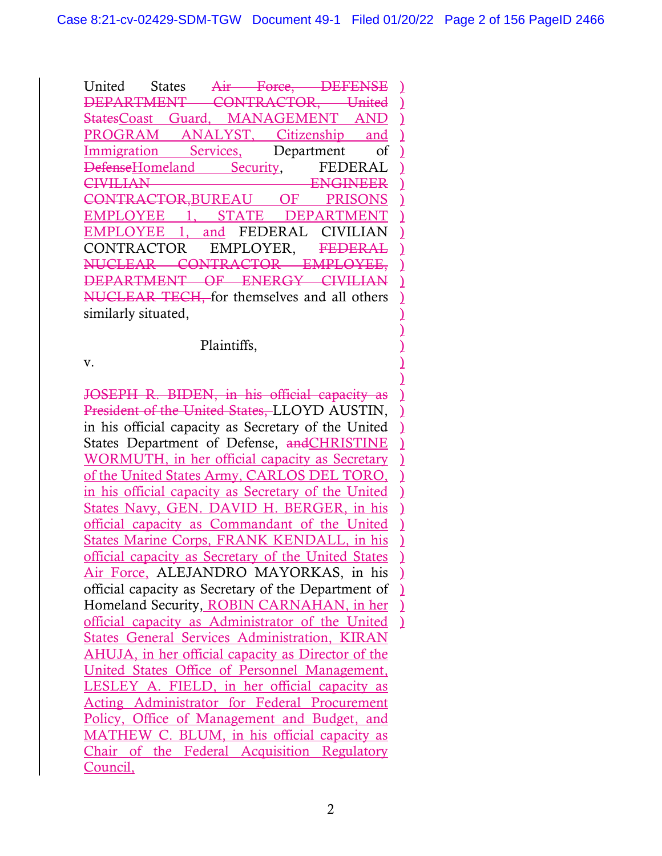$\overline{)}$  $\overline{1}$ )

United States Air Force, DEFENSE DEPARTMENT CONTRACTOR, United StatesCoast Guard, MANAGEMENT AND PROGRAM ANALYST, Citizenship and Immigration Services, Department of DefenseHomeland Security, FEDERAL CIVILIAN ENGINEER CONTRACTOR,BUREAU OF PRISONS EMPLOYEE 1, STATE DEPARTMENT EMPLOYEE 1, and FEDERAL CIVILIAN CONTRACTOR EMPLOYER, FEDERAL NUCLEAR CONTRACTOR EMPLOYEE, DEPARTMENT OF ENERGY CIVILIAN NUCLEAR TECH, for themselves and all others similarly situated, )  $\lambda$  $\lambda$  $\mathcal{L}$  $\lambda$ )  $\lambda$ ) )  $\lambda$  $\mathcal{L}$ )  $\lambda$ ) )  $\mathbf{\Sigma}$ 

Plaintiffs,

v.

JOSEPH R. BIDEN, in his official capacity as President of the United States, LLOYD AUSTIN, in his official capacity as Secretary of the United States Department of Defense, and CHRISTINE WORMUTH, in her official capacity as Secretary of the United States Army, CARLOS DEL TORO, ) in his official capacity as Secretary of the United States Navy, GEN. DAVID H. BERGER, in his official capacity as Commandant of the United ) States Marine Corps, FRANK KENDALL, in his official capacity as Secretary of the United States ) Air Force, ALEJANDRO MAYORKAS, in his official capacity as Secretary of the Department of Homeland Security, ROBIN CARNAHAN, in her official capacity as Administrator of the United States General Services Administration, KIRAN AHUJA, in her official capacity as Director of the United States Office of Personnel Management, LESLEY A. FIELD, in her official capacity as Acting Administrator for Federal Procurement Policy, Office of Management and Budget, and MATHEW C. BLUM, in his official capacity as Chair of the Federal Acquisition Regulatory Council, )  $\lambda$  $\mathcal{L}$ ) ) )  $\lambda$  $\lambda$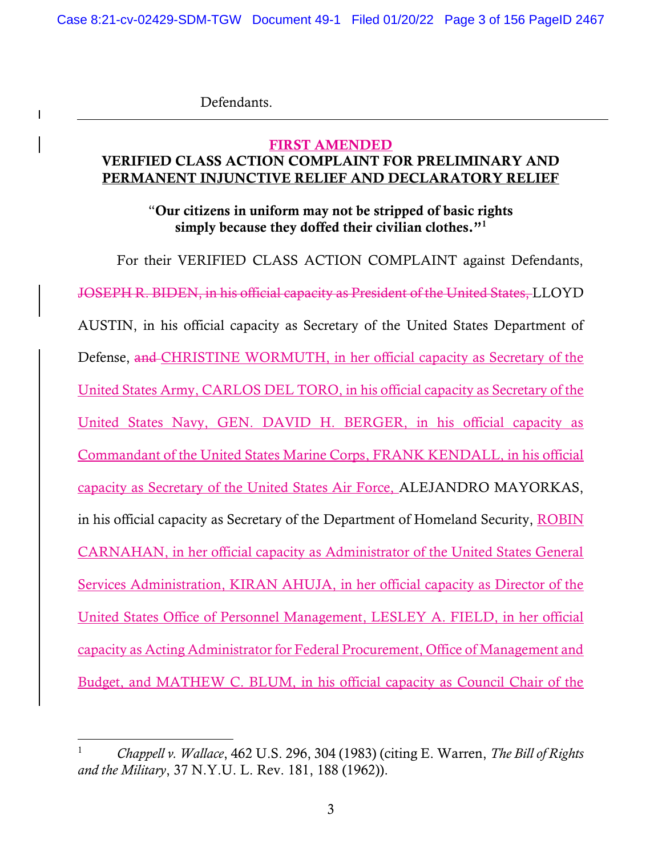Defendants.

# FIRST AMENDED VERIFIED CLASS ACTION COMPLAINT FOR PRELIMINARY AND PERMANENT INJUNCTIVE RELIEF AND DECLARATORY RELIEF

"Our citizens in uniform may not be stripped of basic rights simply because they doffed their civilian clothes. $"$ <sup>1</sup>

For their VERIFIED CLASS ACTION COMPLAINT against Defendants, JOSEPH R. BIDEN, in his official capacity as President of the United States, LLOYD AUSTIN, in his official capacity as Secretary of the United States Department of Defense, and CHRISTINE WORMUTH, in her official capacity as Secretary of the United States Army, CARLOS DEL TORO, in his official capacity as Secretary of the United States Navy, GEN. DAVID H. BERGER, in his official capacity as Commandant of the United States Marine Corps, FRANK KENDALL, in his official capacity as Secretary of the United States Air Force, ALEJANDRO MAYORKAS, in his official capacity as Secretary of the Department of Homeland Security, ROBIN CARNAHAN, in her official capacity as Administrator of the United States General Services Administration, KIRAN AHUJA, in her official capacity as Director of the United States Office of Personnel Management, LESLEY A. FIELD, in her official capacity as Acting Administrator for Federal Procurement, Office of Management and Budget, and MATHEW C. BLUM, in his official capacity as Council Chair of the

<sup>1</sup> *Chappell v. Wallace*, 462 U.S. 296, 304 (1983) (citing E. Warren, *The Bill of Rights and the Military*, 37 N.Y.U. L. Rev. 181, 188 (1962)).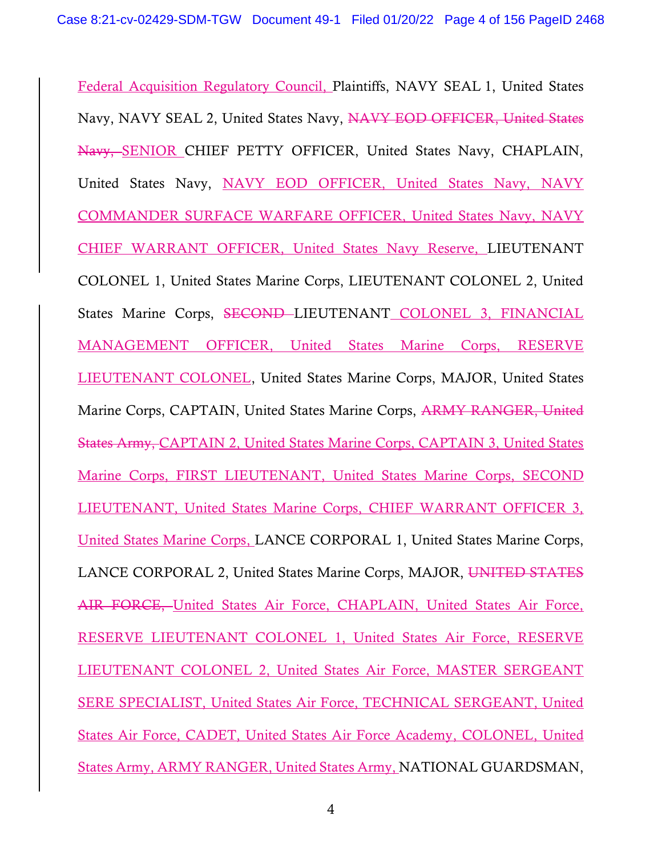Federal Acquisition Regulatory Council, Plaintiffs, NAVY SEAL 1, United States Navy, NAVY SEAL 2, United States Navy, NAVY EOD OFFICER, United States Navy, SENIOR CHIEF PETTY OFFICER, United States Navy, CHAPLAIN, United States Navy, NAVY EOD OFFICER, United States Navy, NAVY COMMANDER SURFACE WARFARE OFFICER, United States Navy, NAVY CHIEF WARRANT OFFICER, United States Navy Reserve, LIEUTENANT COLONEL 1, United States Marine Corps, LIEUTENANT COLONEL 2, United States Marine Corps, SECOND-LIEUTENANT COLONEL 3, FINANCIAL MANAGEMENT OFFICER, United States Marine Corps, RESERVE LIEUTENANT COLONEL, United States Marine Corps, MAJOR, United States Marine Corps, CAPTAIN, United States Marine Corps, ARMY RANGER, United States Army, CAPTAIN 2, United States Marine Corps, CAPTAIN 3, United States Marine Corps, FIRST LIEUTENANT, United States Marine Corps, SECOND LIEUTENANT, United States Marine Corps, CHIEF WARRANT OFFICER 3, United States Marine Corps, LANCE CORPORAL 1, United States Marine Corps, LANCE CORPORAL 2, United States Marine Corps, MAJOR, UNITED STATES AIR FORCE, United States Air Force, CHAPLAIN, United States Air Force, RESERVE LIEUTENANT COLONEL 1, United States Air Force, RESERVE LIEUTENANT COLONEL 2, United States Air Force, MASTER SERGEANT SERE SPECIALIST, United States Air Force, TECHNICAL SERGEANT, United States Air Force, CADET, United States Air Force Academy, COLONEL, United States Army, ARMY RANGER, United States Army, NATIONAL GUARDSMAN,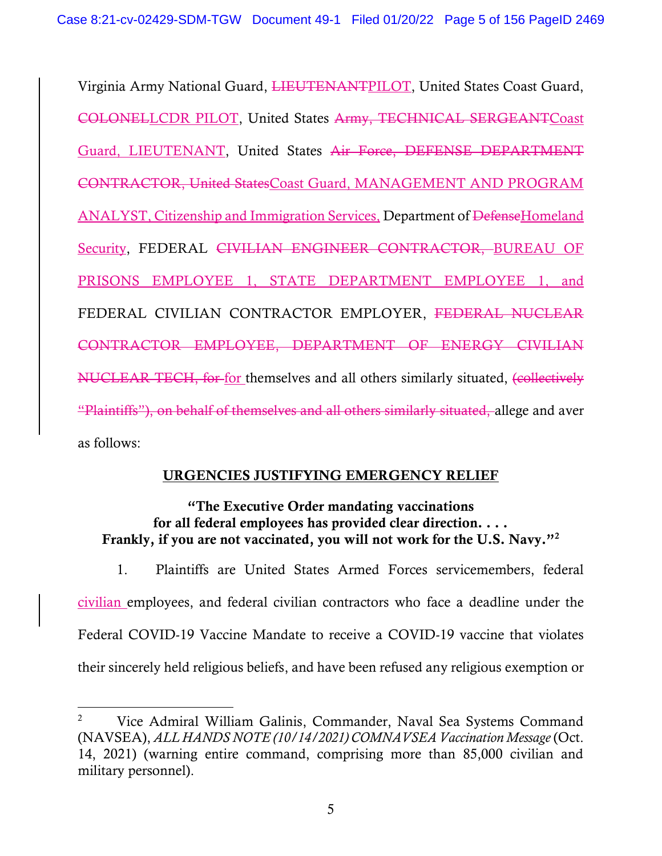Virginia Army National Guard, **LIEUTENANTPILOT**, United States Coast Guard, COLONELLCDR PILOT, United States Army, TECHNICAL SERGEANTCoast Guard, LIEUTENANT, United States Air Force, DEFENSE DEPARTMENT CONTRACTOR, United StatesCoast Guard, MANAGEMENT AND PROGRAM ANALYST, Citizenship and Immigration Services, Department of DefenseHomeland Security, FEDERAL CIVILIAN ENGINEER CONTRACTOR, BUREAU OF PRISONS EMPLOYEE 1, STATE DEPARTMENT EMPLOYEE 1, and FEDERAL CIVILIAN CONTRACTOR EMPLOYER, FEDERAL NUCLEAR CONTRACTOR EMPLOYEE, DEPARTMENT OF ENERGY CIVILIAN NUCLEAR TECH, for for themselves and all others similarly situated, (collectively "Plaintiffs"), on behalf of themselves and all others similarly situated, allege and aver as follows:

# URGENCIES JUSTIFYING EMERGENCY RELIEF

# "The Executive Order mandating vaccinations for all federal employees has provided clear direction. . . . Frankly, if you are not vaccinated, you will not work for the U.S. Navy."<sup>2</sup>

1. Plaintiffs are United States Armed Forces servicemembers, federal civilian employees, and federal civilian contractors who face a deadline under the Federal COVID-19 Vaccine Mandate to receive a COVID-19 vaccine that violates their sincerely held religious beliefs, and have been refused any religious exemption or

<sup>&</sup>lt;sup>2</sup> Vice Admiral William Galinis, Commander, Naval Sea Systems Command (NAVSEA), *ALL HANDS NOTE (10/14/2021) COMNAVSEA Vaccination Message* (Oct. 14, 2021) (warning entire command, comprising more than 85,000 civilian and military personnel).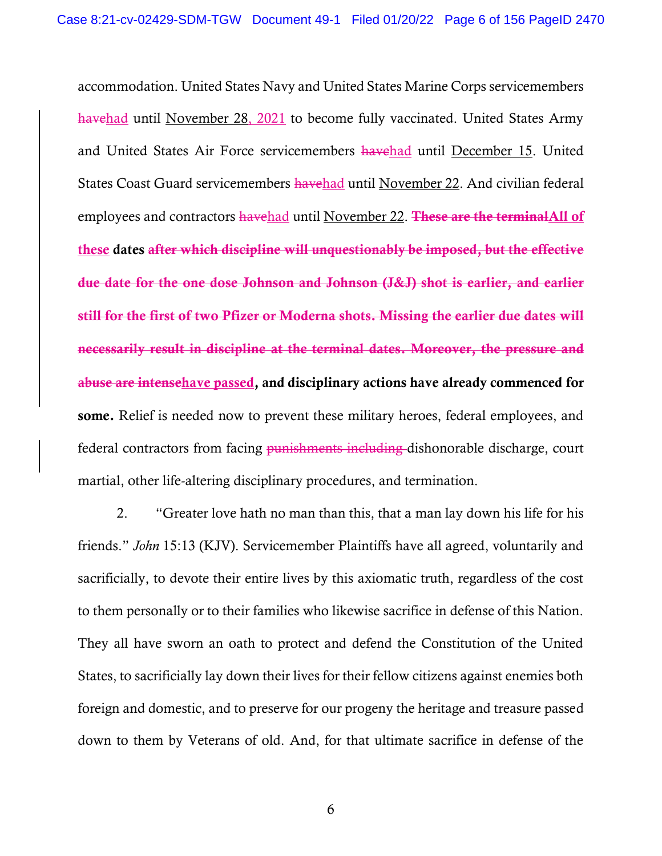accommodation. United States Navy and United States Marine Corps servicemembers havehad until November 28, 2021 to become fully vaccinated. United States Army and United States Air Force servicemembers havehad until December 15. United States Coast Guard servicemembers havehad until November 22. And civilian federal employees and contractors havehad until November 22. These are the terminalAll of these dates after which discipline will unquestionably be imposed, but the effective due date for the one dose Johnson and Johnson (J&J) shot is earlier, and earlier still for the first of two Pfizer or Moderna shots. Missing the earlier due dates will necessarily result in discipline at the terminal dates. Moreover, the pressure and abuse are intensehave passed, and disciplinary actions have already commenced for some. Relief is needed now to prevent these military heroes, federal employees, and federal contractors from facing punishments including dishonorable discharge, court martial, other life-altering disciplinary procedures, and termination.

2. "Greater love hath no man than this, that a man lay down his life for his friends." *John* 15:13 (KJV). Servicemember Plaintiffs have all agreed, voluntarily and sacrificially, to devote their entire lives by this axiomatic truth, regardless of the cost to them personally or to their families who likewise sacrifice in defense of this Nation. They all have sworn an oath to protect and defend the Constitution of the United States, to sacrificially lay down their lives for their fellow citizens against enemies both foreign and domestic, and to preserve for our progeny the heritage and treasure passed down to them by Veterans of old. And, for that ultimate sacrifice in defense of the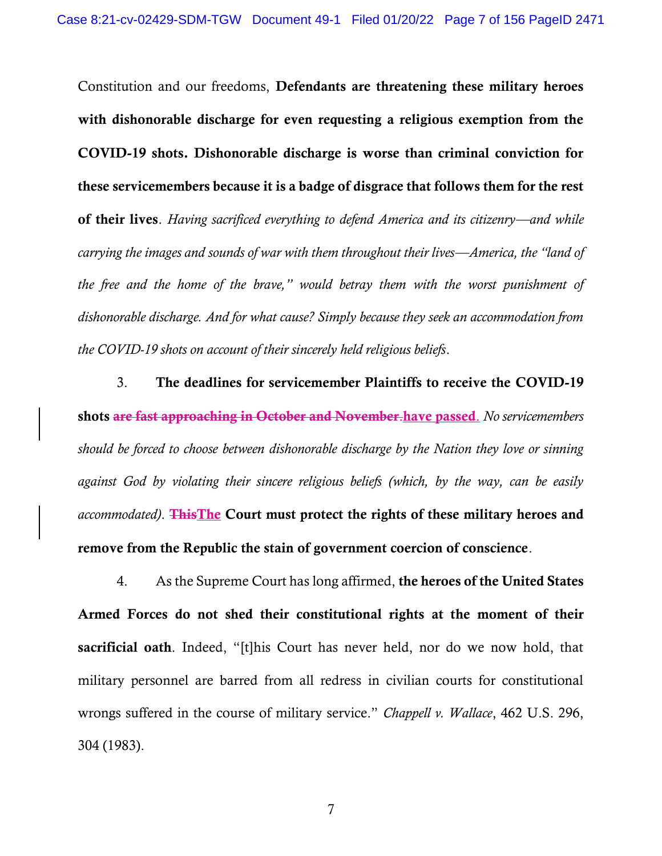Constitution and our freedoms, Defendants are threatening these military heroes with dishonorable discharge for even requesting a religious exemption from the COVID-19 shots. Dishonorable discharge is worse than criminal conviction for these servicemembers because it is a badge of disgrace that follows them for the rest of their lives. *Having sacrificed everything to defend America and its citizenry—and while carrying the images and sounds of war with them throughout their lives—America, the "land of the free and the home of the brave," would betray them with the worst punishment of dishonorable discharge. And for what cause? Simply because they seek an accommodation from the COVID-19 shots on account of their sincerely held religious beliefs*.

3. The deadlines for servicemember Plaintiffs to receive the COVID-19 shots are fast approaching in October and November.have passed. *No servicemembers should be forced to choose between dishonorable discharge by the Nation they love or sinning against God by violating their sincere religious beliefs (which, by the way, can be easily accommodated)*. ThisThe Court must protect the rights of these military heroes and remove from the Republic the stain of government coercion of conscience.

4. As the Supreme Court has long affirmed, the heroes of the United States Armed Forces do not shed their constitutional rights at the moment of their sacrificial oath. Indeed, "[t]his Court has never held, nor do we now hold, that military personnel are barred from all redress in civilian courts for constitutional wrongs suffered in the course of military service." *Chappell v. Wallace*, 462 U.S. 296, 304 (1983).

7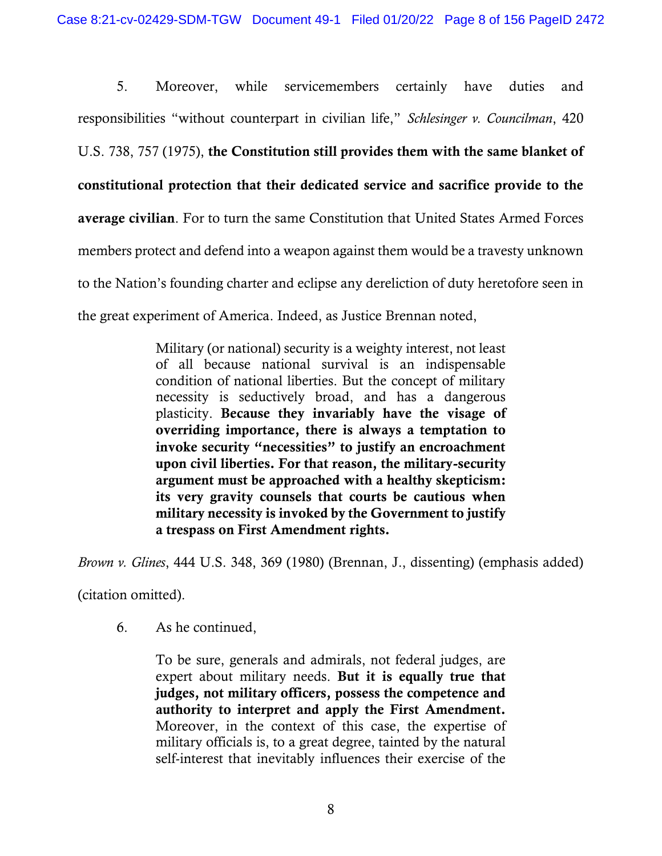5. Moreover, while servicemembers certainly have duties and responsibilities "without counterpart in civilian life," *Schlesinger v. Councilman*, 420 U.S. 738, 757 (1975), the Constitution still provides them with the same blanket of constitutional protection that their dedicated service and sacrifice provide to the average civilian. For to turn the same Constitution that United States Armed Forces members protect and defend into a weapon against them would be a travesty unknown to the Nation's founding charter and eclipse any dereliction of duty heretofore seen in the great experiment of America. Indeed, as Justice Brennan noted,

> Military (or national) security is a weighty interest, not least of all because national survival is an indispensable condition of national liberties. But the concept of military necessity is seductively broad, and has a dangerous plasticity. Because they invariably have the visage of overriding importance, there is always a temptation to invoke security "necessities" to justify an encroachment upon civil liberties. For that reason, the military-security argument must be approached with a healthy skepticism: its very gravity counsels that courts be cautious when military necessity is invoked by the Government to justify a trespass on First Amendment rights.

*Brown v. Glines*, 444 U.S. 348, 369 (1980) (Brennan, J., dissenting) (emphasis added)

(citation omitted).

6. As he continued,

To be sure, generals and admirals, not federal judges, are expert about military needs. But it is equally true that judges, not military officers, possess the competence and authority to interpret and apply the First Amendment. Moreover, in the context of this case, the expertise of military officials is, to a great degree, tainted by the natural self-interest that inevitably influences their exercise of the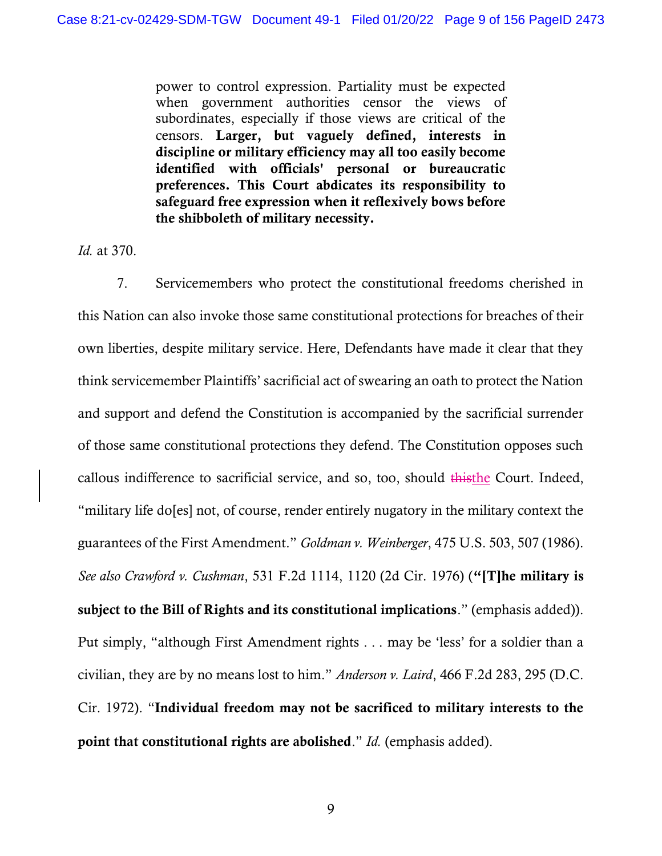power to control expression. Partiality must be expected when government authorities censor the views of subordinates, especially if those views are critical of the censors. Larger, but vaguely defined, interests in discipline or military efficiency may all too easily become identified with officials' personal or bureaucratic preferences. This Court abdicates its responsibility to safeguard free expression when it reflexively bows before the shibboleth of military necessity.

*Id.* at 370.

7. Servicemembers who protect the constitutional freedoms cherished in this Nation can also invoke those same constitutional protections for breaches of their own liberties, despite military service. Here, Defendants have made it clear that they think servicemember Plaintiffs' sacrificial act of swearing an oath to protect the Nation and support and defend the Constitution is accompanied by the sacrificial surrender of those same constitutional protections they defend. The Constitution opposes such callous indifference to sacrificial service, and so, too, should thisthe Court. Indeed, "military life do[es] not, of course, render entirely nugatory in the military context the guarantees of the First Amendment." *Goldman v. Weinberger*, 475 U.S. 503, 507 (1986). *See also Crawford v. Cushman*, 531 F.2d 1114, 1120 (2d Cir. 1976) ("[T]he military is subject to the Bill of Rights and its constitutional implications." (emphasis added)). Put simply, "although First Amendment rights . . . may be 'less' for a soldier than a civilian, they are by no means lost to him." *Anderson v. Laird*, 466 F.2d 283, 295 (D.C. Cir. 1972). "Individual freedom may not be sacrificed to military interests to the point that constitutional rights are abolished." *Id.* (emphasis added).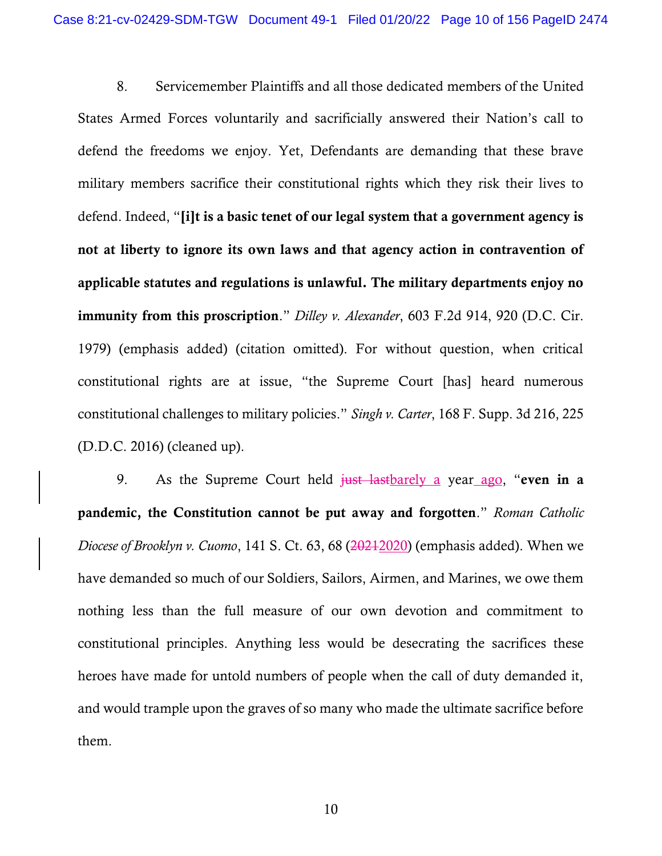8. Servicemember Plaintiffs and all those dedicated members of the United States Armed Forces voluntarily and sacrificially answered their Nation's call to defend the freedoms we enjoy. Yet, Defendants are demanding that these brave military members sacrifice their constitutional rights which they risk their lives to defend. Indeed, "[i]t is a basic tenet of our legal system that a government agency is not at liberty to ignore its own laws and that agency action in contravention of applicable statutes and regulations is unlawful. The military departments enjoy no immunity from this proscription." *Dilley v. Alexander*, 603 F.2d 914, 920 (D.C. Cir. 1979) (emphasis added) (citation omitted). For without question, when critical constitutional rights are at issue, "the Supreme Court [has] heard numerous constitutional challenges to military policies." *Singh v. Carter*, 168 F. Supp. 3d 216, 225 (D.D.C. 2016) (cleaned up).

9. As the Supreme Court held just lastbarely a year ago, "even in a pandemic, the Constitution cannot be put away and forgotten." *Roman Catholic Diocese of Brooklyn v. Cuomo*, 141 S. Ct. 63, 68 (20212020) (emphasis added). When we have demanded so much of our Soldiers, Sailors, Airmen, and Marines, we owe them nothing less than the full measure of our own devotion and commitment to constitutional principles. Anything less would be desecrating the sacrifices these heroes have made for untold numbers of people when the call of duty demanded it, and would trample upon the graves of so many who made the ultimate sacrifice before them.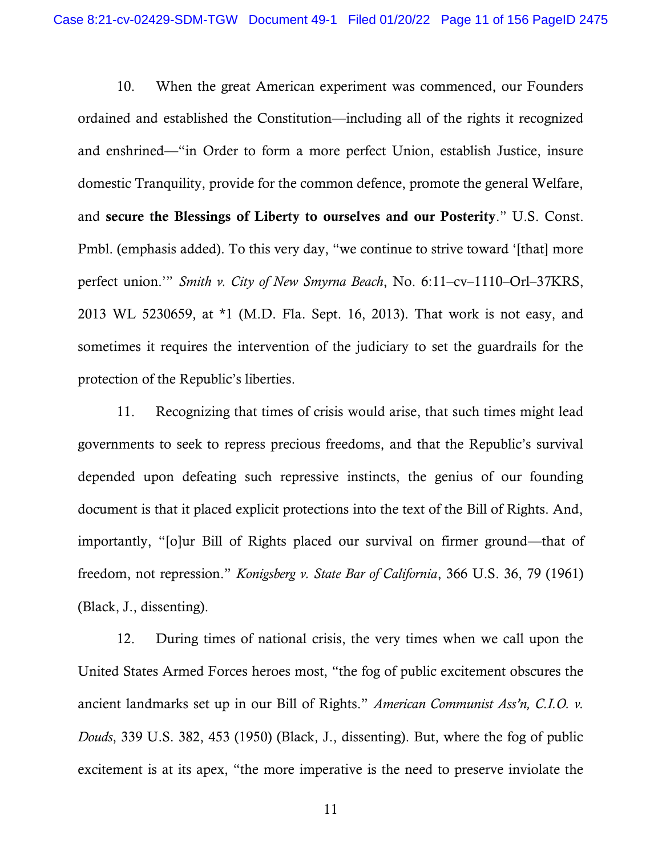10. When the great American experiment was commenced, our Founders ordained and established the Constitution—including all of the rights it recognized and enshrined—"in Order to form a more perfect Union, establish Justice, insure domestic Tranquility, provide for the common defence, promote the general Welfare, and secure the Blessings of Liberty to ourselves and our Posterity." U.S. Const. Pmbl. (emphasis added). To this very day, "we continue to strive toward '[that] more perfect union.'" *Smith v. City of New Smyrna Beach*, No. 6:11–cv–1110–Orl–37KRS, 2013 WL 5230659, at \*1 (M.D. Fla. Sept. 16, 2013). That work is not easy, and sometimes it requires the intervention of the judiciary to set the guardrails for the protection of the Republic's liberties.

11. Recognizing that times of crisis would arise, that such times might lead governments to seek to repress precious freedoms, and that the Republic's survival depended upon defeating such repressive instincts, the genius of our founding document is that it placed explicit protections into the text of the Bill of Rights. And, importantly, "[o]ur Bill of Rights placed our survival on firmer ground—that of freedom, not repression." *Konigsberg v. State Bar of California*, 366 U.S. 36, 79 (1961) (Black, J., dissenting).

12. During times of national crisis, the very times when we call upon the United States Armed Forces heroes most, "the fog of public excitement obscures the ancient landmarks set up in our Bill of Rights." *American Communist Ass'n, C.I.O. v. Douds*, 339 U.S. 382, 453 (1950) (Black, J., dissenting). But, where the fog of public excitement is at its apex, "the more imperative is the need to preserve inviolate the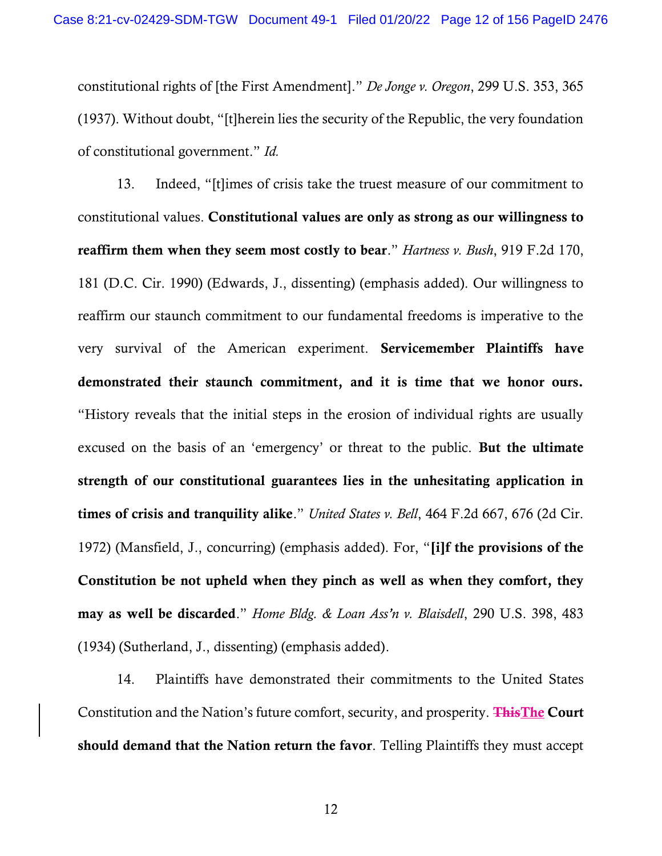constitutional rights of [the First Amendment]." *De Jonge v. Oregon*, 299 U.S. 353, 365 (1937). Without doubt, "[t]herein lies the security of the Republic, the very foundation of constitutional government." *Id.*

13. Indeed, "[t]imes of crisis take the truest measure of our commitment to constitutional values. Constitutional values are only as strong as our willingness to reaffirm them when they seem most costly to bear." *Hartness v. Bush*, 919 F.2d 170, 181 (D.C. Cir. 1990) (Edwards, J., dissenting) (emphasis added). Our willingness to reaffirm our staunch commitment to our fundamental freedoms is imperative to the very survival of the American experiment. Servicemember Plaintiffs have demonstrated their staunch commitment, and it is time that we honor ours. "History reveals that the initial steps in the erosion of individual rights are usually excused on the basis of an 'emergency' or threat to the public. But the ultimate strength of our constitutional guarantees lies in the unhesitating application in times of crisis and tranquility alike." *United States v. Bell*, 464 F.2d 667, 676 (2d Cir. 1972) (Mansfield, J., concurring) (emphasis added). For, "[i]f the provisions of the Constitution be not upheld when they pinch as well as when they comfort, they may as well be discarded." *Home Bldg. & Loan Ass'n v. Blaisdell*, 290 U.S. 398, 483 (1934) (Sutherland, J., dissenting) (emphasis added).

14. Plaintiffs have demonstrated their commitments to the United States Constitution and the Nation's future comfort, security, and prosperity. **ThisThe Court** should demand that the Nation return the favor. Telling Plaintiffs they must accept

12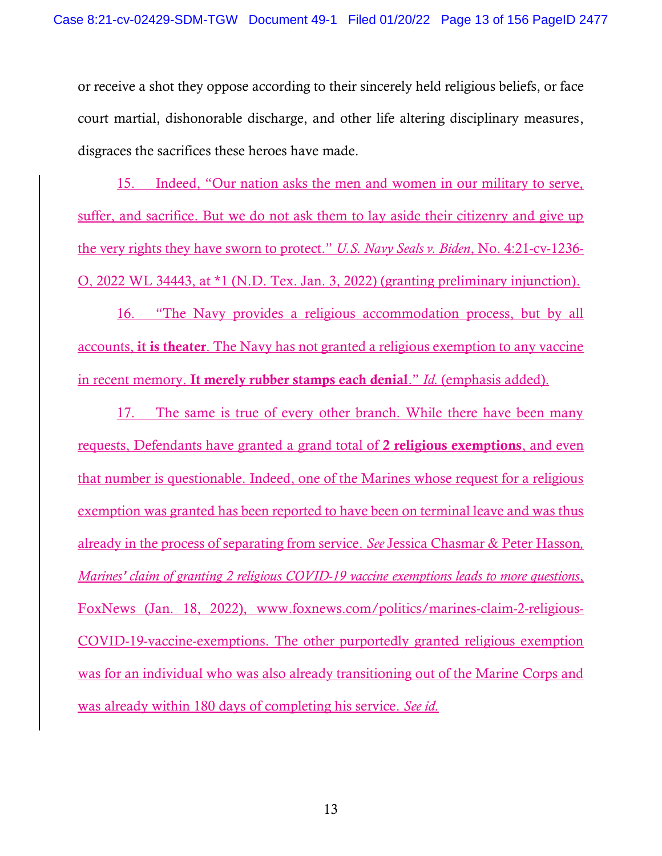or receive a shot they oppose according to their sincerely held religious beliefs, or face court martial, dishonorable discharge, and other life altering disciplinary measures, disgraces the sacrifices these heroes have made.

15. Indeed, "Our nation asks the men and women in our military to serve, suffer, and sacrifice. But we do not ask them to lay aside their citizenry and give up the very rights they have sworn to protect." *U.S. Navy Seals v. Biden*, No. 4:21-cv-1236- O, 2022 WL 34443, at \*1 (N.D. Tex. Jan. 3, 2022) (granting preliminary injunction).

16. "The Navy provides a religious accommodation process, but by all accounts, it is theater. The Navy has not granted a religious exemption to any vaccine in recent memory. It merely rubber stamps each denial." *Id.* (emphasis added).

17. The same is true of every other branch. While there have been many requests, Defendants have granted a grand total of 2 religious exemptions, and even that number is questionable. Indeed, one of the Marines whose request for a religious exemption was granted has been reported to have been on terminal leave and was thus already in the process of separating from service. *See* Jessica Chasmar & Peter Hasson*, Marines' claim of granting 2 religious COVID-19 vaccine exemptions leads to more questions*, FoxNews (Jan. 18, 2022), www.foxnews.com/politics/marines-claim-2-religious-COVID-19-vaccine-exemptions. The other purportedly granted religious exemption was for an individual who was also already transitioning out of the Marine Corps and was already within 180 days of completing his service. *See id.*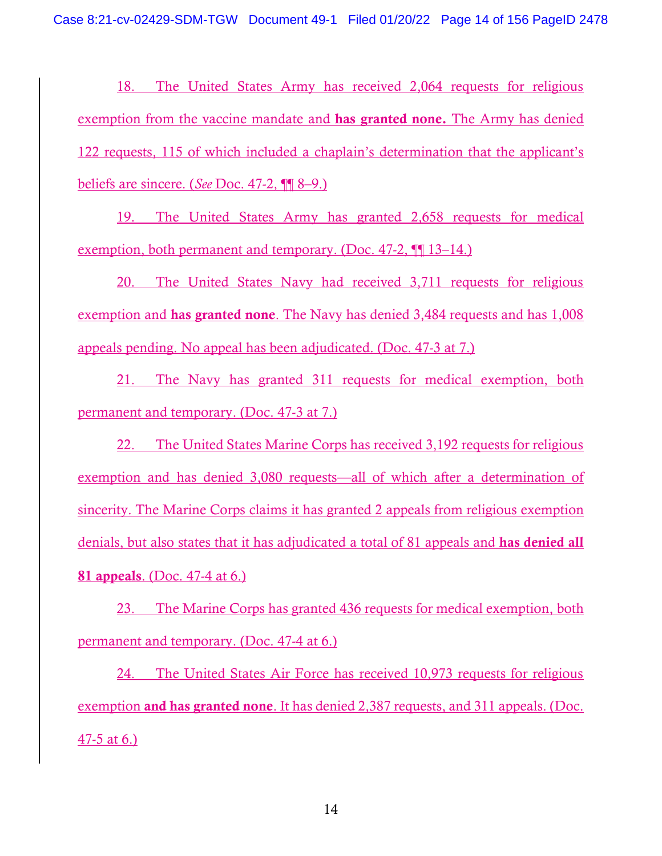18. The United States Army has received 2,064 requests for religious exemption from the vaccine mandate and has granted none. The Army has denied 122 requests, 115 of which included a chaplain's determination that the applicant's beliefs are sincere. (*See* Doc. 47-2, ¶¶ 8–9.)

19. The United States Army has granted 2,658 requests for medical exemption, both permanent and temporary. (Doc. 47-2, ¶¶ 13–14.)

20. The United States Navy had received 3,711 requests for religious exemption and has granted none. The Navy has denied 3,484 requests and has 1,008 appeals pending. No appeal has been adjudicated. (Doc. 47-3 at 7.)

21. The Navy has granted 311 requests for medical exemption, both permanent and temporary. (Doc. 47-3 at 7.)

22. The United States Marine Corps has received 3,192 requests for religious exemption and has denied 3,080 requests—all of which after a determination of sincerity. The Marine Corps claims it has granted 2 appeals from religious exemption denials, but also states that it has adjudicated a total of 81 appeals and has denied all 81 appeals. (Doc. 47-4 at 6.)

23. The Marine Corps has granted 436 requests for medical exemption, both permanent and temporary. (Doc. 47-4 at 6.)

24. The United States Air Force has received 10,973 requests for religious exemption and has granted none. It has denied 2,387 requests, and 311 appeals. (Doc. 47-5 at 6.)

14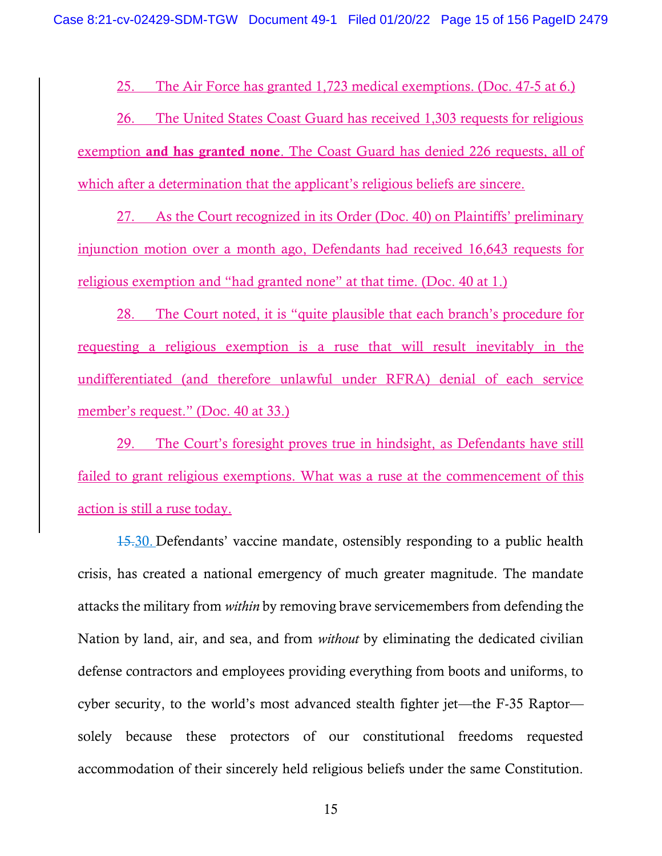25. The Air Force has granted 1,723 medical exemptions. (Doc. 47-5 at 6.)

26. The United States Coast Guard has received 1,303 requests for religious exemption and has granted none. The Coast Guard has denied 226 requests, all of which after a determination that the applicant's religious beliefs are sincere.

27. As the Court recognized in its Order (Doc. 40) on Plaintiffs' preliminary injunction motion over a month ago, Defendants had received 16,643 requests for religious exemption and "had granted none" at that time. (Doc. 40 at 1.)

28. The Court noted, it is "quite plausible that each branch's procedure for requesting a religious exemption is a ruse that will result inevitably in the undifferentiated (and therefore unlawful under RFRA) denial of each service member's request." (Doc. 40 at 33.)

29. The Court's foresight proves true in hindsight, as Defendants have still failed to grant religious exemptions. What was a ruse at the commencement of this action is still a ruse today.

15.30. Defendants' vaccine mandate, ostensibly responding to a public health crisis, has created a national emergency of much greater magnitude. The mandate attacks the military from *within* by removing brave servicemembers from defending the Nation by land, air, and sea, and from *without* by eliminating the dedicated civilian defense contractors and employees providing everything from boots and uniforms, to cyber security, to the world's most advanced stealth fighter jet—the F-35 Raptor solely because these protectors of our constitutional freedoms requested accommodation of their sincerely held religious beliefs under the same Constitution.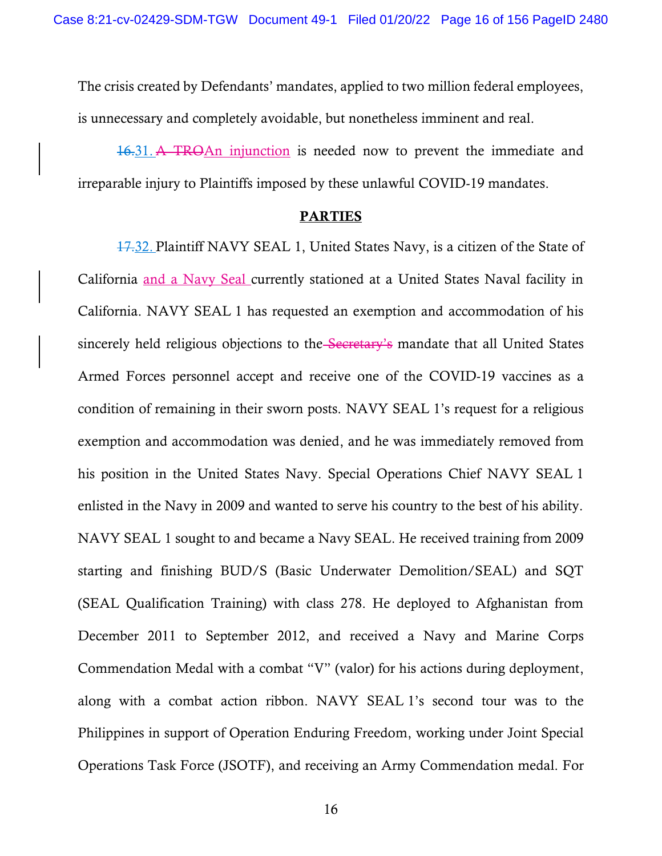The crisis created by Defendants' mandates, applied to two million federal employees, is unnecessary and completely avoidable, but nonetheless imminent and real.

16.31. A TROAn injunction is needed now to prevent the immediate and irreparable injury to Plaintiffs imposed by these unlawful COVID-19 mandates.

#### PARTIES

17.32. Plaintiff NAVY SEAL 1, United States Navy, is a citizen of the State of California and a Navy Seal currently stationed at a United States Naval facility in California. NAVY SEAL 1 has requested an exemption and accommodation of his sincerely held religious objections to the Secretary's mandate that all United States Armed Forces personnel accept and receive one of the COVID-19 vaccines as a condition of remaining in their sworn posts. NAVY SEAL 1's request for a religious exemption and accommodation was denied, and he was immediately removed from his position in the United States Navy. Special Operations Chief NAVY SEAL 1 enlisted in the Navy in 2009 and wanted to serve his country to the best of his ability. NAVY SEAL 1 sought to and became a Navy SEAL. He received training from 2009 starting and finishing BUD/S (Basic Underwater Demolition/SEAL) and SQT (SEAL Qualification Training) with class 278. He deployed to Afghanistan from December 2011 to September 2012, and received a Navy and Marine Corps Commendation Medal with a combat "V" (valor) for his actions during deployment, along with a combat action ribbon. NAVY SEAL 1's second tour was to the Philippines in support of Operation Enduring Freedom, working under Joint Special Operations Task Force (JSOTF), and receiving an Army Commendation medal. For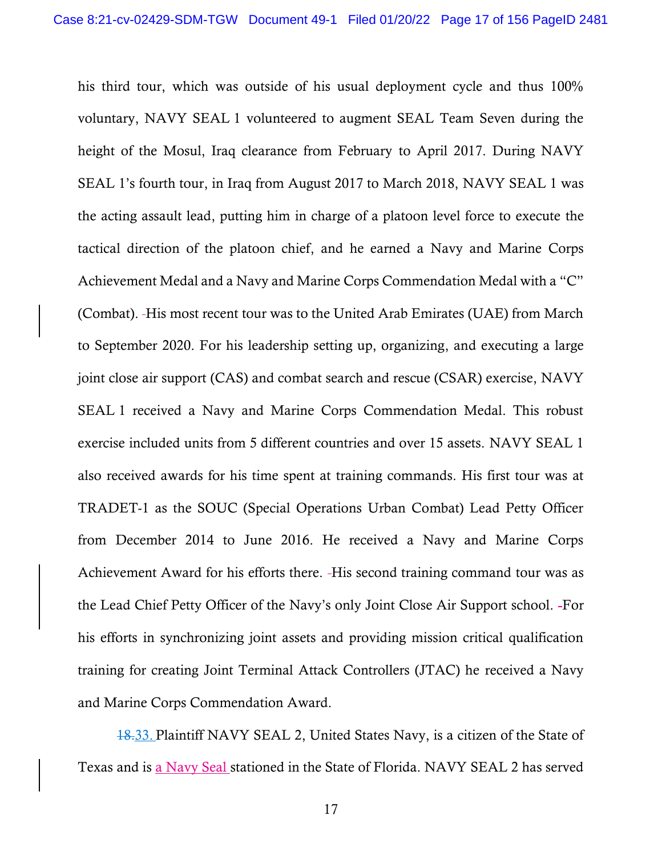his third tour, which was outside of his usual deployment cycle and thus 100% voluntary, NAVY SEAL 1 volunteered to augment SEAL Team Seven during the height of the Mosul, Iraq clearance from February to April 2017. During NAVY SEAL 1's fourth tour, in Iraq from August 2017 to March 2018, NAVY SEAL 1 was the acting assault lead, putting him in charge of a platoon level force to execute the tactical direction of the platoon chief, and he earned a Navy and Marine Corps Achievement Medal and a Navy and Marine Corps Commendation Medal with a "C" (Combat). His most recent tour was to the United Arab Emirates (UAE) from March to September 2020. For his leadership setting up, organizing, and executing a large joint close air support (CAS) and combat search and rescue (CSAR) exercise, NAVY SEAL 1 received a Navy and Marine Corps Commendation Medal. This robust exercise included units from 5 different countries and over 15 assets. NAVY SEAL 1 also received awards for his time spent at training commands. His first tour was at TRADET-1 as the SOUC (Special Operations Urban Combat) Lead Petty Officer from December 2014 to June 2016. He received a Navy and Marine Corps Achievement Award for his efforts there. -His second training command tour was as the Lead Chief Petty Officer of the Navy's only Joint Close Air Support school. For his efforts in synchronizing joint assets and providing mission critical qualification training for creating Joint Terminal Attack Controllers (JTAC) he received a Navy and Marine Corps Commendation Award.

18.33. Plaintiff NAVY SEAL 2, United States Navy, is a citizen of the State of Texas and is a Navy Seal stationed in the State of Florida. NAVY SEAL 2 has served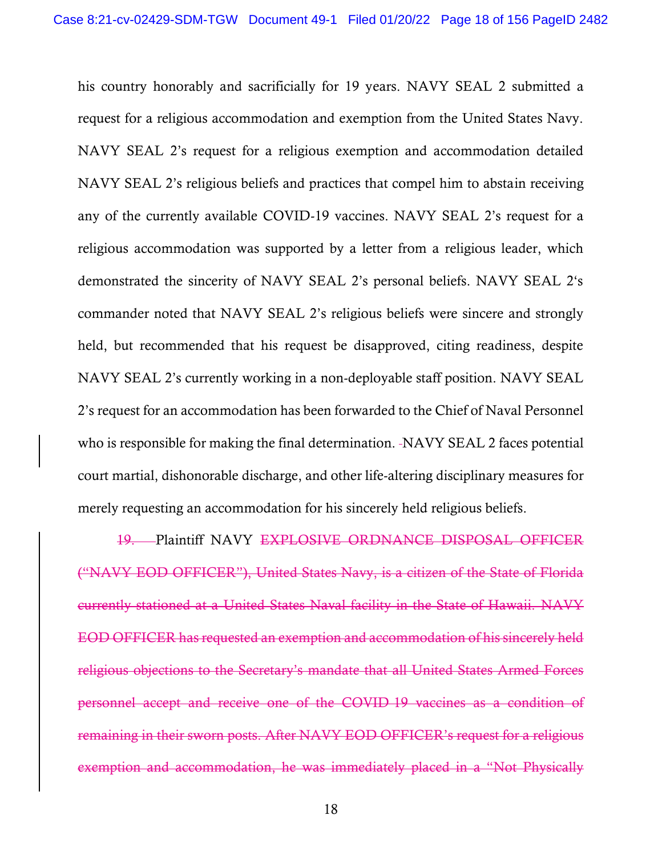his country honorably and sacrificially for 19 years. NAVY SEAL 2 submitted a request for a religious accommodation and exemption from the United States Navy. NAVY SEAL 2's request for a religious exemption and accommodation detailed NAVY SEAL 2's religious beliefs and practices that compel him to abstain receiving any of the currently available COVID-19 vaccines. NAVY SEAL 2's request for a religious accommodation was supported by a letter from a religious leader, which demonstrated the sincerity of NAVY SEAL 2's personal beliefs. NAVY SEAL 2's commander noted that NAVY SEAL 2's religious beliefs were sincere and strongly held, but recommended that his request be disapproved, citing readiness, despite NAVY SEAL 2's currently working in a non-deployable staff position. NAVY SEAL 2's request for an accommodation has been forwarded to the Chief of Naval Personnel who is responsible for making the final determination. -NAVY SEAL 2 faces potential court martial, dishonorable discharge, and other life-altering disciplinary measures for merely requesting an accommodation for his sincerely held religious beliefs.

19. Plaintiff NAVY EXPLOSIVE ORDNANCE DISPOSAL OFFICER ("NAVY EOD OFFICER"), United States Navy, is a citizen of the State of Florida currently stationed at a United States Naval facility in the State of Hawaii. NAVY EOD OFFICER has requested an exemption and accommodation of his sincerely held religious objections to the Secretary's mandate that all United States Armed Forces personnel accept and receive one of the COVID 19 vaccines as a condition of remaining in their sworn posts. After NAVY EOD OFFICER's request for a religious exemption and accommodation, he was immediately placed in a "Not Physically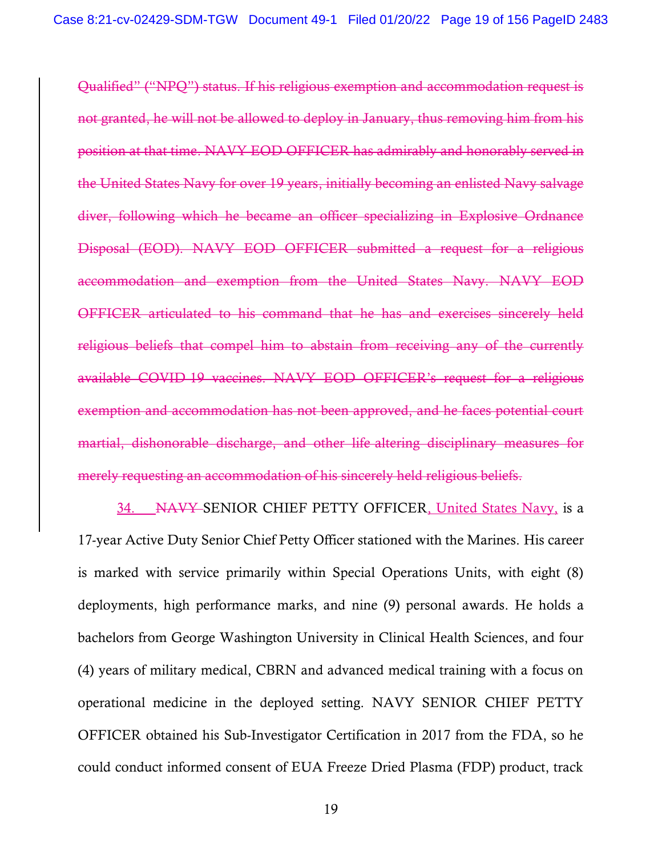Qualified" ("NPQ") status. If his religious exemption and accommodation request is not granted, he will not be allowed to deploy in January, thus removing him from his position at that time. NAVY EOD OFFICER has admirably and honorably served in the United States Navy for over 19 years, initially becoming an enlisted Navy salvage diver, following which he became an officer specializing in Explosive Ordnance Disposal (EOD). NAVY EOD OFFICER submitted a request for a religious accommodation and exemption from the United States Navy. NAVY EOD OFFICER articulated to his command that he has and exercises sincerely held religious beliefs that compel him to abstain from receiving any of the currently available COVID 19 vaccines. NAVY EOD OFFICER's request for a religious exemption and accommodation has not been approved, and he faces potential court martial, dishonorable discharge, and other life altering disciplinary measures for merely requesting an accommodation of his sincerely held religious beliefs.

34. NAVY SENIOR CHIEF PETTY OFFICER, United States Navy, is a 17-year Active Duty Senior Chief Petty Officer stationed with the Marines. His career is marked with service primarily within Special Operations Units, with eight (8) deployments, high performance marks, and nine (9) personal awards. He holds a bachelors from George Washington University in Clinical Health Sciences, and four (4) years of military medical, CBRN and advanced medical training with a focus on operational medicine in the deployed setting. NAVY SENIOR CHIEF PETTY OFFICER obtained his Sub-Investigator Certification in 2017 from the FDA, so he could conduct informed consent of EUA Freeze Dried Plasma (FDP) product, track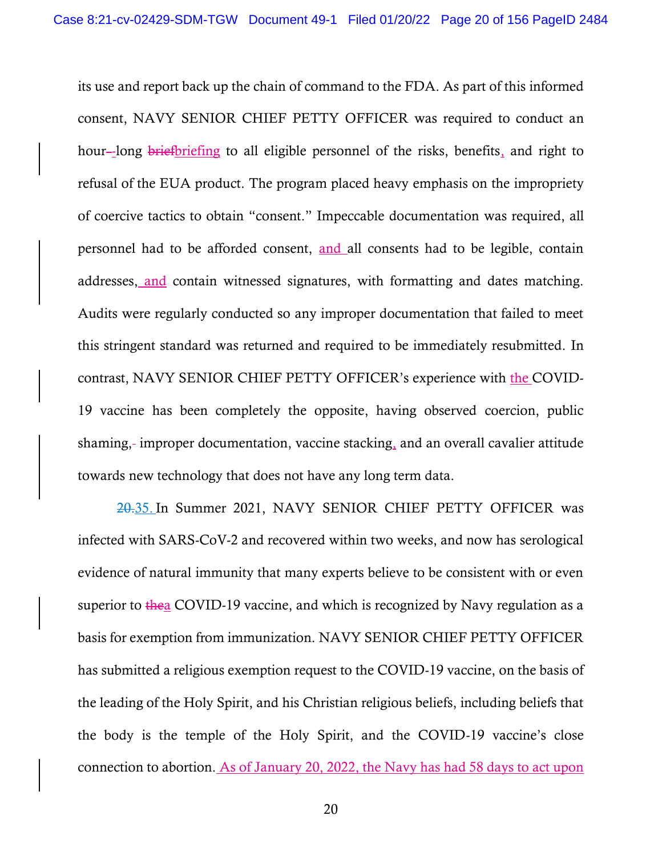its use and report back up the chain of command to the FDA. As part of this informed consent, NAVY SENIOR CHIEF PETTY OFFICER was required to conduct an hour-long brief briefing to all eligible personnel of the risks, benefits, and right to refusal of the EUA product. The program placed heavy emphasis on the impropriety of coercive tactics to obtain "consent." Impeccable documentation was required, all personnel had to be afforded consent, and all consents had to be legible, contain addresses, and contain witnessed signatures, with formatting and dates matching. Audits were regularly conducted so any improper documentation that failed to meet this stringent standard was returned and required to be immediately resubmitted. In contrast, NAVY SENIOR CHIEF PETTY OFFICER's experience with the COVID-19 vaccine has been completely the opposite, having observed coercion, public shaming,- improper documentation, vaccine stacking, and an overall cavalier attitude towards new technology that does not have any long term data.

20.35. In Summer 2021, NAVY SENIOR CHIEF PETTY OFFICER was infected with SARS-CoV-2 and recovered within two weeks, and now has serological evidence of natural immunity that many experts believe to be consistent with or even superior to thea COVID-19 vaccine, and which is recognized by Navy regulation as a basis for exemption from immunization. NAVY SENIOR CHIEF PETTY OFFICER has submitted a religious exemption request to the COVID-19 vaccine, on the basis of the leading of the Holy Spirit, and his Christian religious beliefs, including beliefs that the body is the temple of the Holy Spirit, and the COVID-19 vaccine's close connection to abortion. As of January 20, 2022, the Navy has had 58 days to act upon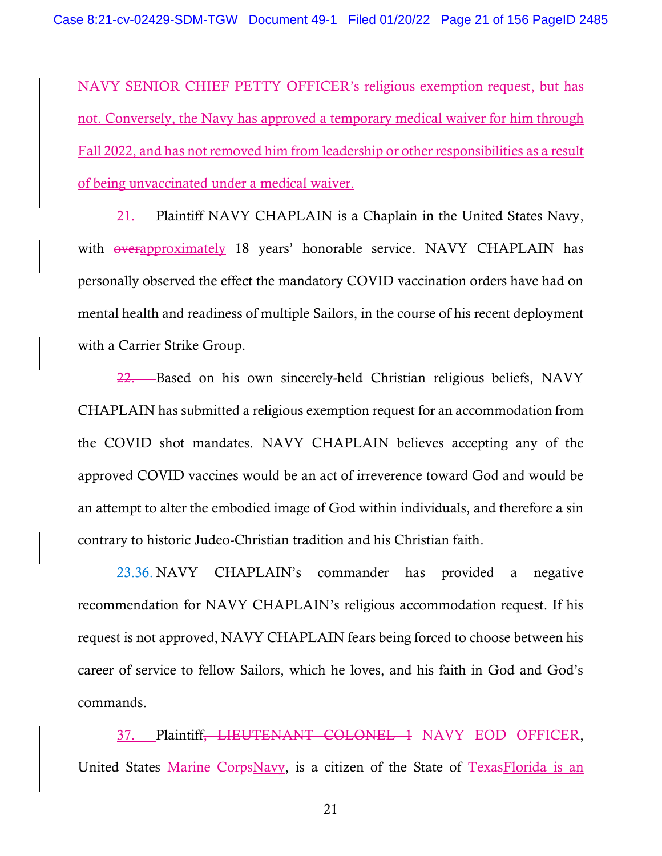NAVY SENIOR CHIEF PETTY OFFICER's religious exemption request, but has not. Conversely, the Navy has approved a temporary medical waiver for him through Fall 2022, and has not removed him from leadership or other responsibilities as a result of being unvaccinated under a medical waiver.

21. Plaintiff NAVY CHAPLAIN is a Chaplain in the United States Navy, with *everapproximately* 18 years' honorable service. NAVY CHAPLAIN has personally observed the effect the mandatory COVID vaccination orders have had on mental health and readiness of multiple Sailors, in the course of his recent deployment with a Carrier Strike Group.

22. Based on his own sincerely-held Christian religious beliefs, NAVY CHAPLAIN has submitted a religious exemption request for an accommodation from the COVID shot mandates. NAVY CHAPLAIN believes accepting any of the approved COVID vaccines would be an act of irreverence toward God and would be an attempt to alter the embodied image of God within individuals, and therefore a sin contrary to historic Judeo-Christian tradition and his Christian faith.

23.36. NAVY CHAPLAIN's commander has provided a negative recommendation for NAVY CHAPLAIN's religious accommodation request. If his request is not approved, NAVY CHAPLAIN fears being forced to choose between his career of service to fellow Sailors, which he loves, and his faith in God and God's commands.

37. Plaintiff, LIEUTENANT COLONEL 1 NAVY EOD OFFICER, United States Marine CorpsNavy, is a citizen of the State of TexasFlorida is an

21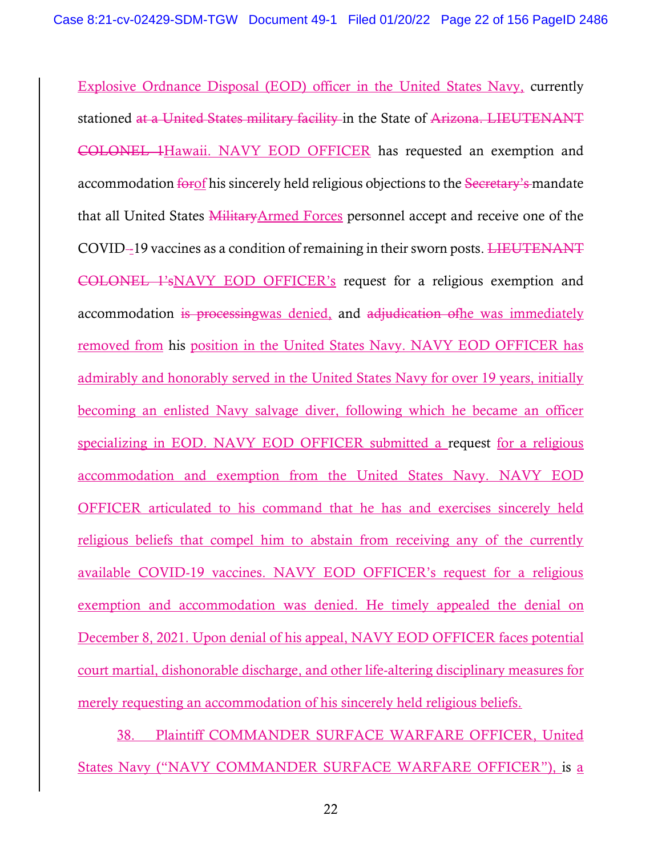Explosive Ordnance Disposal (EOD) officer in the United States Navy, currently stationed at a United States military facility in the State of Arizona. LIEUTENANT COLONEL 1Hawaii. NAVY EOD OFFICER has requested an exemption and accommodation forof his sincerely held religious objections to the Secretary's mandate that all United States MilitaryArmed Forces personnel accept and receive one of the COVID -19 vaccines as a condition of remaining in their sworn posts. LIEUTENANT COLONEL 1'sNAVY EOD OFFICER's request for a religious exemption and accommodation is processingwas denied, and adjudication ofhe was immediately removed from his position in the United States Navy. NAVY EOD OFFICER has admirably and honorably served in the United States Navy for over 19 years, initially becoming an enlisted Navy salvage diver, following which he became an officer specializing in EOD. NAVY EOD OFFICER submitted a request for a religious accommodation and exemption from the United States Navy. NAVY EOD OFFICER articulated to his command that he has and exercises sincerely held religious beliefs that compel him to abstain from receiving any of the currently available COVID-19 vaccines. NAVY EOD OFFICER's request for a religious exemption and accommodation was denied. He timely appealed the denial on December 8, 2021. Upon denial of his appeal, NAVY EOD OFFICER faces potential court martial, dishonorable discharge, and other life-altering disciplinary measures for merely requesting an accommodation of his sincerely held religious beliefs.

38. Plaintiff COMMANDER SURFACE WARFARE OFFICER, United States Navy ("NAVY COMMANDER SURFACE WARFARE OFFICER"), is a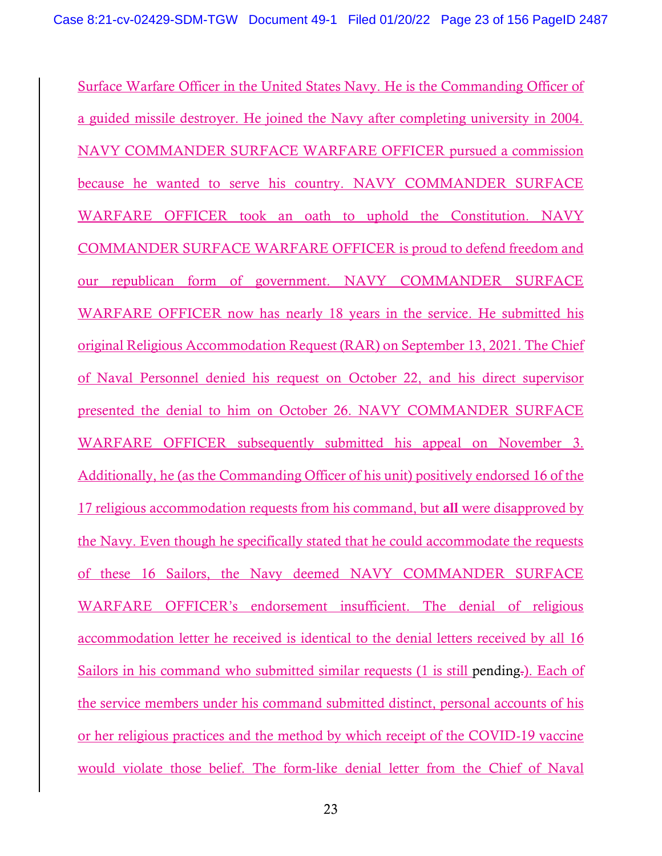Surface Warfare Officer in the United States Navy. He is the Commanding Officer of a guided missile destroyer. He joined the Navy after completing university in 2004. NAVY COMMANDER SURFACE WARFARE OFFICER pursued a commission because he wanted to serve his country. NAVY COMMANDER SURFACE WARFARE OFFICER took an oath to uphold the Constitution. NAVY COMMANDER SURFACE WARFARE OFFICER is proud to defend freedom and our republican form of government. NAVY COMMANDER SURFACE WARFARE OFFICER now has nearly 18 years in the service. He submitted his original Religious Accommodation Request (RAR) on September 13, 2021. The Chief of Naval Personnel denied his request on October 22, and his direct supervisor presented the denial to him on October 26. NAVY COMMANDER SURFACE WARFARE OFFICER subsequently submitted his appeal on November 3. Additionally, he (as the Commanding Officer of his unit) positively endorsed 16 of the 17 religious accommodation requests from his command, but all were disapproved by the Navy. Even though he specifically stated that he could accommodate the requests of these 16 Sailors, the Navy deemed NAVY COMMANDER SURFACE WARFARE OFFICER's endorsement insufficient. The denial of religious accommodation letter he received is identical to the denial letters received by all 16 Sailors in his command who submitted similar requests (1 is still pending.). Each of the service members under his command submitted distinct, personal accounts of his or her religious practices and the method by which receipt of the COVID-19 vaccine would violate those belief. The form-like denial letter from the Chief of Naval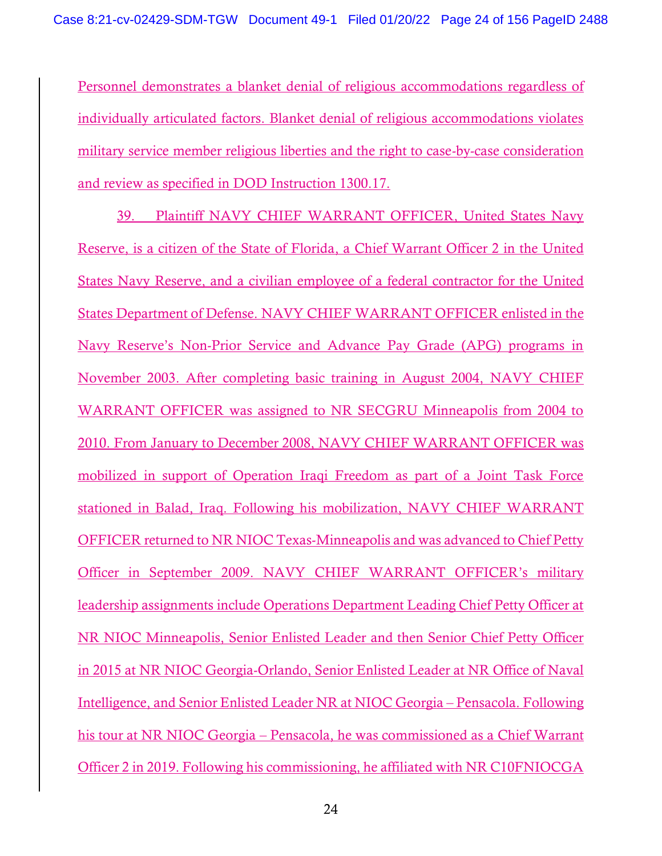Personnel demonstrates a blanket denial of religious accommodations regardless of individually articulated factors. Blanket denial of religious accommodations violates military service member religious liberties and the right to case-by-case consideration and review as specified in DOD Instruction 1300.17.

39. Plaintiff NAVY CHIEF WARRANT OFFICER, United States Navy Reserve, is a citizen of the State of Florida, a Chief Warrant Officer 2 in the United States Navy Reserve, and a civilian employee of a federal contractor for the United States Department of Defense. NAVY CHIEF WARRANT OFFICER enlisted in the Navy Reserve's Non-Prior Service and Advance Pay Grade (APG) programs in November 2003. After completing basic training in August 2004, NAVY CHIEF WARRANT OFFICER was assigned to NR SECGRU Minneapolis from 2004 to 2010. From January to December 2008, NAVY CHIEF WARRANT OFFICER was mobilized in support of Operation Iraqi Freedom as part of a Joint Task Force stationed in Balad, Iraq. Following his mobilization, NAVY CHIEF WARRANT OFFICER returned to NR NIOC Texas-Minneapolis and was advanced to Chief Petty Officer in September 2009. NAVY CHIEF WARRANT OFFICER's military leadership assignments include Operations Department Leading Chief Petty Officer at NR NIOC Minneapolis, Senior Enlisted Leader and then Senior Chief Petty Officer in 2015 at NR NIOC Georgia-Orlando, Senior Enlisted Leader at NR Office of Naval Intelligence, and Senior Enlisted Leader NR at NIOC Georgia – Pensacola. Following his tour at NR NIOC Georgia – Pensacola, he was commissioned as a Chief Warrant Officer 2 in 2019. Following his commissioning, he affiliated with NR C10FNIOCGA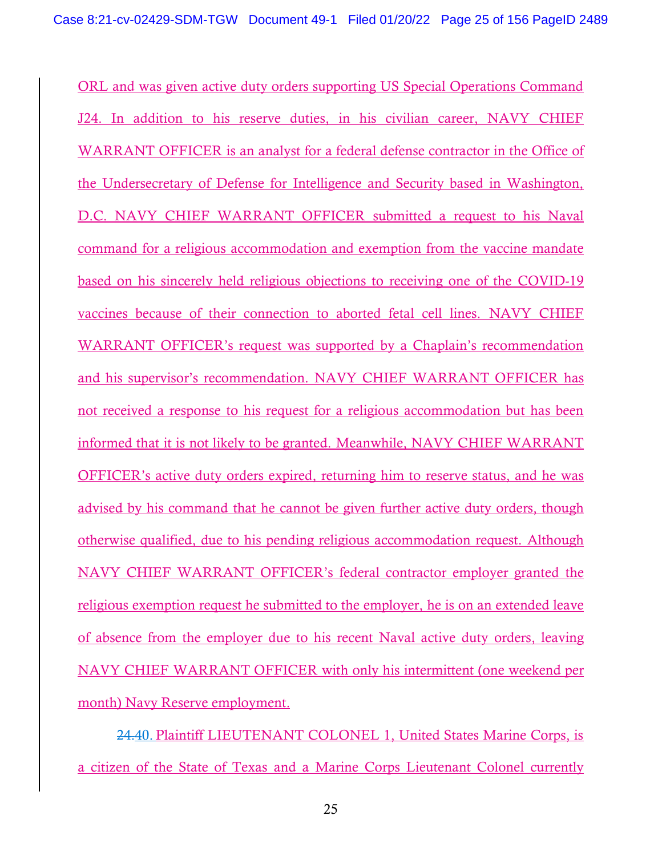ORL and was given active duty orders supporting US Special Operations Command J24. In addition to his reserve duties, in his civilian career, NAVY CHIEF WARRANT OFFICER is an analyst for a federal defense contractor in the Office of the Undersecretary of Defense for Intelligence and Security based in Washington, D.C. NAVY CHIEF WARRANT OFFICER submitted a request to his Naval command for a religious accommodation and exemption from the vaccine mandate based on his sincerely held religious objections to receiving one of the COVID-19 vaccines because of their connection to aborted fetal cell lines. NAVY CHIEF WARRANT OFFICER's request was supported by a Chaplain's recommendation and his supervisor's recommendation. NAVY CHIEF WARRANT OFFICER has not received a response to his request for a religious accommodation but has been informed that it is not likely to be granted. Meanwhile, NAVY CHIEF WARRANT OFFICER's active duty orders expired, returning him to reserve status, and he was advised by his command that he cannot be given further active duty orders, though otherwise qualified, due to his pending religious accommodation request. Although NAVY CHIEF WARRANT OFFICER's federal contractor employer granted the religious exemption request he submitted to the employer, he is on an extended leave of absence from the employer due to his recent Naval active duty orders, leaving NAVY CHIEF WARRANT OFFICER with only his intermittent (one weekend per month) Navy Reserve employment.

24.40. Plaintiff LIEUTENANT COLONEL 1, United States Marine Corps, is a citizen of the State of Texas and a Marine Corps Lieutenant Colonel currently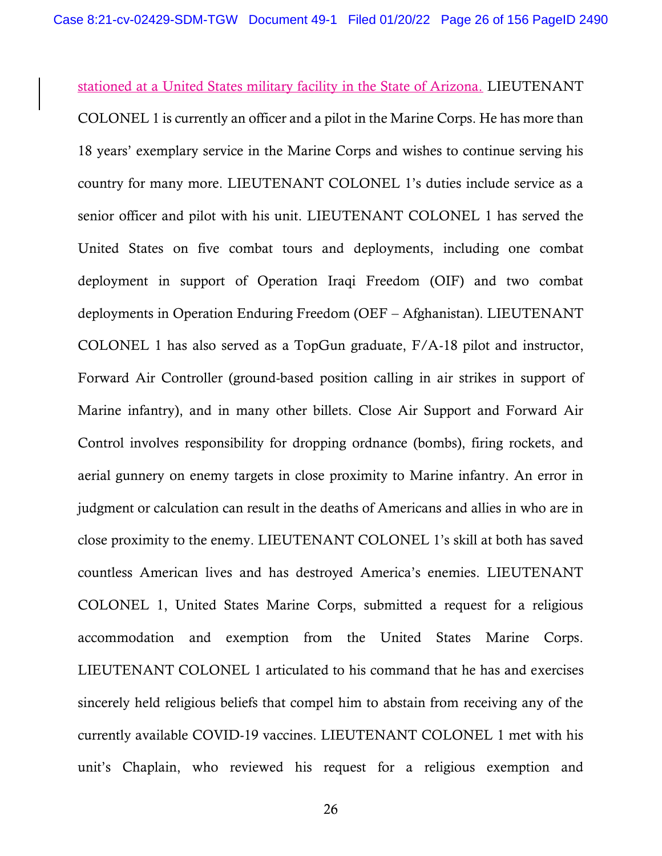stationed at a United States military facility in the State of Arizona. LIEUTENANT COLONEL 1 is currently an officer and a pilot in the Marine Corps. He has more than 18 years' exemplary service in the Marine Corps and wishes to continue serving his country for many more. LIEUTENANT COLONEL 1's duties include service as a senior officer and pilot with his unit. LIEUTENANT COLONEL 1 has served the United States on five combat tours and deployments, including one combat deployment in support of Operation Iraqi Freedom (OIF) and two combat deployments in Operation Enduring Freedom (OEF – Afghanistan). LIEUTENANT COLONEL 1 has also served as a TopGun graduate, F/A-18 pilot and instructor, Forward Air Controller (ground-based position calling in air strikes in support of Marine infantry), and in many other billets. Close Air Support and Forward Air Control involves responsibility for dropping ordnance (bombs), firing rockets, and aerial gunnery on enemy targets in close proximity to Marine infantry. An error in judgment or calculation can result in the deaths of Americans and allies in who are in close proximity to the enemy. LIEUTENANT COLONEL 1's skill at both has saved countless American lives and has destroyed America's enemies. LIEUTENANT COLONEL 1, United States Marine Corps, submitted a request for a religious accommodation and exemption from the United States Marine Corps. LIEUTENANT COLONEL 1 articulated to his command that he has and exercises sincerely held religious beliefs that compel him to abstain from receiving any of the currently available COVID-19 vaccines. LIEUTENANT COLONEL 1 met with his unit's Chaplain, who reviewed his request for a religious exemption and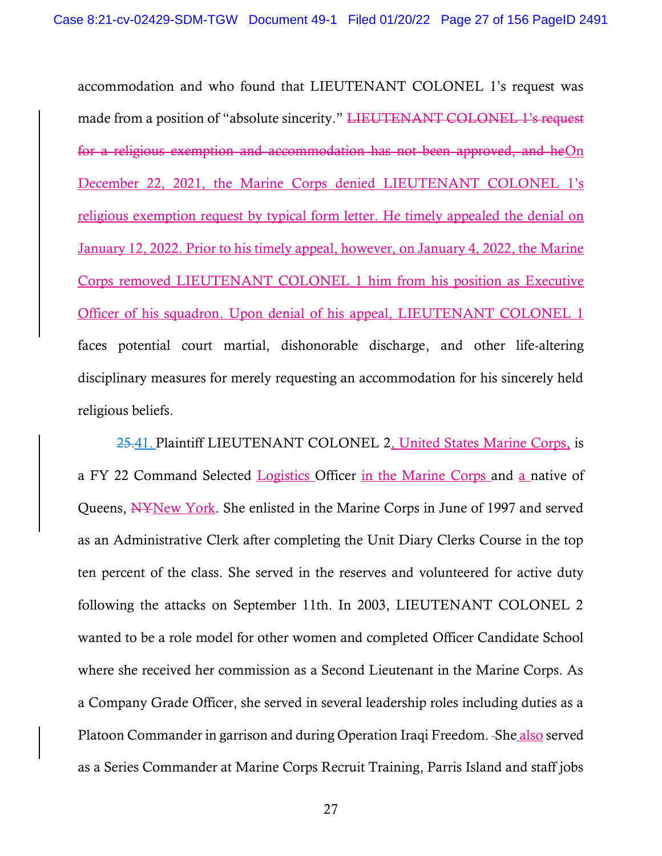accommodation and who found that LIEUTENANT COLONEL 1's request was made from a position of "absolute sincerity." LIEUTENANT COLONEL 1's request for a religious exemption and accommodation has not been approved, and heOn December 22, 2021, the Marine Corps denied LIEUTENANT COLONEL 1's religious exemption request by typical form letter. He timely appealed the denial on January 12, 2022. Prior to his timely appeal, however, on January 4, 2022, the Marine Corps removed LIEUTENANT COLONEL 1 him from his position as Executive Officer of his squadron. Upon denial of his appeal, LIEUTENANT COLONEL 1 faces potential court martial, dishonorable discharge, and other life-altering disciplinary measures for merely requesting an accommodation for his sincerely held religious beliefs.

25.41. Plaintiff LIEUTENANT COLONEL 2, United States Marine Corps, is a FY 22 Command Selected Logistics Officer in the Marine Corps and a native of Queens, NYNew York. She enlisted in the Marine Corps in June of 1997 and served as an Administrative Clerk after completing the Unit Diary Clerks Course in the top ten percent of the class. She served in the reserves and volunteered for active duty following the attacks on September 11th. In 2003, LIEUTENANT COLONEL 2 wanted to be a role model for other women and completed Officer Candidate School where she received her commission as a Second Lieutenant in the Marine Corps. As a Company Grade Officer, she served in several leadership roles including duties as a Platoon Commander in garrison and during Operation Iraqi Freedom. She also served as a Series Commander at Marine Corps Recruit Training, Parris Island and staff jobs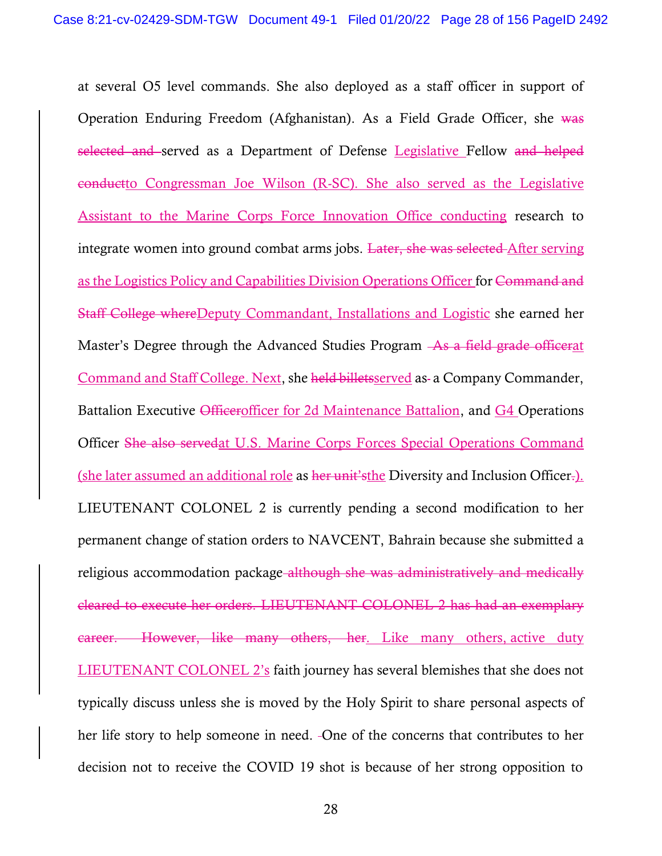at several O5 level commands. She also deployed as a staff officer in support of Operation Enduring Freedom (Afghanistan). As a Field Grade Officer, she was selected and served as a Department of Defense Legislative Fellow and helped conductto Congressman Joe Wilson (R-SC). She also served as the Legislative Assistant to the Marine Corps Force Innovation Office conducting research to integrate women into ground combat arms jobs. Later, she was selected After serving as the Logistics Policy and Capabilities Division Operations Officer for Command and Staff College whereDeputy Commandant, Installations and Logistic she earned her Master's Degree through the Advanced Studies Program <del>As a field grade officer</del>at Command and Staff College. Next, she held billetsserved as- a Company Commander, Battalion Executive Officerofficer for 2d Maintenance Battalion, and G4 Operations Officer She also servedat U.S. Marine Corps Forces Special Operations Command (she later assumed an additional role as her unit's the Diversity and Inclusion Officer.). LIEUTENANT COLONEL 2 is currently pending a second modification to her permanent change of station orders to NAVCENT, Bahrain because she submitted a religious accommodation package-although she was administratively and medically cleared to execute her orders. LIEUTENANT COLONEL 2 has had an exemplary career. However, like many others, her. Like many others, active duty LIEUTENANT COLONEL 2's faith journey has several blemishes that she does not typically discuss unless she is moved by the Holy Spirit to share personal aspects of her life story to help someone in need. One of the concerns that contributes to her decision not to receive the COVID 19 shot is because of her strong opposition to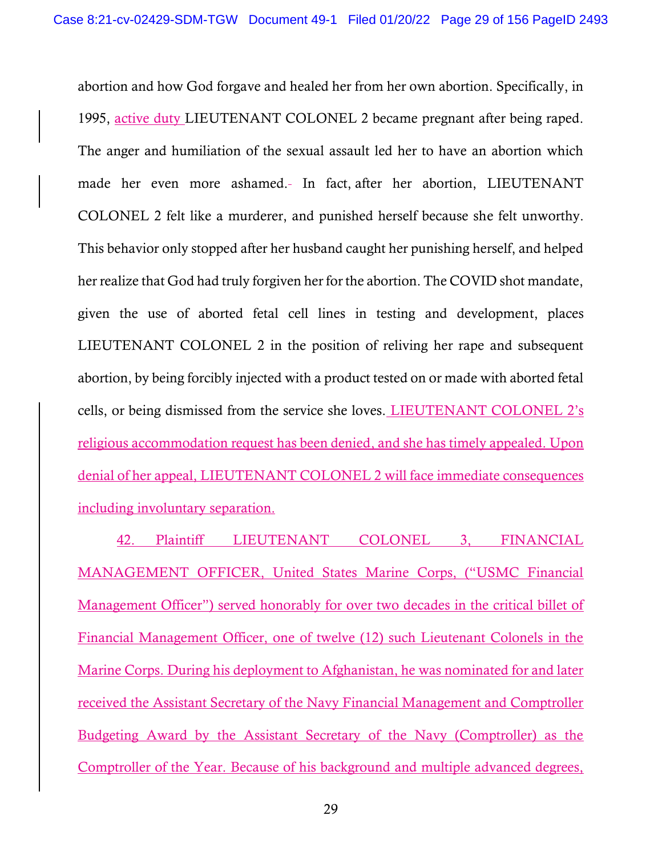abortion and how God forgave and healed her from her own abortion. Specifically, in 1995, active duty LIEUTENANT COLONEL 2 became pregnant after being raped. The anger and humiliation of the sexual assault led her to have an abortion which made her even more ashamed. In fact, after her abortion, LIEUTENANT COLONEL 2 felt like a murderer, and punished herself because she felt unworthy. This behavior only stopped after her husband caught her punishing herself, and helped her realize that God had truly forgiven her for the abortion. The COVID shot mandate, given the use of aborted fetal cell lines in testing and development, places LIEUTENANT COLONEL 2 in the position of reliving her rape and subsequent abortion, by being forcibly injected with a product tested on or made with aborted fetal cells, or being dismissed from the service she loves. LIEUTENANT COLONEL 2's religious accommodation request has been denied, and she has timely appealed. Upon denial of her appeal, LIEUTENANT COLONEL 2 will face immediate consequences including involuntary separation.

42. Plaintiff LIEUTENANT COLONEL 3, FINANCIAL MANAGEMENT OFFICER, United States Marine Corps, ("USMC Financial Management Officer") served honorably for over two decades in the critical billet of Financial Management Officer, one of twelve (12) such Lieutenant Colonels in the Marine Corps. During his deployment to Afghanistan, he was nominated for and later received the Assistant Secretary of the Navy Financial Management and Comptroller Budgeting Award by the Assistant Secretary of the Navy (Comptroller) as the Comptroller of the Year. Because of his background and multiple advanced degrees,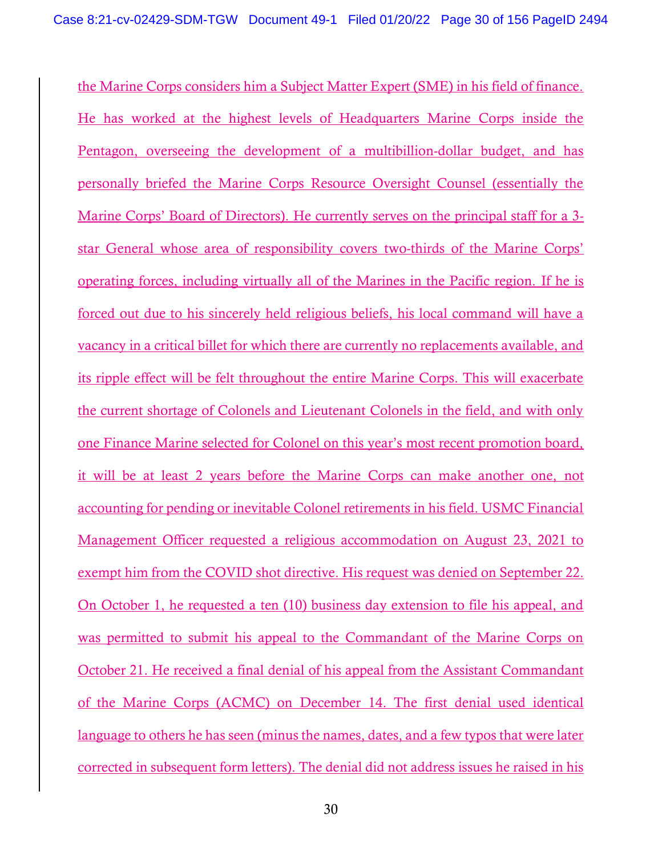the Marine Corps considers him a Subject Matter Expert (SME) in his field of finance. He has worked at the highest levels of Headquarters Marine Corps inside the Pentagon, overseeing the development of a multibillion-dollar budget, and has personally briefed the Marine Corps Resource Oversight Counsel (essentially the Marine Corps' Board of Directors). He currently serves on the principal staff for a 3 star General whose area of responsibility covers two-thirds of the Marine Corps' operating forces, including virtually all of the Marines in the Pacific region. If he is forced out due to his sincerely held religious beliefs, his local command will have a vacancy in a critical billet for which there are currently no replacements available, and its ripple effect will be felt throughout the entire Marine Corps. This will exacerbate the current shortage of Colonels and Lieutenant Colonels in the field, and with only one Finance Marine selected for Colonel on this year's most recent promotion board, it will be at least 2 years before the Marine Corps can make another one, not accounting for pending or inevitable Colonel retirements in his field. USMC Financial Management Officer requested a religious accommodation on August 23, 2021 to exempt him from the COVID shot directive. His request was denied on September 22. On October 1, he requested a ten (10) business day extension to file his appeal, and was permitted to submit his appeal to the Commandant of the Marine Corps on October 21. He received a final denial of his appeal from the Assistant Commandant of the Marine Corps (ACMC) on December 14. The first denial used identical language to others he has seen (minus the names, dates, and a few typos that were later corrected in subsequent form letters). The denial did not address issues he raised in his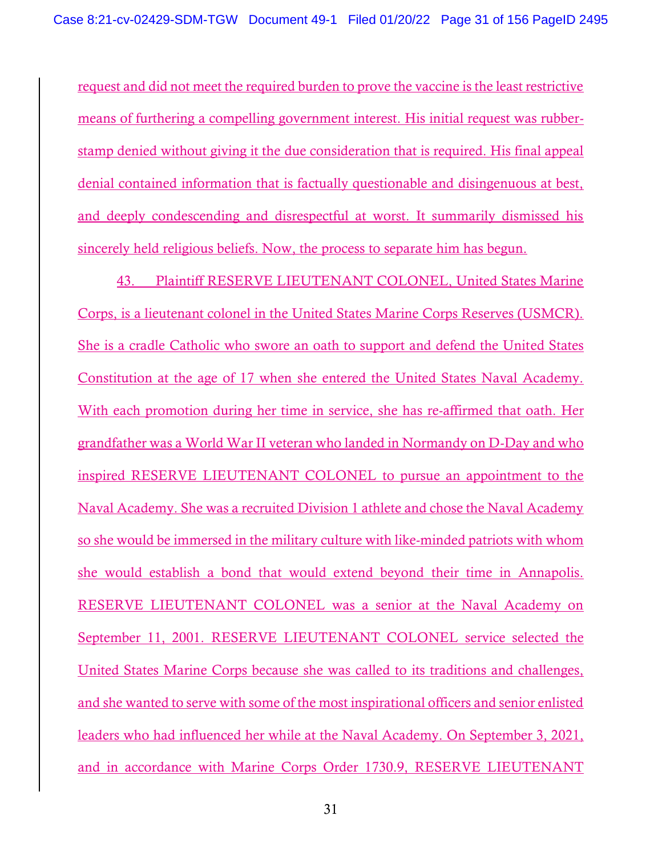request and did not meet the required burden to prove the vaccine is the least restrictive means of furthering a compelling government interest. His initial request was rubberstamp denied without giving it the due consideration that is required. His final appeal denial contained information that is factually questionable and disingenuous at best, and deeply condescending and disrespectful at worst. It summarily dismissed his sincerely held religious beliefs. Now, the process to separate him has begun.

43. Plaintiff RESERVE LIEUTENANT COLONEL, United States Marine Corps, is a lieutenant colonel in the United States Marine Corps Reserves (USMCR). She is a cradle Catholic who swore an oath to support and defend the United States Constitution at the age of 17 when she entered the United States Naval Academy. With each promotion during her time in service, she has re-affirmed that oath. Her grandfather was a World War II veteran who landed in Normandy on D-Day and who inspired RESERVE LIEUTENANT COLONEL to pursue an appointment to the Naval Academy. She was a recruited Division 1 athlete and chose the Naval Academy so she would be immersed in the military culture with like-minded patriots with whom she would establish a bond that would extend beyond their time in Annapolis. RESERVE LIEUTENANT COLONEL was a senior at the Naval Academy on September 11, 2001. RESERVE LIEUTENANT COLONEL service selected the United States Marine Corps because she was called to its traditions and challenges, and she wanted to serve with some of the most inspirational officers and senior enlisted leaders who had influenced her while at the Naval Academy. On September 3, 2021, and in accordance with Marine Corps Order 1730.9, RESERVE LIEUTENANT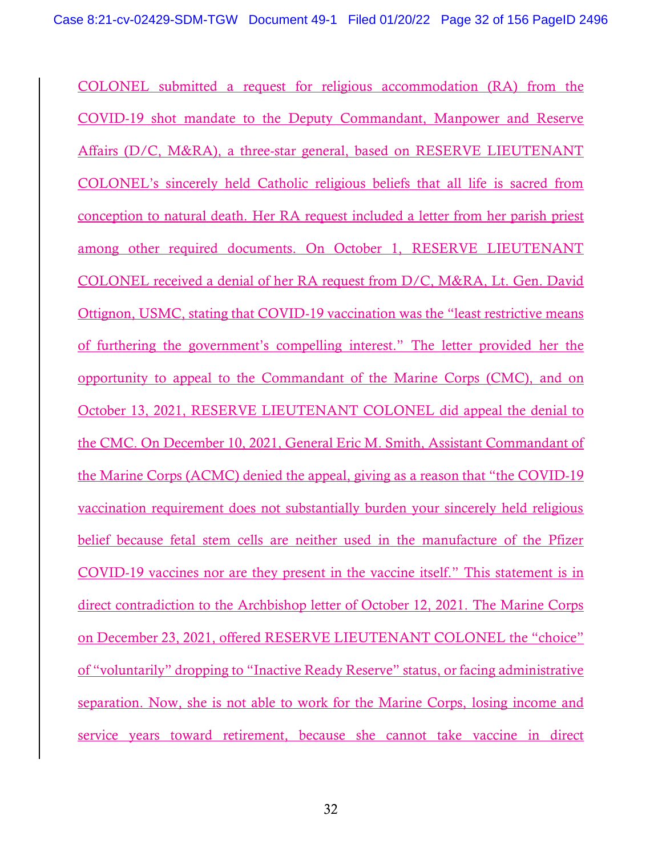COLONEL submitted a request for religious accommodation (RA) from the COVID-19 shot mandate to the Deputy Commandant, Manpower and Reserve Affairs (D/C, M&RA), a three-star general, based on RESERVE LIEUTENANT COLONEL's sincerely held Catholic religious beliefs that all life is sacred from conception to natural death. Her RA request included a letter from her parish priest among other required documents. On October 1, RESERVE LIEUTENANT COLONEL received a denial of her RA request from D/C, M&RA, Lt. Gen. David Ottignon, USMC, stating that COVID-19 vaccination was the "least restrictive means of furthering the government's compelling interest." The letter provided her the opportunity to appeal to the Commandant of the Marine Corps (CMC), and on October 13, 2021, RESERVE LIEUTENANT COLONEL did appeal the denial to the CMC. On December 10, 2021, General Eric M. Smith, Assistant Commandant of the Marine Corps (ACMC) denied the appeal, giving as a reason that "the COVID-19 vaccination requirement does not substantially burden your sincerely held religious belief because fetal stem cells are neither used in the manufacture of the Pfizer COVID-19 vaccines nor are they present in the vaccine itself." This statement is in direct contradiction to the Archbishop letter of October 12, 2021. The Marine Corps on December 23, 2021, offered RESERVE LIEUTENANT COLONEL the "choice" of "voluntarily" dropping to "Inactive Ready Reserve" status, or facing administrative separation. Now, she is not able to work for the Marine Corps, losing income and service years toward retirement, because she cannot take vaccine in direct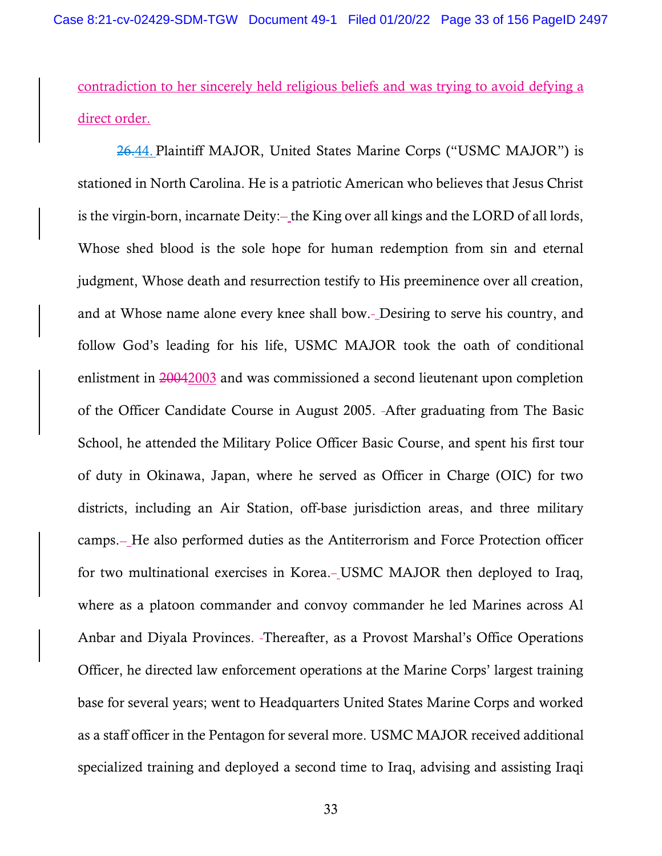contradiction to her sincerely held religious beliefs and was trying to avoid defying a direct order.

26.44. Plaintiff MAJOR, United States Marine Corps ("USMC MAJOR") is stationed in North Carolina. He is a patriotic American who believes that Jesus Christ is the virgin-born, incarnate Deity:-the King over all kings and the LORD of all lords, Whose shed blood is the sole hope for human redemption from sin and eternal judgment, Whose death and resurrection testify to His preeminence over all creation, and at Whose name alone every knee shall bow.Desiring to serve his country, and follow God's leading for his life, USMC MAJOR took the oath of conditional enlistment in 20042003 and was commissioned a second lieutenant upon completion of the Officer Candidate Course in August 2005. After graduating from The Basic School, he attended the Military Police Officer Basic Course, and spent his first tour of duty in Okinawa, Japan, where he served as Officer in Charge (OIC) for two districts, including an Air Station, off-base jurisdiction areas, and three military camps.— He also performed duties as the Antiterrorism and Force Protection officer for two multinational exercises in Korea.–USMC MAJOR then deployed to Iraq, where as a platoon commander and convoy commander he led Marines across Al Anbar and Diyala Provinces. Thereafter, as a Provost Marshal's Office Operations Officer, he directed law enforcement operations at the Marine Corps' largest training base for several years; went to Headquarters United States Marine Corps and worked as a staff officer in the Pentagon for several more. USMC MAJOR received additional specialized training and deployed a second time to Iraq, advising and assisting Iraqi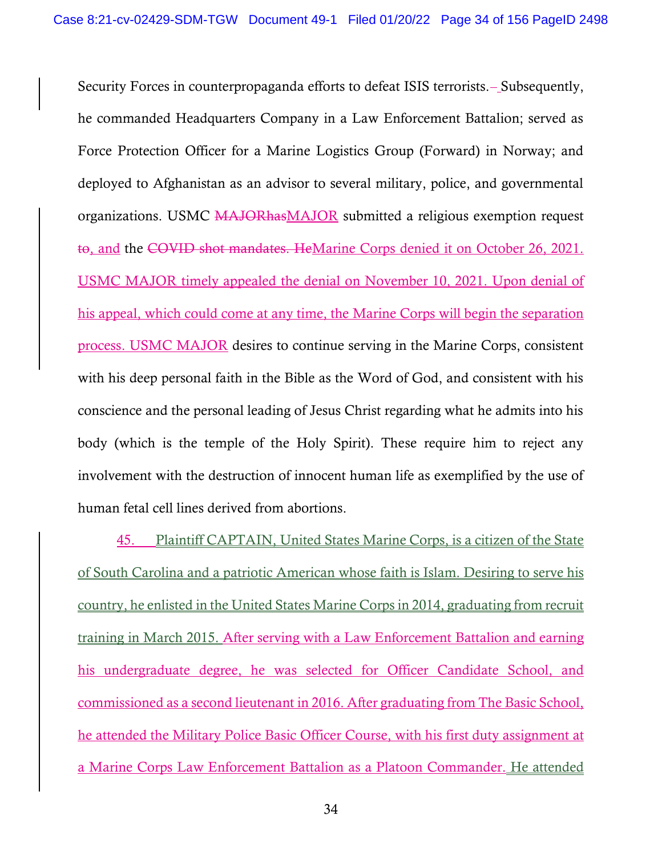Security Forces in counterpropaganda efforts to defeat ISIS terrorists. - Subsequently, he commanded Headquarters Company in a Law Enforcement Battalion; served as Force Protection Officer for a Marine Logistics Group (Forward) in Norway; and deployed to Afghanistan as an advisor to several military, police, and governmental organizations. USMC MAJORhasMAJOR submitted a religious exemption request to, and the COVID shot mandates. HeMarine Corps denied it on October 26, 2021. USMC MAJOR timely appealed the denial on November 10, 2021. Upon denial of his appeal, which could come at any time, the Marine Corps will begin the separation process. USMC MAJOR desires to continue serving in the Marine Corps, consistent with his deep personal faith in the Bible as the Word of God, and consistent with his conscience and the personal leading of Jesus Christ regarding what he admits into his body (which is the temple of the Holy Spirit). These require him to reject any involvement with the destruction of innocent human life as exemplified by the use of human fetal cell lines derived from abortions.

45. Plaintiff CAPTAIN, United States Marine Corps, is a citizen of the State of South Carolina and a patriotic American whose faith is Islam. Desiring to serve his country, he enlisted in the United States Marine Corps in 2014, graduating from recruit training in March 2015. After serving with a Law Enforcement Battalion and earning his undergraduate degree, he was selected for Officer Candidate School, and commissioned as a second lieutenant in 2016. After graduating from The Basic School, he attended the Military Police Basic Officer Course, with his first duty assignment at a Marine Corps Law Enforcement Battalion as a Platoon Commander. He attended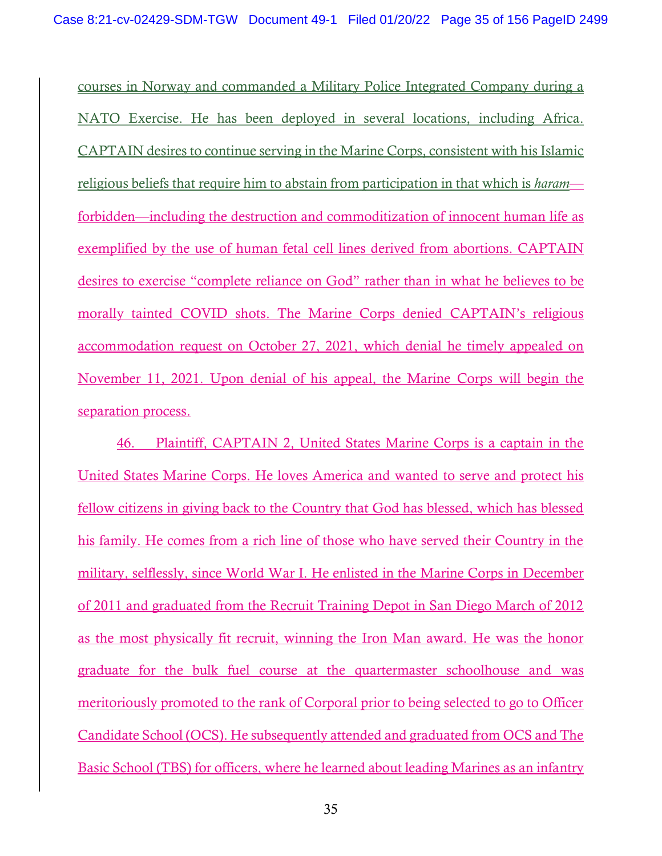courses in Norway and commanded a Military Police Integrated Company during a NATO Exercise. He has been deployed in several locations, including Africa. CAPTAIN desires to continue serving in the Marine Corps, consistent with his Islamic religious beliefs that require him to abstain from participation in that which is *haram* forbidden—including the destruction and commoditization of innocent human life as exemplified by the use of human fetal cell lines derived from abortions. CAPTAIN desires to exercise "complete reliance on God" rather than in what he believes to be morally tainted COVID shots. The Marine Corps denied CAPTAIN's religious accommodation request on October 27, 2021, which denial he timely appealed on November 11, 2021. Upon denial of his appeal, the Marine Corps will begin the separation process.

46. Plaintiff, CAPTAIN 2, United States Marine Corps is a captain in the United States Marine Corps. He loves America and wanted to serve and protect his fellow citizens in giving back to the Country that God has blessed, which has blessed his family. He comes from a rich line of those who have served their Country in the military, selflessly, since World War I. He enlisted in the Marine Corps in December of 2011 and graduated from the Recruit Training Depot in San Diego March of 2012 as the most physically fit recruit, winning the Iron Man award. He was the honor graduate for the bulk fuel course at the quartermaster schoolhouse and was meritoriously promoted to the rank of Corporal prior to being selected to go to Officer Candidate School (OCS). He subsequently attended and graduated from OCS and The Basic School (TBS) for officers, where he learned about leading Marines as an infantry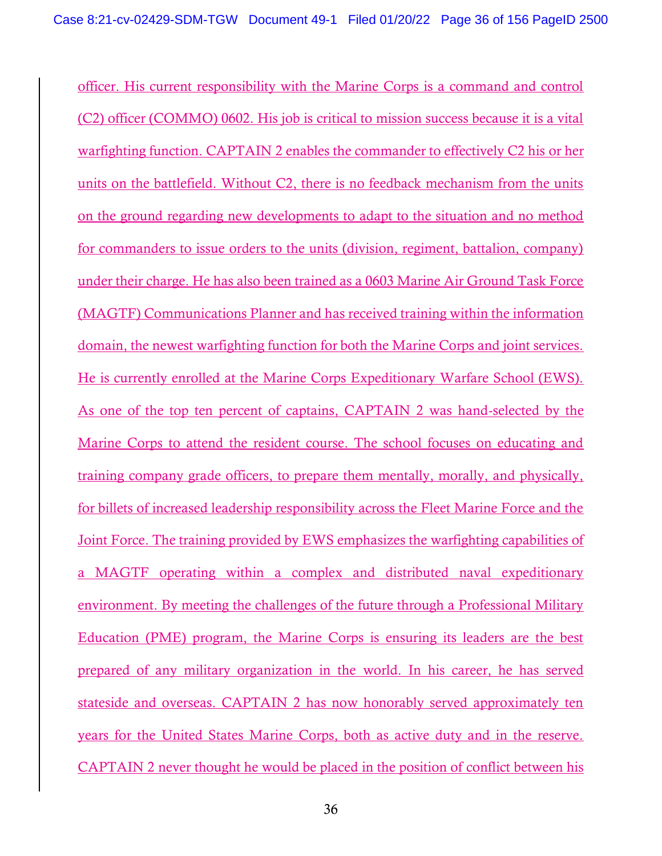officer. His current responsibility with the Marine Corps is a command and control (C2) officer (COMMO) 0602. His job is critical to mission success because it is a vital warfighting function. CAPTAIN 2 enables the commander to effectively C2 his or her units on the battlefield. Without C2, there is no feedback mechanism from the units on the ground regarding new developments to adapt to the situation and no method for commanders to issue orders to the units (division, regiment, battalion, company) under their charge. He has also been trained as a 0603 Marine Air Ground Task Force (MAGTF) Communications Planner and has received training within the information domain, the newest warfighting function for both the Marine Corps and joint services. He is currently enrolled at the Marine Corps Expeditionary Warfare School (EWS). As one of the top ten percent of captains, CAPTAIN 2 was hand-selected by the Marine Corps to attend the resident course. The school focuses on educating and training company grade officers, to prepare them mentally, morally, and physically, for billets of increased leadership responsibility across the Fleet Marine Force and the Joint Force. The training provided by EWS emphasizes the warfighting capabilities of a MAGTF operating within a complex and distributed naval expeditionary environment. By meeting the challenges of the future through a Professional Military Education (PME) program, the Marine Corps is ensuring its leaders are the best prepared of any military organization in the world. In his career, he has served stateside and overseas. CAPTAIN 2 has now honorably served approximately ten years for the United States Marine Corps, both as active duty and in the reserve. CAPTAIN 2 never thought he would be placed in the position of conflict between his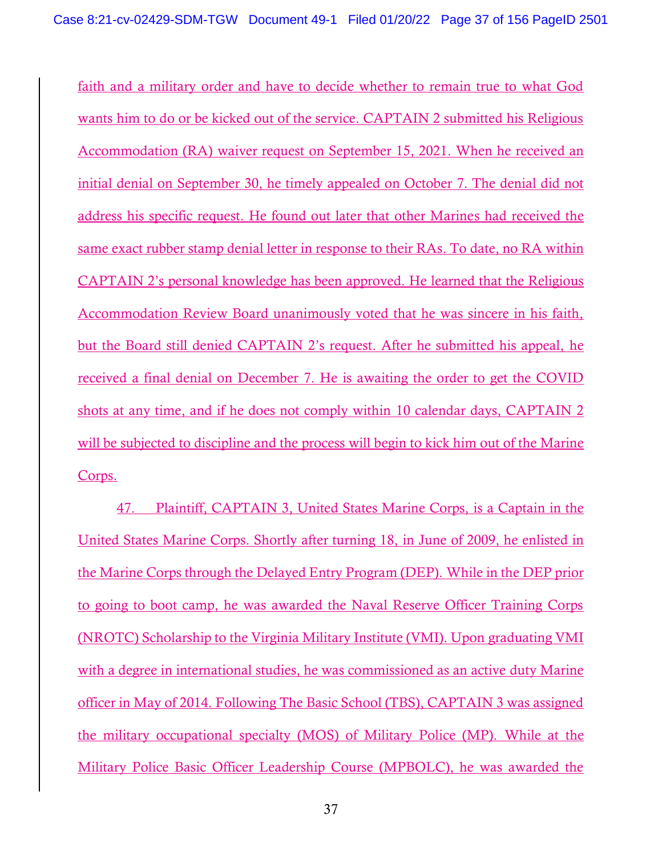faith and a military order and have to decide whether to remain true to what God wants him to do or be kicked out of the service. CAPTAIN 2 submitted his Religious Accommodation (RA) waiver request on September 15, 2021. When he received an initial denial on September 30, he timely appealed on October 7. The denial did not address his specific request. He found out later that other Marines had received the same exact rubber stamp denial letter in response to their RAs. To date, no RA within CAPTAIN 2's personal knowledge has been approved. He learned that the Religious Accommodation Review Board unanimously voted that he was sincere in his faith, but the Board still denied CAPTAIN 2's request. After he submitted his appeal, he received a final denial on December 7. He is awaiting the order to get the COVID shots at any time, and if he does not comply within 10 calendar days, CAPTAIN 2 will be subjected to discipline and the process will begin to kick him out of the Marine Corps.

47. Plaintiff, CAPTAIN 3, United States Marine Corps, is a Captain in the United States Marine Corps. Shortly after turning 18, in June of 2009, he enlisted in the Marine Corps through the Delayed Entry Program (DEP). While in the DEP prior to going to boot camp, he was awarded the Naval Reserve Officer Training Corps (NROTC) Scholarship to the Virginia Military Institute (VMI). Upon graduating VMI with a degree in international studies, he was commissioned as an active duty Marine officer in May of 2014. Following The Basic School (TBS), CAPTAIN 3 was assigned the military occupational specialty (MOS) of Military Police (MP). While at the Military Police Basic Officer Leadership Course (MPBOLC), he was awarded the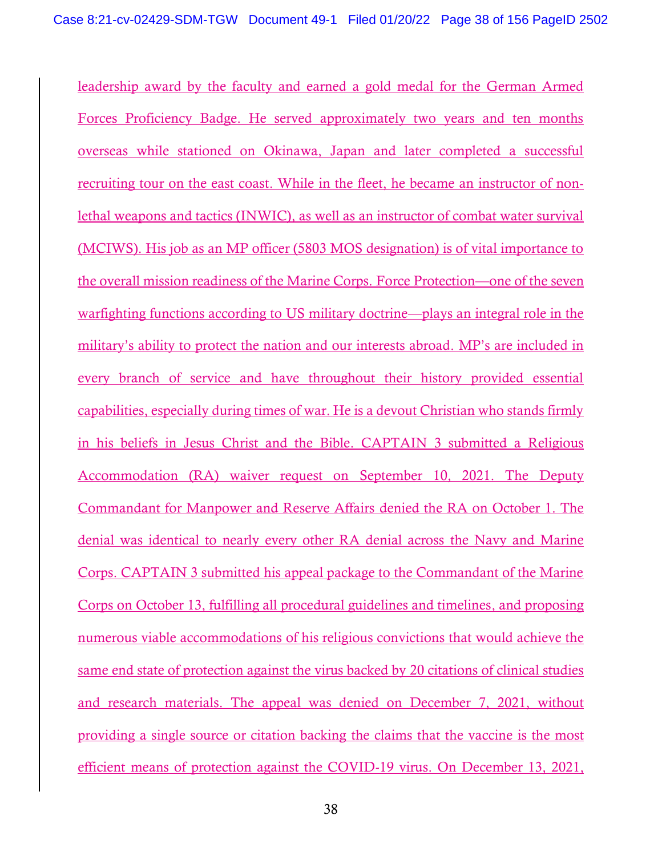leadership award by the faculty and earned a gold medal for the German Armed Forces Proficiency Badge. He served approximately two years and ten months overseas while stationed on Okinawa, Japan and later completed a successful recruiting tour on the east coast. While in the fleet, he became an instructor of nonlethal weapons and tactics (INWIC), as well as an instructor of combat water survival (MCIWS). His job as an MP officer (5803 MOS designation) is of vital importance to the overall mission readiness of the Marine Corps. Force Protection—one of the seven warfighting functions according to US military doctrine—plays an integral role in the military's ability to protect the nation and our interests abroad. MP's are included in every branch of service and have throughout their history provided essential capabilities, especially during times of war. He is a devout Christian who stands firmly in his beliefs in Jesus Christ and the Bible. CAPTAIN 3 submitted a Religious Accommodation (RA) waiver request on September 10, 2021. The Deputy Commandant for Manpower and Reserve Affairs denied the RA on October 1. The denial was identical to nearly every other RA denial across the Navy and Marine Corps. CAPTAIN 3 submitted his appeal package to the Commandant of the Marine Corps on October 13, fulfilling all procedural guidelines and timelines, and proposing numerous viable accommodations of his religious convictions that would achieve the same end state of protection against the virus backed by 20 citations of clinical studies and research materials. The appeal was denied on December 7, 2021, without providing a single source or citation backing the claims that the vaccine is the most efficient means of protection against the COVID-19 virus. On December 13, 2021,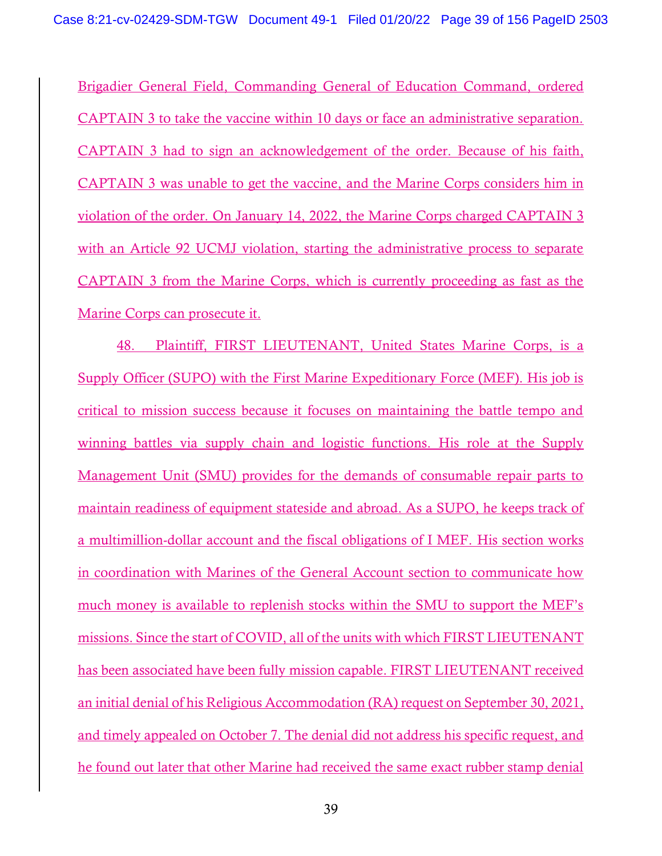Brigadier General Field, Commanding General of Education Command, ordered CAPTAIN 3 to take the vaccine within 10 days or face an administrative separation. CAPTAIN 3 had to sign an acknowledgement of the order. Because of his faith, CAPTAIN 3 was unable to get the vaccine, and the Marine Corps considers him in violation of the order. On January 14, 2022, the Marine Corps charged CAPTAIN 3 with an Article 92 UCMJ violation, starting the administrative process to separate CAPTAIN 3 from the Marine Corps, which is currently proceeding as fast as the Marine Corps can prosecute it.

48. Plaintiff, FIRST LIEUTENANT, United States Marine Corps, is a Supply Officer (SUPO) with the First Marine Expeditionary Force (MEF). His job is critical to mission success because it focuses on maintaining the battle tempo and winning battles via supply chain and logistic functions. His role at the Supply Management Unit (SMU) provides for the demands of consumable repair parts to maintain readiness of equipment stateside and abroad. As a SUPO, he keeps track of a multimillion-dollar account and the fiscal obligations of I MEF. His section works in coordination with Marines of the General Account section to communicate how much money is available to replenish stocks within the SMU to support the MEF's missions. Since the start of COVID, all of the units with which FIRST LIEUTENANT has been associated have been fully mission capable. FIRST LIEUTENANT received an initial denial of his Religious Accommodation (RA) request on September 30, 2021, and timely appealed on October 7. The denial did not address his specific request, and he found out later that other Marine had received the same exact rubber stamp denial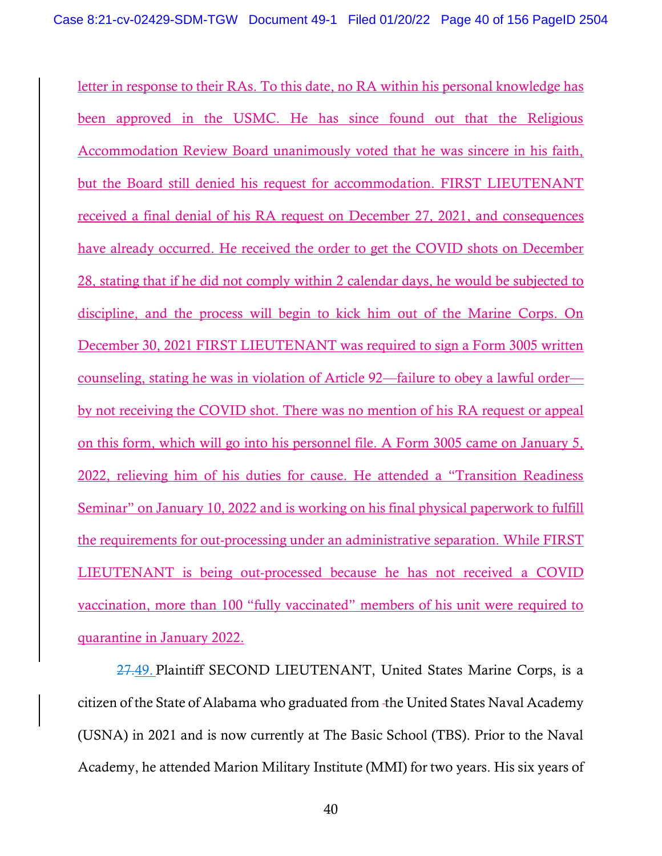letter in response to their RAs. To this date, no RA within his personal knowledge has been approved in the USMC. He has since found out that the Religious Accommodation Review Board unanimously voted that he was sincere in his faith, but the Board still denied his request for accommodation. FIRST LIEUTENANT received a final denial of his RA request on December 27, 2021, and consequences have already occurred. He received the order to get the COVID shots on December 28, stating that if he did not comply within 2 calendar days, he would be subjected to discipline, and the process will begin to kick him out of the Marine Corps. On December 30, 2021 FIRST LIEUTENANT was required to sign a Form 3005 written counseling, stating he was in violation of Article 92—failure to obey a lawful order by not receiving the COVID shot. There was no mention of his RA request or appeal on this form, which will go into his personnel file. A Form 3005 came on January 5, 2022, relieving him of his duties for cause. He attended a "Transition Readiness Seminar" on January 10, 2022 and is working on his final physical paperwork to fulfill the requirements for out-processing under an administrative separation. While FIRST LIEUTENANT is being out-processed because he has not received a COVID vaccination, more than 100 "fully vaccinated" members of his unit were required to quarantine in January 2022.

27.49. Plaintiff SECOND LIEUTENANT, United States Marine Corps, is a citizen of the State of Alabama who graduated from the United States Naval Academy (USNA) in 2021 and is now currently at The Basic School (TBS). Prior to the Naval Academy, he attended Marion Military Institute (MMI) for two years. His six years of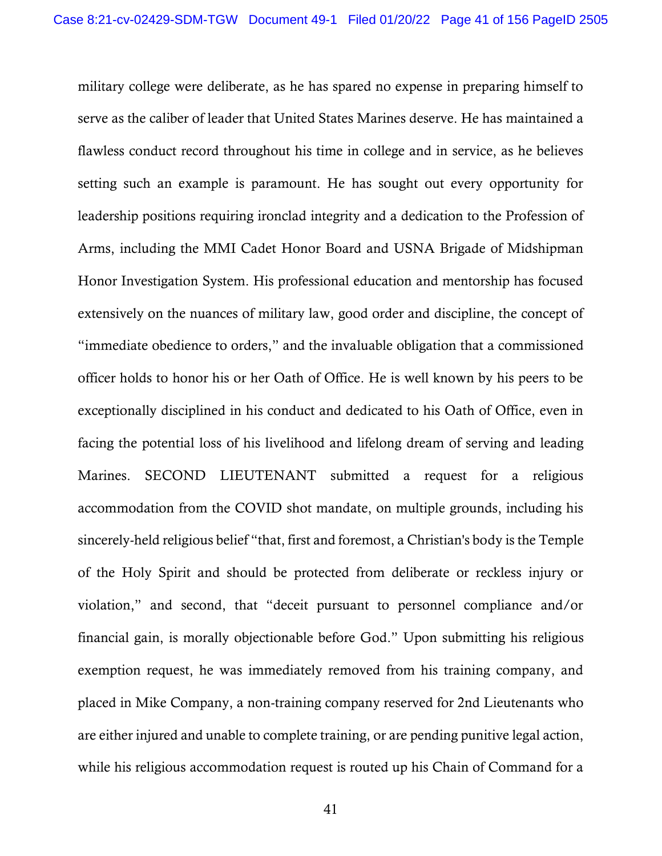military college were deliberate, as he has spared no expense in preparing himself to serve as the caliber of leader that United States Marines deserve. He has maintained a flawless conduct record throughout his time in college and in service, as he believes setting such an example is paramount. He has sought out every opportunity for leadership positions requiring ironclad integrity and a dedication to the Profession of Arms, including the MMI Cadet Honor Board and USNA Brigade of Midshipman Honor Investigation System. His professional education and mentorship has focused extensively on the nuances of military law, good order and discipline, the concept of "immediate obedience to orders," and the invaluable obligation that a commissioned officer holds to honor his or her Oath of Office. He is well known by his peers to be exceptionally disciplined in his conduct and dedicated to his Oath of Office, even in facing the potential loss of his livelihood and lifelong dream of serving and leading Marines. SECOND LIEUTENANT submitted a request for a religious accommodation from the COVID shot mandate, on multiple grounds, including his sincerely-held religious belief "that, first and foremost, a Christian's body is the Temple of the Holy Spirit and should be protected from deliberate or reckless injury or violation," and second, that "deceit pursuant to personnel compliance and/or financial gain, is morally objectionable before God." Upon submitting his religious exemption request, he was immediately removed from his training company, and placed in Mike Company, a non-training company reserved for 2nd Lieutenants who are either injured and unable to complete training, or are pending punitive legal action, while his religious accommodation request is routed up his Chain of Command for a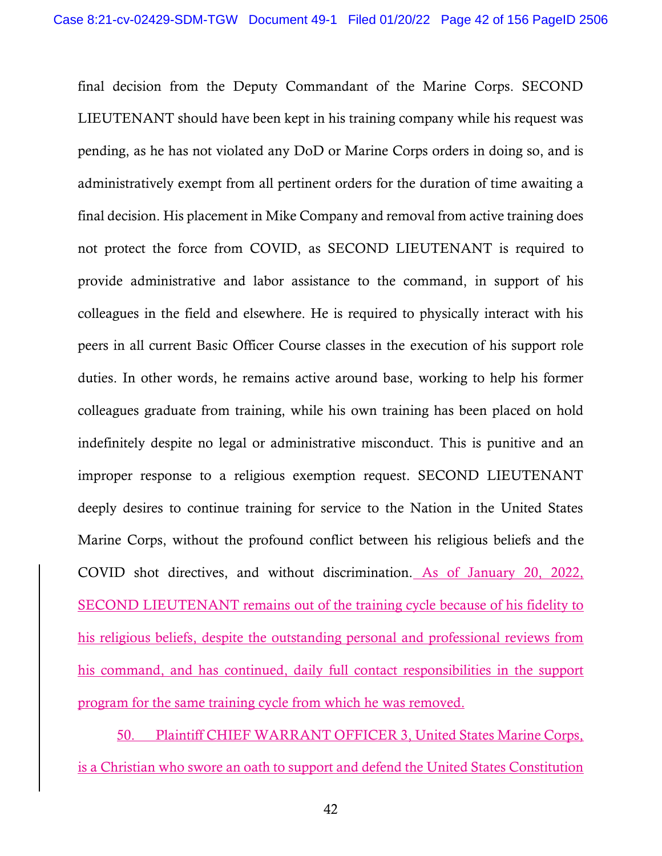final decision from the Deputy Commandant of the Marine Corps. SECOND LIEUTENANT should have been kept in his training company while his request was pending, as he has not violated any DoD or Marine Corps orders in doing so, and is administratively exempt from all pertinent orders for the duration of time awaiting a final decision. His placement in Mike Company and removal from active training does not protect the force from COVID, as SECOND LIEUTENANT is required to provide administrative and labor assistance to the command, in support of his colleagues in the field and elsewhere. He is required to physically interact with his peers in all current Basic Officer Course classes in the execution of his support role duties. In other words, he remains active around base, working to help his former colleagues graduate from training, while his own training has been placed on hold indefinitely despite no legal or administrative misconduct. This is punitive and an improper response to a religious exemption request. SECOND LIEUTENANT deeply desires to continue training for service to the Nation in the United States Marine Corps, without the profound conflict between his religious beliefs and the COVID shot directives, and without discrimination. As of January 20, 2022, SECOND LIEUTENANT remains out of the training cycle because of his fidelity to his religious beliefs, despite the outstanding personal and professional reviews from his command, and has continued, daily full contact responsibilities in the support program for the same training cycle from which he was removed.

50. Plaintiff CHIEF WARRANT OFFICER 3, United States Marine Corps, is a Christian who swore an oath to support and defend the United States Constitution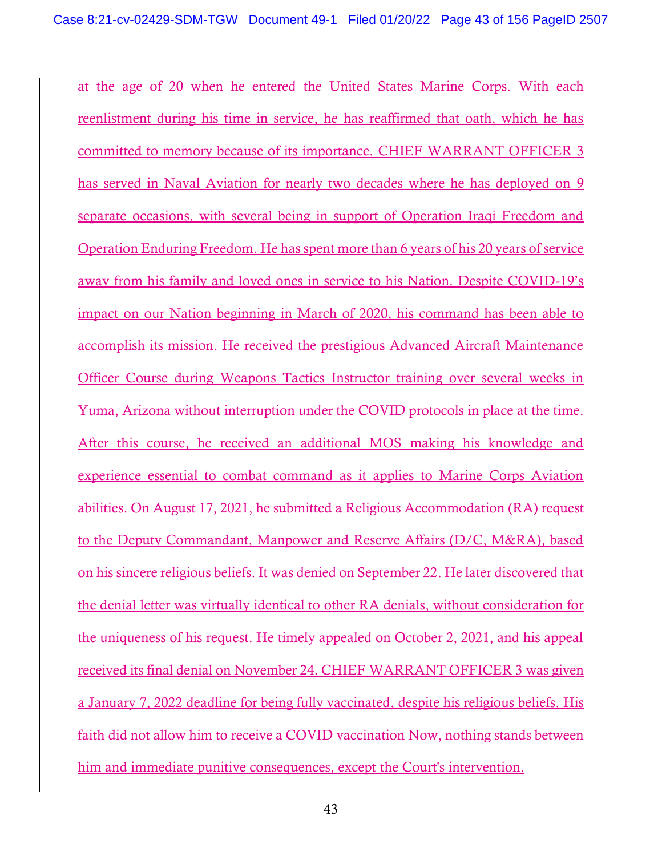at the age of 20 when he entered the United States Marine Corps. With each reenlistment during his time in service, he has reaffirmed that oath, which he has committed to memory because of its importance. CHIEF WARRANT OFFICER 3 has served in Naval Aviation for nearly two decades where he has deployed on 9 separate occasions, with several being in support of Operation Iraqi Freedom and Operation Enduring Freedom. He has spent more than 6 years of his 20 years of service away from his family and loved ones in service to his Nation. Despite COVID-19's impact on our Nation beginning in March of 2020, his command has been able to accomplish its mission. He received the prestigious Advanced Aircraft Maintenance Officer Course during Weapons Tactics Instructor training over several weeks in Yuma, Arizona without interruption under the COVID protocols in place at the time. After this course, he received an additional MOS making his knowledge and experience essential to combat command as it applies to Marine Corps Aviation abilities. On August 17, 2021, he submitted a Religious Accommodation (RA) request to the Deputy Commandant, Manpower and Reserve Affairs (D/C, M&RA), based on his sincere religious beliefs. It was denied on September 22. He later discovered that the denial letter was virtually identical to other RA denials, without consideration for the uniqueness of his request. He timely appealed on October 2, 2021, and his appeal received its final denial on November 24. CHIEF WARRANT OFFICER 3 was given a January 7, 2022 deadline for being fully vaccinated, despite his religious beliefs. His faith did not allow him to receive a COVID vaccination Now, nothing stands between him and immediate punitive consequences, except the Court's intervention.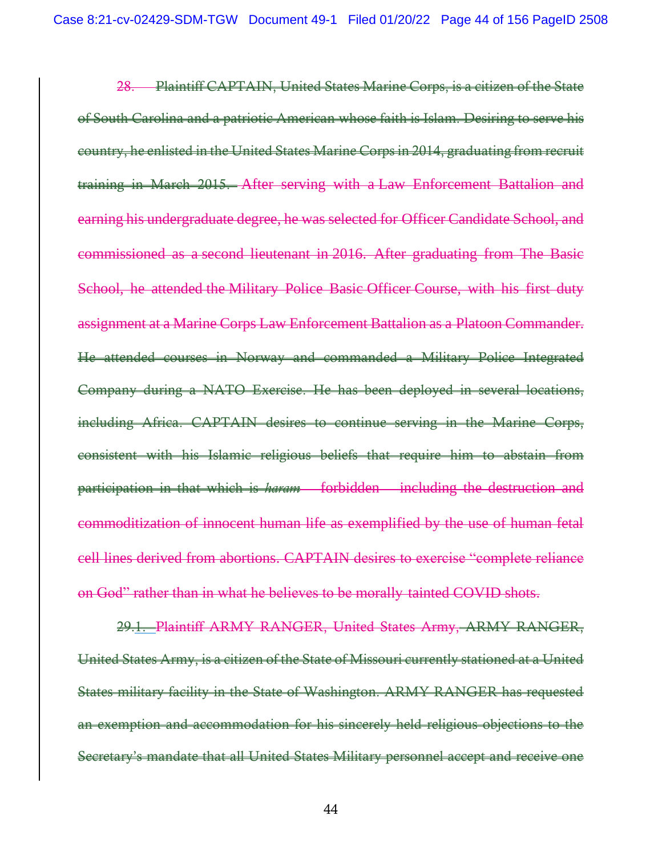28. Plaintiff CAPTAIN, United States Marine Corps, is a citizen of the State of South Carolina and a patriotic American whose faith is Islam. Desiring to serve his country, he enlisted in the United States Marine Corps in 2014, graduating from recruit training in March 2015. After serving with a Law Enforcement Battalion and earning his undergraduate degree, he was selected for Officer Candidate School, and commissioned as a second lieutenant in 2016. After graduating from The Basic School, he attended the Military Police Basic Officer Course, with his first duty assignment at a Marine Corps Law Enforcement Battalion as a Platoon Commander. He attended courses in Norway and commanded a Military Police Integrated Company during a NATO Exercise. He has been deployed in several locations, including Africa. CAPTAIN desires to continue serving in the Marine Corps, consistent with his Islamic religious beliefs that require him to abstain from participation in that which is *haram* forbidden including the destruction and commoditization of innocent human life as exemplified by the use of human fetal cell lines derived from abortions. CAPTAIN desires to exercise "complete reliance on God" rather than in what he believes to be morally tainted COVID shots.

29.1. Plaintiff ARMY RANGER, United States Army, ARMY RANGER, United States Army, is a citizen of the State of Missouri currently stationed at a United States military facility in the State of Washington. ARMY RANGER has requested an exemption and accommodation for his sincerely held religious objections to the Secretary's mandate that all United States Military personnel accept and receive one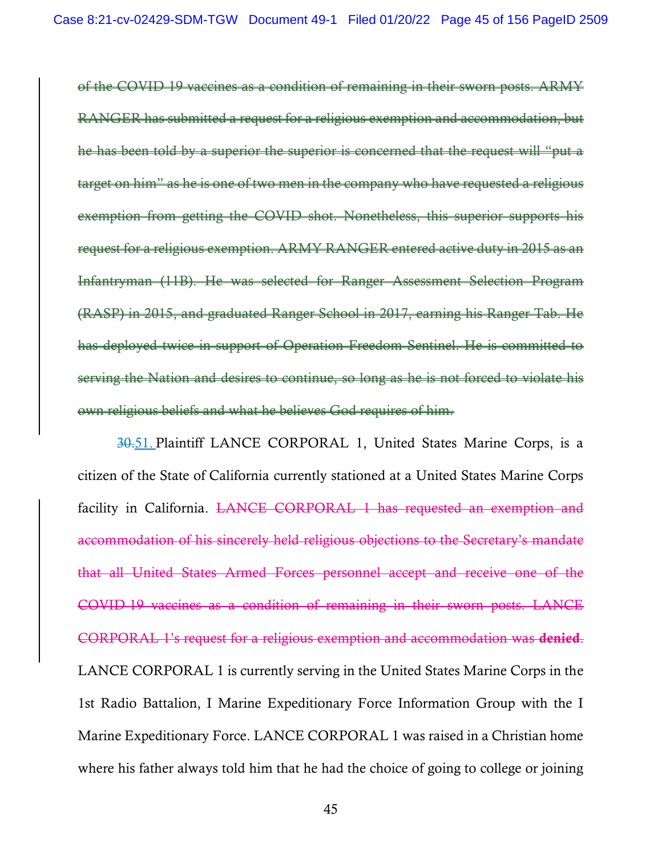of the COVID 19 vaccines as a condition of remaining in their sworn posts. ARMY RANGER has submitted a request for a religious exemption and accommodation, but he has been told by a superior the superior is concerned that the request will "put a target on him" as he is one of two men in the company who have requested a religious exemption from getting the COVID shot. Nonetheless, this superior supports his request for a religious exemption. ARMY RANGER entered active duty in 2015 as an Infantryman (11B). He was selected for Ranger Assessment Selection Program (RASP) in 2015, and graduated Ranger School in 2017, earning his Ranger Tab. He has deployed twice in support of Operation Freedom Sentinel. He is committed to serving the Nation and desires to continue, so long as he is not forced to violate his own religious beliefs and what he believes God requires of him.

30.51. Plaintiff LANCE CORPORAL 1, United States Marine Corps, is a citizen of the State of California currently stationed at a United States Marine Corps facility in California. LANCE CORPORAL 1 has requested an exemption and accommodation of his sincerely held religious objections to the Secretary's mandate that all United States Armed Forces personnel accept and receive one of the COVID 19 vaccines as a condition of remaining in their sworn posts. LANCE CORPORAL 1's request for a religious exemption and accommodation was denied. LANCE CORPORAL 1 is currently serving in the United States Marine Corps in the 1st Radio Battalion, I Marine Expeditionary Force Information Group with the I Marine Expeditionary Force. LANCE CORPORAL 1 was raised in a Christian home where his father always told him that he had the choice of going to college or joining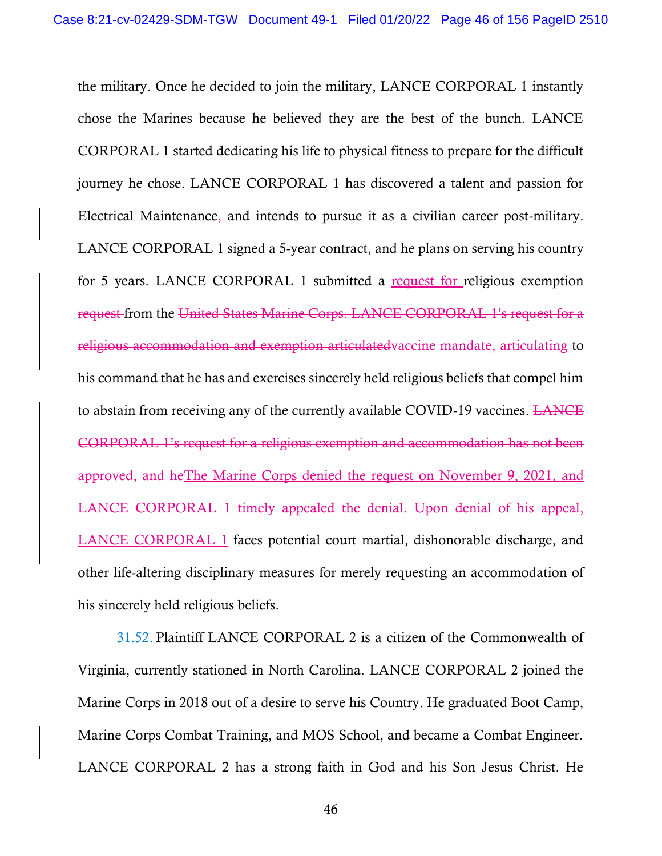the military. Once he decided to join the military, LANCE CORPORAL 1 instantly chose the Marines because he believed they are the best of the bunch. LANCE CORPORAL 1 started dedicating his life to physical fitness to prepare for the difficult journey he chose. LANCE CORPORAL 1 has discovered a talent and passion for Electrical Maintenance, and intends to pursue it as a civilian career post-military. LANCE CORPORAL 1 signed a 5-year contract, and he plans on serving his country for 5 years. LANCE CORPORAL 1 submitted a request for religious exemption request from the United States Marine Corps. LANCE CORPORAL 1's request for a religious accommodation and exemption articulatedvaccine mandate, articulating to his command that he has and exercises sincerely held religious beliefs that compel him to abstain from receiving any of the currently available COVID-19 vaccines. LANCE CORPORAL 1's request for a religious exemption and accommodation has not been approved, and heThe Marine Corps denied the request on November 9, 2021, and LANCE CORPORAL 1 timely appealed the denial. Upon denial of his appeal, LANCE CORPORAL 1 faces potential court martial, dishonorable discharge, and other life-altering disciplinary measures for merely requesting an accommodation of his sincerely held religious beliefs.

31.52. Plaintiff LANCE CORPORAL 2 is a citizen of the Commonwealth of Virginia, currently stationed in North Carolina. LANCE CORPORAL 2 joined the Marine Corps in 2018 out of a desire to serve his Country. He graduated Boot Camp, Marine Corps Combat Training, and MOS School, and became a Combat Engineer. LANCE CORPORAL 2 has a strong faith in God and his Son Jesus Christ. He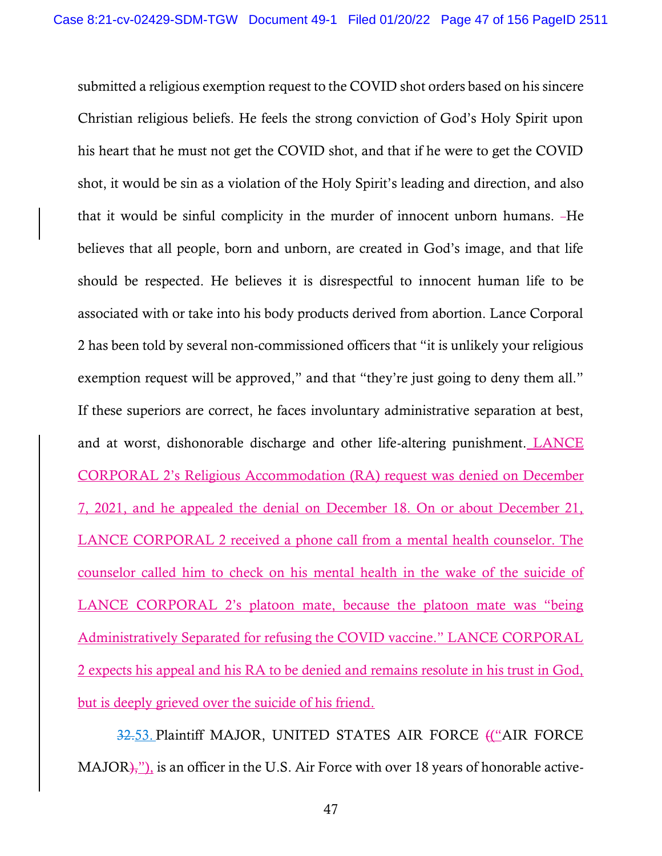submitted a religious exemption request to the COVID shot orders based on his sincere Christian religious beliefs. He feels the strong conviction of God's Holy Spirit upon his heart that he must not get the COVID shot, and that if he were to get the COVID shot, it would be sin as a violation of the Holy Spirit's leading and direction, and also that it would be sinful complicity in the murder of innocent unborn humans. He believes that all people, born and unborn, are created in God's image, and that life should be respected. He believes it is disrespectful to innocent human life to be associated with or take into his body products derived from abortion. Lance Corporal 2 has been told by several non-commissioned officers that "it is unlikely your religious exemption request will be approved," and that "they're just going to deny them all." If these superiors are correct, he faces involuntary administrative separation at best, and at worst, dishonorable discharge and other life-altering punishment. LANCE CORPORAL 2's Religious Accommodation (RA) request was denied on December 7, 2021, and he appealed the denial on December 18. On or about December 21, LANCE CORPORAL 2 received a phone call from a mental health counselor. The counselor called him to check on his mental health in the wake of the suicide of LANCE CORPORAL 2's platoon mate, because the platoon mate was "being Administratively Separated for refusing the COVID vaccine." LANCE CORPORAL 2 expects his appeal and his RA to be denied and remains resolute in his trust in God, but is deeply grieved over the suicide of his friend.

32.53. Plaintiff MAJOR, UNITED STATES AIR FORCE (("AIR FORCE MAJOR),", is an officer in the U.S. Air Force with over 18 years of honorable active-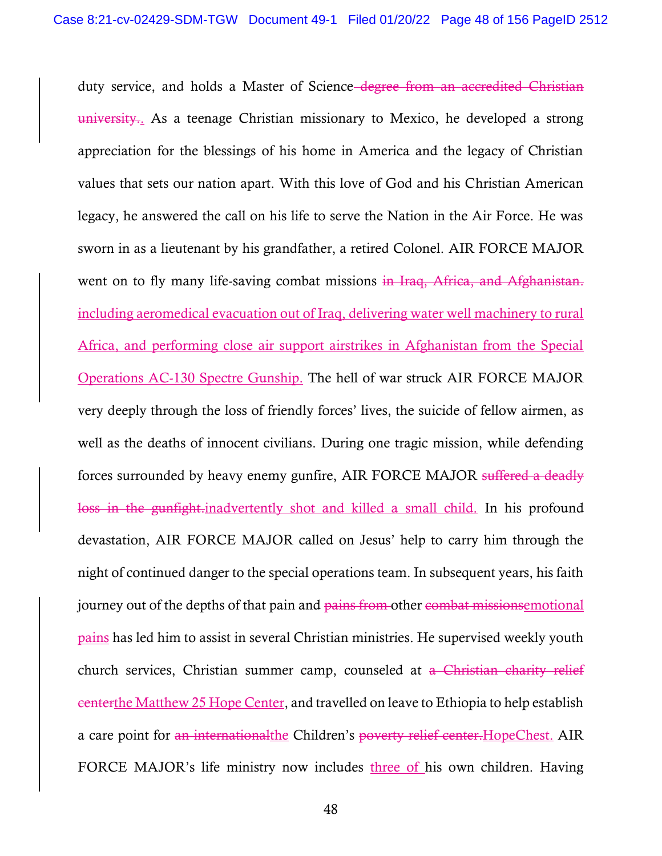duty service, and holds a Master of Science degree from an accredited Christian university... As a teenage Christian missionary to Mexico, he developed a strong appreciation for the blessings of his home in America and the legacy of Christian values that sets our nation apart. With this love of God and his Christian American legacy, he answered the call on his life to serve the Nation in the Air Force. He was sworn in as a lieutenant by his grandfather, a retired Colonel. AIR FORCE MAJOR went on to fly many life-saving combat missions in Iraq, Africa, and Afghanistan. including aeromedical evacuation out of Iraq, delivering water well machinery to rural Africa, and performing close air support airstrikes in Afghanistan from the Special Operations AC-130 Spectre Gunship. The hell of war struck AIR FORCE MAJOR very deeply through the loss of friendly forces' lives, the suicide of fellow airmen, as well as the deaths of innocent civilians. During one tragic mission, while defending forces surrounded by heavy enemy gunfire, AIR FORCE MAJOR suffered a deadly loss in the gunfight.inadvertently shot and killed a small child. In his profound devastation, AIR FORCE MAJOR called on Jesus' help to carry him through the night of continued danger to the special operations team. In subsequent years, his faith journey out of the depths of that pain and pains from other combat missionsemotional pains has led him to assist in several Christian ministries. He supervised weekly youth church services, Christian summer camp, counseled at a Christian charity relief centerthe Matthew 25 Hope Center, and travelled on leave to Ethiopia to help establish a care point for an internationalthe Children's poverty relief center.HopeChest. AIR FORCE MAJOR's life ministry now includes three of his own children. Having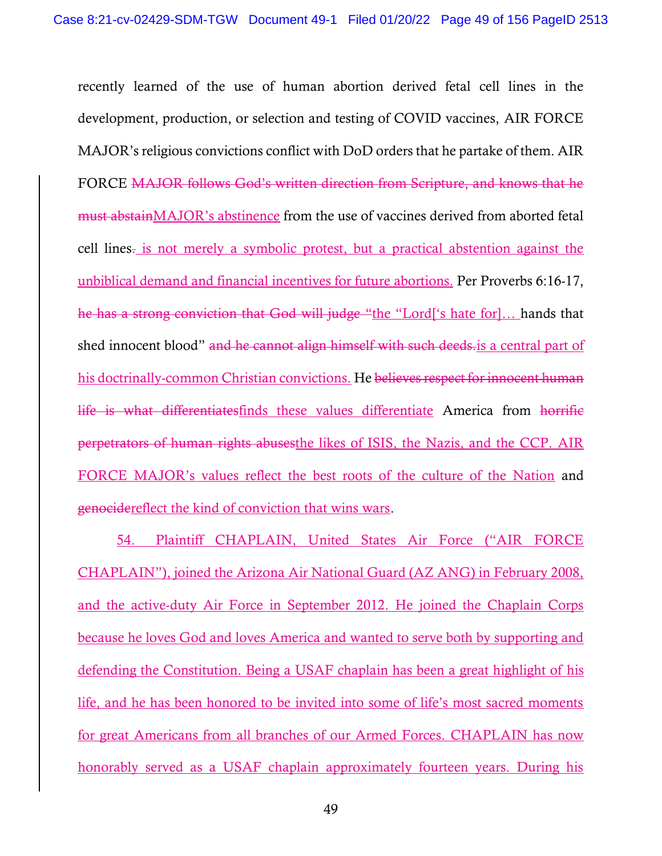recently learned of the use of human abortion derived fetal cell lines in the development, production, or selection and testing of COVID vaccines, AIR FORCE MAJOR's religious convictions conflict with DoD orders that he partake of them. AIR FORCE MAJOR follows God's written direction from Scripture, and knows that he must abstainMAJOR's abstinence from the use of vaccines derived from aborted fetal cell lines. is not merely a symbolic protest, but a practical abstention against the unbiblical demand and financial incentives for future abortions. Per Proverbs 6:16-17, he has a strong conviction that God will judge "the "Lord<sup>['</sup>s hate for]... hands that shed innocent blood" and he cannot align himself with such deeds, is a central part of his doctrinally-common Christian convictions. He believes respect for innocent human life is what differentiatesfinds these values differentiate America from horrific perpetrators of human rights abusesthe likes of ISIS, the Nazis, and the CCP. AIR FORCE MAJOR's values reflect the best roots of the culture of the Nation and genocidereflect the kind of conviction that wins wars.

54. Plaintiff CHAPLAIN, United States Air Force ("AIR FORCE CHAPLAIN"), joined the Arizona Air National Guard (AZ ANG) in February 2008, and the active-duty Air Force in September 2012. He joined the Chaplain Corps because he loves God and loves America and wanted to serve both by supporting and defending the Constitution. Being a USAF chaplain has been a great highlight of his life, and he has been honored to be invited into some of life's most sacred moments for great Americans from all branches of our Armed Forces. CHAPLAIN has now honorably served as a USAF chaplain approximately fourteen years. During his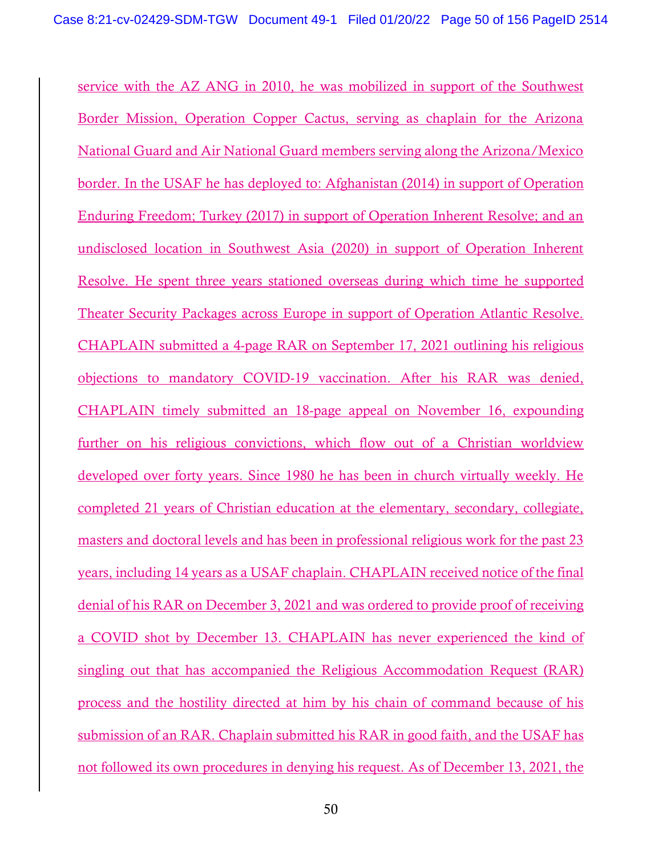service with the AZ ANG in 2010, he was mobilized in support of the Southwest Border Mission, Operation Copper Cactus, serving as chaplain for the Arizona National Guard and Air National Guard members serving along the Arizona/Mexico border. In the USAF he has deployed to: Afghanistan (2014) in support of Operation Enduring Freedom; Turkey (2017) in support of Operation Inherent Resolve; and an undisclosed location in Southwest Asia (2020) in support of Operation Inherent Resolve. He spent three years stationed overseas during which time he supported Theater Security Packages across Europe in support of Operation Atlantic Resolve. CHAPLAIN submitted a 4-page RAR on September 17, 2021 outlining his religious objections to mandatory COVID-19 vaccination. After his RAR was denied, CHAPLAIN timely submitted an 18-page appeal on November 16, expounding further on his religious convictions, which flow out of a Christian worldview developed over forty years. Since 1980 he has been in church virtually weekly. He completed 21 years of Christian education at the elementary, secondary, collegiate, masters and doctoral levels and has been in professional religious work for the past 23 years, including 14 years as a USAF chaplain. CHAPLAIN received notice of the final denial of his RAR on December 3, 2021 and was ordered to provide proof of receiving a COVID shot by December 13. CHAPLAIN has never experienced the kind of singling out that has accompanied the Religious Accommodation Request (RAR) process and the hostility directed at him by his chain of command because of his submission of an RAR. Chaplain submitted his RAR in good faith, and the USAF has not followed its own procedures in denying his request. As of December 13, 2021, the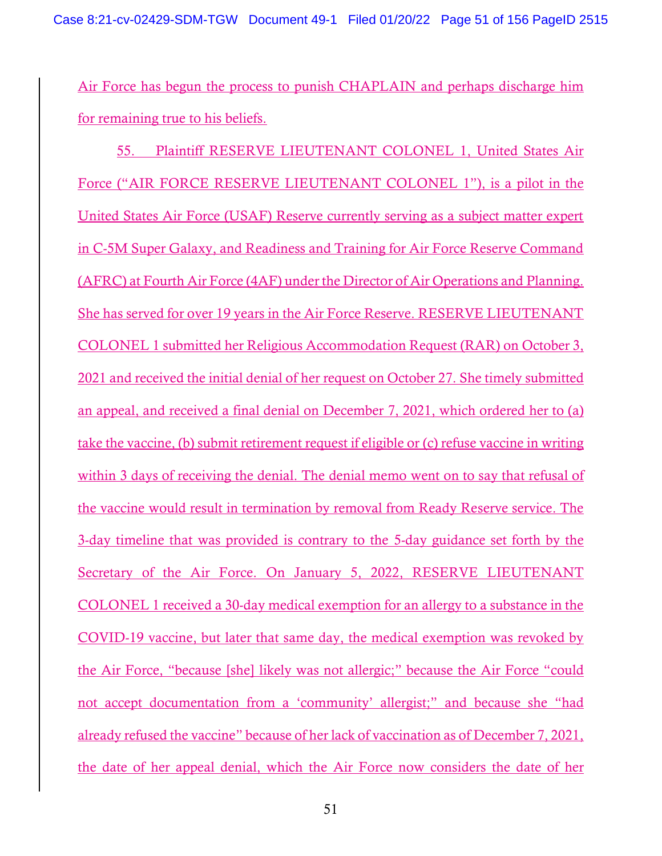Air Force has begun the process to punish CHAPLAIN and perhaps discharge him for remaining true to his beliefs.

55. Plaintiff RESERVE LIEUTENANT COLONEL 1, United States Air Force ("AIR FORCE RESERVE LIEUTENANT COLONEL 1"), is a pilot in the United States Air Force (USAF) Reserve currently serving as a subject matter expert in C-5M Super Galaxy, and Readiness and Training for Air Force Reserve Command (AFRC) at Fourth Air Force (4AF) under the Director of Air Operations and Planning. She has served for over 19 years in the Air Force Reserve. RESERVE LIEUTENANT COLONEL 1 submitted her Religious Accommodation Request (RAR) on October 3, 2021 and received the initial denial of her request on October 27. She timely submitted an appeal, and received a final denial on December 7, 2021, which ordered her to (a) take the vaccine, (b) submit retirement request if eligible or (c) refuse vaccine in writing within 3 days of receiving the denial. The denial memo went on to say that refusal of the vaccine would result in termination by removal from Ready Reserve service. The 3-day timeline that was provided is contrary to the 5-day guidance set forth by the Secretary of the Air Force. On January 5, 2022, RESERVE LIEUTENANT COLONEL 1 received a 30-day medical exemption for an allergy to a substance in the COVID-19 vaccine, but later that same day, the medical exemption was revoked by the Air Force, "because [she] likely was not allergic;" because the Air Force "could not accept documentation from a 'community' allergist;" and because she "had already refused the vaccine" because of her lack of vaccination as of December 7, 2021, the date of her appeal denial, which the Air Force now considers the date of her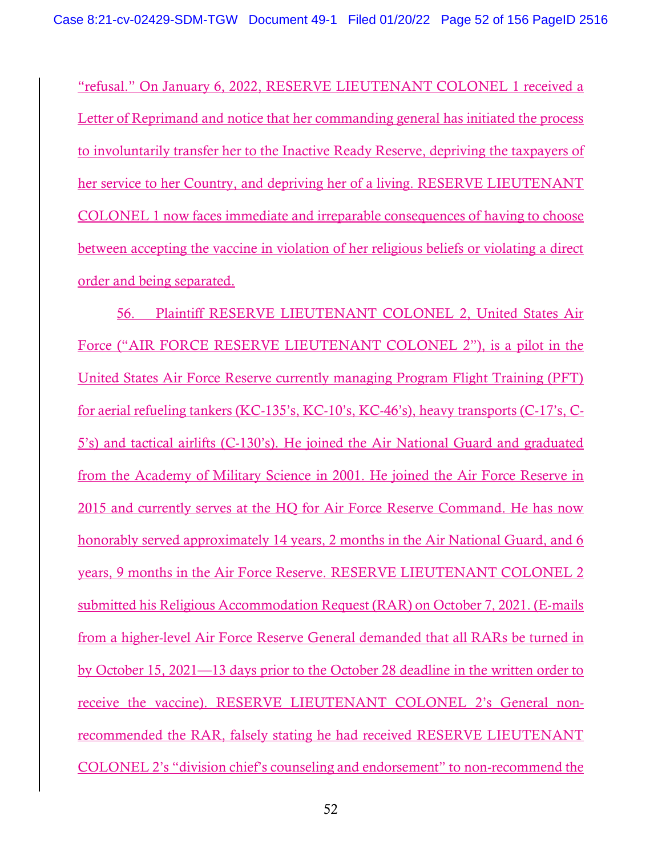"refusal." On January 6, 2022, RESERVE LIEUTENANT COLONEL 1 received a Letter of Reprimand and notice that her commanding general has initiated the process to involuntarily transfer her to the Inactive Ready Reserve, depriving the taxpayers of her service to her Country, and depriving her of a living. RESERVE LIEUTENANT COLONEL 1 now faces immediate and irreparable consequences of having to choose between accepting the vaccine in violation of her religious beliefs or violating a direct order and being separated.

56. Plaintiff RESERVE LIEUTENANT COLONEL 2, United States Air Force ("AIR FORCE RESERVE LIEUTENANT COLONEL 2"), is a pilot in the United States Air Force Reserve currently managing Program Flight Training (PFT) for aerial refueling tankers (KC-135's, KC-10's, KC-46's), heavy transports (C-17's, C-5's) and tactical airlifts (C-130's). He joined the Air National Guard and graduated from the Academy of Military Science in 2001. He joined the Air Force Reserve in 2015 and currently serves at the HQ for Air Force Reserve Command. He has now honorably served approximately 14 years, 2 months in the Air National Guard, and 6 years, 9 months in the Air Force Reserve. RESERVE LIEUTENANT COLONEL 2 submitted his Religious Accommodation Request (RAR) on October 7, 2021. (E-mails from a higher-level Air Force Reserve General demanded that all RARs be turned in by October 15, 2021—13 days prior to the October 28 deadline in the written order to receive the vaccine). RESERVE LIEUTENANT COLONEL 2's General nonrecommended the RAR, falsely stating he had received RESERVE LIEUTENANT COLONEL 2's "division chief's counseling and endorsement" to non-recommend the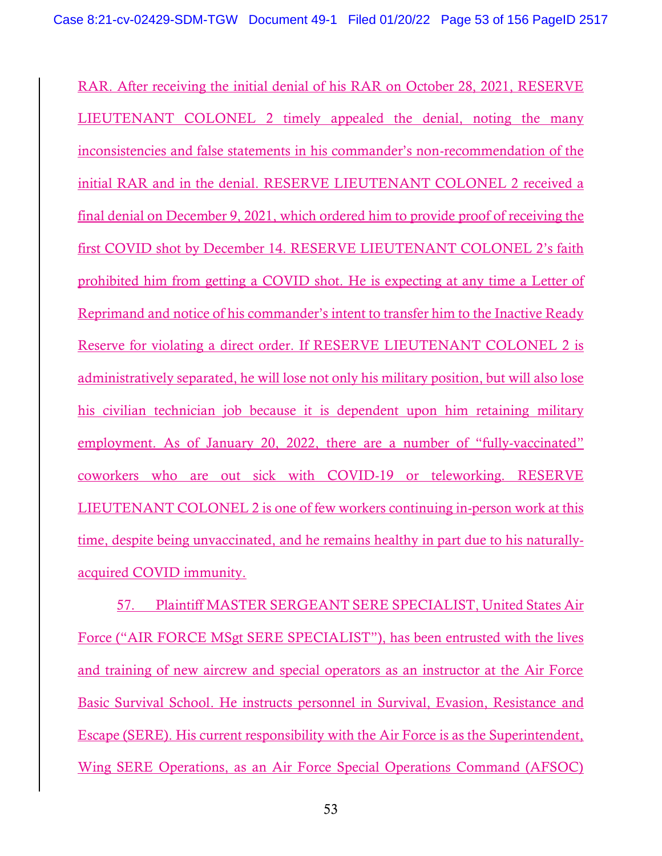RAR. After receiving the initial denial of his RAR on October 28, 2021, RESERVE LIEUTENANT COLONEL 2 timely appealed the denial, noting the many inconsistencies and false statements in his commander's non-recommendation of the initial RAR and in the denial. RESERVE LIEUTENANT COLONEL 2 received a final denial on December 9, 2021, which ordered him to provide proof of receiving the first COVID shot by December 14. RESERVE LIEUTENANT COLONEL 2's faith prohibited him from getting a COVID shot. He is expecting at any time a Letter of Reprimand and notice of his commander's intent to transfer him to the Inactive Ready Reserve for violating a direct order. If RESERVE LIEUTENANT COLONEL 2 is administratively separated, he will lose not only his military position, but will also lose his civilian technician job because it is dependent upon him retaining military employment. As of January 20, 2022, there are a number of "fully-vaccinated" coworkers who are out sick with COVID-19 or teleworking. RESERVE LIEUTENANT COLONEL 2 is one of few workers continuing in-person work at this time, despite being unvaccinated, and he remains healthy in part due to his naturallyacquired COVID immunity.

57. Plaintiff MASTER SERGEANT SERE SPECIALIST, United States Air Force ("AIR FORCE MSgt SERE SPECIALIST"), has been entrusted with the lives and training of new aircrew and special operators as an instructor at the Air Force Basic Survival School. He instructs personnel in Survival, Evasion, Resistance and Escape (SERE). His current responsibility with the Air Force is as the Superintendent, Wing SERE Operations, as an Air Force Special Operations Command (AFSOC)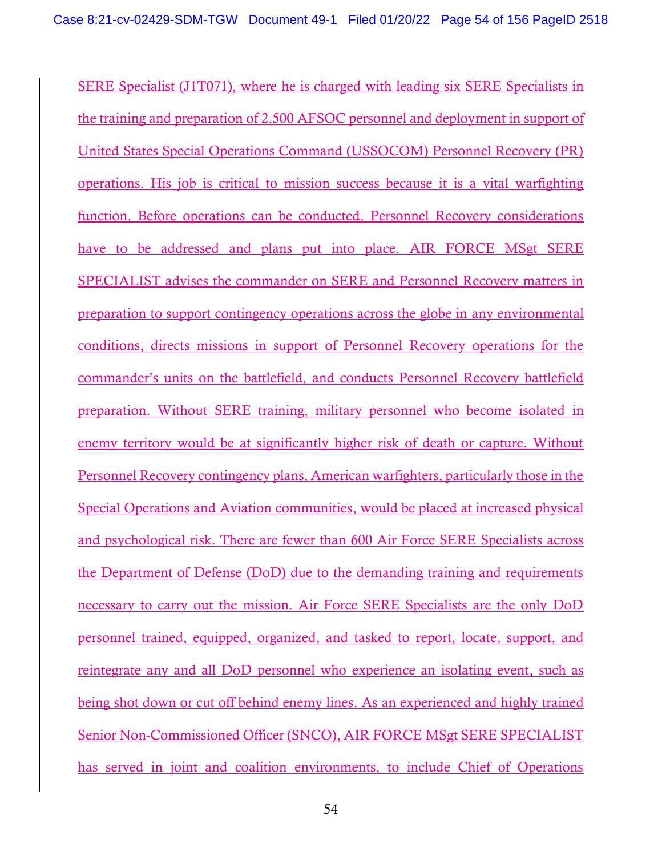SERE Specialist (J1T071), where he is charged with leading six SERE Specialists in the training and preparation of 2,500 AFSOC personnel and deployment in support of United States Special Operations Command (USSOCOM) Personnel Recovery (PR) operations. His job is critical to mission success because it is a vital warfighting function. Before operations can be conducted, Personnel Recovery considerations have to be addressed and plans put into place. AIR FORCE MSgt SERE SPECIALIST advises the commander on SERE and Personnel Recovery matters in preparation to support contingency operations across the globe in any environmental conditions, directs missions in support of Personnel Recovery operations for the commander's units on the battlefield, and conducts Personnel Recovery battlefield preparation. Without SERE training, military personnel who become isolated in enemy territory would be at significantly higher risk of death or capture. Without Personnel Recovery contingency plans, American warfighters, particularly those in the Special Operations and Aviation communities, would be placed at increased physical and psychological risk. There are fewer than 600 Air Force SERE Specialists across the Department of Defense (DoD) due to the demanding training and requirements necessary to carry out the mission. Air Force SERE Specialists are the only DoD personnel trained, equipped, organized, and tasked to report, locate, support, and reintegrate any and all DoD personnel who experience an isolating event, such as being shot down or cut off behind enemy lines. As an experienced and highly trained Senior Non-Commissioned Officer (SNCO), AIR FORCE MSgt SERE SPECIALIST has served in joint and coalition environments, to include Chief of Operations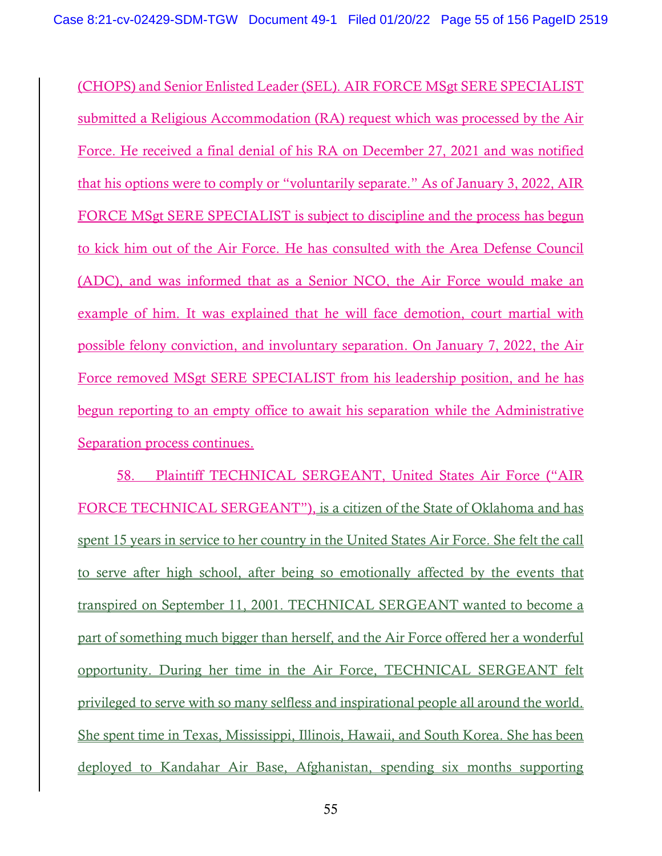(CHOPS) and Senior Enlisted Leader (SEL). AIR FORCE MSgt SERE SPECIALIST submitted a Religious Accommodation (RA) request which was processed by the Air Force. He received a final denial of his RA on December 27, 2021 and was notified that his options were to comply or "voluntarily separate." As of January 3, 2022, AIR FORCE MSgt SERE SPECIALIST is subject to discipline and the process has begun to kick him out of the Air Force. He has consulted with the Area Defense Council (ADC), and was informed that as a Senior NCO, the Air Force would make an example of him. It was explained that he will face demotion, court martial with possible felony conviction, and involuntary separation. On January 7, 2022, the Air Force removed MSgt SERE SPECIALIST from his leadership position, and he has begun reporting to an empty office to await his separation while the Administrative Separation process continues.

58. Plaintiff TECHNICAL SERGEANT, United States Air Force ("AIR FORCE TECHNICAL SERGEANT"), is a citizen of the State of Oklahoma and has spent 15 years in service to her country in the United States Air Force. She felt the call to serve after high school, after being so emotionally affected by the events that transpired on September 11, 2001. TECHNICAL SERGEANT wanted to become a part of something much bigger than herself, and the Air Force offered her a wonderful opportunity. During her time in the Air Force, TECHNICAL SERGEANT felt privileged to serve with so many selfless and inspirational people all around the world. She spent time in Texas, Mississippi, Illinois, Hawaii, and South Korea. She has been deployed to Kandahar Air Base, Afghanistan, spending six months supporting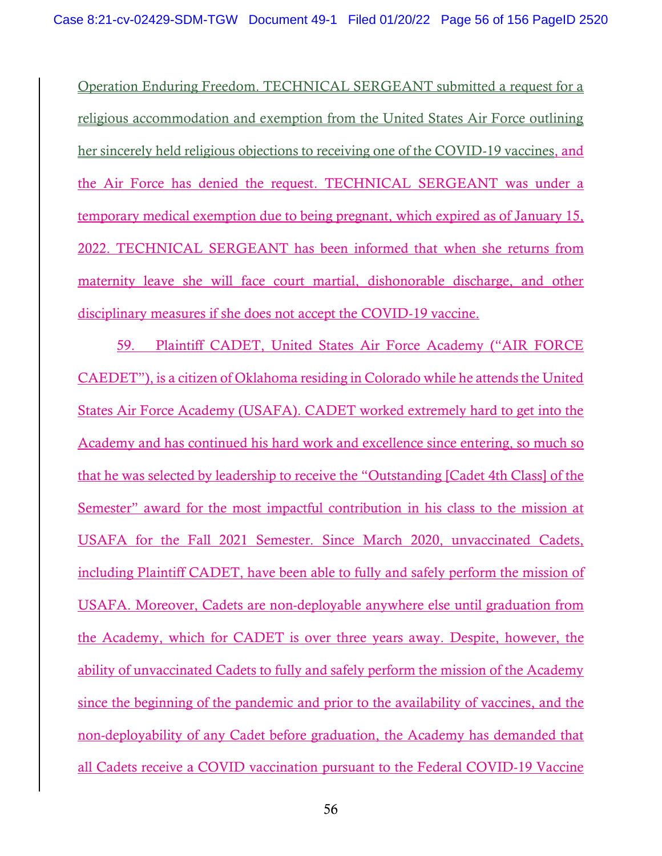Operation Enduring Freedom. TECHNICAL SERGEANT submitted a request for a religious accommodation and exemption from the United States Air Force outlining her sincerely held religious objections to receiving one of the COVID-19 vaccines, and the Air Force has denied the request. TECHNICAL SERGEANT was under a temporary medical exemption due to being pregnant, which expired as of January 15, 2022. TECHNICAL SERGEANT has been informed that when she returns from maternity leave she will face court martial, dishonorable discharge, and other disciplinary measures if she does not accept the COVID-19 vaccine.

59. Plaintiff CADET, United States Air Force Academy ("AIR FORCE CAEDET"), is a citizen of Oklahoma residing in Colorado while he attends the United States Air Force Academy (USAFA). CADET worked extremely hard to get into the Academy and has continued his hard work and excellence since entering, so much so that he was selected by leadership to receive the "Outstanding [Cadet 4th Class] of the Semester" award for the most impactful contribution in his class to the mission at USAFA for the Fall 2021 Semester. Since March 2020, unvaccinated Cadets, including Plaintiff CADET, have been able to fully and safely perform the mission of USAFA. Moreover, Cadets are non-deployable anywhere else until graduation from the Academy, which for CADET is over three years away. Despite, however, the ability of unvaccinated Cadets to fully and safely perform the mission of the Academy since the beginning of the pandemic and prior to the availability of vaccines, and the non-deployability of any Cadet before graduation, the Academy has demanded that all Cadets receive a COVID vaccination pursuant to the Federal COVID-19 Vaccine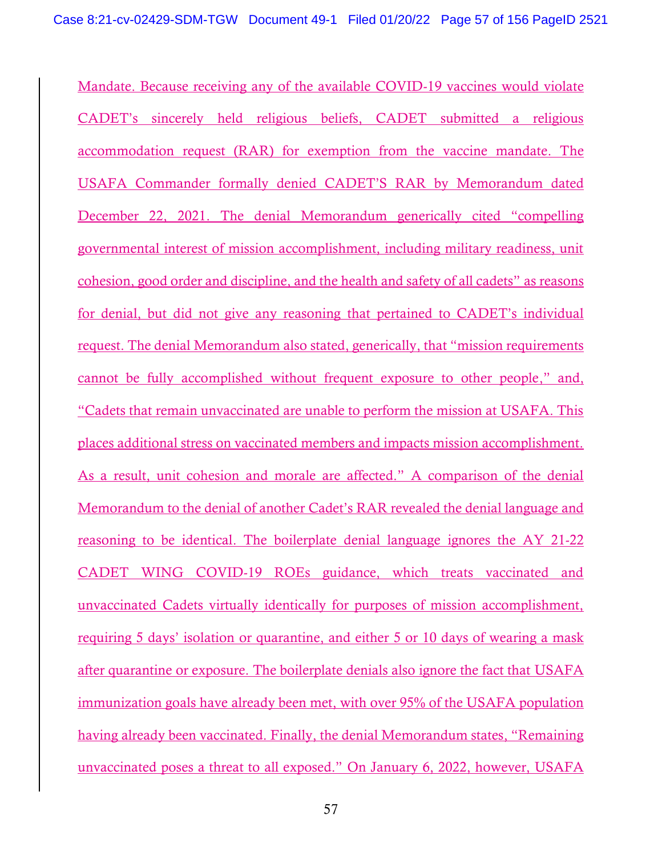Mandate. Because receiving any of the available COVID-19 vaccines would violate CADET's sincerely held religious beliefs, CADET submitted a religious accommodation request (RAR) for exemption from the vaccine mandate. The USAFA Commander formally denied CADET'S RAR by Memorandum dated December 22, 2021. The denial Memorandum generically cited "compelling governmental interest of mission accomplishment, including military readiness, unit cohesion, good order and discipline, and the health and safety of all cadets" as reasons for denial, but did not give any reasoning that pertained to CADET's individual request. The denial Memorandum also stated, generically, that "mission requirements cannot be fully accomplished without frequent exposure to other people," and, "Cadets that remain unvaccinated are unable to perform the mission at USAFA. This places additional stress on vaccinated members and impacts mission accomplishment. As a result, unit cohesion and morale are affected." A comparison of the denial Memorandum to the denial of another Cadet's RAR revealed the denial language and reasoning to be identical. The boilerplate denial language ignores the AY 21-22 CADET WING COVID-19 ROEs guidance, which treats vaccinated and unvaccinated Cadets virtually identically for purposes of mission accomplishment, requiring 5 days' isolation or quarantine, and either 5 or 10 days of wearing a mask after quarantine or exposure. The boilerplate denials also ignore the fact that USAFA immunization goals have already been met, with over 95% of the USAFA population having already been vaccinated. Finally, the denial Memorandum states, "Remaining unvaccinated poses a threat to all exposed." On January 6, 2022, however, USAFA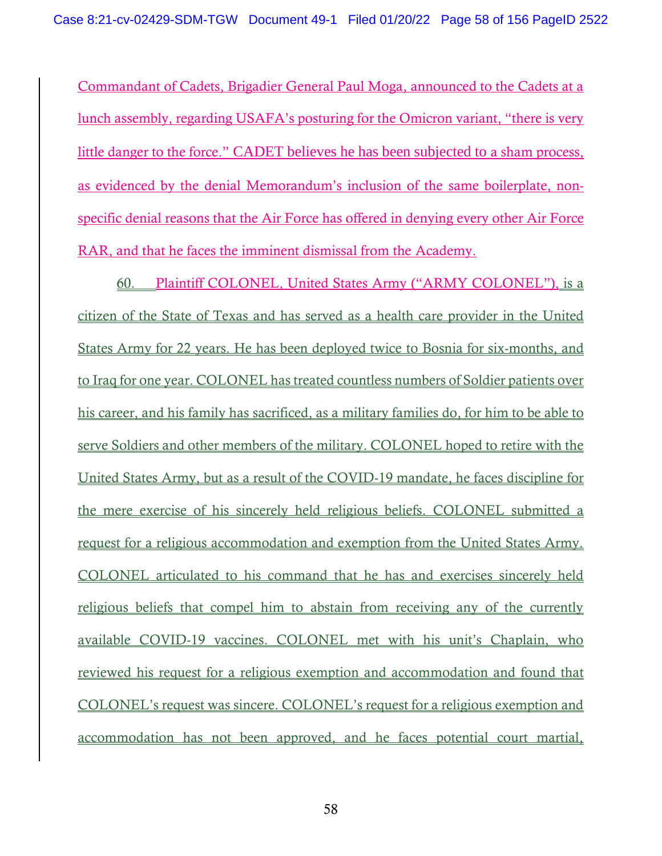Commandant of Cadets, Brigadier General Paul Moga, announced to the Cadets at a lunch assembly, regarding USAFA's posturing for the Omicron variant, "there is very little danger to the force." CADET believes he has been subjected to a sham process, as evidenced by the denial Memorandum's inclusion of the same boilerplate, nonspecific denial reasons that the Air Force has offered in denying every other Air Force RAR, and that he faces the imminent dismissal from the Academy.

60. Plaintiff COLONEL, United States Army ("ARMY COLONEL"), is a citizen of the State of Texas and has served as a health care provider in the United States Army for 22 years. He has been deployed twice to Bosnia for six-months, and to Iraq for one year. COLONEL has treated countless numbers of Soldier patients over his career, and his family has sacrificed, as a military families do, for him to be able to serve Soldiers and other members of the military. COLONEL hoped to retire with the United States Army, but as a result of the COVID-19 mandate, he faces discipline for the mere exercise of his sincerely held religious beliefs. COLONEL submitted a request for a religious accommodation and exemption from the United States Army. COLONEL articulated to his command that he has and exercises sincerely held religious beliefs that compel him to abstain from receiving any of the currently available COVID-19 vaccines. COLONEL met with his unit's Chaplain, who reviewed his request for a religious exemption and accommodation and found that COLONEL's request was sincere. COLONEL's request for a religious exemption and accommodation has not been approved, and he faces potential court martial,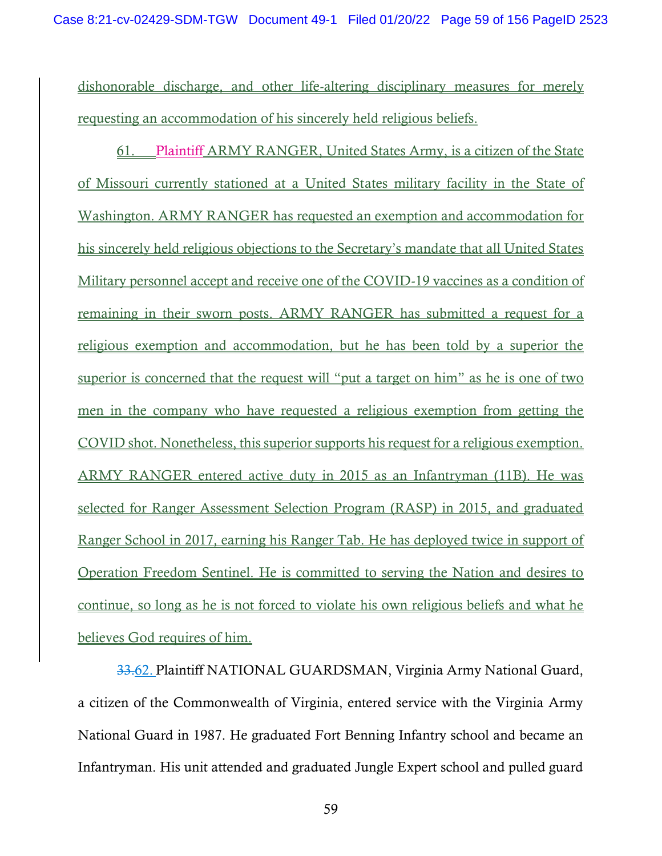dishonorable discharge, and other life-altering disciplinary measures for merely requesting an accommodation of his sincerely held religious beliefs.

61. Plaintiff ARMY RANGER, United States Army, is a citizen of the State of Missouri currently stationed at a United States military facility in the State of Washington. ARMY RANGER has requested an exemption and accommodation for his sincerely held religious objections to the Secretary's mandate that all United States Military personnel accept and receive one of the COVID-19 vaccines as a condition of remaining in their sworn posts. ARMY RANGER has submitted a request for a religious exemption and accommodation, but he has been told by a superior the superior is concerned that the request will "put a target on him" as he is one of two men in the company who have requested a religious exemption from getting the COVID shot. Nonetheless, this superior supports his request for a religious exemption. ARMY RANGER entered active duty in 2015 as an Infantryman (11B). He was selected for Ranger Assessment Selection Program (RASP) in 2015, and graduated Ranger School in 2017, earning his Ranger Tab. He has deployed twice in support of Operation Freedom Sentinel. He is committed to serving the Nation and desires to continue, so long as he is not forced to violate his own religious beliefs and what he believes God requires of him.

33.62. Plaintiff NATIONAL GUARDSMAN, Virginia Army National Guard, a citizen of the Commonwealth of Virginia, entered service with the Virginia Army National Guard in 1987. He graduated Fort Benning Infantry school and became an Infantryman. His unit attended and graduated Jungle Expert school and pulled guard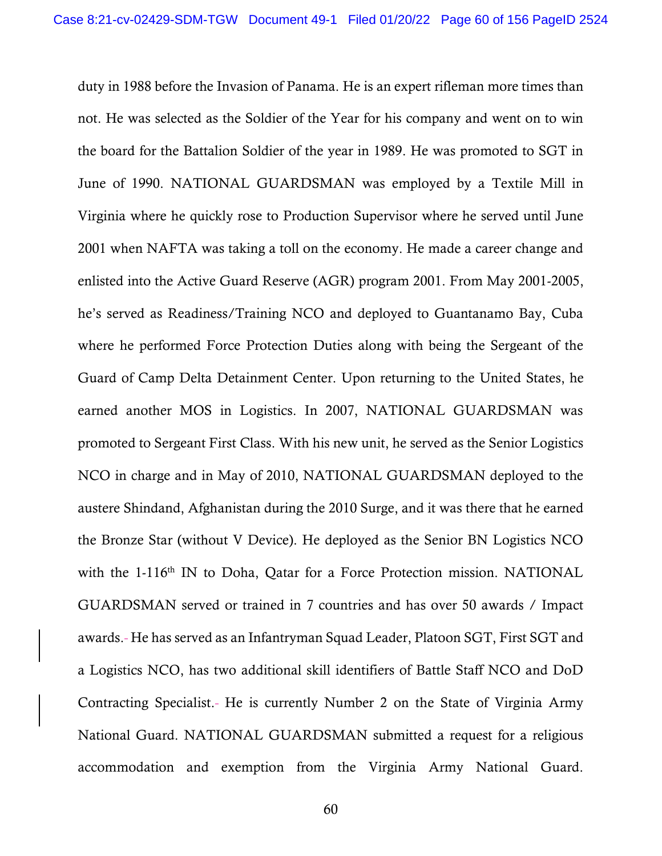duty in 1988 before the Invasion of Panama. He is an expert rifleman more times than not. He was selected as the Soldier of the Year for his company and went on to win the board for the Battalion Soldier of the year in 1989. He was promoted to SGT in June of 1990. NATIONAL GUARDSMAN was employed by a Textile Mill in Virginia where he quickly rose to Production Supervisor where he served until June 2001 when NAFTA was taking a toll on the economy. He made a career change and enlisted into the Active Guard Reserve (AGR) program 2001. From May 2001-2005, he's served as Readiness/Training NCO and deployed to Guantanamo Bay, Cuba where he performed Force Protection Duties along with being the Sergeant of the Guard of Camp Delta Detainment Center. Upon returning to the United States, he earned another MOS in Logistics. In 2007, NATIONAL GUARDSMAN was promoted to Sergeant First Class. With his new unit, he served as the Senior Logistics NCO in charge and in May of 2010, NATIONAL GUARDSMAN deployed to the austere Shindand, Afghanistan during the 2010 Surge, and it was there that he earned the Bronze Star (without V Device). He deployed as the Senior BN Logistics NCO with the 1-116<sup>th</sup> IN to Doha, Oatar for a Force Protection mission. NATIONAL GUARDSMAN served or trained in 7 countries and has over 50 awards / Impact awards. He has served as an Infantryman Squad Leader, Platoon SGT, First SGT and a Logistics NCO, has two additional skill identifiers of Battle Staff NCO and DoD Contracting Specialist. He is currently Number 2 on the State of Virginia Army National Guard. NATIONAL GUARDSMAN submitted a request for a religious accommodation and exemption from the Virginia Army National Guard.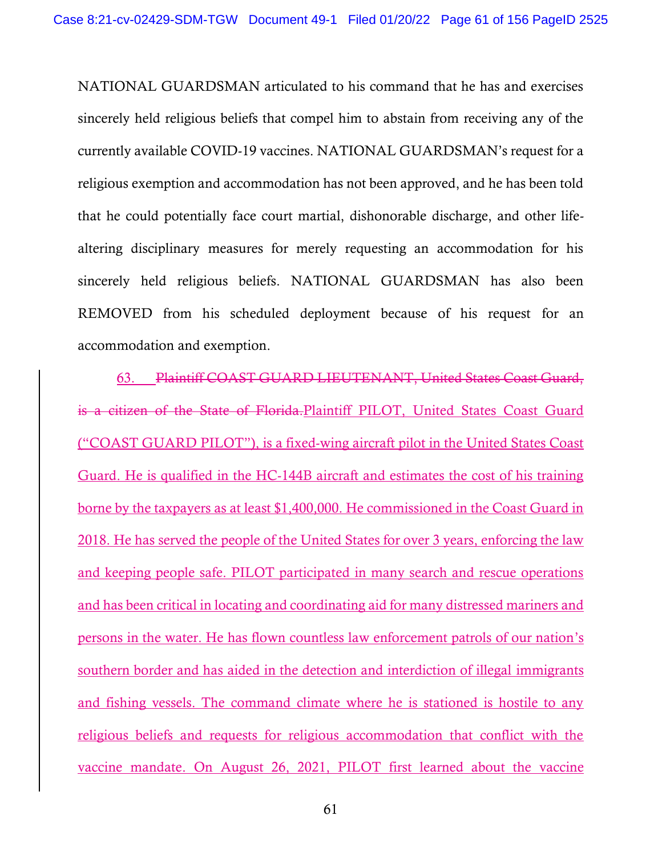NATIONAL GUARDSMAN articulated to his command that he has and exercises sincerely held religious beliefs that compel him to abstain from receiving any of the currently available COVID-19 vaccines. NATIONAL GUARDSMAN's request for a religious exemption and accommodation has not been approved, and he has been told that he could potentially face court martial, dishonorable discharge, and other lifealtering disciplinary measures for merely requesting an accommodation for his sincerely held religious beliefs. NATIONAL GUARDSMAN has also been REMOVED from his scheduled deployment because of his request for an accommodation and exemption.

63. Plaintiff COAST GUARD LIEUTENANT, United States Coast Guard, is a citizen of the State of Florida.Plaintiff PILOT, United States Coast Guard ("COAST GUARD PILOT"), is a fixed-wing aircraft pilot in the United States Coast Guard. He is qualified in the HC-144B aircraft and estimates the cost of his training borne by the taxpayers as at least \$1,400,000. He commissioned in the Coast Guard in 2018. He has served the people of the United States for over 3 years, enforcing the law and keeping people safe. PILOT participated in many search and rescue operations and has been critical in locating and coordinating aid for many distressed mariners and persons in the water. He has flown countless law enforcement patrols of our nation's southern border and has aided in the detection and interdiction of illegal immigrants and fishing vessels. The command climate where he is stationed is hostile to any religious beliefs and requests for religious accommodation that conflict with the vaccine mandate. On August 26, 2021, PILOT first learned about the vaccine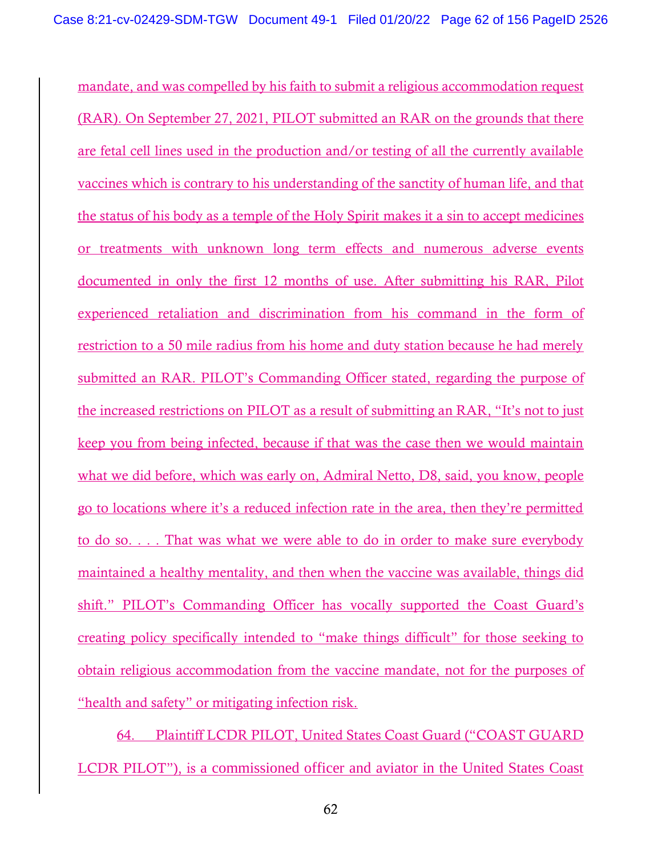mandate, and was compelled by his faith to submit a religious accommodation request (RAR). On September 27, 2021, PILOT submitted an RAR on the grounds that there are fetal cell lines used in the production and/or testing of all the currently available vaccines which is contrary to his understanding of the sanctity of human life, and that the status of his body as a temple of the Holy Spirit makes it a sin to accept medicines or treatments with unknown long term effects and numerous adverse events documented in only the first 12 months of use. After submitting his RAR, Pilot experienced retaliation and discrimination from his command in the form of restriction to a 50 mile radius from his home and duty station because he had merely submitted an RAR. PILOT's Commanding Officer stated, regarding the purpose of the increased restrictions on PILOT as a result of submitting an RAR, "It's not to just keep you from being infected, because if that was the case then we would maintain what we did before, which was early on, Admiral Netto, D8, said, you know, people go to locations where it's a reduced infection rate in the area, then they're permitted to do so. . . . That was what we were able to do in order to make sure everybody maintained a healthy mentality, and then when the vaccine was available, things did shift." PILOT's Commanding Officer has vocally supported the Coast Guard's creating policy specifically intended to "make things difficult" for those seeking to obtain religious accommodation from the vaccine mandate, not for the purposes of "health and safety" or mitigating infection risk.

64. Plaintiff LCDR PILOT, United States Coast Guard ("COAST GUARD LCDR PILOT"), is a commissioned officer and aviator in the United States Coast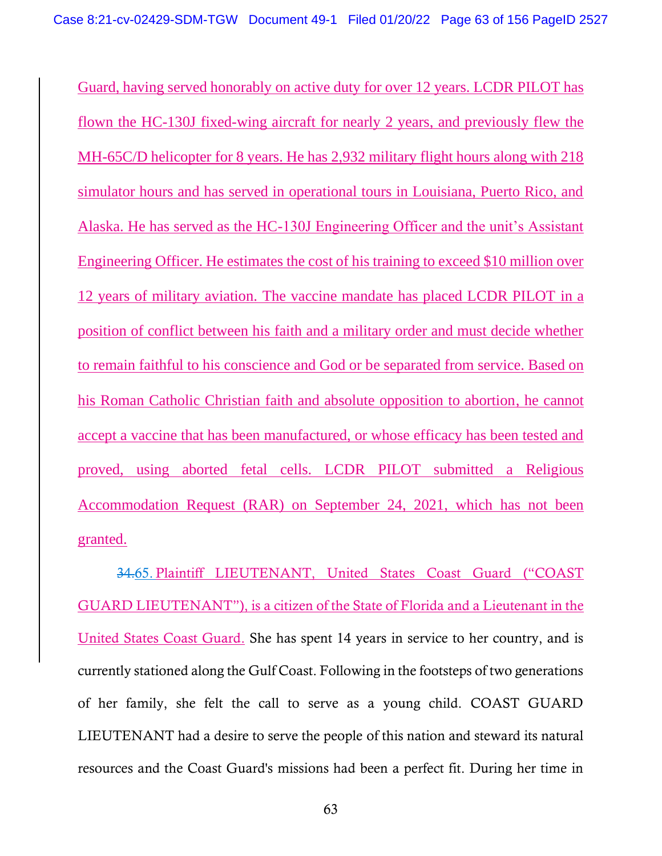Guard, having served honorably on active duty for over 12 years. LCDR PILOT has flown the HC-130J fixed-wing aircraft for nearly 2 years, and previously flew the MH-65C/D helicopter for 8 years. He has 2,932 military flight hours along with 218 simulator hours and has served in operational tours in Louisiana, Puerto Rico, and Alaska. He has served as the HC-130J Engineering Officer and the unit's Assistant Engineering Officer. He estimates the cost of his training to exceed \$10 million over 12 years of military aviation. The vaccine mandate has placed LCDR PILOT in a position of conflict between his faith and a military order and must decide whether to remain faithful to his conscience and God or be separated from service. Based on his Roman Catholic Christian faith and absolute opposition to abortion, he cannot accept a vaccine that has been manufactured, or whose efficacy has been tested and proved, using aborted fetal cells. LCDR PILOT submitted a Religious Accommodation Request (RAR) on September 24, 2021, which has not been granted.

34.65. Plaintiff LIEUTENANT, United States Coast Guard ("COAST GUARD LIEUTENANT"), is a citizen of the State of Florida and a Lieutenant in the United States Coast Guard. She has spent 14 years in service to her country, and is currently stationed along the Gulf Coast. Following in the footsteps of two generations of her family, she felt the call to serve as a young child. COAST GUARD LIEUTENANT had a desire to serve the people of this nation and steward its natural resources and the Coast Guard's missions had been a perfect fit. During her time in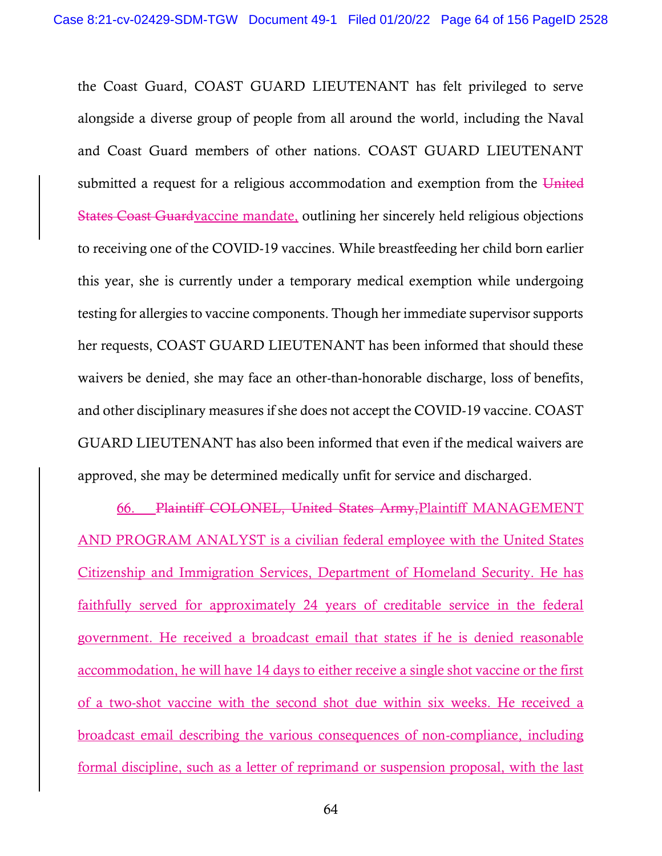the Coast Guard, COAST GUARD LIEUTENANT has felt privileged to serve alongside a diverse group of people from all around the world, including the Naval and Coast Guard members of other nations. COAST GUARD LIEUTENANT submitted a request for a religious accommodation and exemption from the United States Coast Guardvaccine mandate, outlining her sincerely held religious objections to receiving one of the COVID-19 vaccines. While breastfeeding her child born earlier this year, she is currently under a temporary medical exemption while undergoing testing for allergies to vaccine components. Though her immediate supervisor supports her requests, COAST GUARD LIEUTENANT has been informed that should these waivers be denied, she may face an other-than-honorable discharge, loss of benefits, and other disciplinary measures if she does not accept the COVID-19 vaccine. COAST GUARD LIEUTENANT has also been informed that even if the medical waivers are approved, she may be determined medically unfit for service and discharged.

66. Plaintiff COLONEL, United States Army,Plaintiff MANAGEMENT AND PROGRAM ANALYST is a civilian federal employee with the United States Citizenship and Immigration Services, Department of Homeland Security. He has faithfully served for approximately 24 years of creditable service in the federal government. He received a broadcast email that states if he is denied reasonable accommodation, he will have 14 days to either receive a single shot vaccine or the first of a two-shot vaccine with the second shot due within six weeks. He received a broadcast email describing the various consequences of non-compliance, including formal discipline, such as a letter of reprimand or suspension proposal, with the last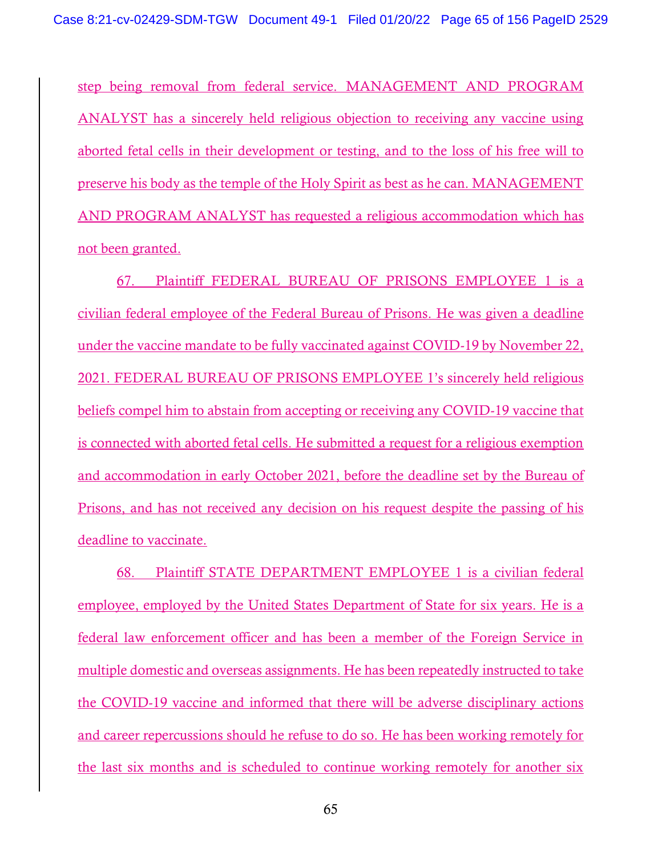step being removal from federal service. MANAGEMENT AND PROGRAM ANALYST has a sincerely held religious objection to receiving any vaccine using aborted fetal cells in their development or testing, and to the loss of his free will to preserve his body as the temple of the Holy Spirit as best as he can. MANAGEMENT AND PROGRAM ANALYST has requested a religious accommodation which has not been granted.

67. Plaintiff FEDERAL BUREAU OF PRISONS EMPLOYEE 1 is a civilian federal employee of the Federal Bureau of Prisons. He was given a deadline under the vaccine mandate to be fully vaccinated against COVID-19 by November 22, 2021. FEDERAL BUREAU OF PRISONS EMPLOYEE 1's sincerely held religious beliefs compel him to abstain from accepting or receiving any COVID-19 vaccine that is connected with aborted fetal cells. He submitted a request for a religious exemption and accommodation in early October 2021, before the deadline set by the Bureau of Prisons, and has not received any decision on his request despite the passing of his deadline to vaccinate.

68. Plaintiff STATE DEPARTMENT EMPLOYEE 1 is a civilian federal employee, employed by the United States Department of State for six years. He is a federal law enforcement officer and has been a member of the Foreign Service in multiple domestic and overseas assignments. He has been repeatedly instructed to take the COVID-19 vaccine and informed that there will be adverse disciplinary actions and career repercussions should he refuse to do so. He has been working remotely for the last six months and is scheduled to continue working remotely for another six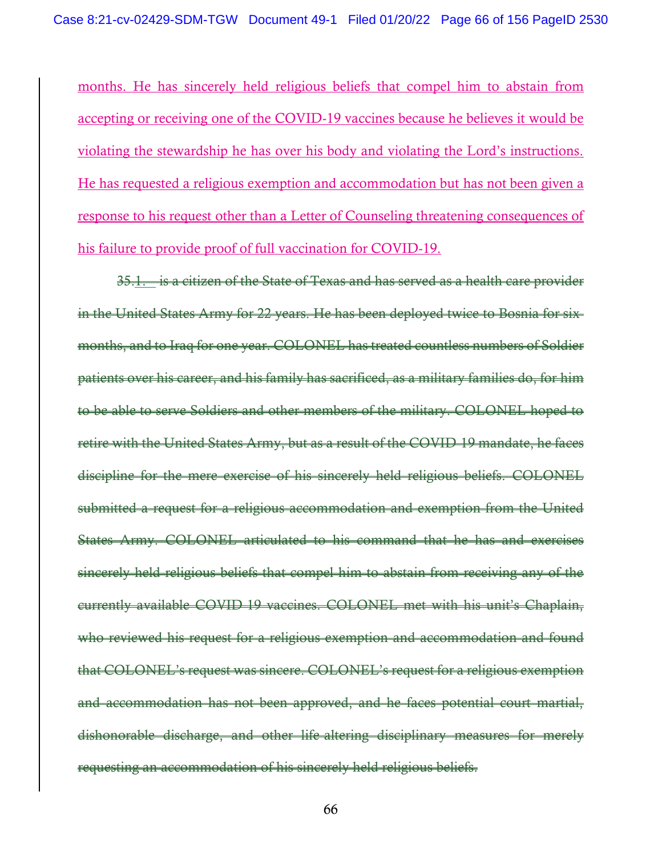months. He has sincerely held religious beliefs that compel him to abstain from accepting or receiving one of the COVID-19 vaccines because he believes it would be violating the stewardship he has over his body and violating the Lord's instructions. He has requested a religious exemption and accommodation but has not been given a response to his request other than a Letter of Counseling threatening consequences of his failure to provide proof of full vaccination for COVID-19.

35.1. is a citizen of the State of Texas and has served as a health care provider in the United States Army for 22 years. He has been deployed twice to Bosnia for six months, and to Iraq for one year. COLONEL has treated countless numbers of Soldier patients over his career, and his family has sacrificed, as a military families do, for him to be able to serve Soldiers and other members of the military. COLONEL hoped to retire with the United States Army, but as a result of the COVID 19 mandate, he faces discipline for the mere exercise of his sincerely held religious beliefs. COLONEL submitted a request for a religious accommodation and exemption from the United States Army. COLONEL articulated to his command that he has and exercises sincerely held religious beliefs that compel him to abstain from receiving any of the currently available COVID 19 vaccines. COLONEL met with his unit's Chaplain, who reviewed his request for a religious exemption and accommodation and found that COLONEL's request was sincere. COLONEL's request for a religious exemption and accommodation has not been approved, and he faces potential court martial, dishonorable discharge, and other life altering disciplinary measures for merely requesting an accommodation of his sincerely held religious beliefs.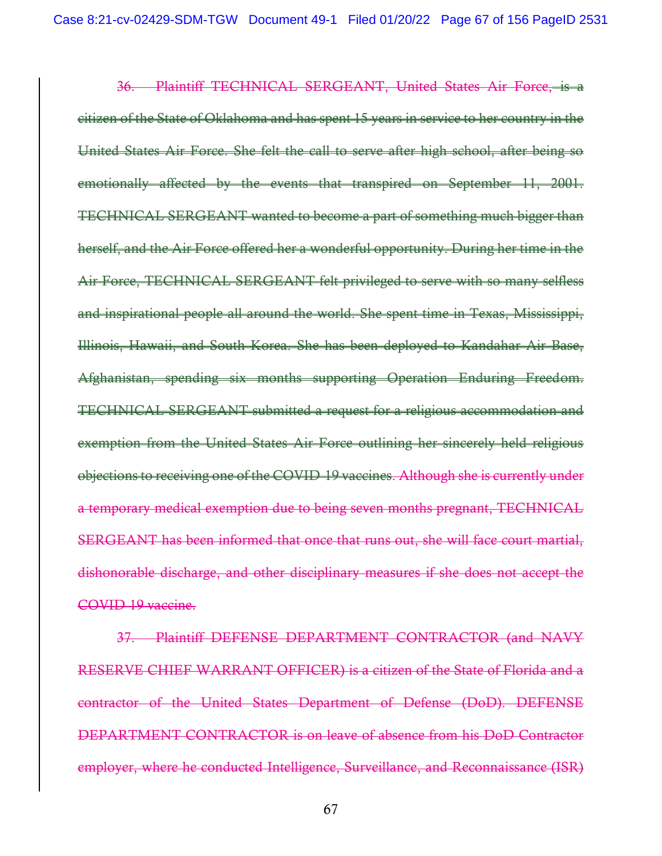36. Plaintiff TECHNICAL SERGEANT, United States Air Force, is a citizen of the State of Oklahoma and has spent 15 years in service to her country in the United States Air Force. She felt the call to serve after high school, after being so emotionally affected by the events that transpired on September 11, 2001. TECHNICAL SERGEANT wanted to become a part of something much bigger than herself, and the Air Force offered her a wonderful opportunity. During her time in the Air Force, TECHNICAL SERGEANT felt privileged to serve with so many selfless and inspirational people all around the world. She spent time in Texas, Mississippi, Illinois, Hawaii, and South Korea. She has been deployed to Kandahar Air Base, Afghanistan, spending six months supporting Operation Enduring Freedom. TECHNICAL SERGEANT submitted a request for a religious accommodation and exemption from the United States Air Force outlining her sincerely held religious objections to receiving one of the COVID 19 vaccines. Although she is currently under a temporary medical exemption due to being seven months pregnant, TECHNICAL SERGEANT has been informed that once that runs out, she will face court martial, dishonorable discharge, and other disciplinary measures if she does not accept the COVID 19 vaccine.

37. Plaintiff DEFENSE DEPARTMENT CONTRACTOR (and NAVY RESERVE CHIEF WARRANT OFFICER) is a citizen of the State of Florida and a contractor of the United States Department of Defense (DoD). DEFENSE DEPARTMENT CONTRACTOR is on leave of absence from his DoD Contractor employer, where he conducted Intelligence, Surveillance, and Reconnaissance (ISR)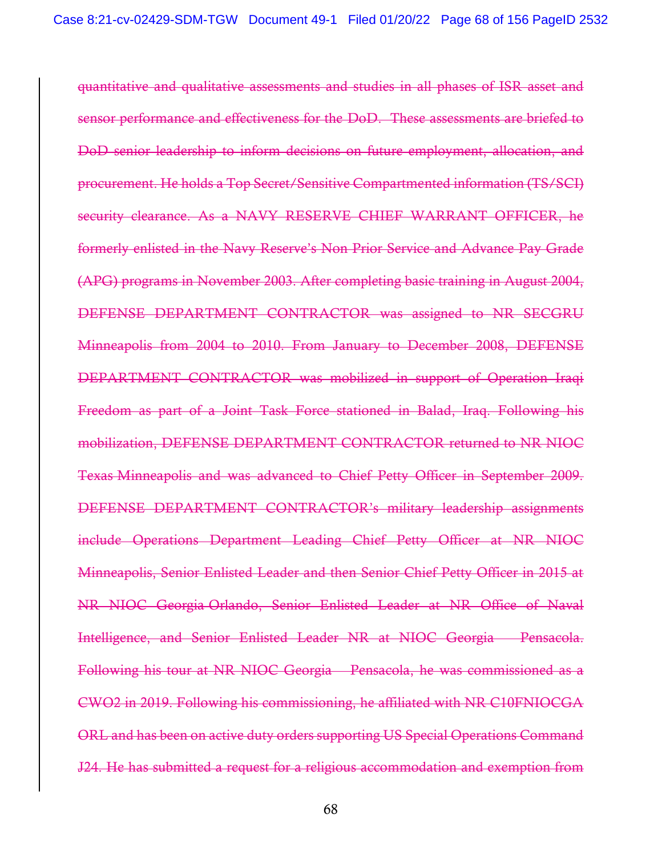quantitative and qualitative assessments and studies in all phases of ISR asset and sensor performance and effectiveness for the DoD. These assessments are briefed to DoD senior leadership to inform decisions on future employment, allocation, and procurement. He holds a Top Secret/Sensitive Compartmented information (TS/SCI) security clearance. As a NAVY RESERVE CHIEF WARRANT OFFICER, he formerly enlisted in the Navy Reserve's Non Prior Service and Advance Pay Grade (APG) programs in November 2003. After completing basic training in August 2004, DEFENSE DEPARTMENT CONTRACTOR was assigned to NR SECGRU Minneapolis from 2004 to 2010. From January to December 2008, DEFENSE DEPARTMENT CONTRACTOR was mobilized in support of Operation Iraqi Freedom as part of a Joint Task Force stationed in Balad, Iraq. Following his mobilization, DEFENSE DEPARTMENT CONTRACTOR returned to NR NIOC Texas Minneapolis and was advanced to Chief Petty Officer in September 2009. DEFENSE DEPARTMENT CONTRACTOR's military leadership assignments include Operations Department Leading Chief Petty Officer at NR NIOC Minneapolis, Senior Enlisted Leader and then Senior Chief Petty Officer in 2015 at NR NIOC Georgia Orlando, Senior Enlisted Leader at NR Office of Naval Intelligence, and Senior Enlisted Leader NR at NIOC Georgia Pensacola. Following his tour at NR NIOC Georgia Pensacola, he was commissioned as a CWO2 in 2019. Following his commissioning, he affiliated with NR C10FNIOCGA ORL and has been on active duty orders supporting US Special Operations Command J24. He has submitted a request for a religious accommodation and exemption from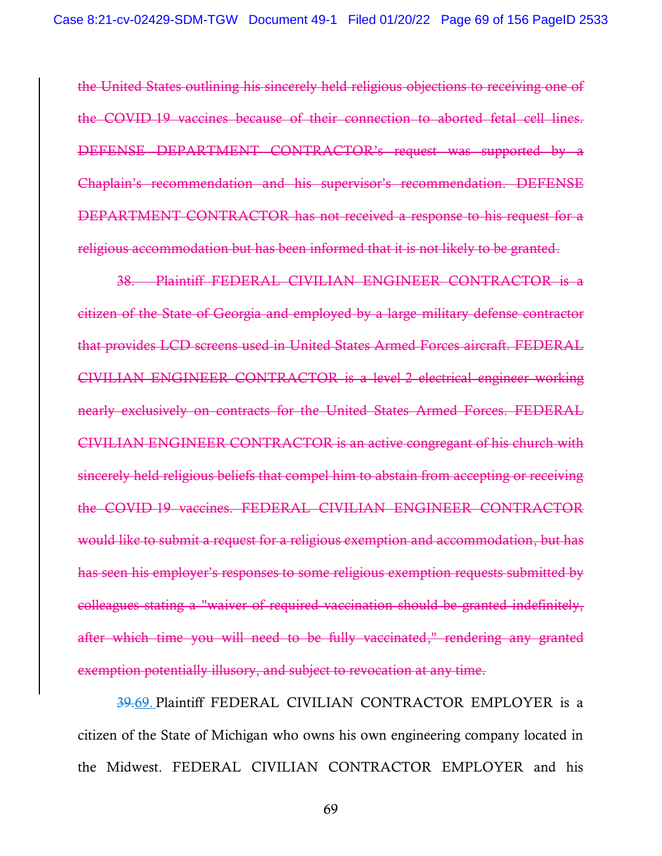the United States outlining his sincerely held religious objections to receiving one of the COVID 19 vaccines because of their connection to aborted fetal cell lines. DEFENSE DEPARTMENT CONTRACTOR's request was supported by a Chaplain's recommendation and his supervisor's recommendation. DEFENSE DEPARTMENT CONTRACTOR has not received a response to his request for a religious accommodation but has been informed that it is not likely to be granted.

38. Plaintiff FEDERAL CIVILIAN ENGINEER CONTRACTOR is a citizen of the State of Georgia and employed by a large military defense contractor that provides LCD screens used in United States Armed Forces aircraft. FEDERAL CIVILIAN ENGINEER CONTRACTOR is a level 2 electrical engineer working nearly exclusively on contracts for the United States Armed Forces. FEDERAL CIVILIAN ENGINEER CONTRACTOR is an active congregant of his church with sincerely held religious beliefs that compel him to abstain from accepting or receiving the COVID 19 vaccines. FEDERAL CIVILIAN ENGINEER CONTRACTOR would like to submit a request for a religious exemption and accommodation, but has has seen his employer's responses to some religious exemption requests submitted by colleagues stating a "waiver of required vaccination should be granted indefinitely, after which time you will need to be fully vaccinated," rendering any granted exemption potentially illusory, and subject to revocation at any time.

39.69. Plaintiff FEDERAL CIVILIAN CONTRACTOR EMPLOYER is a citizen of the State of Michigan who owns his own engineering company located in the Midwest. FEDERAL CIVILIAN CONTRACTOR EMPLOYER and his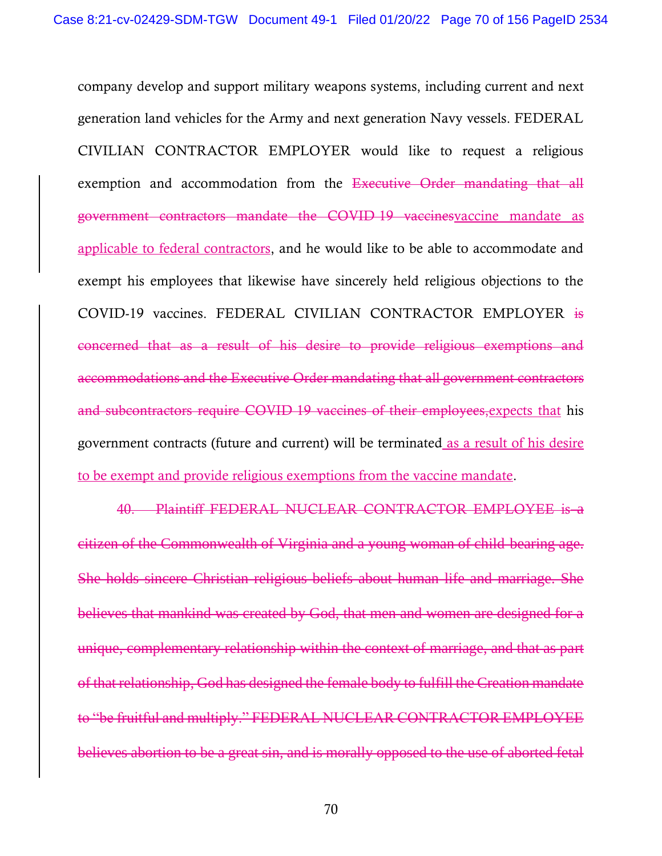company develop and support military weapons systems, including current and next generation land vehicles for the Army and next generation Navy vessels. FEDERAL CIVILIAN CONTRACTOR EMPLOYER would like to request a religious exemption and accommodation from the Executive Order mandating that all government contractors mandate the COVID 19 vaccinesvaccine mandate as applicable to federal contractors, and he would like to be able to accommodate and exempt his employees that likewise have sincerely held religious objections to the COVID-19 vaccines. FEDERAL CIVILIAN CONTRACTOR EMPLOYER is concerned that as a result of his desire to provide religious exemptions and accommodations and the Executive Order mandating that all government contractors and subcontractors require COVID 19 vaccines of their employees,expects that his government contracts (future and current) will be terminated as a result of his desire to be exempt and provide religious exemptions from the vaccine mandate.

40. Plaintiff FEDERAL NUCLEAR CONTRACTOR EMPLOYEE is a citizen of the Commonwealth of Virginia and a young woman of child bearing age. She holds sincere Christian religious beliefs about human life and marriage. She believes that mankind was created by God, that men and women are designed for a unique, complementary relationship within the context of marriage, and that as part of that relationship, God has designed the female body to fulfill the Creation mandate to "be fruitful and multiply." FEDERAL NUCLEAR CONTRACTOR EMPLOYEE believes abortion to be a great sin, and is morally opposed to the use of aborted fetal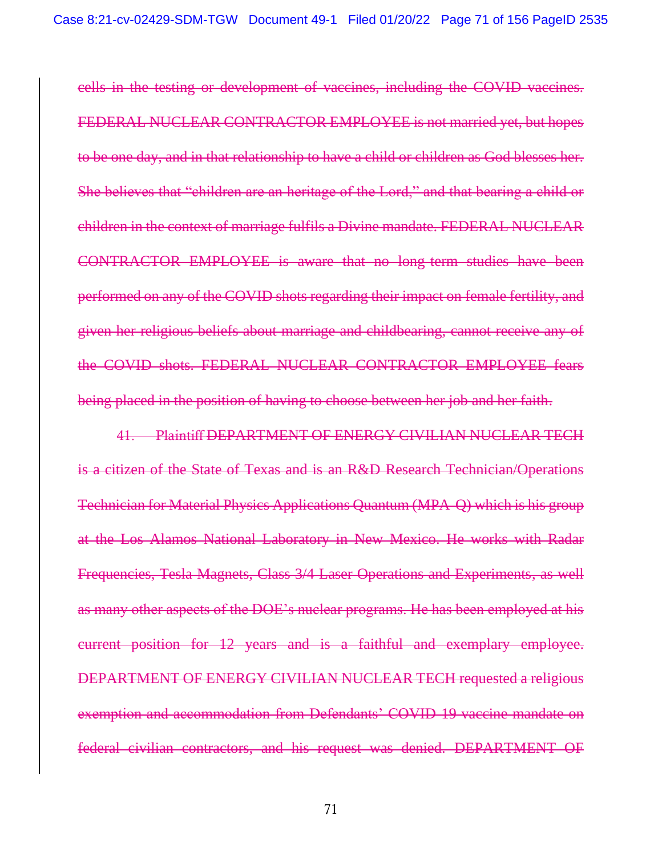cells in the testing or development of vaccines, including the COVID vaccines. FEDERAL NUCLEAR CONTRACTOR EMPLOYEE is not married yet, but hopes to be one day, and in that relationship to have a child or children as God blesses her. She believes that "children are an heritage of the Lord," and that bearing a child or children in the context of marriage fulfils a Divine mandate. FEDERAL NUCLEAR CONTRACTOR EMPLOYEE is aware that no long term studies have been performed on any of the COVID shots regarding their impact on female fertility, and given her religious beliefs about marriage and childbearing, cannot receive any of the COVID shots. FEDERAL NUCLEAR CONTRACTOR EMPLOYEE fears being placed in the position of having to choose between her job and her faith.

41. Plaintiff DEPARTMENT OF ENERGY CIVILIAN NUCLEAR TECH is a citizen of the State of Texas and is an R&D Research Technician/Operations Technician for Material Physics Applications Quantum (MPA Q) which is his group at the Los Alamos National Laboratory in New Mexico. He works with Radar Frequencies, Tesla Magnets, Class 3/4 Laser Operations and Experiments, as well as many other aspects of the DOE's nuclear programs. He has been employed at his current position for 12 years and is a faithful and exemplary employee. DEPARTMENT OF ENERGY CIVILIAN NUCLEAR TECH requested a religious exemption and accommodation from Defendants' COVID 19 vaccine mandate on federal civilian contractors, and his request was denied. DEPARTMENT OF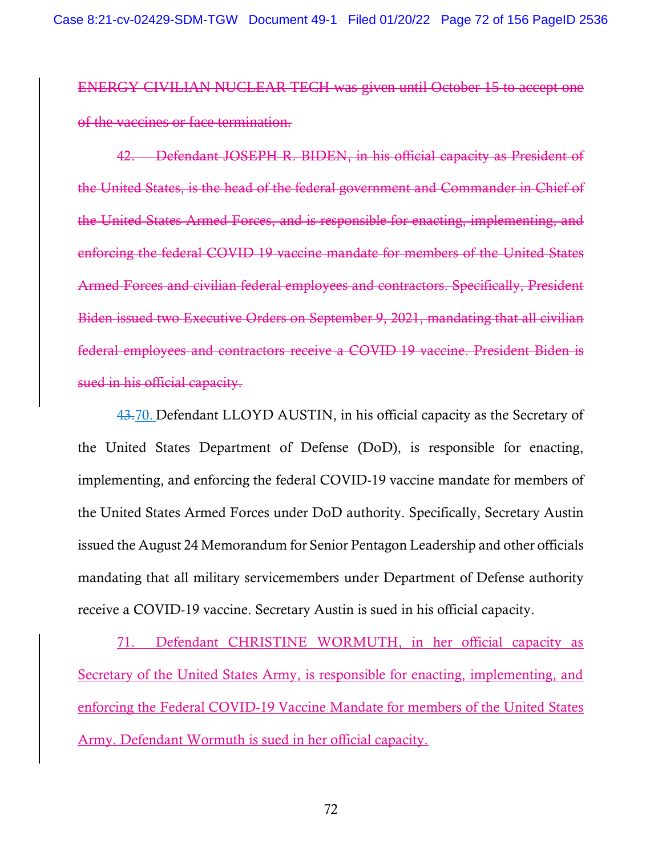ENERGY CIVILIAN NUCLEAR TECH was given until October 15 to accept one of the vaccines or face termination.

42. Defendant JOSEPH R. BIDEN, in his official capacity as President of the United States, is the head of the federal government and Commander in Chief of the United States Armed Forces, and is responsible for enacting, implementing, and enforcing the federal COVID 19 vaccine mandate for members of the United States Armed Forces and civilian federal employees and contractors. Specifically, President Biden issued two Executive Orders on September 9, 2021, mandating that all civilian federal employees and contractors receive a COVID 19 vaccine. President Biden is sued in his official capacity.

43.70. Defendant LLOYD AUSTIN, in his official capacity as the Secretary of the United States Department of Defense (DoD), is responsible for enacting, implementing, and enforcing the federal COVID-19 vaccine mandate for members of the United States Armed Forces under DoD authority. Specifically, Secretary Austin issued the August 24 Memorandum for Senior Pentagon Leadership and other officials mandating that all military servicemembers under Department of Defense authority receive a COVID-19 vaccine. Secretary Austin is sued in his official capacity.

71. Defendant CHRISTINE WORMUTH, in her official capacity as Secretary of the United States Army, is responsible for enacting, implementing, and enforcing the Federal COVID-19 Vaccine Mandate for members of the United States Army. Defendant Wormuth is sued in her official capacity.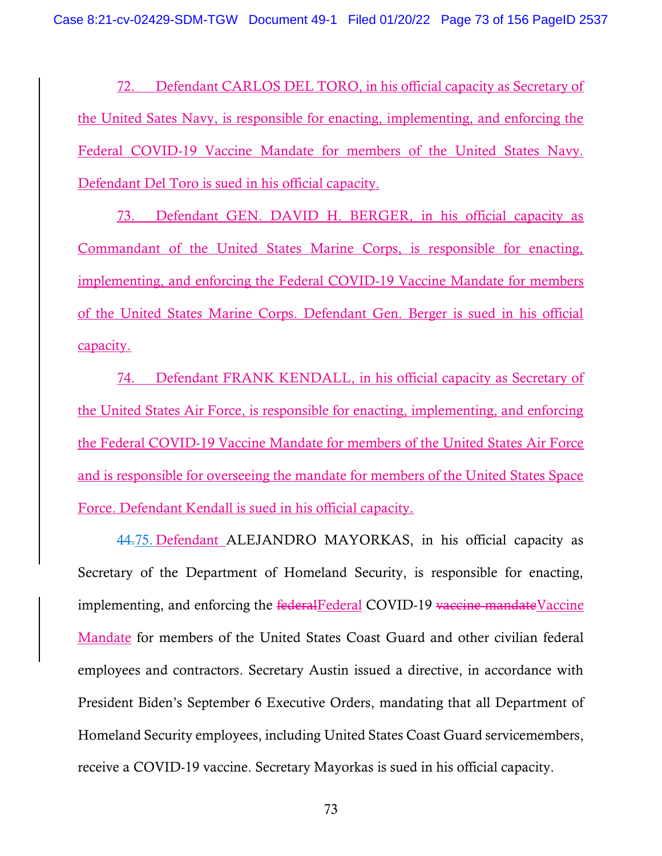72. Defendant CARLOS DEL TORO, in his official capacity as Secretary of the United Sates Navy, is responsible for enacting, implementing, and enforcing the Federal COVID-19 Vaccine Mandate for members of the United States Navy. Defendant Del Toro is sued in his official capacity.

73. Defendant GEN. DAVID H. BERGER, in his official capacity as Commandant of the United States Marine Corps, is responsible for enacting, implementing, and enforcing the Federal COVID-19 Vaccine Mandate for members of the United States Marine Corps. Defendant Gen. Berger is sued in his official capacity.

74. Defendant FRANK KENDALL, in his official capacity as Secretary of the United States Air Force, is responsible for enacting, implementing, and enforcing the Federal COVID-19 Vaccine Mandate for members of the United States Air Force and is responsible for overseeing the mandate for members of the United States Space Force. Defendant Kendall is sued in his official capacity.

44.75. Defendant ALEJANDRO MAYORKAS, in his official capacity as Secretary of the Department of Homeland Security, is responsible for enacting, implementing, and enforcing the federalFederal COVID-19 vaccine mandateVaccine Mandate for members of the United States Coast Guard and other civilian federal employees and contractors. Secretary Austin issued a directive, in accordance with President Biden's September 6 Executive Orders, mandating that all Department of Homeland Security employees, including United States Coast Guard servicemembers, receive a COVID-19 vaccine. Secretary Mayorkas is sued in his official capacity.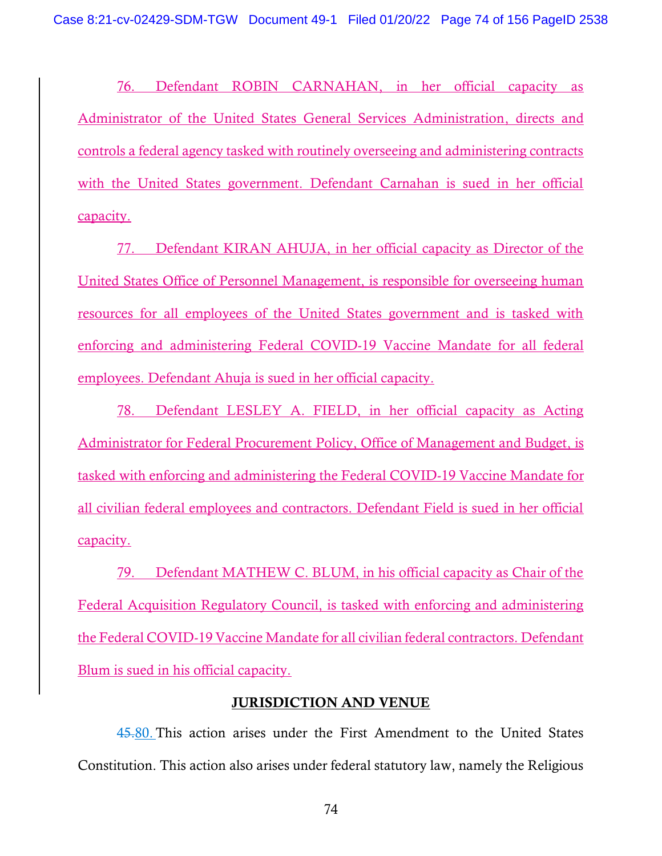76. Defendant ROBIN CARNAHAN, in her official capacity as Administrator of the United States General Services Administration, directs and controls a federal agency tasked with routinely overseeing and administering contracts with the United States government. Defendant Carnahan is sued in her official capacity.

77. Defendant KIRAN AHUJA, in her official capacity as Director of the United States Office of Personnel Management, is responsible for overseeing human resources for all employees of the United States government and is tasked with enforcing and administering Federal COVID-19 Vaccine Mandate for all federal employees. Defendant Ahuja is sued in her official capacity.

78. Defendant LESLEY A. FIELD, in her official capacity as Acting Administrator for Federal Procurement Policy, Office of Management and Budget, is tasked with enforcing and administering the Federal COVID-19 Vaccine Mandate for all civilian federal employees and contractors. Defendant Field is sued in her official capacity.

79. Defendant MATHEW C. BLUM, in his official capacity as Chair of the Federal Acquisition Regulatory Council, is tasked with enforcing and administering the Federal COVID-19 Vaccine Mandate for all civilian federal contractors. Defendant Blum is sued in his official capacity.

## JURISDICTION AND VENUE

45.80. This action arises under the First Amendment to the United States Constitution. This action also arises under federal statutory law, namely the Religious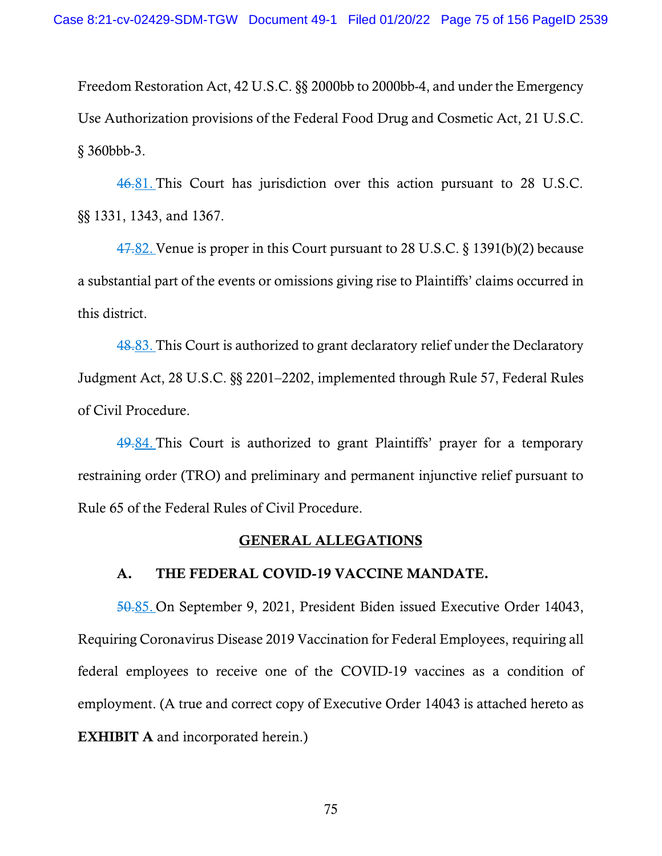Freedom Restoration Act, 42 U.S.C. §§ 2000bb to 2000bb-4, and under the Emergency Use Authorization provisions of the Federal Food Drug and Cosmetic Act, 21 U.S.C. § 360bbb-3.

46.81. This Court has jurisdiction over this action pursuant to 28 U.S.C. §§ 1331, 1343, and 1367.

47.82.Venue is proper in this Court pursuant to 28 U.S.C. § 1391(b)(2) because a substantial part of the events or omissions giving rise to Plaintiffs' claims occurred in this district.

48.83. This Court is authorized to grant declaratory relief under the Declaratory Judgment Act, 28 U.S.C. §§ 2201–2202, implemented through Rule 57, Federal Rules of Civil Procedure.

49.84. This Court is authorized to grant Plaintiffs' prayer for a temporary restraining order (TRO) and preliminary and permanent injunctive relief pursuant to Rule 65 of the Federal Rules of Civil Procedure.

### GENERAL ALLEGATIONS

#### A. THE FEDERAL COVID-19 VACCINE MANDATE.

50.85. On September 9, 2021, President Biden issued Executive Order 14043, Requiring Coronavirus Disease 2019 Vaccination for Federal Employees, requiring all federal employees to receive one of the COVID-19 vaccines as a condition of employment. (A true and correct copy of Executive Order 14043 is attached hereto as EXHIBIT A and incorporated herein.)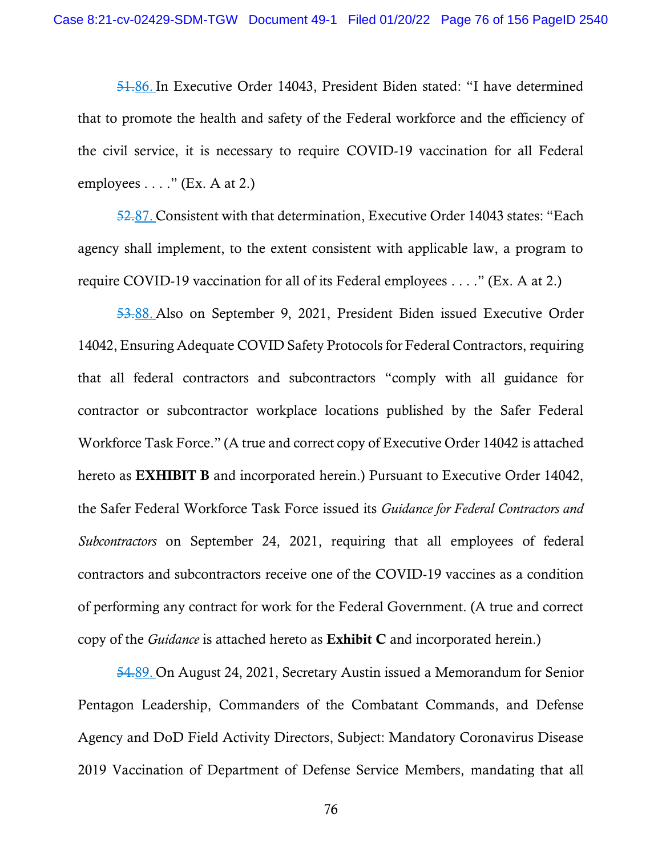51.86.In Executive Order 14043, President Biden stated: "I have determined that to promote the health and safety of the Federal workforce and the efficiency of the civil service, it is necessary to require COVID-19 vaccination for all Federal employees  $\dots$ ." (Ex. A at 2.)

52.87. Consistent with that determination, Executive Order 14043 states: "Each agency shall implement, to the extent consistent with applicable law, a program to require COVID-19 vaccination for all of its Federal employees . . . ." (Ex. A at 2.)

53.88. Also on September 9, 2021, President Biden issued Executive Order 14042, Ensuring Adequate COVID Safety Protocols for Federal Contractors, requiring that all federal contractors and subcontractors "comply with all guidance for contractor or subcontractor workplace locations published by the Safer Federal Workforce Task Force." (A true and correct copy of Executive Order 14042 is attached hereto as EXHIBIT B and incorporated herein.) Pursuant to Executive Order 14042, the Safer Federal Workforce Task Force issued its *Guidance for Federal Contractors and Subcontractors* on September 24, 2021, requiring that all employees of federal contractors and subcontractors receive one of the COVID-19 vaccines as a condition of performing any contract for work for the Federal Government. (A true and correct copy of the *Guidance* is attached hereto as Exhibit C and incorporated herein.)

54.89. On August 24, 2021, Secretary Austin issued a Memorandum for Senior Pentagon Leadership, Commanders of the Combatant Commands, and Defense Agency and DoD Field Activity Directors, Subject: Mandatory Coronavirus Disease 2019 Vaccination of Department of Defense Service Members, mandating that all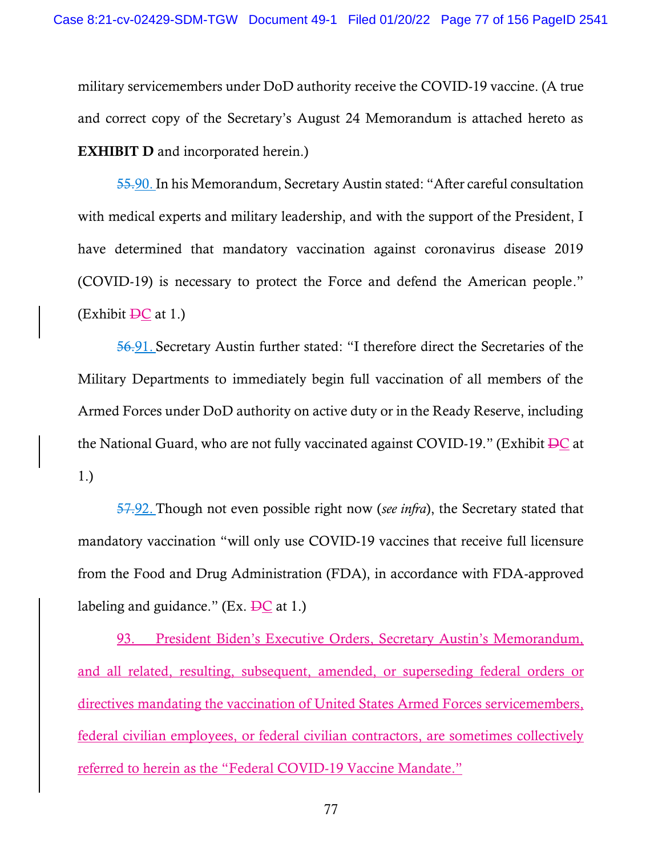military servicemembers under DoD authority receive the COVID-19 vaccine. (A true and correct copy of the Secretary's August 24 Memorandum is attached hereto as **EXHIBIT D** and incorporated herein.)

55.90.In his Memorandum, Secretary Austin stated: "After careful consultation with medical experts and military leadership, and with the support of the President, I have determined that mandatory vaccination against coronavirus disease 2019 (COVID-19) is necessary to protect the Force and defend the American people."  $(Exhibit  $\overline{DC}$  at 1.)$ 

56.91. Secretary Austin further stated: "I therefore direct the Secretaries of the Military Departments to immediately begin full vaccination of all members of the Armed Forces under DoD authority on active duty or in the Ready Reserve, including the National Guard, who are not fully vaccinated against COVID-19." (Exhibit  $\overline{DC}$  at 1.)

57.92. Though not even possible right now (*see infra*), the Secretary stated that mandatory vaccination "will only use COVID-19 vaccines that receive full licensure from the Food and Drug Administration (FDA), in accordance with FDA-approved labeling and guidance."  $(Ex.  $\overline{DC}$  at 1.)$ 

93. President Biden's Executive Orders, Secretary Austin's Memorandum, and all related, resulting, subsequent, amended, or superseding federal orders or directives mandating the vaccination of United States Armed Forces servicemembers, federal civilian employees, or federal civilian contractors, are sometimes collectively referred to herein as the "Federal COVID-19 Vaccine Mandate."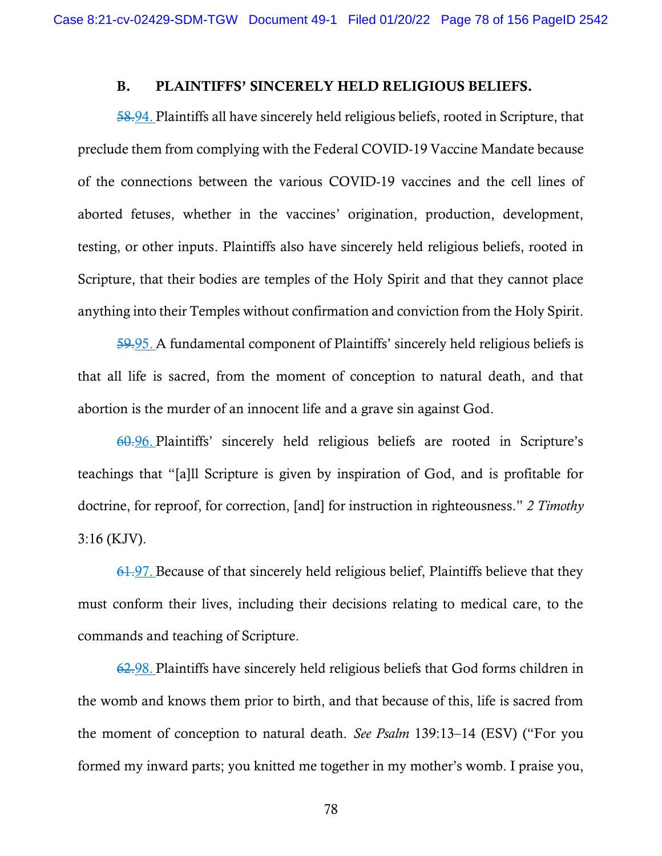### B. PLAINTIFFS' SINCERELY HELD RELIGIOUS BELIEFS.

58.94. Plaintiffs all have sincerely held religious beliefs, rooted in Scripture, that preclude them from complying with the Federal COVID-19 Vaccine Mandate because of the connections between the various COVID-19 vaccines and the cell lines of aborted fetuses, whether in the vaccines' origination, production, development, testing, or other inputs. Plaintiffs also have sincerely held religious beliefs, rooted in Scripture, that their bodies are temples of the Holy Spirit and that they cannot place anything into their Temples without confirmation and conviction from the Holy Spirit.

59.95. A fundamental component of Plaintiffs' sincerely held religious beliefs is that all life is sacred, from the moment of conception to natural death, and that abortion is the murder of an innocent life and a grave sin against God.

60.96. Plaintiffs' sincerely held religious beliefs are rooted in Scripture's teachings that "[a]ll Scripture is given by inspiration of God, and is profitable for doctrine, for reproof, for correction, [and] for instruction in righteousness." *2 Timothy*  3:16 (KJV).

61.97. Because of that sincerely held religious belief, Plaintiffs believe that they must conform their lives, including their decisions relating to medical care, to the commands and teaching of Scripture.

62.98. Plaintiffs have sincerely held religious beliefs that God forms children in the womb and knows them prior to birth, and that because of this, life is sacred from the moment of conception to natural death. *See Psalm* 139:13–14 (ESV) ("For you formed my inward parts; you knitted me together in my mother's womb. I praise you,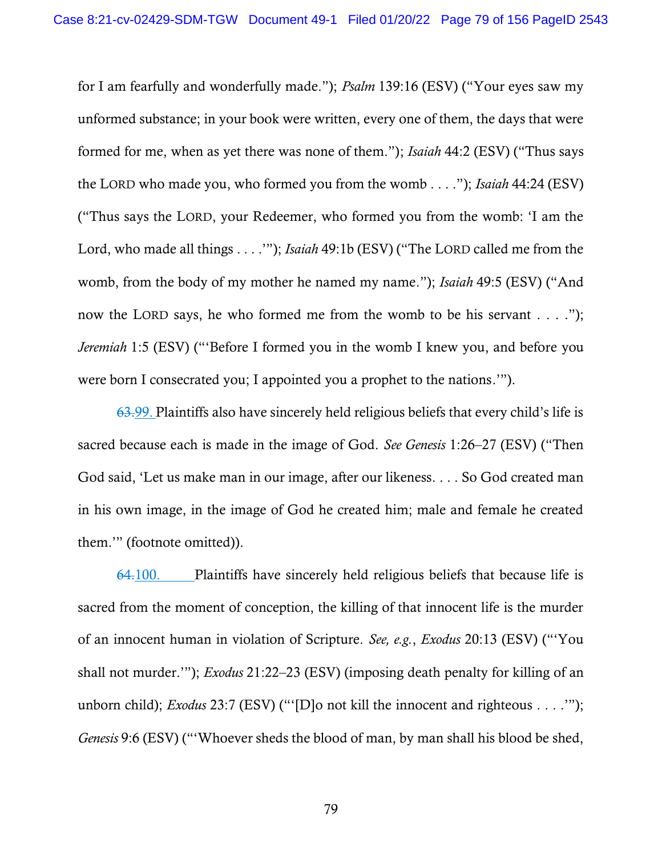for I am fearfully and wonderfully made."); *Psalm* 139:16 (ESV) ("Your eyes saw my unformed substance; in your book were written, every one of them, the days that were formed for me, when as yet there was none of them."); *Isaiah* 44:2 (ESV) ("Thus says the LORD who made you, who formed you from the womb . . . ."); *Isaiah* 44:24 (ESV) ("Thus says the LORD, your Redeemer, who formed you from the womb: 'I am the Lord, who made all things . . . .'"); *Isaiah* 49:1b (ESV) ("The LORD called me from the womb, from the body of my mother he named my name."); *Isaiah* 49:5 (ESV) ("And now the LORD says, he who formed me from the womb to be his servant . . . ."); *Jeremiah* 1:5 (ESV) ("'Before I formed you in the womb I knew you, and before you were born I consecrated you; I appointed you a prophet to the nations.'").

63.99. Plaintiffs also have sincerely held religious beliefs that every child's life is sacred because each is made in the image of God. *See Genesis* 1:26–27 (ESV) ("Then God said, 'Let us make man in our image, after our likeness. . . . So God created man in his own image, in the image of God he created him; male and female he created them.'" (footnote omitted)).

64.100. Plaintiffs have sincerely held religious beliefs that because life is sacred from the moment of conception, the killing of that innocent life is the murder of an innocent human in violation of Scripture. *See, e.g.*, *Exodus* 20:13 (ESV) ("'You shall not murder.'"); *Exodus* 21:22–23 (ESV) (imposing death penalty for killing of an unborn child); *Exodus* 23:7 (ESV) ("'[D]o not kill the innocent and righteous . . . .'"); *Genesis* 9:6 (ESV) ("'Whoever sheds the blood of man, by man shall his blood be shed,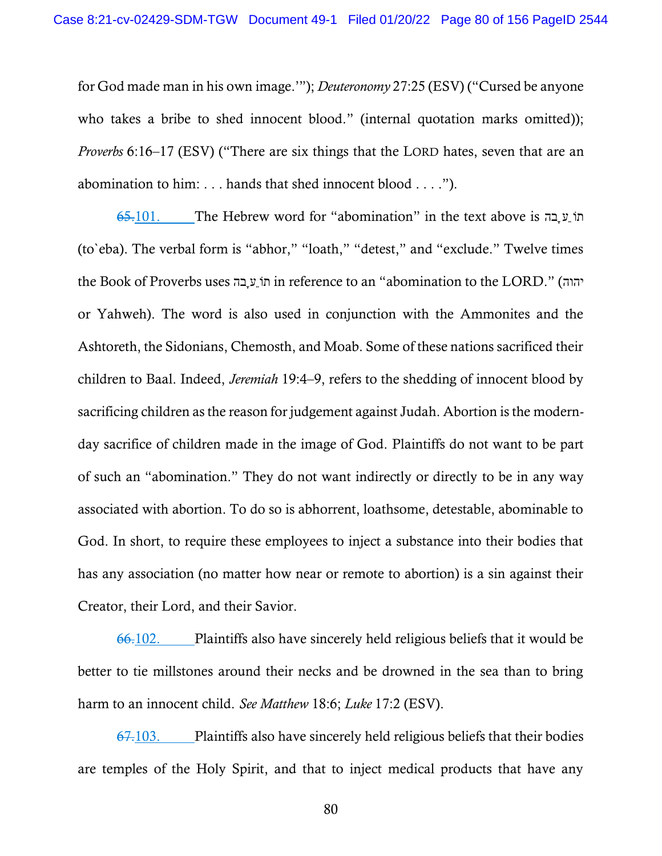for God made man in his own image.'"); *Deuteronomy* 27:25 (ESV) ("Cursed be anyone who takes a bribe to shed innocent blood." (internal quotation marks omitted)); *Proverbs* 6:16–17 (ESV) ("There are six things that the LORD hates, seven that are an abomination to him: . . . hands that shed innocent blood . . . .").

65.101. The Hebrew word for "abomination" in the text above is בהָ עֵ וֹת (to`eba). The verbal form is "abhor," "loath," "detest," and "exclude." Twelve times the Book of Proverbs uses בהָ עֵ וֹת in reference to an "abomination to the LORD." (יהוה or Yahweh). The word is also used in conjunction with the Ammonites and the Ashtoreth, the Sidonians, Chemosth, and Moab. Some of these nations sacrificed their children to Baal. Indeed, *Jeremiah* 19:4–9, refers to the shedding of innocent blood by sacrificing children as the reason for judgement against Judah. Abortion is the modernday sacrifice of children made in the image of God. Plaintiffs do not want to be part of such an "abomination." They do not want indirectly or directly to be in any way associated with abortion. To do so is abhorrent, loathsome, detestable, abominable to God. In short, to require these employees to inject a substance into their bodies that has any association (no matter how near or remote to abortion) is a sin against their Creator, their Lord, and their Savior.

66.102. Plaintiffs also have sincerely held religious beliefs that it would be better to tie millstones around their necks and be drowned in the sea than to bring harm to an innocent child. *See Matthew* 18:6; *Luke* 17:2 (ESV).

67.103. Plaintiffs also have sincerely held religious beliefs that their bodies are temples of the Holy Spirit, and that to inject medical products that have any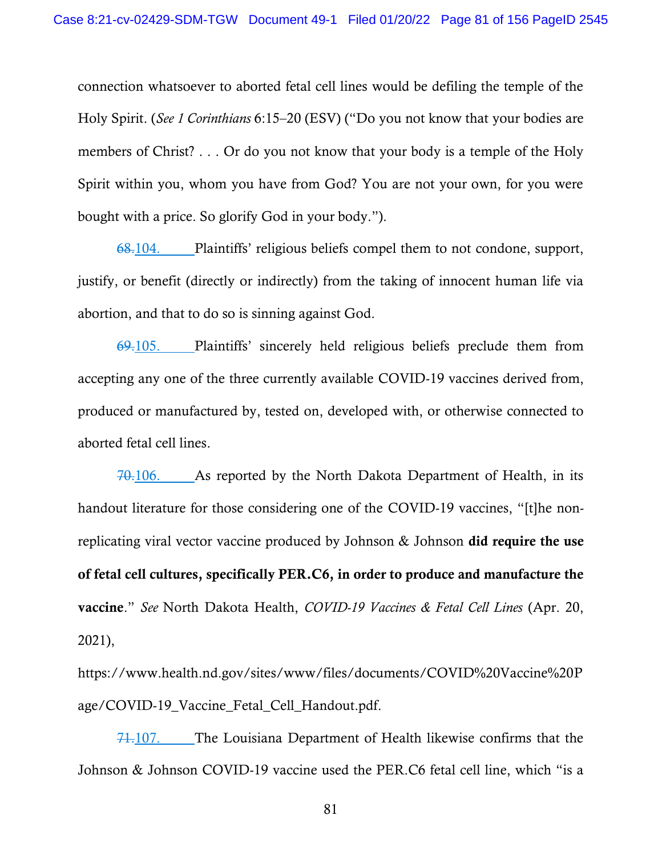connection whatsoever to aborted fetal cell lines would be defiling the temple of the Holy Spirit. (*See 1 Corinthians* 6:15–20 (ESV) ("Do you not know that your bodies are members of Christ? . . . Or do you not know that your body is a temple of the Holy Spirit within you, whom you have from God? You are not your own, for you were bought with a price. So glorify God in your body.").

68.104. Plaintiffs' religious beliefs compel them to not condone, support, justify, or benefit (directly or indirectly) from the taking of innocent human life via abortion, and that to do so is sinning against God.

69.105. Plaintiffs' sincerely held religious beliefs preclude them from accepting any one of the three currently available COVID-19 vaccines derived from, produced or manufactured by, tested on, developed with, or otherwise connected to aborted fetal cell lines.

70.106. As reported by the North Dakota Department of Health, in its handout literature for those considering one of the COVID-19 vaccines, "[t]he nonreplicating viral vector vaccine produced by Johnson & Johnson did require the use of fetal cell cultures, specifically PER.C6, in order to produce and manufacture the vaccine." *See* North Dakota Health, *COVID-19 Vaccines & Fetal Cell Lines* (Apr. 20, 2021),

https://www.health.nd.gov/sites/www/files/documents/COVID%20Vaccine%20P age/COVID-19\_Vaccine\_Fetal\_Cell\_Handout.pdf.

71.107. The Louisiana Department of Health likewise confirms that the Johnson & Johnson COVID-19 vaccine used the PER.C6 fetal cell line, which "is a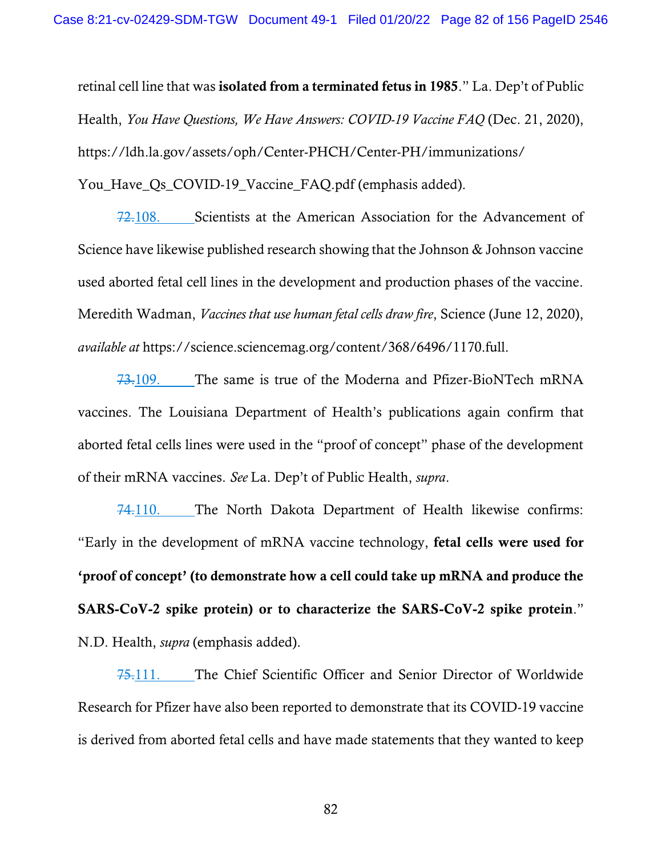retinal cell line that was isolated from a terminated fetus in 1985." La. Dep't of Public Health, *You Have Questions, We Have Answers: COVID-19 Vaccine FAQ* (Dec. 21, 2020), https://ldh.la.gov/assets/oph/Center-PHCH/Center-PH/immunizations/

You Have Os COVID-19 Vaccine FAQ.pdf (emphasis added).

72.108. Scientists at the American Association for the Advancement of Science have likewise published research showing that the Johnson & Johnson vaccine used aborted fetal cell lines in the development and production phases of the vaccine. Meredith Wadman, *Vaccines that use human fetal cells draw fire*, Science (June 12, 2020), *available at* https://science.sciencemag.org/content/368/6496/1170.full.

73.109. The same is true of the Moderna and Pfizer-BioNTech mRNA vaccines. The Louisiana Department of Health's publications again confirm that aborted fetal cells lines were used in the "proof of concept" phase of the development of their mRNA vaccines. *See* La. Dep't of Public Health, *supra*.

74.110. The North Dakota Department of Health likewise confirms: "Early in the development of mRNA vaccine technology, fetal cells were used for 'proof of concept' (to demonstrate how a cell could take up mRNA and produce the SARS-CoV-2 spike protein) or to characterize the SARS-CoV-2 spike protein." N.D. Health, *supra* (emphasis added).

75.111. The Chief Scientific Officer and Senior Director of Worldwide Research for Pfizer have also been reported to demonstrate that its COVID-19 vaccine is derived from aborted fetal cells and have made statements that they wanted to keep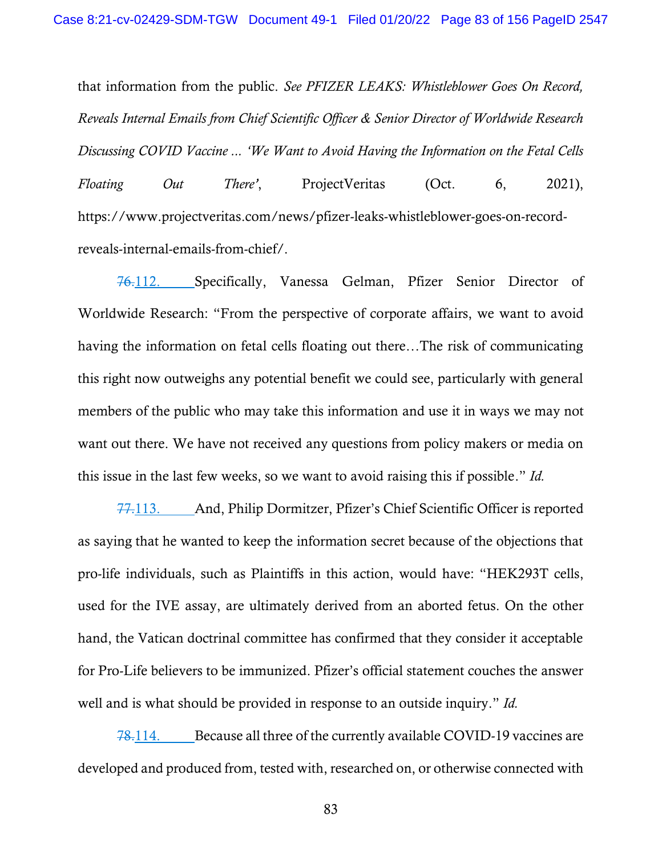that information from the public. *See PFIZER LEAKS: Whistleblower Goes On Record, Reveals Internal Emails from Chief Scientific Officer & Senior Director of Worldwide Research Discussing COVID Vaccine ... 'We Want to Avoid Having the Information on the Fetal Cells Floating Out There'*, ProjectVeritas (Oct. 6, 2021), https://www.projectveritas.com/news/pfizer-leaks-whistleblower-goes-on-recordreveals-internal-emails-from-chief/.

76.112. Specifically, Vanessa Gelman, Pfizer Senior Director of Worldwide Research: "From the perspective of corporate affairs, we want to avoid having the information on fetal cells floating out there…The risk of communicating this right now outweighs any potential benefit we could see, particularly with general members of the public who may take this information and use it in ways we may not want out there. We have not received any questions from policy makers or media on this issue in the last few weeks, so we want to avoid raising this if possible." *Id.* 

77.113. And, Philip Dormitzer, Pfizer's Chief Scientific Officer is reported as saying that he wanted to keep the information secret because of the objections that pro-life individuals, such as Plaintiffs in this action, would have: "HEK293T cells, used for the IVE assay, are ultimately derived from an aborted fetus. On the other hand, the Vatican doctrinal committee has confirmed that they consider it acceptable for Pro-Life believers to be immunized. Pfizer's official statement couches the answer well and is what should be provided in response to an outside inquiry." *Id.* 

78.114. Because all three of the currently available COVID-19 vaccines are developed and produced from, tested with, researched on, or otherwise connected with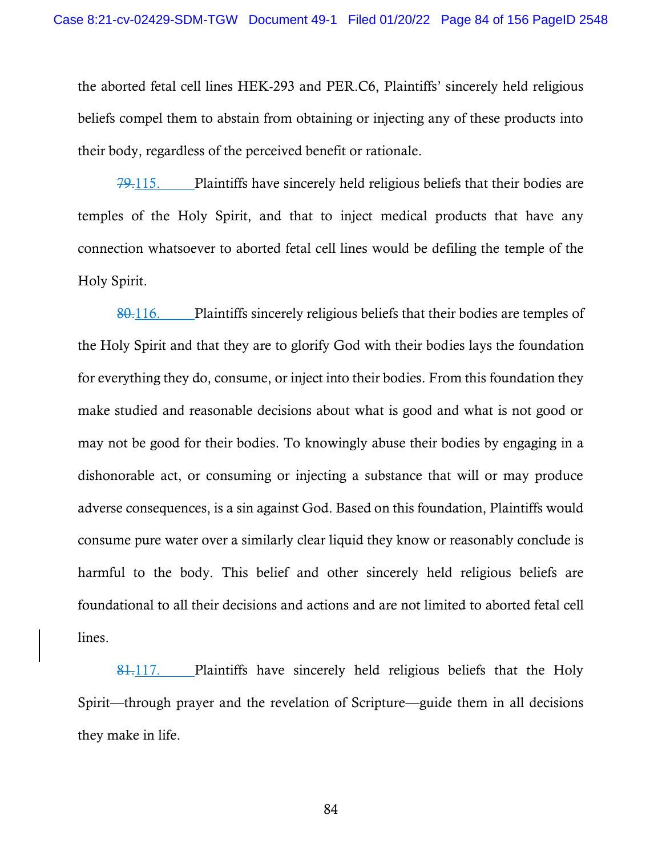the aborted fetal cell lines HEK-293 and PER.C6, Plaintiffs' sincerely held religious beliefs compel them to abstain from obtaining or injecting any of these products into their body, regardless of the perceived benefit or rationale.

79.115. Plaintiffs have sincerely held religious beliefs that their bodies are temples of the Holy Spirit, and that to inject medical products that have any connection whatsoever to aborted fetal cell lines would be defiling the temple of the Holy Spirit.

80.116. Plaintiffs sincerely religious beliefs that their bodies are temples of the Holy Spirit and that they are to glorify God with their bodies lays the foundation for everything they do, consume, or inject into their bodies. From this foundation they make studied and reasonable decisions about what is good and what is not good or may not be good for their bodies. To knowingly abuse their bodies by engaging in a dishonorable act, or consuming or injecting a substance that will or may produce adverse consequences, is a sin against God. Based on this foundation, Plaintiffs would consume pure water over a similarly clear liquid they know or reasonably conclude is harmful to the body. This belief and other sincerely held religious beliefs are foundational to all their decisions and actions and are not limited to aborted fetal cell lines.

81.117. Plaintiffs have sincerely held religious beliefs that the Holy Spirit—through prayer and the revelation of Scripture—guide them in all decisions they make in life.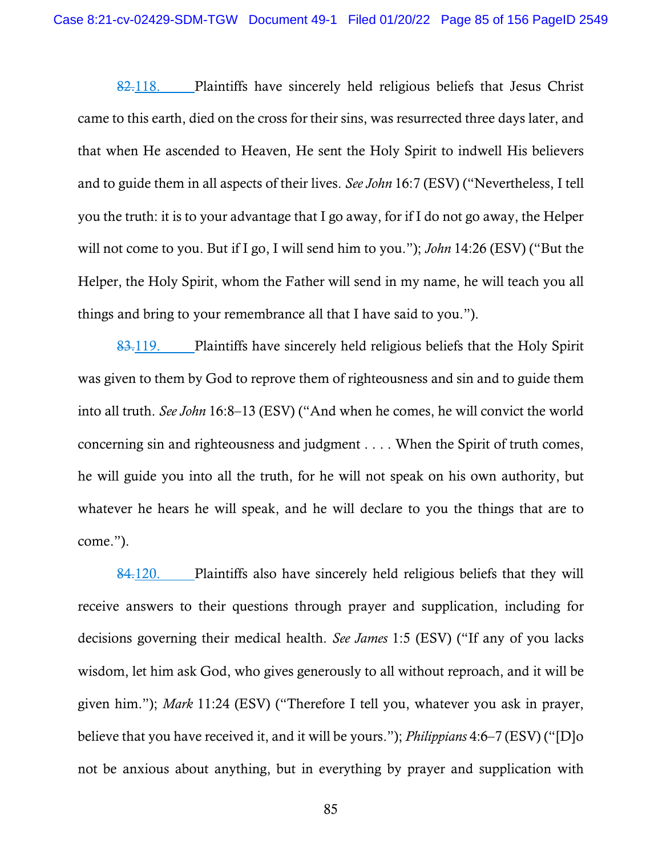82.118. Plaintiffs have sincerely held religious beliefs that Jesus Christ came to this earth, died on the cross for their sins, was resurrected three days later, and that when He ascended to Heaven, He sent the Holy Spirit to indwell His believers and to guide them in all aspects of their lives. *See John* 16:7 (ESV) ("Nevertheless, I tell you the truth: it is to your advantage that I go away, for if I do not go away, the Helper will not come to you. But if I go, I will send him to you."); *John* 14:26 (ESV) ("But the Helper, the Holy Spirit, whom the Father will send in my name, he will teach you all things and bring to your remembrance all that I have said to you.").

83.119. Plaintiffs have sincerely held religious beliefs that the Holy Spirit was given to them by God to reprove them of righteousness and sin and to guide them into all truth. *See John* 16:8–13 (ESV) ("And when he comes, he will convict the world concerning sin and righteousness and judgment . . . . When the Spirit of truth comes, he will guide you into all the truth, for he will not speak on his own authority, but whatever he hears he will speak, and he will declare to you the things that are to come.").

84.120. Plaintiffs also have sincerely held religious beliefs that they will receive answers to their questions through prayer and supplication, including for decisions governing their medical health. *See James* 1:5 (ESV) ("If any of you lacks wisdom, let him ask God, who gives generously to all without reproach, and it will be given him."); *Mark* 11:24 (ESV) ("Therefore I tell you, whatever you ask in prayer, believe that you have received it, and it will be yours."); *Philippians* 4:6–7 (ESV) ("[D]o not be anxious about anything, but in everything by prayer and supplication with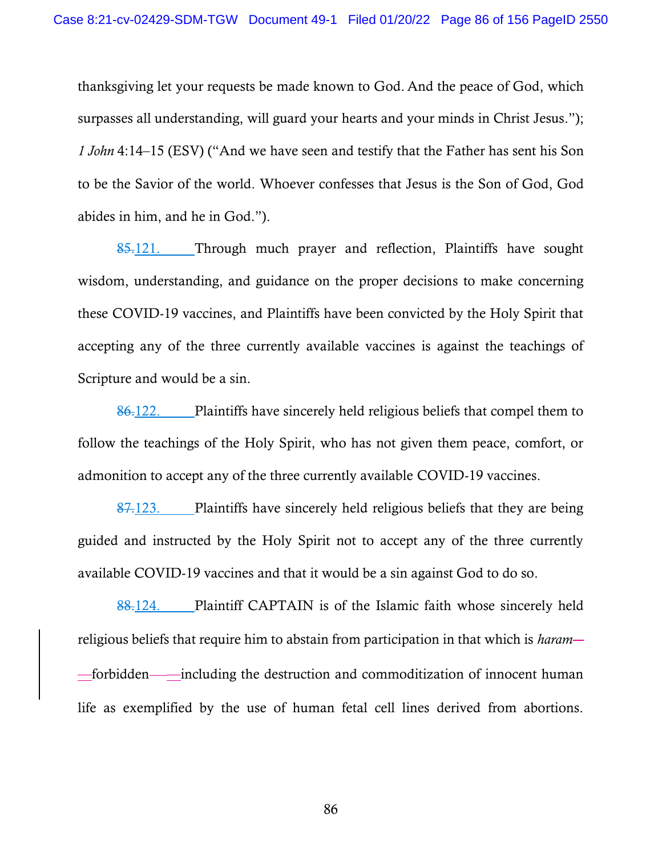thanksgiving let your requests be made known to God. And the peace of God, which surpasses all understanding, will guard your hearts and your minds in Christ Jesus."); *1 John* 4:14–15 (ESV) ("And we have seen and testify that the Father has sent his Son to be the Savior of the world. Whoever confesses that Jesus is the Son of God, God abides in him, and he in God.").

85.121. Through much prayer and reflection, Plaintiffs have sought wisdom, understanding, and guidance on the proper decisions to make concerning these COVID-19 vaccines, and Plaintiffs have been convicted by the Holy Spirit that accepting any of the three currently available vaccines is against the teachings of Scripture and would be a sin.

86.122. Plaintiffs have sincerely held religious beliefs that compel them to follow the teachings of the Holy Spirit, who has not given them peace, comfort, or admonition to accept any of the three currently available COVID-19 vaccines.

87.123. Plaintiffs have sincerely held religious beliefs that they are being guided and instructed by the Holy Spirit not to accept any of the three currently available COVID-19 vaccines and that it would be a sin against God to do so.

88.124. Plaintiff CAPTAIN is of the Islamic faith whose sincerely held religious beliefs that require him to abstain from participation in that which is *haram* —forbidden —including the destruction and commoditization of innocent human life as exemplified by the use of human fetal cell lines derived from abortions.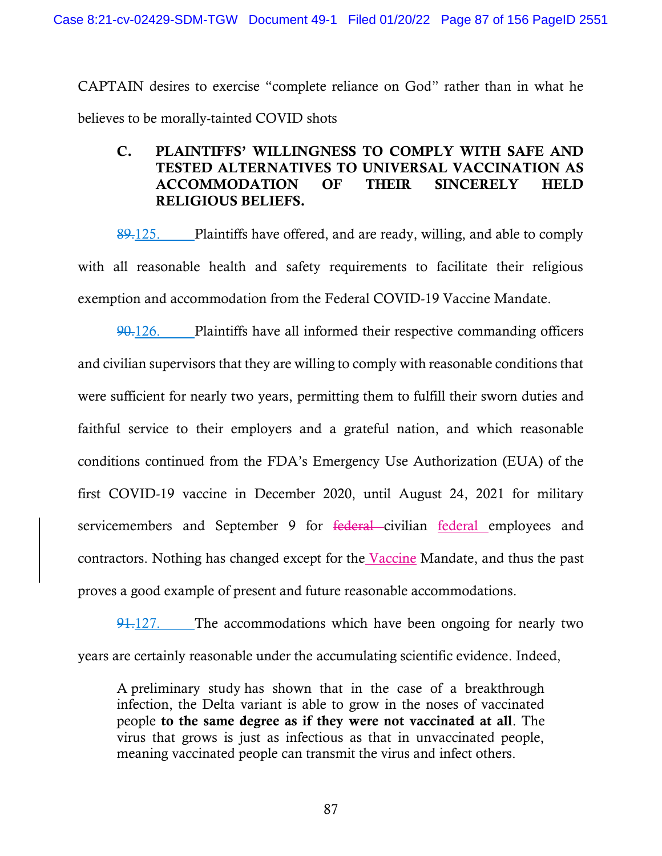CAPTAIN desires to exercise "complete reliance on God" rather than in what he believes to be morally-tainted COVID shots

# C. PLAINTIFFS' WILLINGNESS TO COMPLY WITH SAFE AND TESTED ALTERNATIVES TO UNIVERSAL VACCINATION AS ACCOMMODATION OF THEIR SINCERELY HELD RELIGIOUS BELIEFS.

89.125. Plaintiffs have offered, and are ready, willing, and able to comply with all reasonable health and safety requirements to facilitate their religious exemption and accommodation from the Federal COVID-19 Vaccine Mandate.

90.126. Plaintiffs have all informed their respective commanding officers and civilian supervisors that they are willing to comply with reasonable conditions that were sufficient for nearly two years, permitting them to fulfill their sworn duties and faithful service to their employers and a grateful nation, and which reasonable conditions continued from the FDA's Emergency Use Authorization (EUA) of the first COVID-19 vaccine in December 2020, until August 24, 2021 for military servicemembers and September 9 for federal civilian federal employees and contractors. Nothing has changed except for the Vaccine Mandate, and thus the past proves a good example of present and future reasonable accommodations.

91,127. The accommodations which have been ongoing for nearly two years are certainly reasonable under the accumulating scientific evidence. Indeed,

A preliminary study has shown that in the case of a breakthrough infection, the Delta variant is able to grow in the noses of vaccinated people to the same degree as if they were not vaccinated at all. The virus that grows is just as infectious as that in unvaccinated people, meaning vaccinated people can transmit the virus and infect others.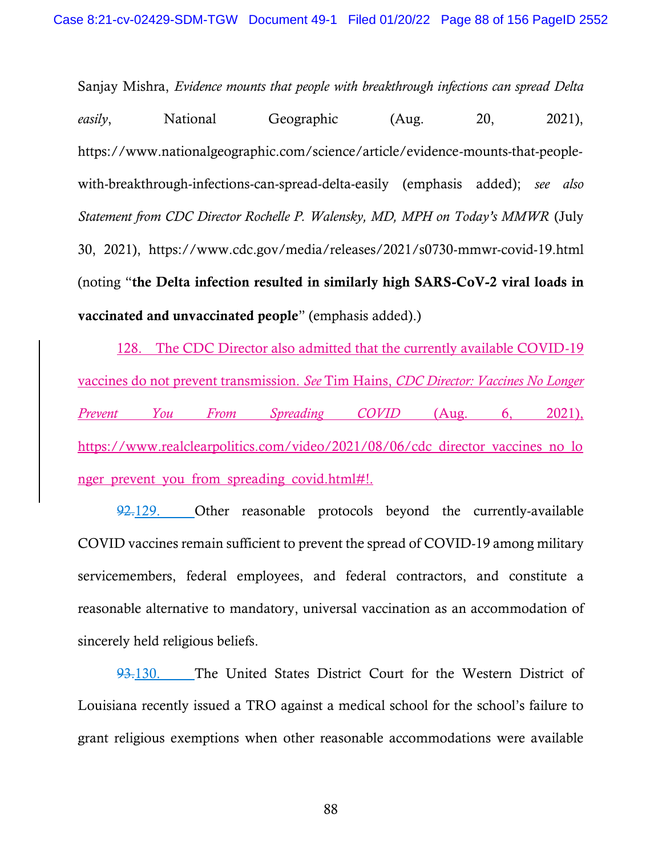Sanjay Mishra, *Evidence mounts that people with breakthrough infections can spread Delta*  easily, National Geographic (Aug. 20, 2021), https://www.nationalgeographic.com/science/article/evidence-mounts-that-peoplewith-breakthrough-infections-can-spread-delta-easily (emphasis added); *see also Statement from CDC Director Rochelle P. Walensky, MD, MPH on Today's MMWR* (July 30, 2021), https://www.cdc.gov/media/releases/2021/s0730-mmwr-covid-19.html (noting "the Delta infection resulted in similarly high SARS-CoV-2 viral loads in vaccinated and unvaccinated people" (emphasis added).)

128. The CDC Director also admitted that the currently available COVID-19 vaccines do not prevent transmission. *See* Tim Hains, *CDC Director: Vaccines No Longer Prevent You From Spreading COVID* (Aug. 6, 2021), https://www.realclearpolitics.com/video/2021/08/06/cdc director vaccines no lo nger prevent you from spreading covid.html#!.

92.129. Other reasonable protocols beyond the currently-available COVID vaccines remain sufficient to prevent the spread of COVID-19 among military servicemembers, federal employees, and federal contractors, and constitute a reasonable alternative to mandatory, universal vaccination as an accommodation of sincerely held religious beliefs.

93-130. The United States District Court for the Western District of Louisiana recently issued a TRO against a medical school for the school's failure to grant religious exemptions when other reasonable accommodations were available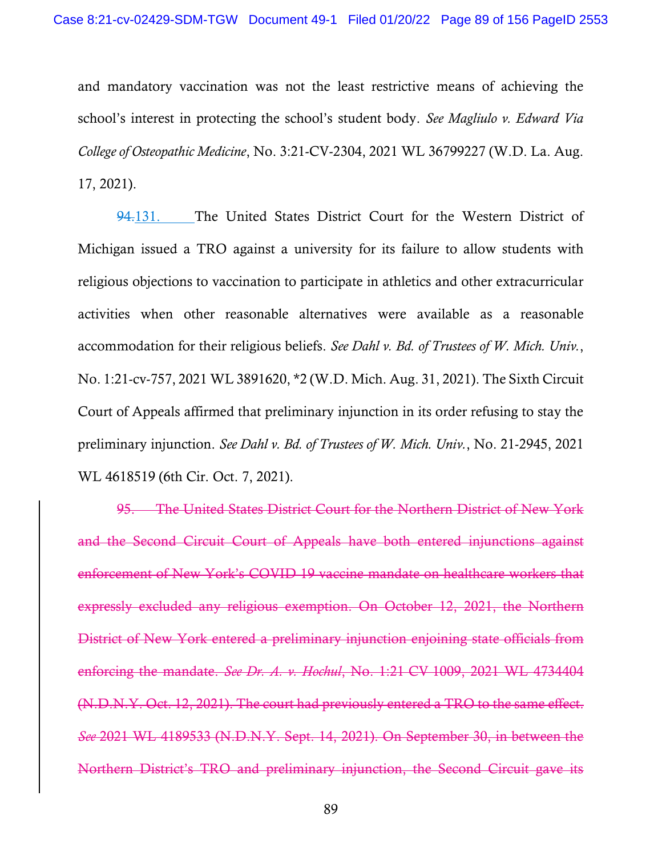and mandatory vaccination was not the least restrictive means of achieving the school's interest in protecting the school's student body. *See Magliulo v. Edward Via College of Osteopathic Medicine*, No. 3:21-CV-2304, 2021 WL 36799227 (W.D. La. Aug. 17, 2021).

94.131. The United States District Court for the Western District of Michigan issued a TRO against a university for its failure to allow students with religious objections to vaccination to participate in athletics and other extracurricular activities when other reasonable alternatives were available as a reasonable accommodation for their religious beliefs. *See Dahl v. Bd. of Trustees of W. Mich. Univ.*, No. 1:21-cv-757, 2021 WL 3891620, \*2 (W.D. Mich. Aug. 31, 2021). The Sixth Circuit Court of Appeals affirmed that preliminary injunction in its order refusing to stay the preliminary injunction. *See Dahl v. Bd. of Trustees of W. Mich. Univ.*, No. 21-2945, 2021 WL 4618519 (6th Cir. Oct. 7, 2021).

95. The United States District Court for the Northern District of New York and the Second Circuit Court of Appeals have both entered injunctions against enforcement of New York's COVID 19 vaccine mandate on healthcare workers that expressly excluded any religious exemption. On October 12, 2021, the Northern District of New York entered a preliminary injunction enjoining state officials from enforcing the mandate. *See Dr. A. v. Hochul*, No. 1:21 CV 1009, 2021 WL 4734404 (N.D.N.Y. Oct. 12, 2021). The court had previously entered a TRO to the same effect. *See* 2021 WL 4189533 (N.D.N.Y. Sept. 14, 2021). On September 30, in between the Northern District's TRO and preliminary injunction, the Second Circuit gave its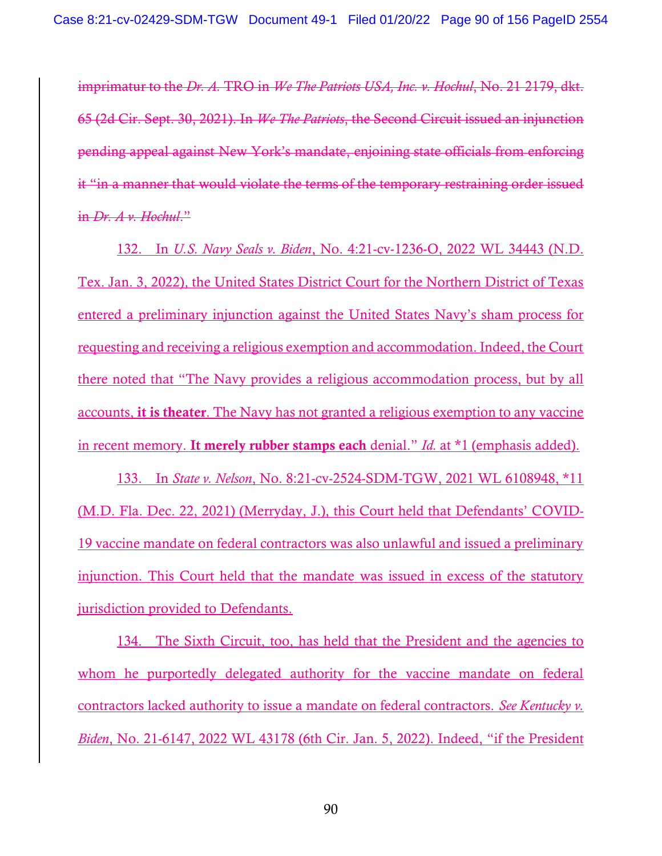imprimatur to the *Dr. A.* TRO in *We The Patriots USA, Inc. v. Hochul*, No. 21 2179, dkt. 65 (2d Cir. Sept. 30, 2021). In *We The Patriots*, the Second Circuit issued an injunction pending appeal against New York's mandate, enjoining state officials from enforcing it "in a manner that would violate the terms of the temporary restraining order issued in *Dr. A v. Hochul*."

132. In *U.S. Navy Seals v. Biden*, No. 4:21-cv-1236-O, 2022 WL 34443 (N.D. Tex. Jan. 3, 2022), the United States District Court for the Northern District of Texas entered a preliminary injunction against the United States Navy's sham process for requesting and receiving a religious exemption and accommodation. Indeed, the Court there noted that "The Navy provides a religious accommodation process, but by all accounts, it is theater. The Navy has not granted a religious exemption to any vaccine in recent memory. It merely rubber stamps each denial." *Id.* at \*1 (emphasis added).

133. In *State v. Nelson*, No. 8:21-cv-2524-SDM-TGW, 2021 WL 6108948, \*11 (M.D. Fla. Dec. 22, 2021) (Merryday, J.), this Court held that Defendants' COVID-19 vaccine mandate on federal contractors was also unlawful and issued a preliminary injunction. This Court held that the mandate was issued in excess of the statutory jurisdiction provided to Defendants.

134. The Sixth Circuit, too, has held that the President and the agencies to whom he purportedly delegated authority for the vaccine mandate on federal contractors lacked authority to issue a mandate on federal contractors. *See Kentucky v. Biden*, No. 21-6147, 2022 WL 43178 (6th Cir. Jan. 5, 2022). Indeed, "if the President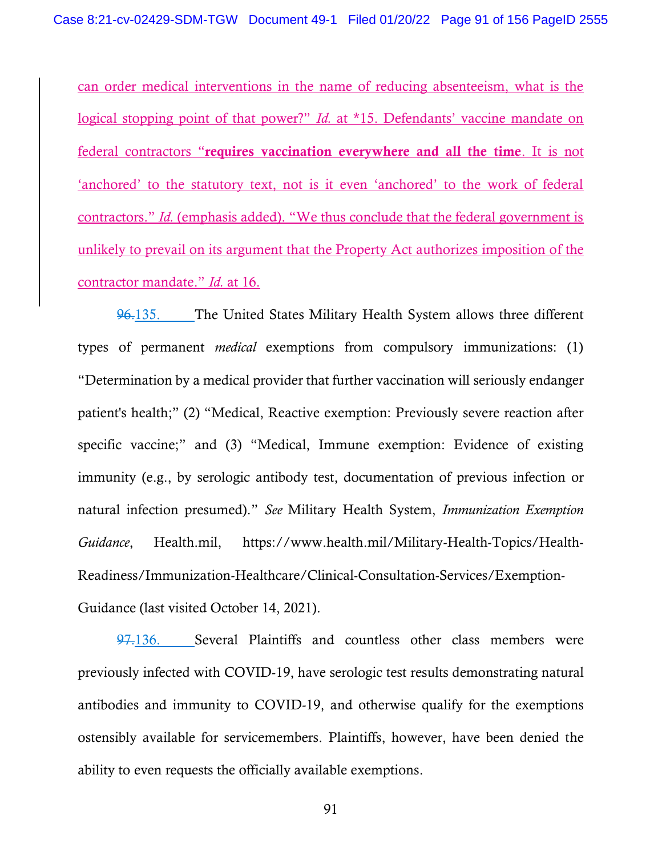can order medical interventions in the name of reducing absenteeism, what is the logical stopping point of that power?" *Id.* at \*15. Defendants' vaccine mandate on federal contractors "requires vaccination everywhere and all the time. It is not 'anchored' to the statutory text, not is it even 'anchored' to the work of federal contractors." *Id.* (emphasis added). "We thus conclude that the federal government is unlikely to prevail on its argument that the Property Act authorizes imposition of the contractor mandate." *Id.* at 16.

96.135. The United States Military Health System allows three different types of permanent *medical* exemptions from compulsory immunizations: (1) "Determination by a medical provider that further vaccination will seriously endanger patient's health;" (2) "Medical, Reactive exemption: Previously severe reaction after specific vaccine;" and (3) "Medical, Immune exemption: Evidence of existing immunity (e.g., by serologic antibody test, documentation of previous infection or natural infection presumed)." *See* Military Health System, *Immunization Exemption Guidance*, Health.mil, https://www.health.mil/Military-Health-Topics/Health-Readiness/Immunization-Healthcare/Clinical-Consultation-Services/Exemption-Guidance (last visited October 14, 2021).

97.136. Several Plaintiffs and countless other class members were previously infected with COVID-19, have serologic test results demonstrating natural antibodies and immunity to COVID-19, and otherwise qualify for the exemptions ostensibly available for servicemembers. Plaintiffs, however, have been denied the ability to even requests the officially available exemptions.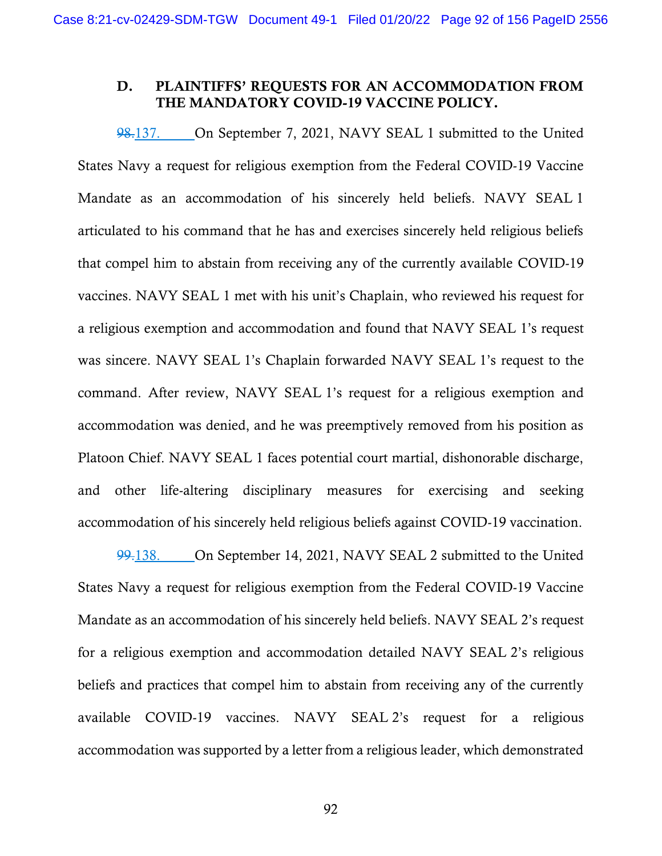## D. PLAINTIFFS' REQUESTS FOR AN ACCOMMODATION FROM THE MANDATORY COVID-19 VACCINE POLICY.

98.137. On September 7, 2021, NAVY SEAL 1 submitted to the United States Navy a request for religious exemption from the Federal COVID-19 Vaccine Mandate as an accommodation of his sincerely held beliefs. NAVY SEAL 1 articulated to his command that he has and exercises sincerely held religious beliefs that compel him to abstain from receiving any of the currently available COVID-19 vaccines. NAVY SEAL 1 met with his unit's Chaplain, who reviewed his request for a religious exemption and accommodation and found that NAVY SEAL 1's request was sincere. NAVY SEAL 1's Chaplain forwarded NAVY SEAL 1's request to the command. After review, NAVY SEAL 1's request for a religious exemption and accommodation was denied, and he was preemptively removed from his position as Platoon Chief. NAVY SEAL 1 faces potential court martial, dishonorable discharge, and other life-altering disciplinary measures for exercising and seeking accommodation of his sincerely held religious beliefs against COVID-19 vaccination.

99.138. On September 14, 2021, NAVY SEAL 2 submitted to the United States Navy a request for religious exemption from the Federal COVID-19 Vaccine Mandate as an accommodation of his sincerely held beliefs. NAVY SEAL 2's request for a religious exemption and accommodation detailed NAVY SEAL 2's religious beliefs and practices that compel him to abstain from receiving any of the currently available COVID-19 vaccines. NAVY SEAL 2's request for a religious accommodation was supported by a letter from a religious leader, which demonstrated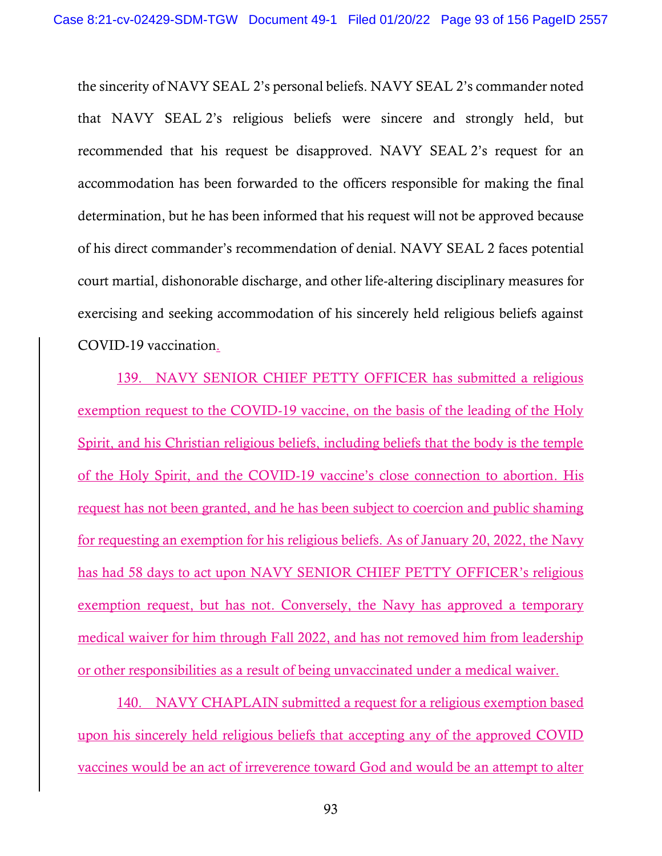the sincerity of NAVY SEAL 2's personal beliefs. NAVY SEAL 2's commander noted that NAVY SEAL 2's religious beliefs were sincere and strongly held, but recommended that his request be disapproved. NAVY SEAL 2's request for an accommodation has been forwarded to the officers responsible for making the final determination, but he has been informed that his request will not be approved because of his direct commander's recommendation of denial. NAVY SEAL 2 faces potential court martial, dishonorable discharge, and other life-altering disciplinary measures for exercising and seeking accommodation of his sincerely held religious beliefs against COVID-19 vaccination.

139. NAVY SENIOR CHIEF PETTY OFFICER has submitted a religious exemption request to the COVID-19 vaccine, on the basis of the leading of the Holy Spirit, and his Christian religious beliefs, including beliefs that the body is the temple of the Holy Spirit, and the COVID-19 vaccine's close connection to abortion. His request has not been granted, and he has been subject to coercion and public shaming for requesting an exemption for his religious beliefs. As of January 20, 2022, the Navy has had 58 days to act upon NAVY SENIOR CHIEF PETTY OFFICER's religious exemption request, but has not. Conversely, the Navy has approved a temporary medical waiver for him through Fall 2022, and has not removed him from leadership or other responsibilities as a result of being unvaccinated under a medical waiver.

140. NAVY CHAPLAIN submitted a request for a religious exemption based upon his sincerely held religious beliefs that accepting any of the approved COVID vaccines would be an act of irreverence toward God and would be an attempt to alter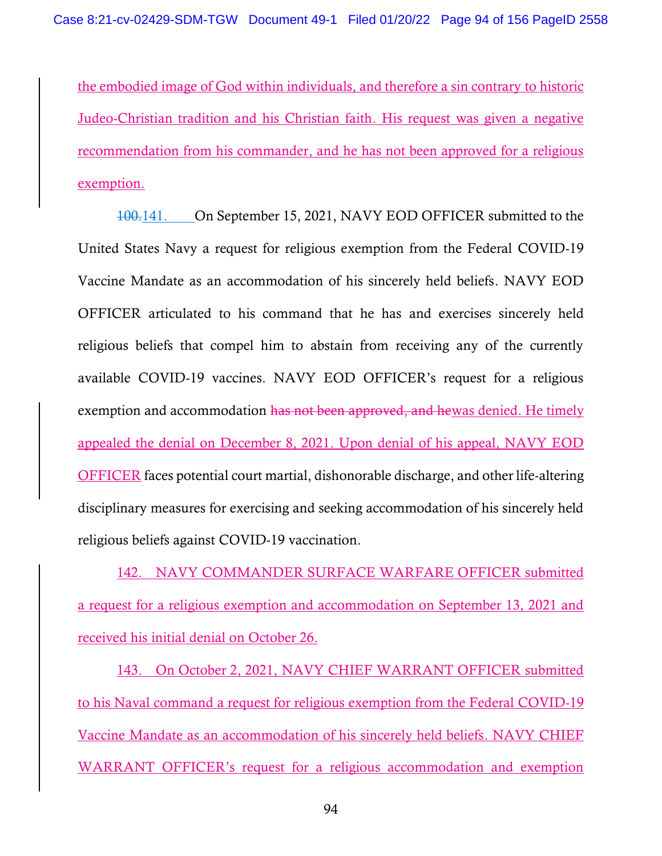the embodied image of God within individuals, and therefore a sin contrary to historic Judeo-Christian tradition and his Christian faith. His request was given a negative recommendation from his commander, and he has not been approved for a religious exemption.

100.141. On September 15, 2021, NAVY EOD OFFICER submitted to the United States Navy a request for religious exemption from the Federal COVID-19 Vaccine Mandate as an accommodation of his sincerely held beliefs. NAVY EOD OFFICER articulated to his command that he has and exercises sincerely held religious beliefs that compel him to abstain from receiving any of the currently available COVID-19 vaccines. NAVY EOD OFFICER's request for a religious exemption and accommodation has not been approved, and hewas denied. He timely appealed the denial on December 8, 2021. Upon denial of his appeal, NAVY EOD OFFICER faces potential court martial, dishonorable discharge, and other life-altering disciplinary measures for exercising and seeking accommodation of his sincerely held religious beliefs against COVID-19 vaccination.

142. NAVY COMMANDER SURFACE WARFARE OFFICER submitted a request for a religious exemption and accommodation on September 13, 2021 and received his initial denial on October 26.

143. On October 2, 2021, NAVY CHIEF WARRANT OFFICER submitted to his Naval command a request for religious exemption from the Federal COVID-19 Vaccine Mandate as an accommodation of his sincerely held beliefs. NAVY CHIEF WARRANT OFFICER's request for a religious accommodation and exemption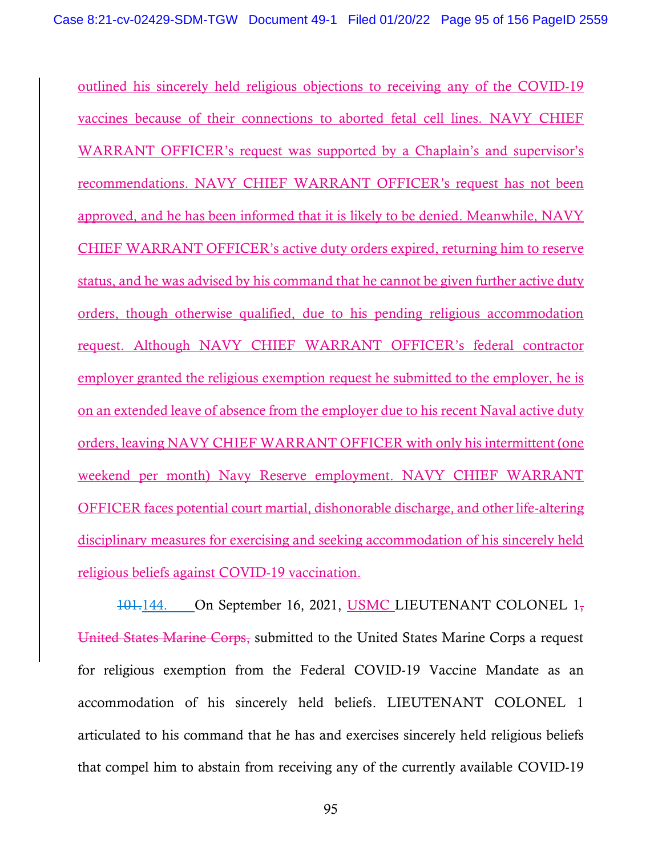outlined his sincerely held religious objections to receiving any of the COVID-19 vaccines because of their connections to aborted fetal cell lines. NAVY CHIEF WARRANT OFFICER's request was supported by a Chaplain's and supervisor's recommendations. NAVY CHIEF WARRANT OFFICER's request has not been approved, and he has been informed that it is likely to be denied. Meanwhile, NAVY CHIEF WARRANT OFFICER's active duty orders expired, returning him to reserve status, and he was advised by his command that he cannot be given further active duty orders, though otherwise qualified, due to his pending religious accommodation request. Although NAVY CHIEF WARRANT OFFICER's federal contractor employer granted the religious exemption request he submitted to the employer, he is on an extended leave of absence from the employer due to his recent Naval active duty orders, leaving NAVY CHIEF WARRANT OFFICER with only his intermittent (one weekend per month) Navy Reserve employment. NAVY CHIEF WARRANT OFFICER faces potential court martial, dishonorable discharge, and other life-altering disciplinary measures for exercising and seeking accommodation of his sincerely held religious beliefs against COVID-19 vaccination.

101.144. On September 16, 2021, USMC LIEUTENANT COLONEL 1, United States Marine Corps, submitted to the United States Marine Corps a request for religious exemption from the Federal COVID-19 Vaccine Mandate as an accommodation of his sincerely held beliefs. LIEUTENANT COLONEL 1 articulated to his command that he has and exercises sincerely held religious beliefs that compel him to abstain from receiving any of the currently available COVID-19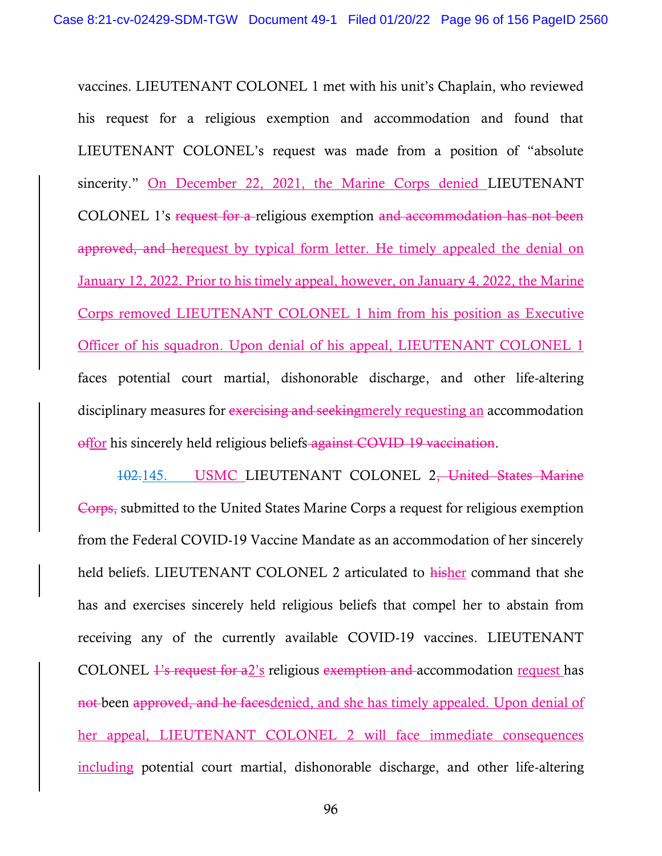vaccines. LIEUTENANT COLONEL 1 met with his unit's Chaplain, who reviewed his request for a religious exemption and accommodation and found that LIEUTENANT COLONEL's request was made from a position of "absolute sincerity." On December 22, 2021, the Marine Corps denied LIEUTENANT COLONEL 1's request for a religious exemption and accommodation has not been approved, and herequest by typical form letter. He timely appealed the denial on January 12, 2022. Prior to his timely appeal, however, on January 4, 2022, the Marine Corps removed LIEUTENANT COLONEL 1 him from his position as Executive Officer of his squadron. Upon denial of his appeal, LIEUTENANT COLONEL 1 faces potential court martial, dishonorable discharge, and other life-altering disciplinary measures for exercising and seekingmerely requesting an accommodation offor his sincerely held religious beliefs against COVID 19 vaccination.

102.145. USMC LIEUTENANT COLONEL 2, United States Marine Corps, submitted to the United States Marine Corps a request for religious exemption from the Federal COVID-19 Vaccine Mandate as an accommodation of her sincerely held beliefs. LIEUTENANT COLONEL 2 articulated to hisher command that she has and exercises sincerely held religious beliefs that compel her to abstain from receiving any of the currently available COVID-19 vaccines. LIEUTENANT COLONEL 1's request for a2's religious exemption and accommodation request has not been approved, and he facesdenied, and she has timely appealed. Upon denial of her appeal, LIEUTENANT COLONEL 2 will face immediate consequences including potential court martial, dishonorable discharge, and other life-altering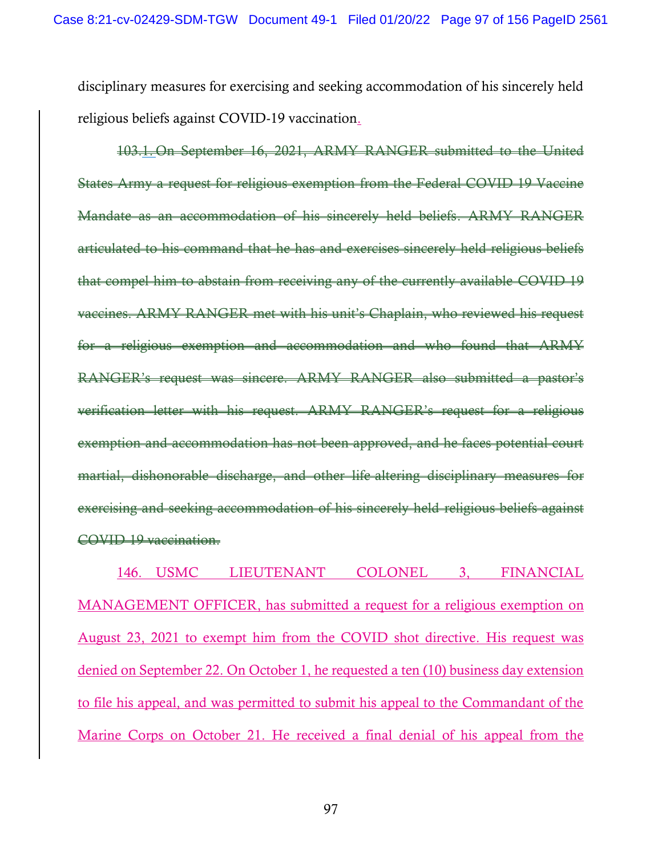disciplinary measures for exercising and seeking accommodation of his sincerely held religious beliefs against COVID-19 vaccination.

103.1. On September 16, 2021, ARMY RANGER submitted to the United States Army a request for religious exemption from the Federal COVID 19 Vaccine Mandate as an accommodation of his sincerely held beliefs. ARMY RANGER articulated to his command that he has and exercises sincerely held religious beliefs that compel him to abstain from receiving any of the currently available COVID 19 vaccines. ARMY RANGER met with his unit's Chaplain, who reviewed his request for a religious exemption and accommodation and who found that ARMY RANGER's request was sincere. ARMY RANGER also submitted a pastor's verification letter with his request. ARMY RANGER's request for a religious exemption and accommodation has not been approved, and he faces potential court martial, dishonorable discharge, and other life altering disciplinary measures for exercising and seeking accommodation of his sincerely held religious beliefs against COVID 19 vaccination.

146. USMC LIEUTENANT COLONEL 3, FINANCIAL MANAGEMENT OFFICER, has submitted a request for a religious exemption on August 23, 2021 to exempt him from the COVID shot directive. His request was denied on September 22. On October 1, he requested a ten (10) business day extension to file his appeal, and was permitted to submit his appeal to the Commandant of the Marine Corps on October 21. He received a final denial of his appeal from the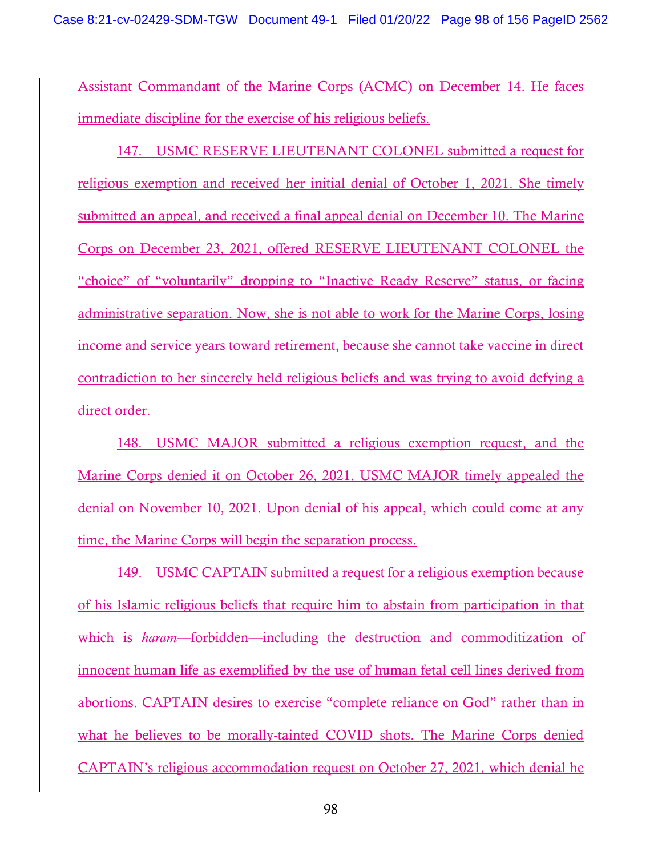Assistant Commandant of the Marine Corps (ACMC) on December 14. He faces immediate discipline for the exercise of his religious beliefs.

147. USMC RESERVE LIEUTENANT COLONEL submitted a request for religious exemption and received her initial denial of October 1, 2021. She timely submitted an appeal, and received a final appeal denial on December 10. The Marine Corps on December 23, 2021, offered RESERVE LIEUTENANT COLONEL the "choice" of "voluntarily" dropping to "Inactive Ready Reserve" status, or facing administrative separation. Now, she is not able to work for the Marine Corps, losing income and service years toward retirement, because she cannot take vaccine in direct contradiction to her sincerely held religious beliefs and was trying to avoid defying a direct order.

148. USMC MAJOR submitted a religious exemption request, and the Marine Corps denied it on October 26, 2021. USMC MAJOR timely appealed the denial on November 10, 2021. Upon denial of his appeal, which could come at any time, the Marine Corps will begin the separation process.

149. USMC CAPTAIN submitted a request for a religious exemption because of his Islamic religious beliefs that require him to abstain from participation in that which is *haram*—forbidden—including the destruction and commoditization of innocent human life as exemplified by the use of human fetal cell lines derived from abortions. CAPTAIN desires to exercise "complete reliance on God" rather than in what he believes to be morally-tainted COVID shots. The Marine Corps denied CAPTAIN's religious accommodation request on October 27, 2021, which denial he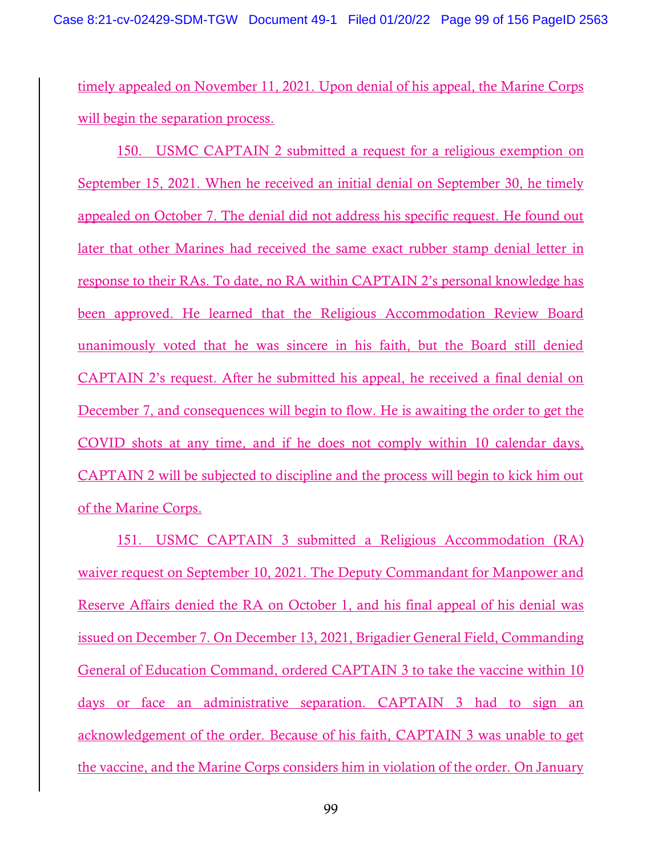timely appealed on November 11, 2021. Upon denial of his appeal, the Marine Corps will begin the separation process.

150. USMC CAPTAIN 2 submitted a request for a religious exemption on September 15, 2021. When he received an initial denial on September 30, he timely appealed on October 7. The denial did not address his specific request. He found out later that other Marines had received the same exact rubber stamp denial letter in response to their RAs. To date, no RA within CAPTAIN 2's personal knowledge has been approved. He learned that the Religious Accommodation Review Board unanimously voted that he was sincere in his faith, but the Board still denied CAPTAIN 2's request. After he submitted his appeal, he received a final denial on December 7, and consequences will begin to flow. He is awaiting the order to get the COVID shots at any time, and if he does not comply within 10 calendar days, CAPTAIN 2 will be subjected to discipline and the process will begin to kick him out of the Marine Corps.

151. USMC CAPTAIN 3 submitted a Religious Accommodation (RA) waiver request on September 10, 2021. The Deputy Commandant for Manpower and Reserve Affairs denied the RA on October 1, and his final appeal of his denial was issued on December 7. On December 13, 2021, Brigadier General Field, Commanding General of Education Command, ordered CAPTAIN 3 to take the vaccine within 10 days or face an administrative separation. CAPTAIN 3 had to sign an acknowledgement of the order. Because of his faith, CAPTAIN 3 was unable to get the vaccine, and the Marine Corps considers him in violation of the order. On January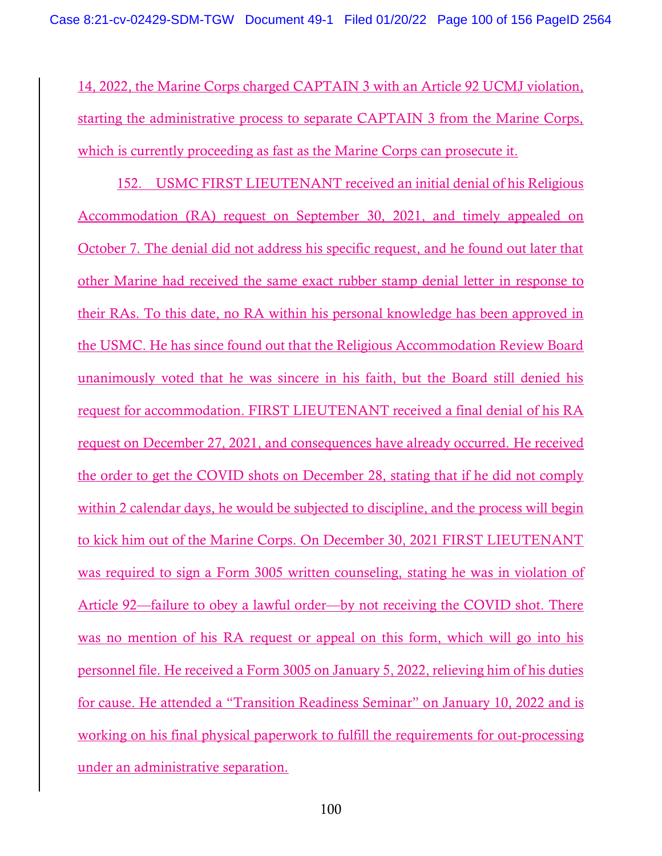14, 2022, the Marine Corps charged CAPTAIN 3 with an Article 92 UCMJ violation, starting the administrative process to separate CAPTAIN 3 from the Marine Corps, which is currently proceeding as fast as the Marine Corps can prosecute it.

152. USMC FIRST LIEUTENANT received an initial denial of his Religious Accommodation (RA) request on September 30, 2021, and timely appealed on October 7. The denial did not address his specific request, and he found out later that other Marine had received the same exact rubber stamp denial letter in response to their RAs. To this date, no RA within his personal knowledge has been approved in the USMC. He has since found out that the Religious Accommodation Review Board unanimously voted that he was sincere in his faith, but the Board still denied his request for accommodation. FIRST LIEUTENANT received a final denial of his RA request on December 27, 2021, and consequences have already occurred. He received the order to get the COVID shots on December 28, stating that if he did not comply within 2 calendar days, he would be subjected to discipline, and the process will begin to kick him out of the Marine Corps. On December 30, 2021 FIRST LIEUTENANT was required to sign a Form 3005 written counseling, stating he was in violation of Article 92—failure to obey a lawful order—by not receiving the COVID shot. There was no mention of his RA request or appeal on this form, which will go into his personnel file. He received a Form 3005 on January 5, 2022, relieving him of his duties for cause. He attended a "Transition Readiness Seminar" on January 10, 2022 and is working on his final physical paperwork to fulfill the requirements for out-processing under an administrative separation.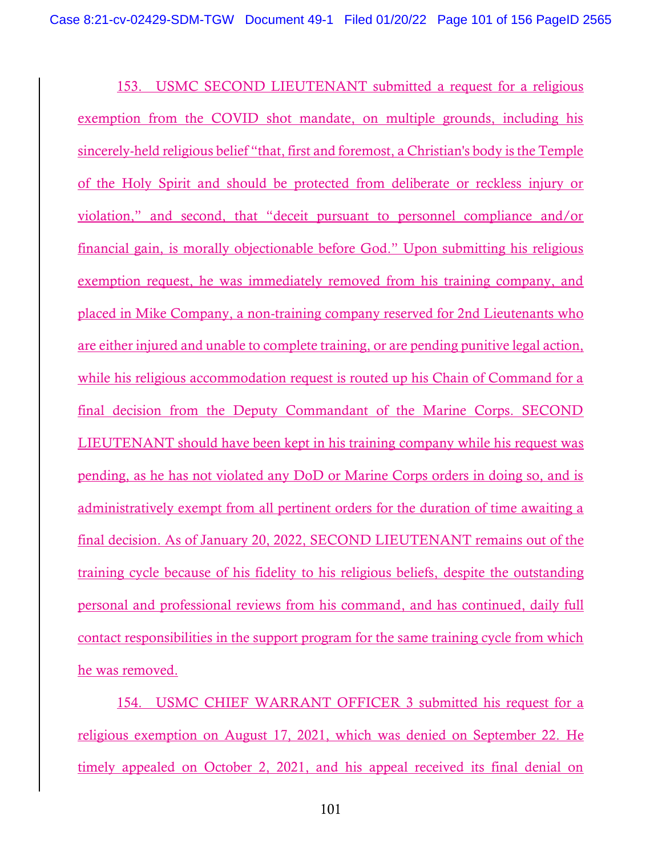153. USMC SECOND LIEUTENANT submitted a request for a religious exemption from the COVID shot mandate, on multiple grounds, including his sincerely-held religious belief "that, first and foremost, a Christian's body is the Temple of the Holy Spirit and should be protected from deliberate or reckless injury or violation," and second, that "deceit pursuant to personnel compliance and/or financial gain, is morally objectionable before God." Upon submitting his religious exemption request, he was immediately removed from his training company, and placed in Mike Company, a non-training company reserved for 2nd Lieutenants who are either injured and unable to complete training, or are pending punitive legal action, while his religious accommodation request is routed up his Chain of Command for a final decision from the Deputy Commandant of the Marine Corps. SECOND LIEUTENANT should have been kept in his training company while his request was pending, as he has not violated any DoD or Marine Corps orders in doing so, and is administratively exempt from all pertinent orders for the duration of time awaiting a final decision. As of January 20, 2022, SECOND LIEUTENANT remains out of the training cycle because of his fidelity to his religious beliefs, despite the outstanding personal and professional reviews from his command, and has continued, daily full contact responsibilities in the support program for the same training cycle from which he was removed.

154. USMC CHIEF WARRANT OFFICER 3 submitted his request for a religious exemption on August 17, 2021, which was denied on September 22. He timely appealed on October 2, 2021, and his appeal received its final denial on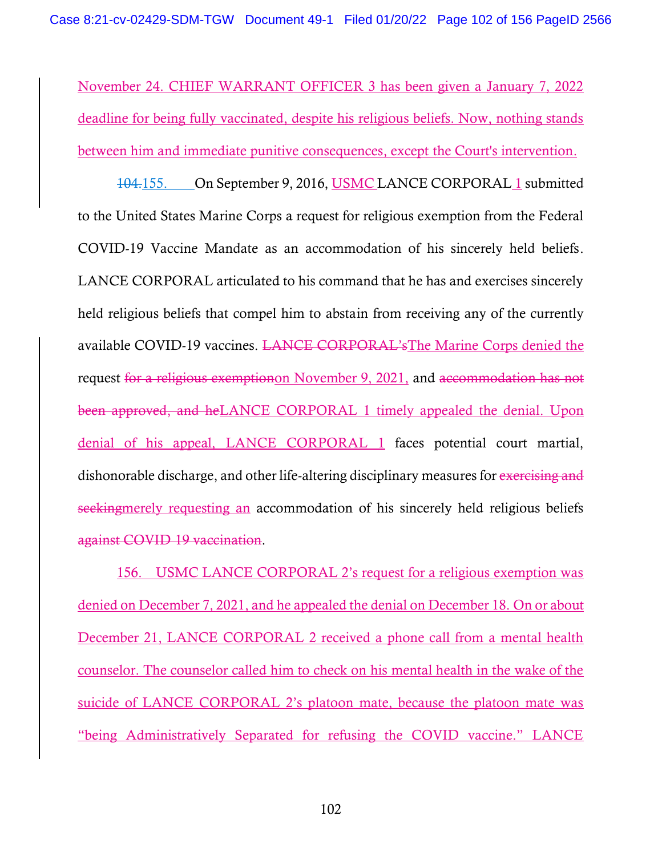November 24. CHIEF WARRANT OFFICER 3 has been given a January 7, 2022 deadline for being fully vaccinated, despite his religious beliefs. Now, nothing stands between him and immediate punitive consequences, except the Court's intervention.

104.155. On September 9, 2016, USMC LANCE CORPORAL 1 submitted to the United States Marine Corps a request for religious exemption from the Federal COVID-19 Vaccine Mandate as an accommodation of his sincerely held beliefs. LANCE CORPORAL articulated to his command that he has and exercises sincerely held religious beliefs that compel him to abstain from receiving any of the currently available COVID-19 vaccines. LANCE CORPORAL'sThe Marine Corps denied the request for a religious exemptionon November 9, 2021, and accommodation has not been approved, and heLANCE CORPORAL 1 timely appealed the denial. Upon denial of his appeal, LANCE CORPORAL 1 faces potential court martial, dishonorable discharge, and other life-altering disciplinary measures for exercising and seekingmerely requesting an accommodation of his sincerely held religious beliefs against COVID 19 vaccination.

156. USMC LANCE CORPORAL 2's request for a religious exemption was denied on December 7, 2021, and he appealed the denial on December 18. On or about December 21, LANCE CORPORAL 2 received a phone call from a mental health counselor. The counselor called him to check on his mental health in the wake of the suicide of LANCE CORPORAL 2's platoon mate, because the platoon mate was "being Administratively Separated for refusing the COVID vaccine." LANCE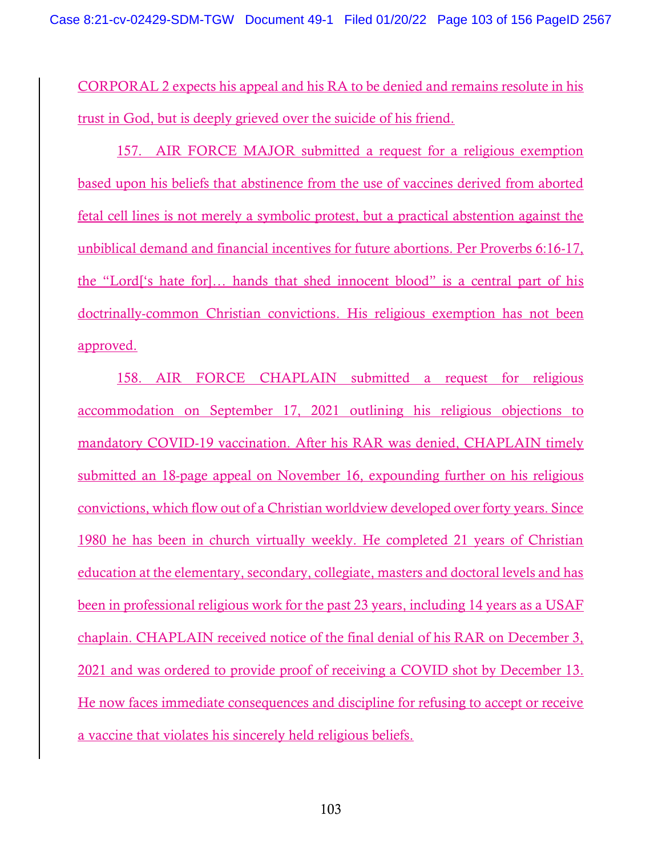CORPORAL 2 expects his appeal and his RA to be denied and remains resolute in his trust in God, but is deeply grieved over the suicide of his friend.

157. AIR FORCE MAJOR submitted a request for a religious exemption based upon his beliefs that abstinence from the use of vaccines derived from aborted fetal cell lines is not merely a symbolic protest, but a practical abstention against the unbiblical demand and financial incentives for future abortions. Per Proverbs 6:16-17, the "Lord['s hate for]… hands that shed innocent blood" is a central part of his doctrinally-common Christian convictions. His religious exemption has not been approved.

158. AIR FORCE CHAPLAIN submitted a request for religious accommodation on September 17, 2021 outlining his religious objections to mandatory COVID-19 vaccination. After his RAR was denied, CHAPLAIN timely submitted an 18-page appeal on November 16, expounding further on his religious convictions, which flow out of a Christian worldview developed over forty years. Since 1980 he has been in church virtually weekly. He completed 21 years of Christian education at the elementary, secondary, collegiate, masters and doctoral levels and has been in professional religious work for the past 23 years, including 14 years as a USAF chaplain. CHAPLAIN received notice of the final denial of his RAR on December 3, 2021 and was ordered to provide proof of receiving a COVID shot by December 13. He now faces immediate consequences and discipline for refusing to accept or receive a vaccine that violates his sincerely held religious beliefs.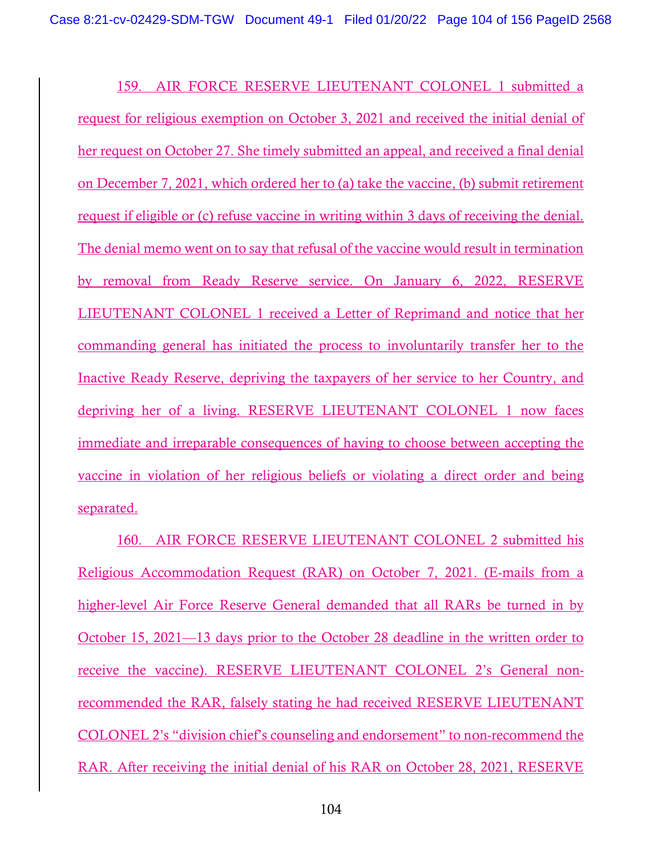159. AIR FORCE RESERVE LIEUTENANT COLONEL 1 submitted a request for religious exemption on October 3, 2021 and received the initial denial of her request on October 27. She timely submitted an appeal, and received a final denial on December 7, 2021, which ordered her to (a) take the vaccine, (b) submit retirement request if eligible or (c) refuse vaccine in writing within 3 days of receiving the denial. The denial memo went on to say that refusal of the vaccine would result in termination by removal from Ready Reserve service. On January 6, 2022, RESERVE LIEUTENANT COLONEL 1 received a Letter of Reprimand and notice that her commanding general has initiated the process to involuntarily transfer her to the Inactive Ready Reserve, depriving the taxpayers of her service to her Country, and depriving her of a living. RESERVE LIEUTENANT COLONEL 1 now faces immediate and irreparable consequences of having to choose between accepting the vaccine in violation of her religious beliefs or violating a direct order and being separated.

160. AIR FORCE RESERVE LIEUTENANT COLONEL 2 submitted his Religious Accommodation Request (RAR) on October 7, 2021. (E-mails from a higher-level Air Force Reserve General demanded that all RARs be turned in by October 15, 2021—13 days prior to the October 28 deadline in the written order to receive the vaccine). RESERVE LIEUTENANT COLONEL 2's General nonrecommended the RAR, falsely stating he had received RESERVE LIEUTENANT COLONEL 2's "division chief's counseling and endorsement" to non-recommend the RAR. After receiving the initial denial of his RAR on October 28, 2021, RESERVE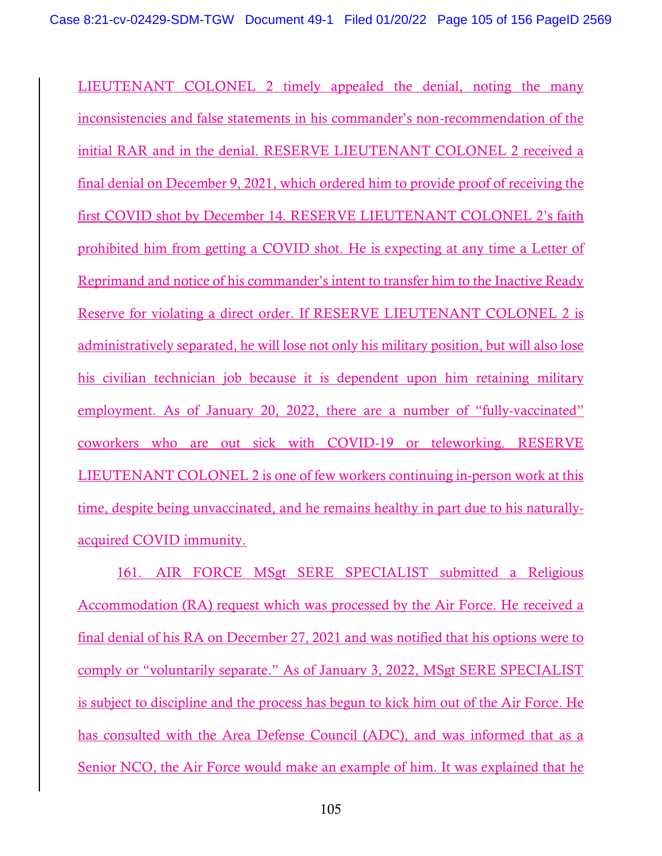LIEUTENANT COLONEL 2 timely appealed the denial, noting the many inconsistencies and false statements in his commander's non-recommendation of the initial RAR and in the denial. RESERVE LIEUTENANT COLONEL 2 received a final denial on December 9, 2021, which ordered him to provide proof of receiving the first COVID shot by December 14. RESERVE LIEUTENANT COLONEL 2's faith prohibited him from getting a COVID shot. He is expecting at any time a Letter of Reprimand and notice of his commander's intent to transfer him to the Inactive Ready Reserve for violating a direct order. If RESERVE LIEUTENANT COLONEL 2 is administratively separated, he will lose not only his military position, but will also lose his civilian technician job because it is dependent upon him retaining military employment. As of January 20, 2022, there are a number of "fully-vaccinated" coworkers who are out sick with COVID-19 or teleworking. RESERVE LIEUTENANT COLONEL 2 is one of few workers continuing in-person work at this time, despite being unvaccinated, and he remains healthy in part due to his naturallyacquired COVID immunity.

161. AIR FORCE MSgt SERE SPECIALIST submitted a Religious Accommodation (RA) request which was processed by the Air Force. He received a final denial of his RA on December 27, 2021 and was notified that his options were to comply or "voluntarily separate." As of January 3, 2022, MSgt SERE SPECIALIST is subject to discipline and the process has begun to kick him out of the Air Force. He has consulted with the Area Defense Council (ADC), and was informed that as a Senior NCO, the Air Force would make an example of him. It was explained that he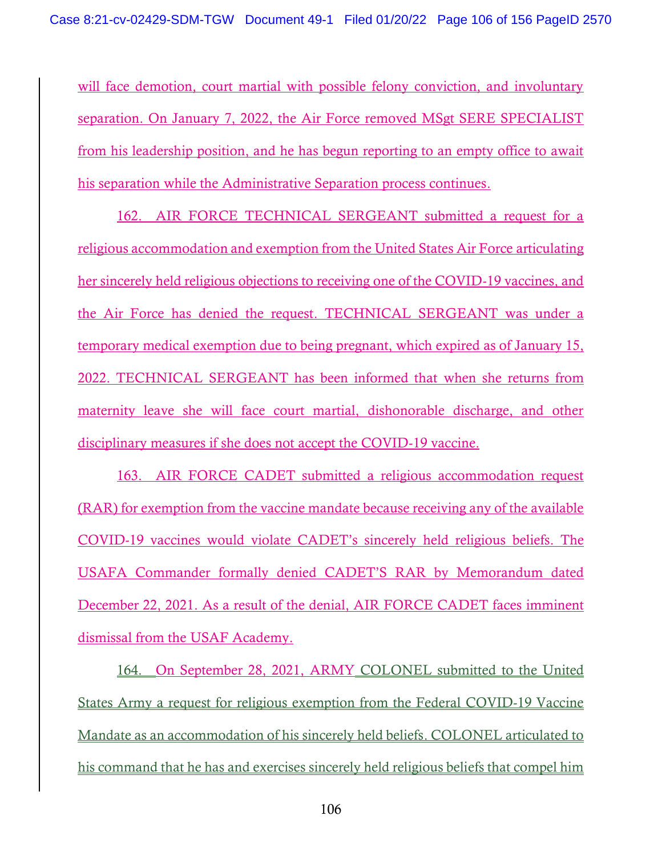will face demotion, court martial with possible felony conviction, and involuntary separation. On January 7, 2022, the Air Force removed MSgt SERE SPECIALIST from his leadership position, and he has begun reporting to an empty office to await his separation while the Administrative Separation process continues.

162. AIR FORCE TECHNICAL SERGEANT submitted a request for a religious accommodation and exemption from the United States Air Force articulating her sincerely held religious objections to receiving one of the COVID-19 vaccines, and the Air Force has denied the request. TECHNICAL SERGEANT was under a temporary medical exemption due to being pregnant, which expired as of January 15, 2022. TECHNICAL SERGEANT has been informed that when she returns from maternity leave she will face court martial, dishonorable discharge, and other disciplinary measures if she does not accept the COVID-19 vaccine.

163. AIR FORCE CADET submitted a religious accommodation request (RAR) for exemption from the vaccine mandate because receiving any of the available COVID-19 vaccines would violate CADET's sincerely held religious beliefs. The USAFA Commander formally denied CADET'S RAR by Memorandum dated December 22, 2021. As a result of the denial, AIR FORCE CADET faces imminent dismissal from the USAF Academy.

164. On September 28, 2021, ARMY COLONEL submitted to the United States Army a request for religious exemption from the Federal COVID-19 Vaccine Mandate as an accommodation of his sincerely held beliefs. COLONEL articulated to his command that he has and exercises sincerely held religious beliefs that compel him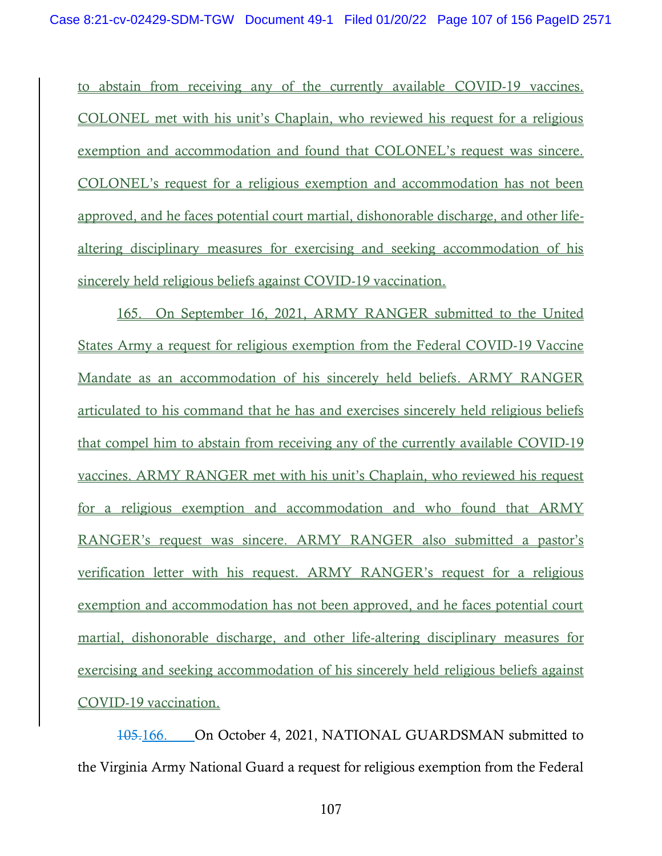to abstain from receiving any of the currently available COVID-19 vaccines. COLONEL met with his unit's Chaplain, who reviewed his request for a religious exemption and accommodation and found that COLONEL's request was sincere. COLONEL's request for a religious exemption and accommodation has not been approved, and he faces potential court martial, dishonorable discharge, and other lifealtering disciplinary measures for exercising and seeking accommodation of his sincerely held religious beliefs against COVID-19 vaccination.

165. On September 16, 2021, ARMY RANGER submitted to the United States Army a request for religious exemption from the Federal COVID-19 Vaccine Mandate as an accommodation of his sincerely held beliefs. ARMY RANGER articulated to his command that he has and exercises sincerely held religious beliefs that compel him to abstain from receiving any of the currently available COVID-19 vaccines. ARMY RANGER met with his unit's Chaplain, who reviewed his request for a religious exemption and accommodation and who found that ARMY RANGER's request was sincere. ARMY RANGER also submitted a pastor's verification letter with his request. ARMY RANGER's request for a religious exemption and accommodation has not been approved, and he faces potential court martial, dishonorable discharge, and other life-altering disciplinary measures for exercising and seeking accommodation of his sincerely held religious beliefs against COVID-19 vaccination.

105.166. On October 4, 2021, NATIONAL GUARDSMAN submitted to the Virginia Army National Guard a request for religious exemption from the Federal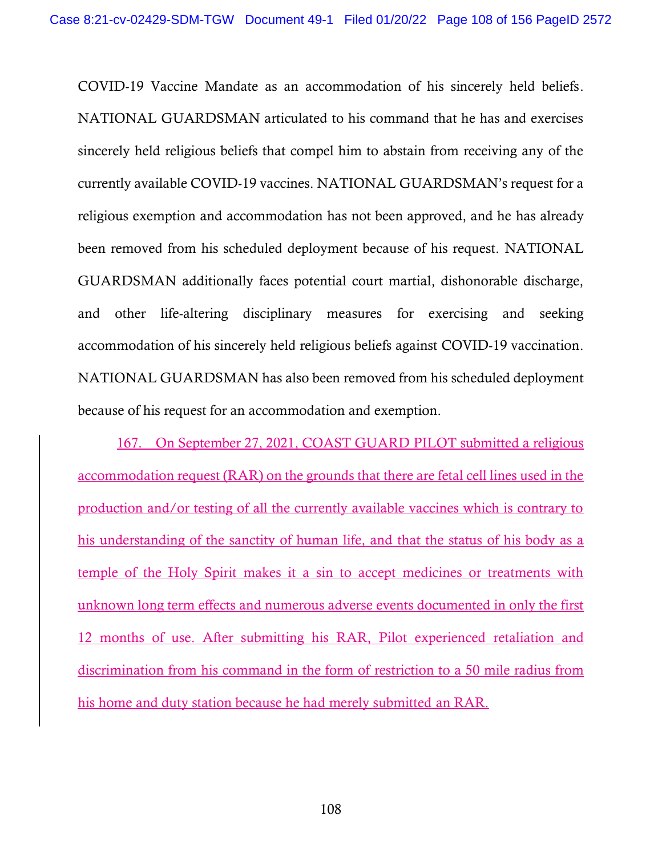COVID-19 Vaccine Mandate as an accommodation of his sincerely held beliefs. NATIONAL GUARDSMAN articulated to his command that he has and exercises sincerely held religious beliefs that compel him to abstain from receiving any of the currently available COVID-19 vaccines. NATIONAL GUARDSMAN's request for a religious exemption and accommodation has not been approved, and he has already been removed from his scheduled deployment because of his request. NATIONAL GUARDSMAN additionally faces potential court martial, dishonorable discharge, and other life-altering disciplinary measures for exercising and seeking accommodation of his sincerely held religious beliefs against COVID-19 vaccination. NATIONAL GUARDSMAN has also been removed from his scheduled deployment because of his request for an accommodation and exemption.

167. On September 27, 2021, COAST GUARD PILOT submitted a religious accommodation request (RAR) on the grounds that there are fetal cell lines used in the production and/or testing of all the currently available vaccines which is contrary to his understanding of the sanctity of human life, and that the status of his body as a temple of the Holy Spirit makes it a sin to accept medicines or treatments with unknown long term effects and numerous adverse events documented in only the first 12 months of use. After submitting his RAR, Pilot experienced retaliation and discrimination from his command in the form of restriction to a 50 mile radius from his home and duty station because he had merely submitted an RAR.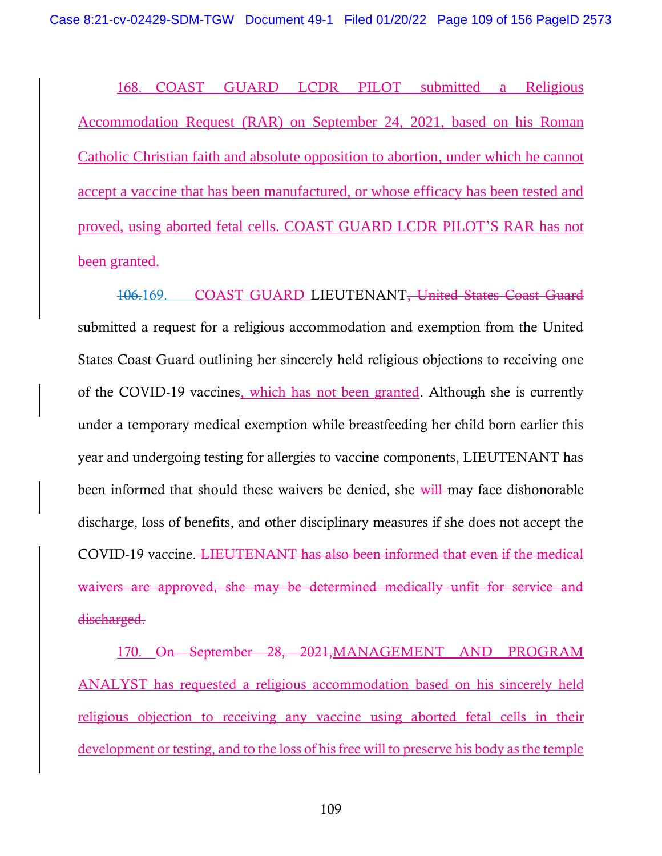168. COAST GUARD LCDR PILOT submitted a Religious Accommodation Request (RAR) on September 24, 2021, based on his Roman Catholic Christian faith and absolute opposition to abortion, under which he cannot accept a vaccine that has been manufactured, or whose efficacy has been tested and proved, using aborted fetal cells. COAST GUARD LCDR PILOT'S RAR has not been granted.

106.169. COAST GUARD LIEUTENANT, United States Coast Guard submitted a request for a religious accommodation and exemption from the United States Coast Guard outlining her sincerely held religious objections to receiving one of the COVID-19 vaccines, which has not been granted. Although she is currently under a temporary medical exemption while breastfeeding her child born earlier this year and undergoing testing for allergies to vaccine components, LIEUTENANT has been informed that should these waivers be denied, she will may face dishonorable discharge, loss of benefits, and other disciplinary measures if she does not accept the COVID-19 vaccine. LIEUTENANT has also been informed that even if the medical waivers are approved, she may be determined medically unfit for service and discharged.

170. On September 28, 2021,MANAGEMENT AND PROGRAM ANALYST has requested a religious accommodation based on his sincerely held religious objection to receiving any vaccine using aborted fetal cells in their development or testing, and to the loss of his free will to preserve his body as the temple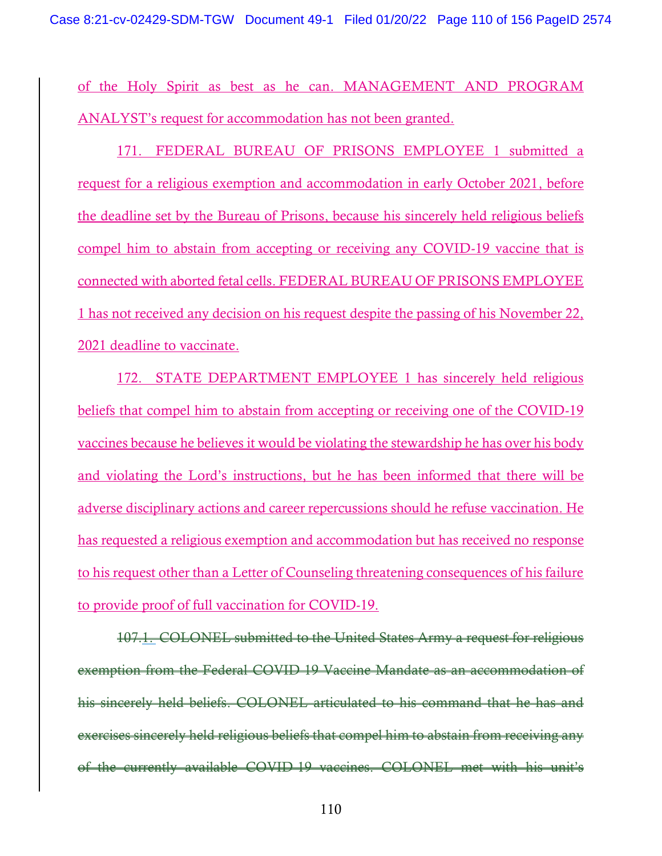of the Holy Spirit as best as he can. MANAGEMENT AND PROGRAM ANALYST's request for accommodation has not been granted.

171. FEDERAL BUREAU OF PRISONS EMPLOYEE 1 submitted a request for a religious exemption and accommodation in early October 2021, before the deadline set by the Bureau of Prisons, because his sincerely held religious beliefs compel him to abstain from accepting or receiving any COVID-19 vaccine that is connected with aborted fetal cells. FEDERAL BUREAU OF PRISONS EMPLOYEE 1 has not received any decision on his request despite the passing of his November 22, 2021 deadline to vaccinate.

172. STATE DEPARTMENT EMPLOYEE 1 has sincerely held religious beliefs that compel him to abstain from accepting or receiving one of the COVID-19 vaccines because he believes it would be violating the stewardship he has over his body and violating the Lord's instructions, but he has been informed that there will be adverse disciplinary actions and career repercussions should he refuse vaccination. He has requested a religious exemption and accommodation but has received no response to his request other than a Letter of Counseling threatening consequences of his failure to provide proof of full vaccination for COVID-19.

107.1. COLONEL submitted to the United States Army a request for religious exemption from the Federal COVID 19 Vaccine Mandate as an accommodation of his sincerely held beliefs. COLONEL articulated to his command that he has and exercises sincerely held religious beliefs that compel him to abstain from receiving any of the currently available COVID 19 vaccines. COLONEL met with his unit's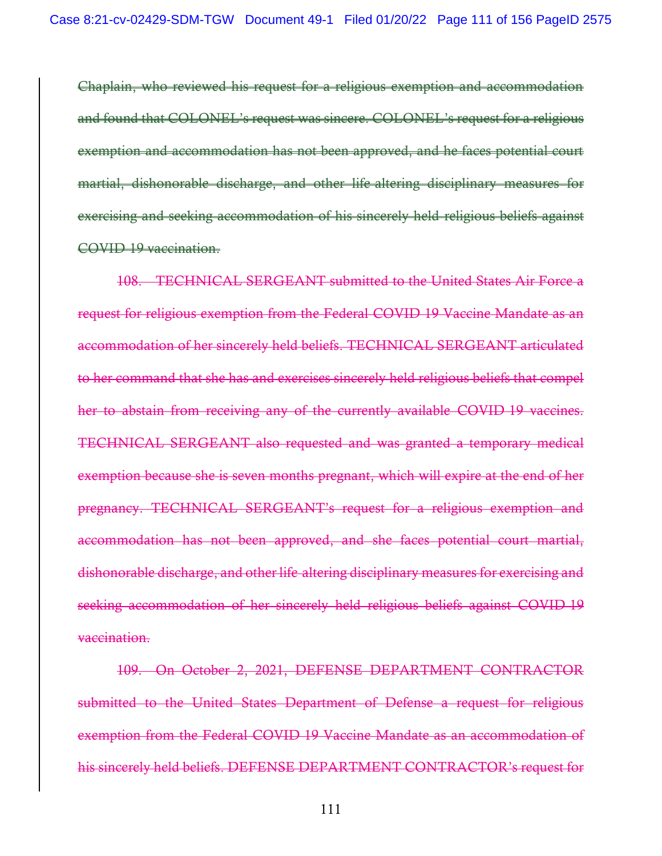Chaplain, who reviewed his request for a religious exemption and accommodation and found that COLONEL's request was sincere. COLONEL's request for a religious exemption and accommodation has not been approved, and he faces potential court martial, dishonorable discharge, and other life altering disciplinary measures for exercising and seeking accommodation of his sincerely held religious beliefs against COVID 19 vaccination.

108. TECHNICAL SERGEANT submitted to the United States Air Force a request for religious exemption from the Federal COVID 19 Vaccine Mandate as an accommodation of her sincerely held beliefs. TECHNICAL SERGEANT articulated to her command that she has and exercises sincerely held religious beliefs that compel her to abstain from receiving any of the currently available COVID 19 vaccines. TECHNICAL SERGEANT also requested and was granted a temporary medical exemption because she is seven months pregnant, which will expire at the end of her pregnancy. TECHNICAL SERGEANT's request for a religious exemption and accommodation has not been approved, and she faces potential court martial, dishonorable discharge, and other life altering disciplinary measures for exercising and seeking accommodation of her sincerely held religious beliefs against COVID 19 vaccination.

109. On October 2, 2021, DEFENSE DEPARTMENT CONTRACTOR submitted to the United States Department of Defense a request for religious exemption from the Federal COVID 19 Vaccine Mandate as an accommodation of his sincerely held beliefs. DEFENSE DEPARTMENT CONTRACTOR's request for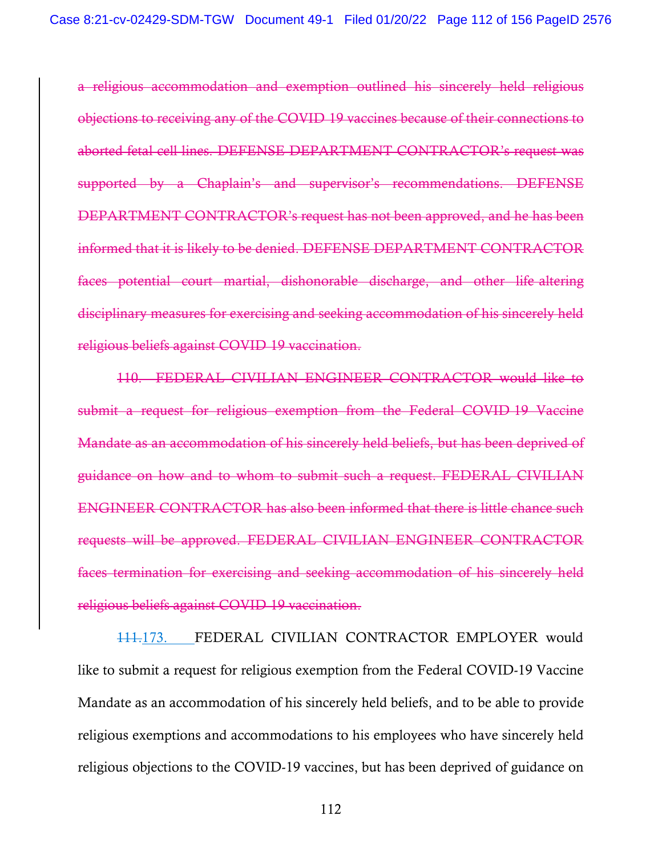a religious accommodation and exemption outlined his sincerely held religious objections to receiving any of the COVID 19 vaccines because of their connections to aborted fetal cell lines. DEFENSE DEPARTMENT CONTRACTOR's request was supported by a Chaplain's and supervisor's recommendations. DEFENSE DEPARTMENT CONTRACTOR's request has not been approved, and he has been informed that it is likely to be denied. DEFENSE DEPARTMENT CONTRACTOR faces potential court martial, dishonorable discharge, and other life altering disciplinary measures for exercising and seeking accommodation of his sincerely held religious beliefs against COVID 19 vaccination.

110. FEDERAL CIVILIAN ENGINEER CONTRACTOR would like to submit a request for religious exemption from the Federal COVID 19 Vaccine Mandate as an accommodation of his sincerely held beliefs, but has been deprived of guidance on how and to whom to submit such a request. FEDERAL CIVILIAN ENGINEER CONTRACTOR has also been informed that there is little chance such requests will be approved. FEDERAL CIVILIAN ENGINEER CONTRACTOR faces termination for exercising and seeking accommodation of his sincerely held religious beliefs against COVID 19 vaccination.

111.173. FEDERAL CIVILIAN CONTRACTOR EMPLOYER would like to submit a request for religious exemption from the Federal COVID-19 Vaccine Mandate as an accommodation of his sincerely held beliefs, and to be able to provide religious exemptions and accommodations to his employees who have sincerely held religious objections to the COVID-19 vaccines, but has been deprived of guidance on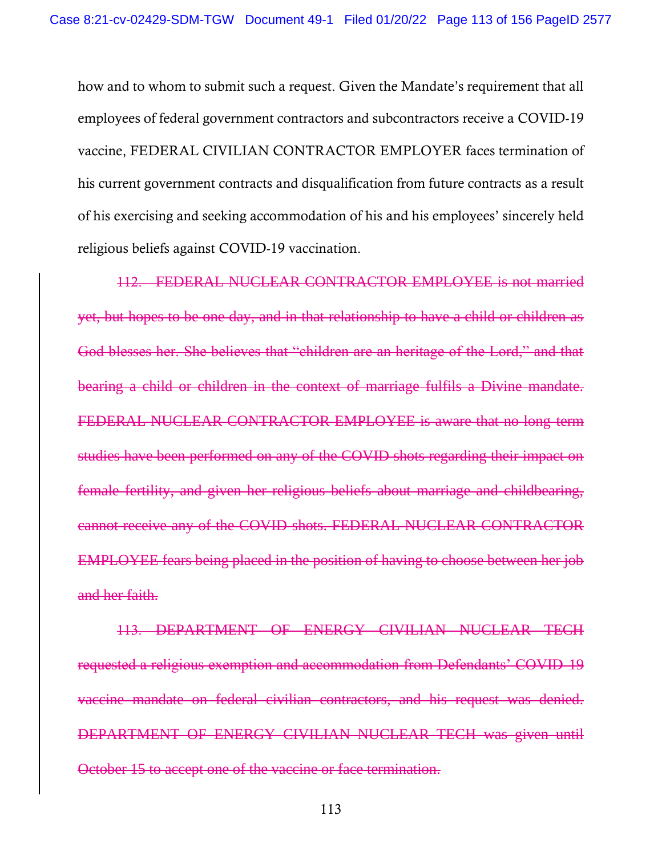how and to whom to submit such a request. Given the Mandate's requirement that all employees of federal government contractors and subcontractors receive a COVID-19 vaccine, FEDERAL CIVILIAN CONTRACTOR EMPLOYER faces termination of his current government contracts and disqualification from future contracts as a result of his exercising and seeking accommodation of his and his employees' sincerely held religious beliefs against COVID-19 vaccination.

112. FEDERAL NUCLEAR CONTRACTOR EMPLOYEE is not married yet, but hopes to be one day, and in that relationship to have a child or children as God blesses her. She believes that "children are an heritage of the Lord," and that bearing a child or children in the context of marriage fulfils a Divine mandate. FEDERAL NUCLEAR CONTRACTOR EMPLOYEE is aware that no long term studies have been performed on any of the COVID shots regarding their impact on female fertility, and given her religious beliefs about marriage and childbearing, cannot receive any of the COVID shots. FEDERAL NUCLEAR CONTRACTOR EMPLOYEE fears being placed in the position of having to choose between her job and her faith.

113. DEPARTMENT OF ENERGY CIVILIAN NUCLEAR TECH requested a religious exemption and accommodation from Defendants' COVID 19 vaccine mandate on federal civilian contractors, and his request was denied. DEPARTMENT OF ENERGY CIVILIAN NUCLEAR TECH was given until October 15 to accept one of the vaccine or face termination.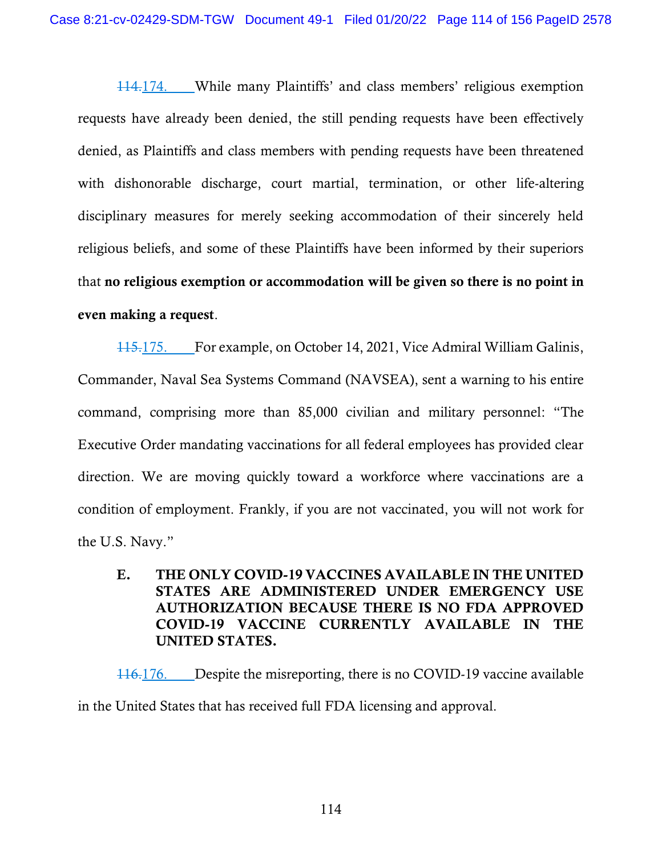114.174. While many Plaintiffs' and class members' religious exemption requests have already been denied, the still pending requests have been effectively denied, as Plaintiffs and class members with pending requests have been threatened with dishonorable discharge, court martial, termination, or other life-altering disciplinary measures for merely seeking accommodation of their sincerely held religious beliefs, and some of these Plaintiffs have been informed by their superiors that no religious exemption or accommodation will be given so there is no point in even making a request.

115.175. For example, on October 14, 2021, Vice Admiral William Galinis, Commander, Naval Sea Systems Command (NAVSEA), sent a warning to his entire command, comprising more than 85,000 civilian and military personnel: "The Executive Order mandating vaccinations for all federal employees has provided clear direction. We are moving quickly toward a workforce where vaccinations are a condition of employment. Frankly, if you are not vaccinated, you will not work for the U.S. Navy."

E. THE ONLY COVID-19 VACCINES AVAILABLE IN THE UNITED STATES ARE ADMINISTERED UNDER EMERGENCY USE AUTHORIZATION BECAUSE THERE IS NO FDA APPROVED COVID-19 VACCINE CURRENTLY AVAILABLE IN THE UNITED STATES.

116.176. Despite the misreporting, there is no COVID-19 vaccine available in the United States that has received full FDA licensing and approval.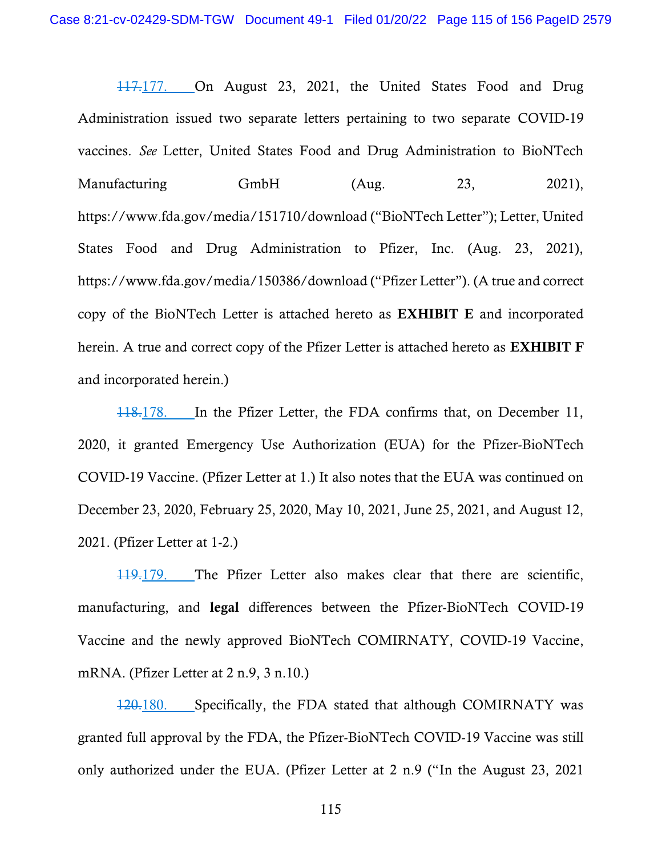117.177. On August 23, 2021, the United States Food and Drug Administration issued two separate letters pertaining to two separate COVID-19 vaccines. *See* Letter, United States Food and Drug Administration to BioNTech Manufacturing GmbH (Aug. 23, 2021), https://www.fda.gov/media/151710/download ("BioNTech Letter"); Letter, United States Food and Drug Administration to Pfizer, Inc. (Aug. 23, 2021), https://www.fda.gov/media/150386/download ("Pfizer Letter"). (A true and correct copy of the BioNTech Letter is attached hereto as EXHIBIT E and incorporated herein. A true and correct copy of the Pfizer Letter is attached hereto as **EXHIBIT F** and incorporated herein.)

118.178. In the Pfizer Letter, the FDA confirms that, on December 11, 2020, it granted Emergency Use Authorization (EUA) for the Pfizer-BioNTech COVID-19 Vaccine. (Pfizer Letter at 1.) It also notes that the EUA was continued on December 23, 2020, February 25, 2020, May 10, 2021, June 25, 2021, and August 12, 2021. (Pfizer Letter at 1-2.)

119.179. The Pfizer Letter also makes clear that there are scientific, manufacturing, and legal differences between the Pfizer-BioNTech COVID-19 Vaccine and the newly approved BioNTech COMIRNATY, COVID-19 Vaccine, mRNA. (Pfizer Letter at 2 n.9, 3 n.10.)

120.180. Specifically, the FDA stated that although COMIRNATY was granted full approval by the FDA, the Pfizer-BioNTech COVID-19 Vaccine was still only authorized under the EUA. (Pfizer Letter at 2 n.9 ("In the August 23, 2021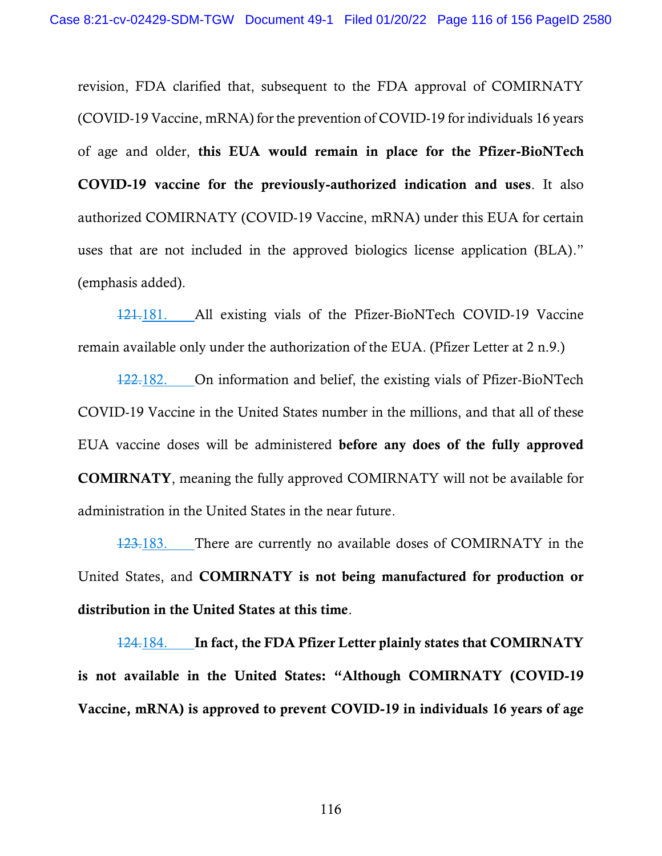revision, FDA clarified that, subsequent to the FDA approval of COMIRNATY (COVID-19 Vaccine, mRNA) for the prevention of COVID-19 for individuals 16 years of age and older, this EUA would remain in place for the Pfizer-BioNTech COVID-19 vaccine for the previously-authorized indication and uses. It also authorized COMIRNATY (COVID-19 Vaccine, mRNA) under this EUA for certain uses that are not included in the approved biologics license application (BLA)." (emphasis added).

121.181. All existing vials of the Pfizer-BioNTech COVID-19 Vaccine remain available only under the authorization of the EUA. (Pfizer Letter at 2 n.9.)

122.182. On information and belief, the existing vials of Pfizer-BioNTech COVID-19 Vaccine in the United States number in the millions, and that all of these EUA vaccine doses will be administered before any does of the fully approved COMIRNATY, meaning the fully approved COMIRNATY will not be available for administration in the United States in the near future.

123.183. There are currently no available doses of COMIRNATY in the United States, and COMIRNATY is not being manufactured for production or distribution in the United States at this time.

124.184. In fact, the FDA Pfizer Letter plainly states that COMIRNATY is not available in the United States: "Although COMIRNATY (COVID-19 Vaccine, mRNA) is approved to prevent COVID-19 in individuals 16 years of age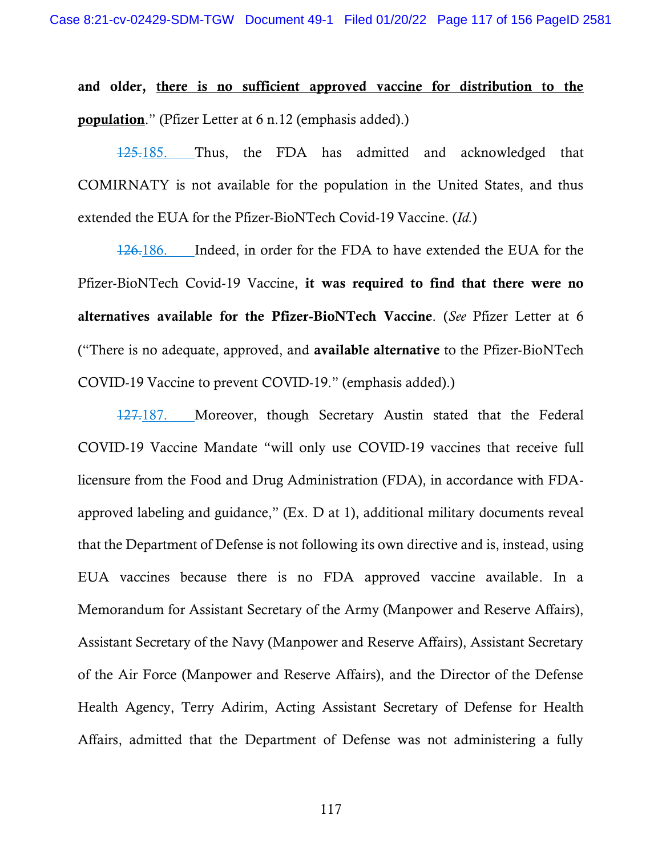and older, there is no sufficient approved vaccine for distribution to the population." (Pfizer Letter at 6 n.12 (emphasis added).)

125.185. Thus, the FDA has admitted and acknowledged that COMIRNATY is not available for the population in the United States, and thus extended the EUA for the Pfizer-BioNTech Covid-19 Vaccine. (*Id.*)

126.186. Indeed, in order for the FDA to have extended the EUA for the Pfizer-BioNTech Covid-19 Vaccine, it was required to find that there were no alternatives available for the Pfizer-BioNTech Vaccine. (*See* Pfizer Letter at 6 ("There is no adequate, approved, and available alternative to the Pfizer-BioNTech COVID-19 Vaccine to prevent COVID-19." (emphasis added).)

127.187. Moreover, though Secretary Austin stated that the Federal COVID-19 Vaccine Mandate "will only use COVID-19 vaccines that receive full licensure from the Food and Drug Administration (FDA), in accordance with FDAapproved labeling and guidance," (Ex. D at 1), additional military documents reveal that the Department of Defense is not following its own directive and is, instead, using EUA vaccines because there is no FDA approved vaccine available. In a Memorandum for Assistant Secretary of the Army (Manpower and Reserve Affairs), Assistant Secretary of the Navy (Manpower and Reserve Affairs), Assistant Secretary of the Air Force (Manpower and Reserve Affairs), and the Director of the Defense Health Agency, Terry Adirim, Acting Assistant Secretary of Defense for Health Affairs, admitted that the Department of Defense was not administering a fully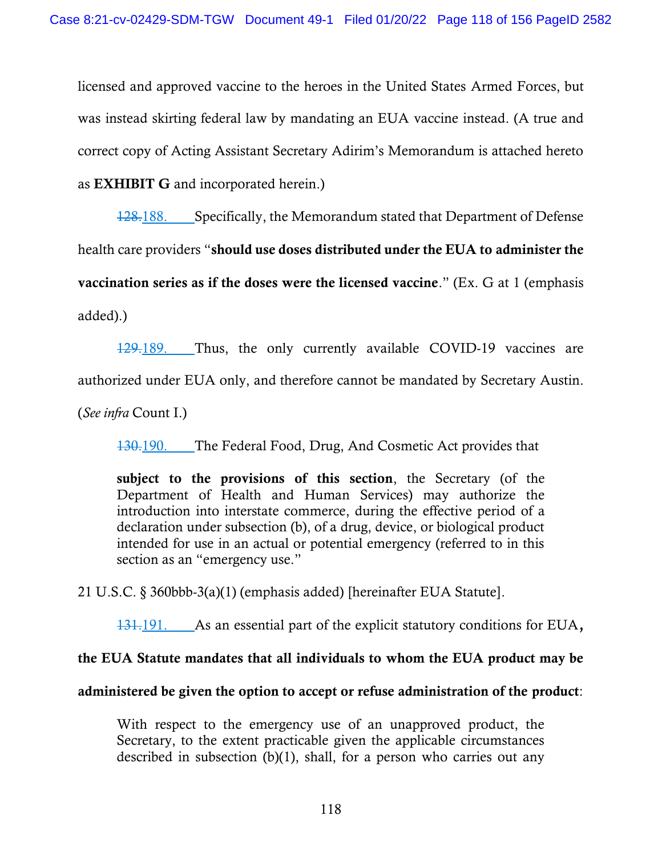licensed and approved vaccine to the heroes in the United States Armed Forces, but was instead skirting federal law by mandating an EUA vaccine instead. (A true and correct copy of Acting Assistant Secretary Adirim's Memorandum is attached hereto as EXHIBIT G and incorporated herein.)

128.188. Specifically, the Memorandum stated that Department of Defense health care providers "should use doses distributed under the EUA to administer the vaccination series as if the doses were the licensed vaccine." (Ex. G at 1 (emphasis added).)

129.189. Thus, the only currently available COVID-19 vaccines are authorized under EUA only, and therefore cannot be mandated by Secretary Austin. (*See infra* Count I.)

130.190. The Federal Food, Drug, And Cosmetic Act provides that

subject to the provisions of this section, the Secretary (of the Department of Health and Human Services) may authorize the introduction into interstate commerce, during the effective period of a declaration under subsection (b), of a drug, device, or biological product intended for use in an actual or potential emergency (referred to in this section as an "emergency use."

21 U.S.C. § 360bbb-3(a)(1) (emphasis added) [hereinafter EUA Statute].

131.191. As an essential part of the explicit statutory conditions for EUA,

# the EUA Statute mandates that all individuals to whom the EUA product may be

# administered be given the option to accept or refuse administration of the product:

With respect to the emergency use of an unapproved product, the Secretary, to the extent practicable given the applicable circumstances described in subsection (b)(1), shall, for a person who carries out any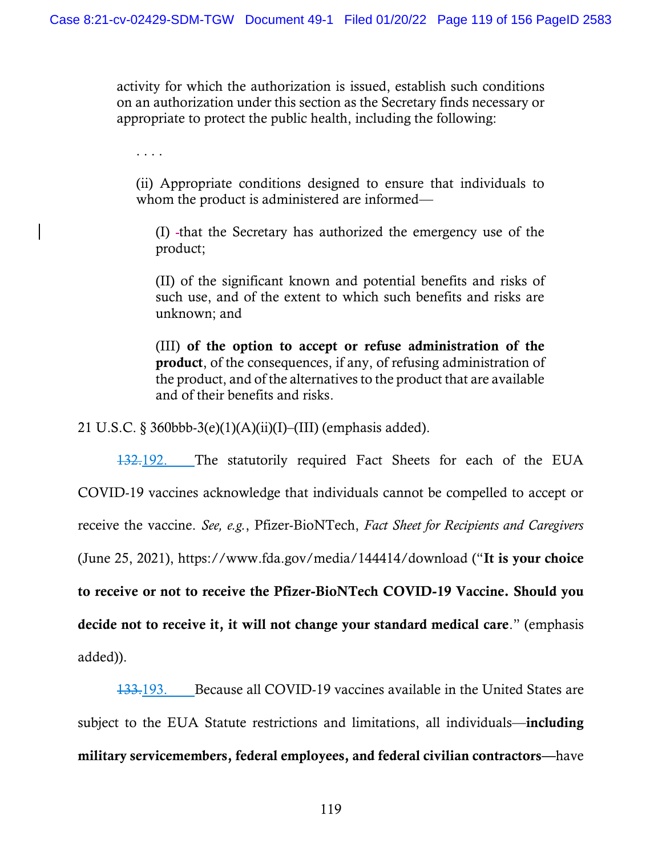activity for which the authorization is issued, establish such conditions on an authorization under this section as the Secretary finds necessary or appropriate to protect the public health, including the following:

. . . .

(ii) Appropriate conditions designed to ensure that individuals to whom the product is administered are informed—

(I) that the Secretary has authorized the emergency use of the product;

(II) of the significant known and potential benefits and risks of such use, and of the extent to which such benefits and risks are unknown; and

(III) of the option to accept or refuse administration of the product, of the consequences, if any, of refusing administration of the product, and of the alternatives to the product that are available and of their benefits and risks.

21 U.S.C. § 360bbb-3(e)(1)(A)(ii)(I)–(III) (emphasis added).

132.192. The statutorily required Fact Sheets for each of the EUA COVID-19 vaccines acknowledge that individuals cannot be compelled to accept or receive the vaccine. *See, e.g.*, Pfizer-BioNTech, *Fact Sheet for Recipients and Caregivers* (June 25, 2021), https://www.fda.gov/media/144414/download ("It is your choice to receive or not to receive the Pfizer-BioNTech COVID-19 Vaccine. Should you decide not to receive it, it will not change your standard medical care." (emphasis

added)).

133.193. Because all COVID-19 vaccines available in the United States are subject to the EUA Statute restrictions and limitations, all individuals—including military servicemembers, federal employees, and federal civilian contractors—have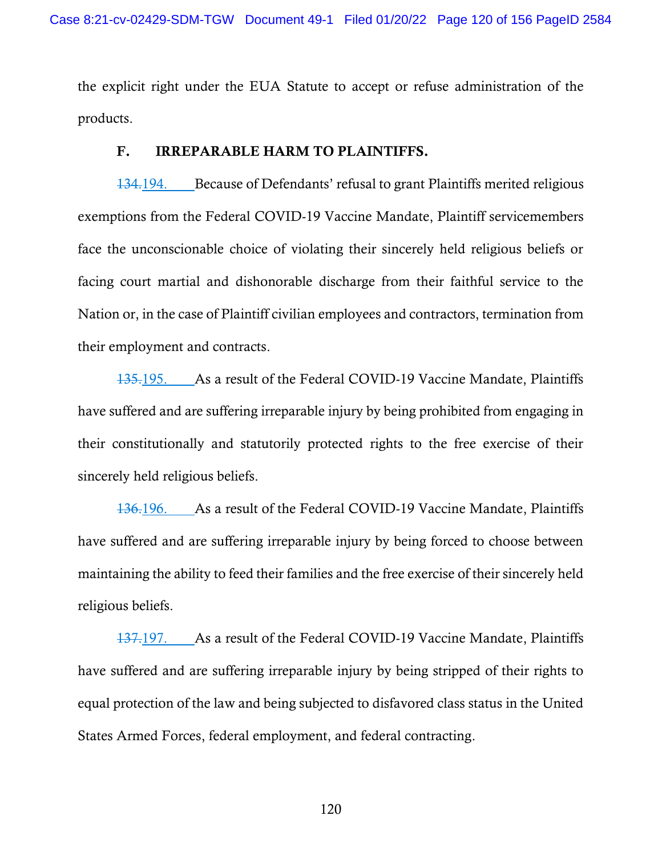the explicit right under the EUA Statute to accept or refuse administration of the products.

#### F. IRREPARABLE HARM TO PLAINTIFFS.

134.194. Because of Defendants' refusal to grant Plaintiffs merited religious exemptions from the Federal COVID-19 Vaccine Mandate, Plaintiff servicemembers face the unconscionable choice of violating their sincerely held religious beliefs or facing court martial and dishonorable discharge from their faithful service to the Nation or, in the case of Plaintiff civilian employees and contractors, termination from their employment and contracts.

135.195. As a result of the Federal COVID-19 Vaccine Mandate, Plaintiffs have suffered and are suffering irreparable injury by being prohibited from engaging in their constitutionally and statutorily protected rights to the free exercise of their sincerely held religious beliefs.

136.196. As a result of the Federal COVID-19 Vaccine Mandate, Plaintiffs have suffered and are suffering irreparable injury by being forced to choose between maintaining the ability to feed their families and the free exercise of their sincerely held religious beliefs.

137.197. As a result of the Federal COVID-19 Vaccine Mandate, Plaintiffs have suffered and are suffering irreparable injury by being stripped of their rights to equal protection of the law and being subjected to disfavored class status in the United States Armed Forces, federal employment, and federal contracting.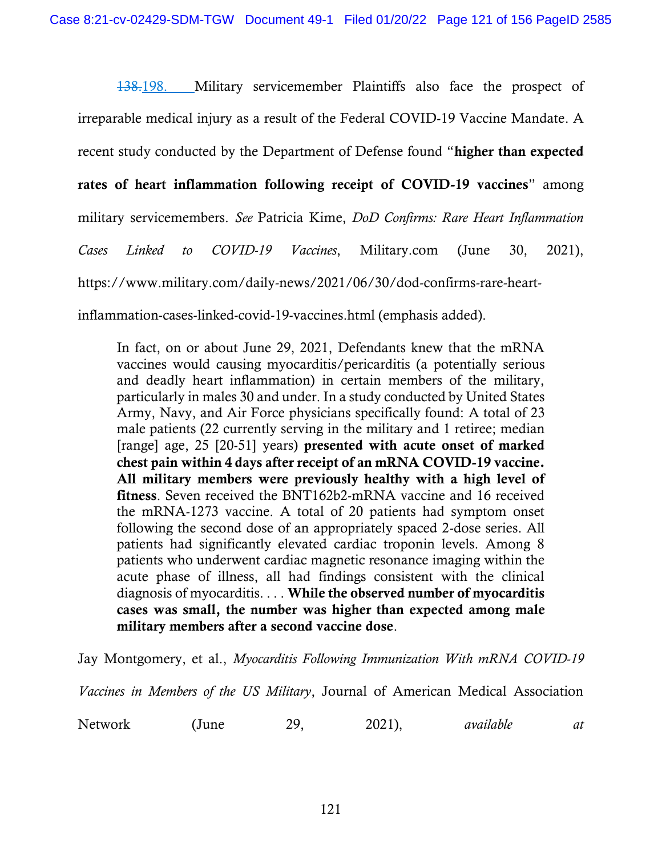138.198. Military servicemember Plaintiffs also face the prospect of irreparable medical injury as a result of the Federal COVID-19 Vaccine Mandate. A recent study conducted by the Department of Defense found "higher than expected rates of heart inflammation following receipt of COVID-19 vaccines" among military servicemembers. *See* Patricia Kime, *DoD Confirms: Rare Heart Inflammation Cases Linked to COVID-19 Vaccines*, Military.com (June 30, 2021), https://www.military.com/daily-news/2021/06/30/dod-confirms-rare-heart-

inflammation-cases-linked-covid-19-vaccines.html (emphasis added).

In fact, on or about June 29, 2021, Defendants knew that the mRNA vaccines would causing myocarditis/pericarditis (a potentially serious and deadly heart inflammation) in certain members of the military, particularly in males 30 and under. In a study conducted by United States Army, Navy, and Air Force physicians specifically found: A total of 23 male patients (22 currently serving in the military and 1 retiree; median [range] age, 25 [20-51] years) presented with acute onset of marked chest pain within 4 days after receipt of an mRNA COVID-19 vaccine. All military members were previously healthy with a high level of fitness. Seven received the BNT162b2-mRNA vaccine and 16 received the mRNA-1273 vaccine. A total of 20 patients had symptom onset following the second dose of an appropriately spaced 2-dose series. All patients had significantly elevated cardiac troponin levels. Among 8 patients who underwent cardiac magnetic resonance imaging within the acute phase of illness, all had findings consistent with the clinical diagnosis of myocarditis. . . . While the observed number of myocarditis cases was small, the number was higher than expected among male military members after a second vaccine dose.

Jay Montgomery, et al., *Myocarditis Following Immunization With mRNA COVID-19*

*Vaccines in Members of the US Military*, Journal of American Medical Association

Network (June 29, 2021), *available at*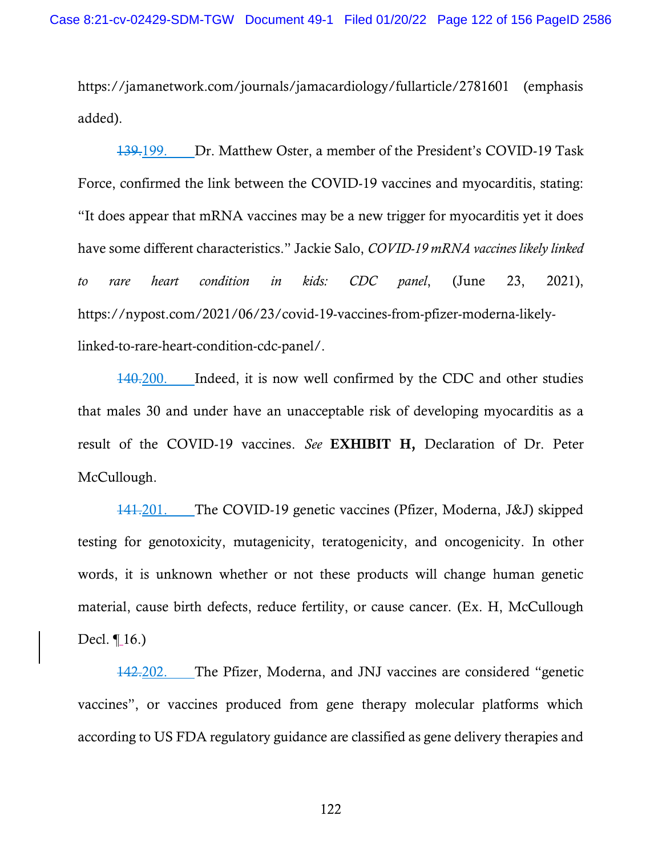https://jamanetwork.com/journals/jamacardiology/fullarticle/2781601 (emphasis added).

139.199. Dr. Matthew Oster, a member of the President's COVID-19 Task Force, confirmed the link between the COVID-19 vaccines and myocarditis, stating: "It does appear that mRNA vaccines may be a new trigger for myocarditis yet it does have some different characteristics." Jackie Salo, *COVID-19 mRNA vaccines likely linked to rare heart condition in kids: CDC panel*, (June 23, 2021), https://nypost.com/2021/06/23/covid-19-vaccines-from-pfizer-moderna-likelylinked-to-rare-heart-condition-cdc-panel/.

140.200. Indeed, it is now well confirmed by the CDC and other studies that males 30 and under have an unacceptable risk of developing myocarditis as a result of the COVID-19 vaccines. *See* EXHIBIT H, Declaration of Dr. Peter McCullough.

141.201. The COVID-19 genetic vaccines (Pfizer, Moderna, J&J) skipped testing for genotoxicity, mutagenicity, teratogenicity, and oncogenicity. In other words, it is unknown whether or not these products will change human genetic material, cause birth defects, reduce fertility, or cause cancer. (Ex. H, McCullough Decl.  $\P$ 16.)

142.202. The Pfizer, Moderna, and JNJ vaccines are considered "genetic vaccines", or vaccines produced from gene therapy molecular platforms which according to US FDA regulatory guidance are classified as gene delivery therapies and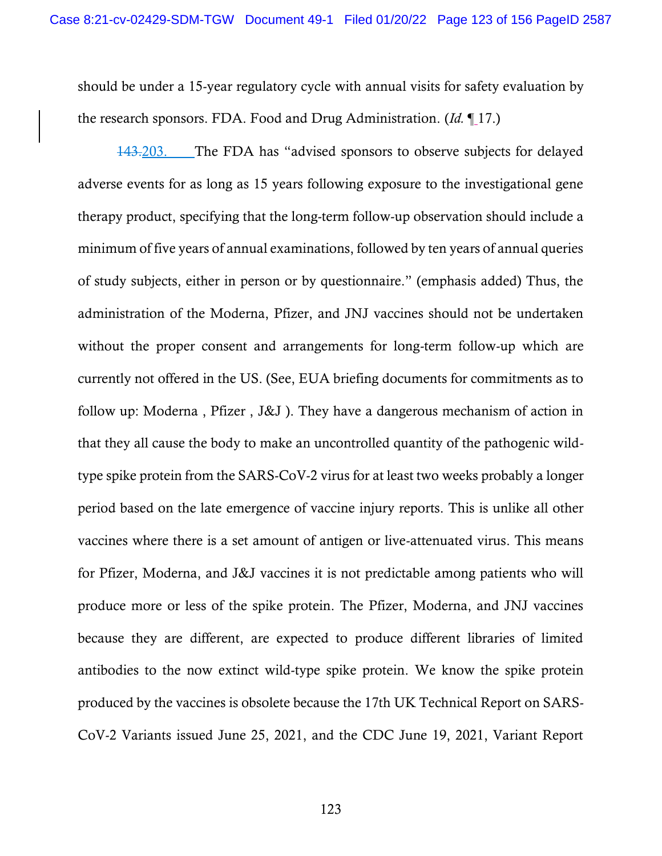should be under a 15-year regulatory cycle with annual visits for safety evaluation by the research sponsors. FDA. Food and Drug Administration. (*Id.* ¶ 17.)

143.203. The FDA has "advised sponsors to observe subjects for delayed adverse events for as long as 15 years following exposure to the investigational gene therapy product, specifying that the long-term follow-up observation should include a minimum of five years of annual examinations, followed by ten years of annual queries of study subjects, either in person or by questionnaire." (emphasis added) Thus, the administration of the Moderna, Pfizer, and JNJ vaccines should not be undertaken without the proper consent and arrangements for long-term follow-up which are currently not offered in the US. (See, EUA briefing documents for commitments as to follow up: Moderna , Pfizer , J&J ). They have a dangerous mechanism of action in that they all cause the body to make an uncontrolled quantity of the pathogenic wildtype spike protein from the SARS-CoV-2 virus for at least two weeks probably a longer period based on the late emergence of vaccine injury reports. This is unlike all other vaccines where there is a set amount of antigen or live-attenuated virus. This means for Pfizer, Moderna, and J&J vaccines it is not predictable among patients who will produce more or less of the spike protein. The Pfizer, Moderna, and JNJ vaccines because they are different, are expected to produce different libraries of limited antibodies to the now extinct wild-type spike protein. We know the spike protein produced by the vaccines is obsolete because the 17th UK Technical Report on SARS-CoV-2 Variants issued June 25, 2021, and the CDC June 19, 2021, Variant Report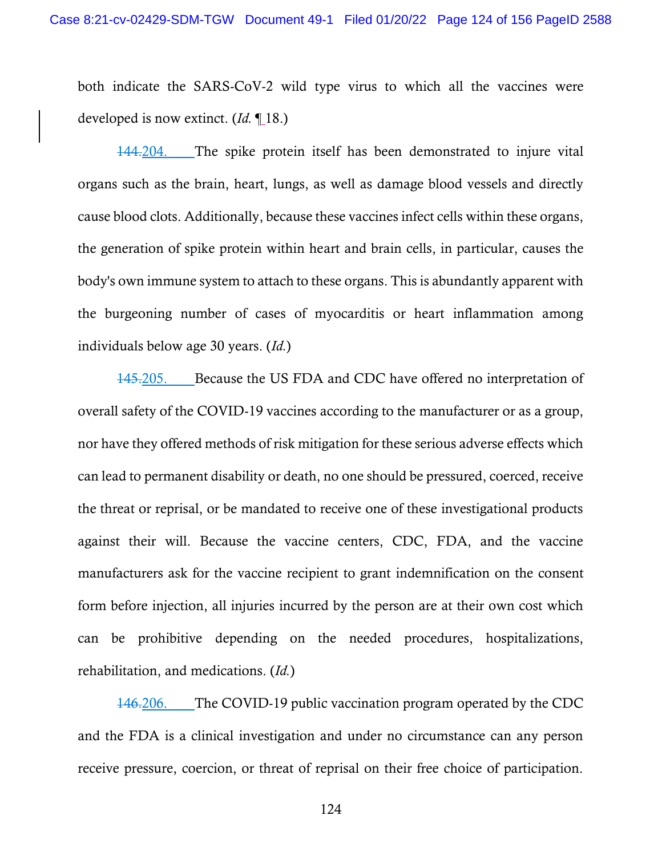both indicate the SARS-CoV-2 wild type virus to which all the vaccines were developed is now extinct. (*Id.* ¶ 18.)

144.204. The spike protein itself has been demonstrated to injure vital organs such as the brain, heart, lungs, as well as damage blood vessels and directly cause blood clots. Additionally, because these vaccines infect cells within these organs, the generation of spike protein within heart and brain cells, in particular, causes the body's own immune system to attach to these organs. This is abundantly apparent with the burgeoning number of cases of myocarditis or heart inflammation among individuals below age 30 years. (*Id.*)

145.205. Because the US FDA and CDC have offered no interpretation of overall safety of the COVID-19 vaccines according to the manufacturer or as a group, nor have they offered methods of risk mitigation for these serious adverse effects which can lead to permanent disability or death, no one should be pressured, coerced, receive the threat or reprisal, or be mandated to receive one of these investigational products against their will. Because the vaccine centers, CDC, FDA, and the vaccine manufacturers ask for the vaccine recipient to grant indemnification on the consent form before injection, all injuries incurred by the person are at their own cost which can be prohibitive depending on the needed procedures, hospitalizations, rehabilitation, and medications. (*Id.*)

146.206. The COVID-19 public vaccination program operated by the CDC and the FDA is a clinical investigation and under no circumstance can any person receive pressure, coercion, or threat of reprisal on their free choice of participation.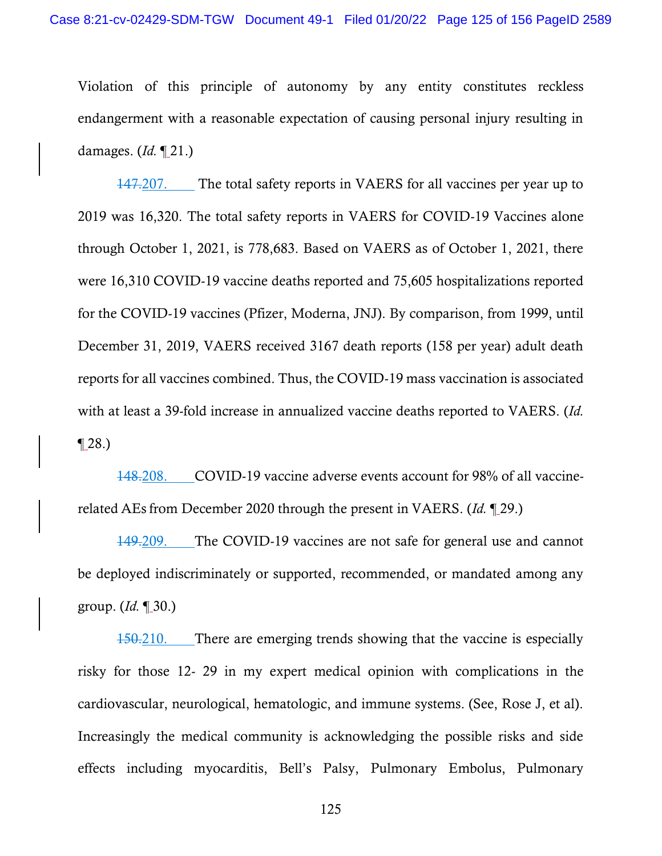Violation of this principle of autonomy by any entity constitutes reckless endangerment with a reasonable expectation of causing personal injury resulting in damages. (*Id.* 121.)

147.207. The total safety reports in VAERS for all vaccines per year up to 2019 was 16,320. The total safety reports in VAERS for COVID-19 Vaccines alone through October 1, 2021, is 778,683. Based on VAERS as of October 1, 2021, there were 16,310 COVID-19 vaccine deaths reported and 75,605 hospitalizations reported for the COVID-19 vaccines (Pfizer, Moderna, JNJ). By comparison, from 1999, until December 31, 2019, VAERS received 3167 death reports (158 per year) adult death reports for all vaccines combined. Thus, the COVID-19 mass vaccination is associated with at least a 39-fold increase in annualized vaccine deaths reported to VAERS. (*Id.*   $\P$  28.)

148.208. COVID-19 vaccine adverse events account for 98% of all vaccinerelated AEs from December 2020 through the present in VAERS. (*Id.* 129.)

149.209. The COVID-19 vaccines are not safe for general use and cannot be deployed indiscriminately or supported, recommended, or mandated among any group. (*Id.* ¶ 30.)

150.210. There are emerging trends showing that the vaccine is especially risky for those 12- 29 in my expert medical opinion with complications in the cardiovascular, neurological, hematologic, and immune systems. (See, Rose J, et al). Increasingly the medical community is acknowledging the possible risks and side effects including myocarditis, Bell's Palsy, Pulmonary Embolus, Pulmonary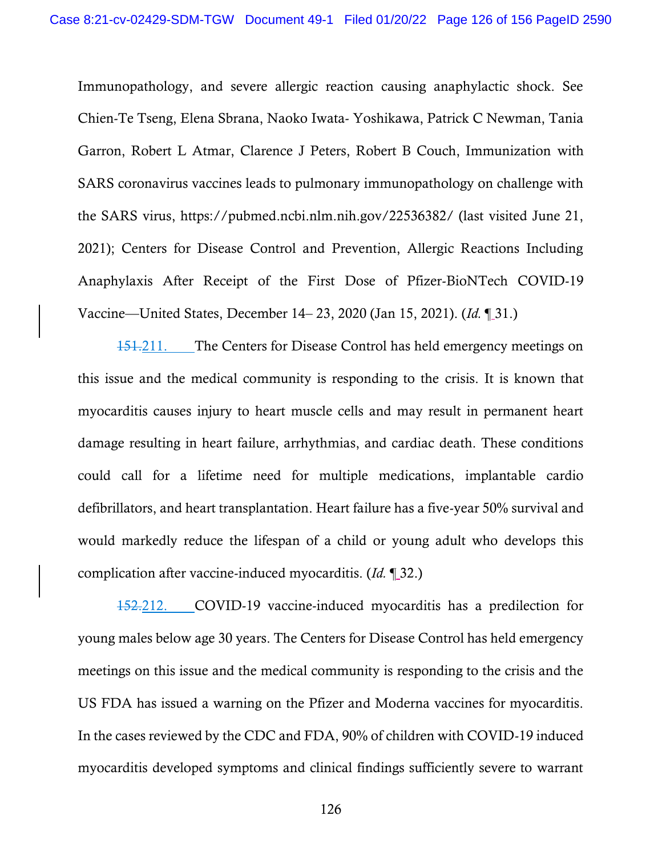Immunopathology, and severe allergic reaction causing anaphylactic shock. See Chien-Te Tseng, Elena Sbrana, Naoko Iwata- Yoshikawa, Patrick C Newman, Tania Garron, Robert L Atmar, Clarence J Peters, Robert B Couch, Immunization with SARS coronavirus vaccines leads to pulmonary immunopathology on challenge with the SARS virus, https://pubmed.ncbi.nlm.nih.gov/22536382/ (last visited June 21, 2021); Centers for Disease Control and Prevention, Allergic Reactions Including Anaphylaxis After Receipt of the First Dose of Pfizer-BioNTech COVID-19 Vaccine—United States, December 14– 23, 2020 (Jan 15, 2021). (*Id.* ¶ 31.)

151.211. The Centers for Disease Control has held emergency meetings on this issue and the medical community is responding to the crisis. It is known that myocarditis causes injury to heart muscle cells and may result in permanent heart damage resulting in heart failure, arrhythmias, and cardiac death. These conditions could call for a lifetime need for multiple medications, implantable cardio defibrillators, and heart transplantation. Heart failure has a five-year 50% survival and would markedly reduce the lifespan of a child or young adult who develops this complication after vaccine-induced myocarditis. (*Id.* ¶ 32.)

152.212. COVID-19 vaccine-induced myocarditis has a predilection for young males below age 30 years. The Centers for Disease Control has held emergency meetings on this issue and the medical community is responding to the crisis and the US FDA has issued a warning on the Pfizer and Moderna vaccines for myocarditis. In the cases reviewed by the CDC and FDA, 90% of children with COVID-19 induced myocarditis developed symptoms and clinical findings sufficiently severe to warrant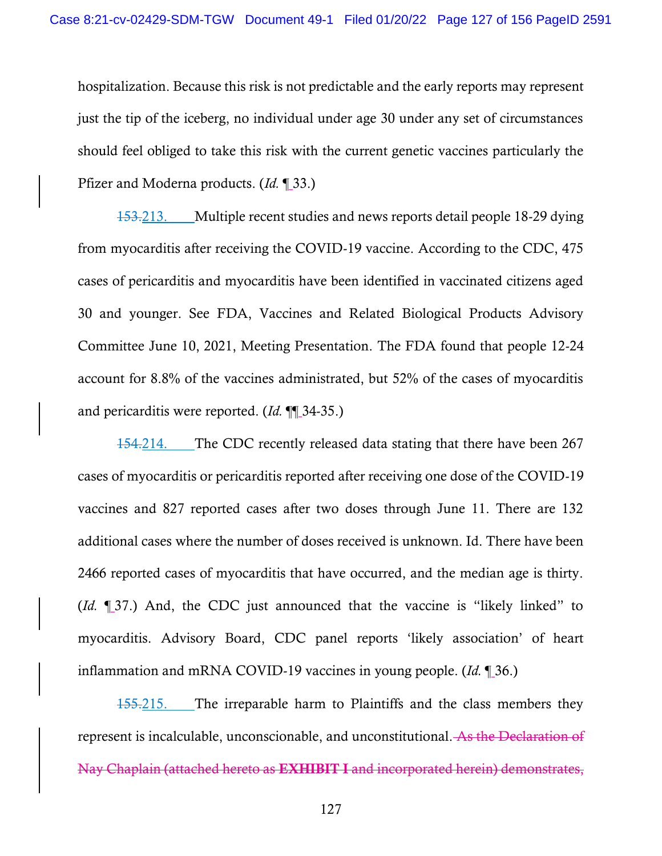hospitalization. Because this risk is not predictable and the early reports may represent just the tip of the iceberg, no individual under age 30 under any set of circumstances should feel obliged to take this risk with the current genetic vaccines particularly the Pfizer and Moderna products. *(Id.* 133.)

153.213. Multiple recent studies and news reports detail people 18-29 dying from myocarditis after receiving the COVID-19 vaccine. According to the CDC, 475 cases of pericarditis and myocarditis have been identified in vaccinated citizens aged 30 and younger. See FDA, Vaccines and Related Biological Products Advisory Committee June 10, 2021, Meeting Presentation. The FDA found that people 12-24 account for 8.8% of the vaccines administrated, but 52% of the cases of myocarditis and pericarditis were reported. (*Id.* ¶¶ 34-35.)

154.214. The CDC recently released data stating that there have been 267 cases of myocarditis or pericarditis reported after receiving one dose of the COVID-19 vaccines and 827 reported cases after two doses through June 11. There are 132 additional cases where the number of doses received is unknown. Id. There have been 2466 reported cases of myocarditis that have occurred, and the median age is thirty. (*Id.* ¶ 37.) And, the CDC just announced that the vaccine is "likely linked" to myocarditis. Advisory Board, CDC panel reports 'likely association' of heart inflammation and mRNA COVID-19 vaccines in young people. (*Id.* ¶ 36.)

155.215. The irreparable harm to Plaintiffs and the class members they represent is incalculable, unconscionable, and unconstitutional. As the Declaration of Nay Chaplain (attached hereto as EXHIBIT I and incorporated herein) demonstrates,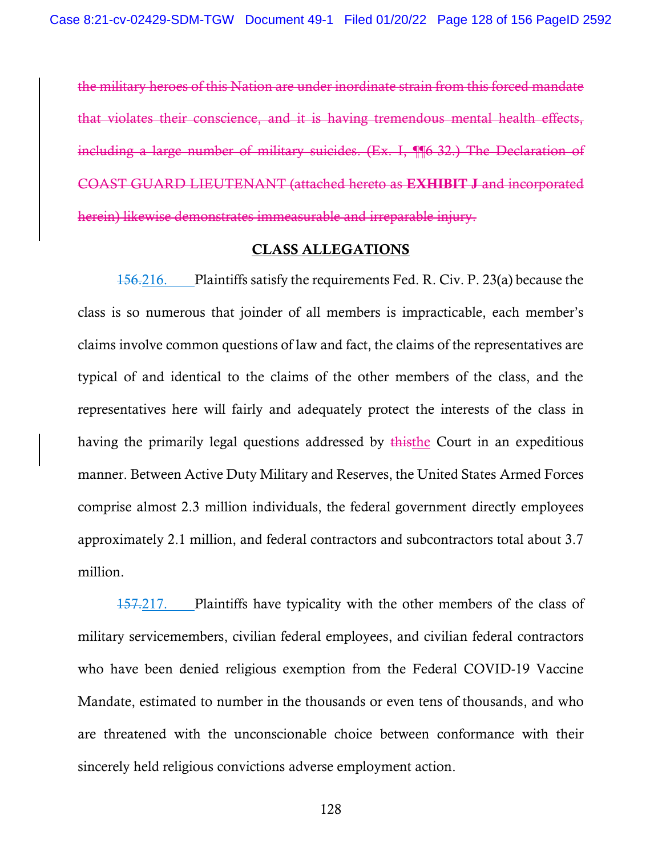the military heroes of this Nation are under inordinate strain from this forced mandate that violates their conscience, and it is having tremendous mental health effects, including a large number of military suicides. (Ex. I, ¶¶6 32.) The Declaration of COAST GUARD LIEUTENANT (attached hereto as EXHIBIT J and incorporated herein) likewise demonstrates immeasurable and irreparable injury.

#### CLASS ALLEGATIONS

156.216. Plaintiffs satisfy the requirements Fed. R. Civ. P. 23(a) because the class is so numerous that joinder of all members is impracticable, each member's claims involve common questions of law and fact, the claims of the representatives are typical of and identical to the claims of the other members of the class, and the representatives here will fairly and adequately protect the interests of the class in having the primarily legal questions addressed by thisthe Court in an expeditious manner. Between Active Duty Military and Reserves, the United States Armed Forces comprise almost 2.3 million individuals, the federal government directly employees approximately 2.1 million, and federal contractors and subcontractors total about 3.7 million.

157.217. Plaintiffs have typicality with the other members of the class of military servicemembers, civilian federal employees, and civilian federal contractors who have been denied religious exemption from the Federal COVID-19 Vaccine Mandate, estimated to number in the thousands or even tens of thousands, and who are threatened with the unconscionable choice between conformance with their sincerely held religious convictions adverse employment action.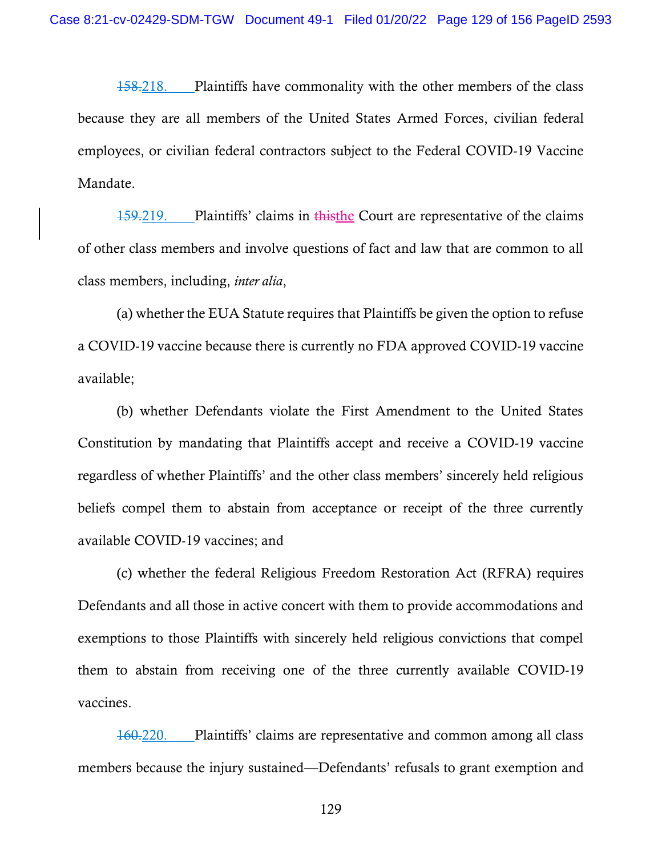158.218. Plaintiffs have commonality with the other members of the class because they are all members of the United States Armed Forces, civilian federal employees, or civilian federal contractors subject to the Federal COVID-19 Vaccine Mandate.

159.219. Plaintiffs' claims in thisthe Court are representative of the claims of other class members and involve questions of fact and law that are common to all class members, including, *inter alia*,

(a) whether the EUA Statute requires that Plaintiffs be given the option to refuse a COVID-19 vaccine because there is currently no FDA approved COVID-19 vaccine available;

(b) whether Defendants violate the First Amendment to the United States Constitution by mandating that Plaintiffs accept and receive a COVID-19 vaccine regardless of whether Plaintiffs' and the other class members' sincerely held religious beliefs compel them to abstain from acceptance or receipt of the three currently available COVID-19 vaccines; and

(c) whether the federal Religious Freedom Restoration Act (RFRA) requires Defendants and all those in active concert with them to provide accommodations and exemptions to those Plaintiffs with sincerely held religious convictions that compel them to abstain from receiving one of the three currently available COVID-19 vaccines.

160.220. Plaintiffs' claims are representative and common among all class members because the injury sustained—Defendants' refusals to grant exemption and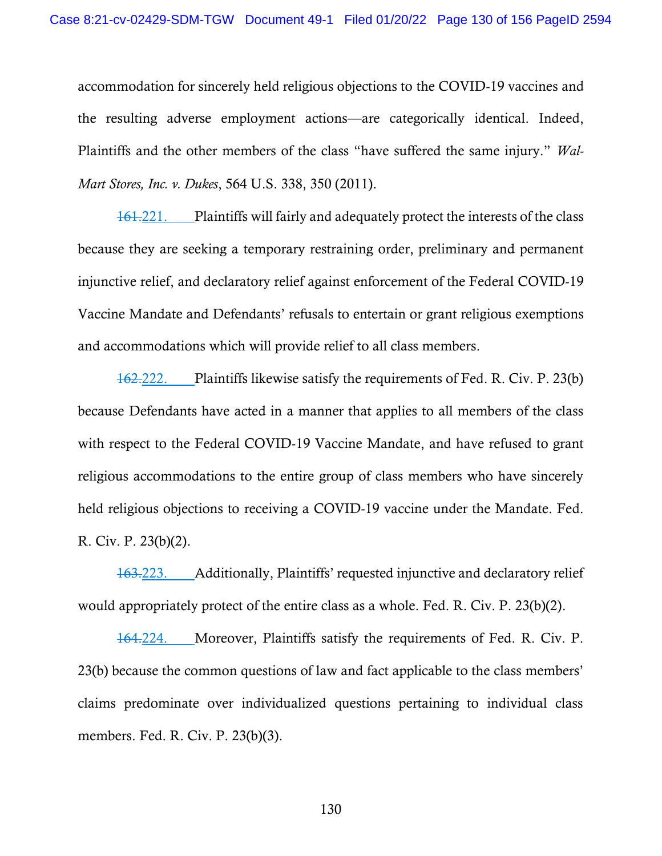accommodation for sincerely held religious objections to the COVID-19 vaccines and the resulting adverse employment actions—are categorically identical. Indeed, Plaintiffs and the other members of the class "have suffered the same injury." *Wal-Mart Stores, Inc. v. Dukes*, 564 U.S. 338, 350 (2011).

161.221. Plaintiffs will fairly and adequately protect the interests of the class because they are seeking a temporary restraining order, preliminary and permanent injunctive relief, and declaratory relief against enforcement of the Federal COVID-19 Vaccine Mandate and Defendants' refusals to entertain or grant religious exemptions and accommodations which will provide relief to all class members.

162.222. Plaintiffs likewise satisfy the requirements of Fed. R. Civ. P. 23(b) because Defendants have acted in a manner that applies to all members of the class with respect to the Federal COVID-19 Vaccine Mandate, and have refused to grant religious accommodations to the entire group of class members who have sincerely held religious objections to receiving a COVID-19 vaccine under the Mandate. Fed. R. Civ. P. 23(b)(2).

163.223. Additionally, Plaintiffs' requested injunctive and declaratory relief would appropriately protect of the entire class as a whole. Fed. R. Civ. P. 23(b)(2).

164.224. Moreover, Plaintiffs satisfy the requirements of Fed. R. Civ. P. 23(b) because the common questions of law and fact applicable to the class members' claims predominate over individualized questions pertaining to individual class members. Fed. R. Civ. P. 23(b)(3).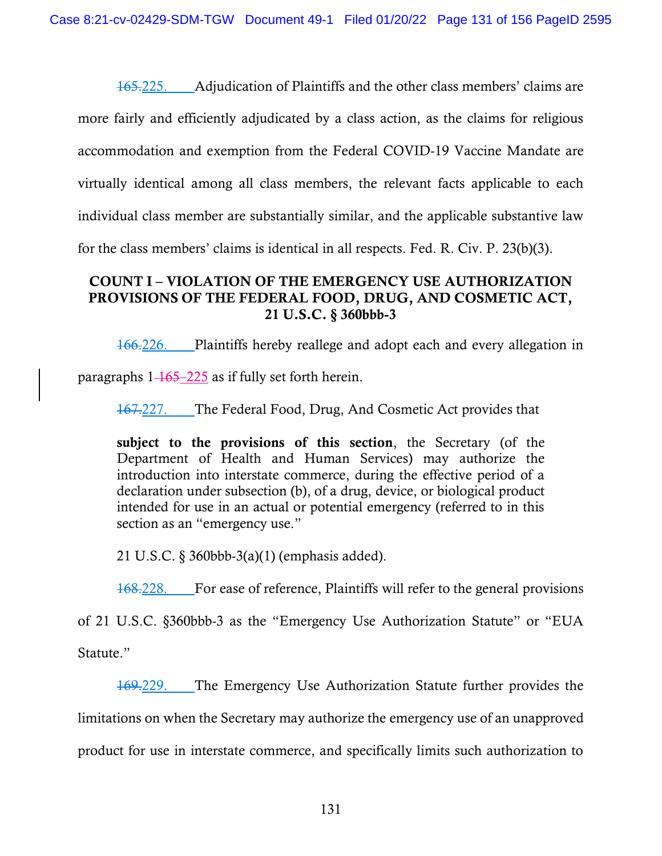165.225. Adjudication of Plaintiffs and the other class members' claims are more fairly and efficiently adjudicated by a class action, as the claims for religious accommodation and exemption from the Federal COVID-19 Vaccine Mandate are virtually identical among all class members, the relevant facts applicable to each individual class member are substantially similar, and the applicable substantive law for the class members' claims is identical in all respects. Fed. R. Civ. P. 23(b)(3).

# COUNT I – VIOLATION OF THE EMERGENCY USE AUTHORIZATION PROVISIONS OF THE FEDERAL FOOD, DRUG, AND COSMETIC ACT, 21 U.S.C. § 360bbb-3

166.226. Plaintiffs hereby reallege and adopt each and every allegation in

paragraphs  $1\overline{+165}$  -225 as if fully set forth herein.

167.227. The Federal Food, Drug, And Cosmetic Act provides that

subject to the provisions of this section, the Secretary (of the Department of Health and Human Services) may authorize the introduction into interstate commerce, during the effective period of a declaration under subsection (b), of a drug, device, or biological product intended for use in an actual or potential emergency (referred to in this section as an "emergency use."

21 U.S.C. § 360bbb-3(a)(1) (emphasis added).

168.228. For ease of reference, Plaintiffs will refer to the general provisions

of 21 U.S.C. §360bbb-3 as the "Emergency Use Authorization Statute" or "EUA

Statute."

169,229. The Emergency Use Authorization Statute further provides the

limitations on when the Secretary may authorize the emergency use of an unapproved

product for use in interstate commerce, and specifically limits such authorization to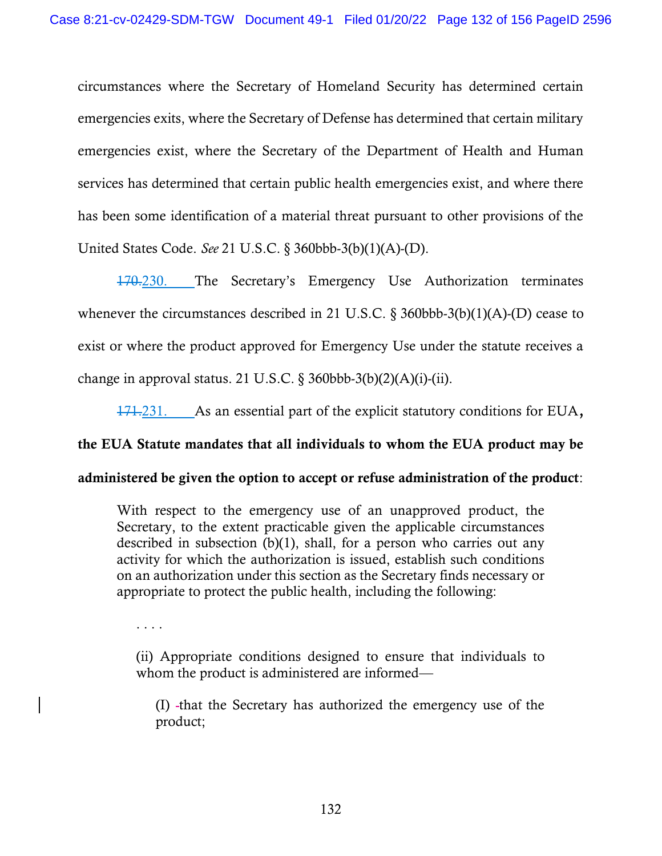circumstances where the Secretary of Homeland Security has determined certain emergencies exits, where the Secretary of Defense has determined that certain military emergencies exist, where the Secretary of the Department of Health and Human services has determined that certain public health emergencies exist, and where there has been some identification of a material threat pursuant to other provisions of the United States Code. *See* 21 U.S.C. § 360bbb-3(b)(1)(A)-(D).

170.230. The Secretary's Emergency Use Authorization terminates whenever the circumstances described in 21 U.S.C. § 360bbb-3(b)(1)(A)-(D) cease to exist or where the product approved for Emergency Use under the statute receives a change in approval status. 21 U.S.C.  $\S$  360bbb-3(b)(2)(A)(i)-(ii).

171.231. As an essential part of the explicit statutory conditions for EUA,

# the EUA Statute mandates that all individuals to whom the EUA product may be

## administered be given the option to accept or refuse administration of the product:

With respect to the emergency use of an unapproved product, the Secretary, to the extent practicable given the applicable circumstances described in subsection (b)(1), shall, for a person who carries out any activity for which the authorization is issued, establish such conditions on an authorization under this section as the Secretary finds necessary or appropriate to protect the public health, including the following:

. . . .

(ii) Appropriate conditions designed to ensure that individuals to whom the product is administered are informed—

(I) that the Secretary has authorized the emergency use of the product;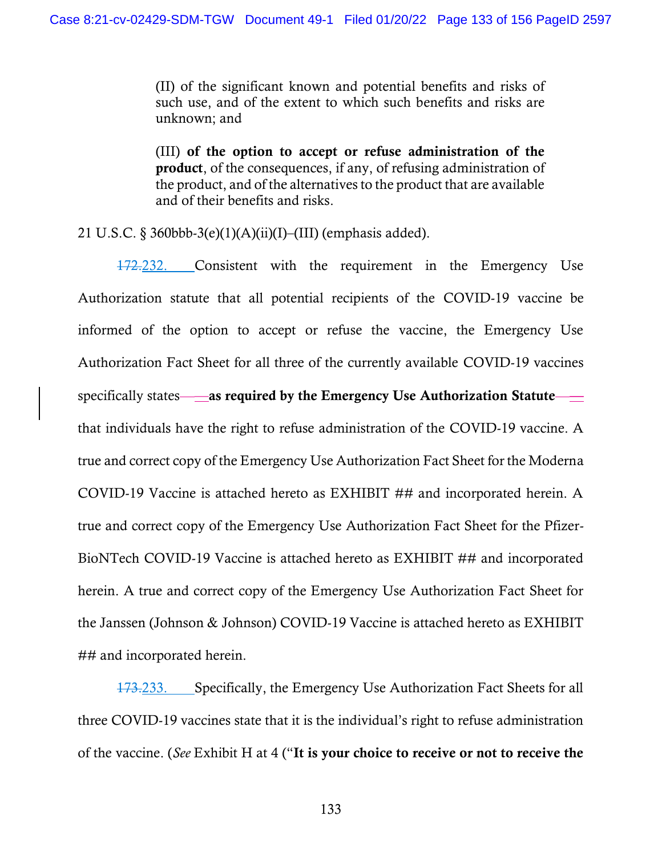(II) of the significant known and potential benefits and risks of such use, and of the extent to which such benefits and risks are unknown; and

(III) of the option to accept or refuse administration of the product, of the consequences, if any, of refusing administration of the product, and of the alternatives to the product that are available and of their benefits and risks.

21 U.S.C. § 360bbb-3(e)(1)(A)(ii)(I)–(III) (emphasis added).

172.232. Consistent with the requirement in the Emergency Use Authorization statute that all potential recipients of the COVID-19 vaccine be informed of the option to accept or refuse the vaccine, the Emergency Use Authorization Fact Sheet for all three of the currently available COVID-19 vaccines specifically states —**as required by the Emergency Use Authorization Statute** that individuals have the right to refuse administration of the COVID-19 vaccine. A true and correct copy of the Emergency Use Authorization Fact Sheet for the Moderna COVID-19 Vaccine is attached hereto as EXHIBIT ## and incorporated herein. A true and correct copy of the Emergency Use Authorization Fact Sheet for the Pfizer-BioNTech COVID-19 Vaccine is attached hereto as EXHIBIT ## and incorporated herein. A true and correct copy of the Emergency Use Authorization Fact Sheet for the Janssen (Johnson & Johnson) COVID-19 Vaccine is attached hereto as EXHIBIT ## and incorporated herein.

173.233. Specifically, the Emergency Use Authorization Fact Sheets for all three COVID-19 vaccines state that it is the individual's right to refuse administration of the vaccine. (*See* Exhibit H at 4 ("It is your choice to receive or not to receive the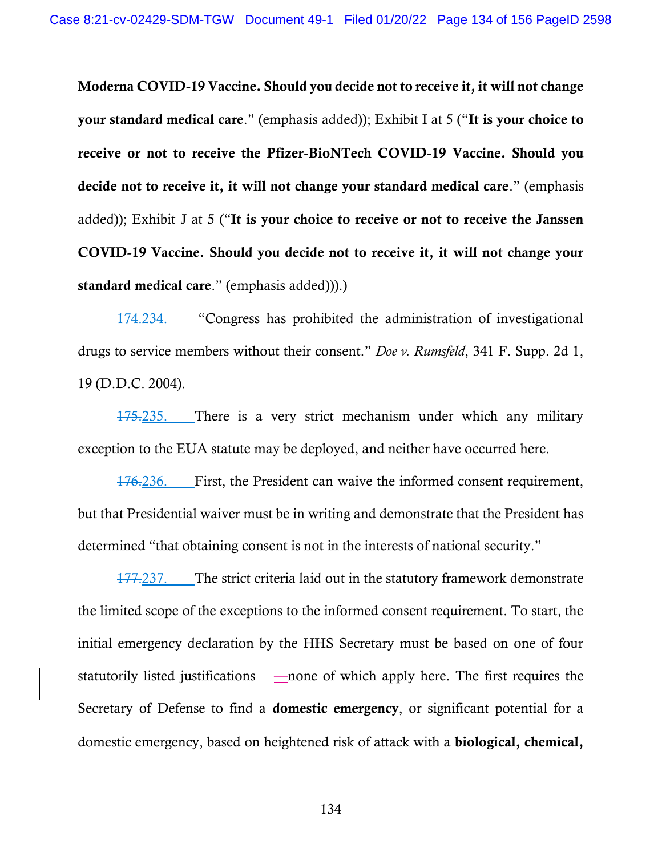Moderna COVID-19 Vaccine. Should you decide not to receive it, it will not change your standard medical care." (emphasis added)); Exhibit I at 5 ("It is your choice to receive or not to receive the Pfizer-BioNTech COVID-19 Vaccine. Should you decide not to receive it, it will not change your standard medical care." (emphasis added)); Exhibit J at 5 ("It is your choice to receive or not to receive the Janssen COVID-19 Vaccine. Should you decide not to receive it, it will not change your standard medical care." (emphasis added))).)

174.234. "Congress has prohibited the administration of investigational drugs to service members without their consent." *Doe v. Rumsfeld*, 341 F. Supp. 2d 1, 19 (D.D.C. 2004).

175.235. There is a very strict mechanism under which any military exception to the EUA statute may be deployed, and neither have occurred here.

176.236. First, the President can waive the informed consent requirement, but that Presidential waiver must be in writing and demonstrate that the President has determined "that obtaining consent is not in the interests of national security."

177.237. The strict criteria laid out in the statutory framework demonstrate the limited scope of the exceptions to the informed consent requirement. To start, the initial emergency declaration by the HHS Secretary must be based on one of four statutorily listed justifications—none of which apply here. The first requires the Secretary of Defense to find a **domestic emergency**, or significant potential for a domestic emergency, based on heightened risk of attack with a biological, chemical,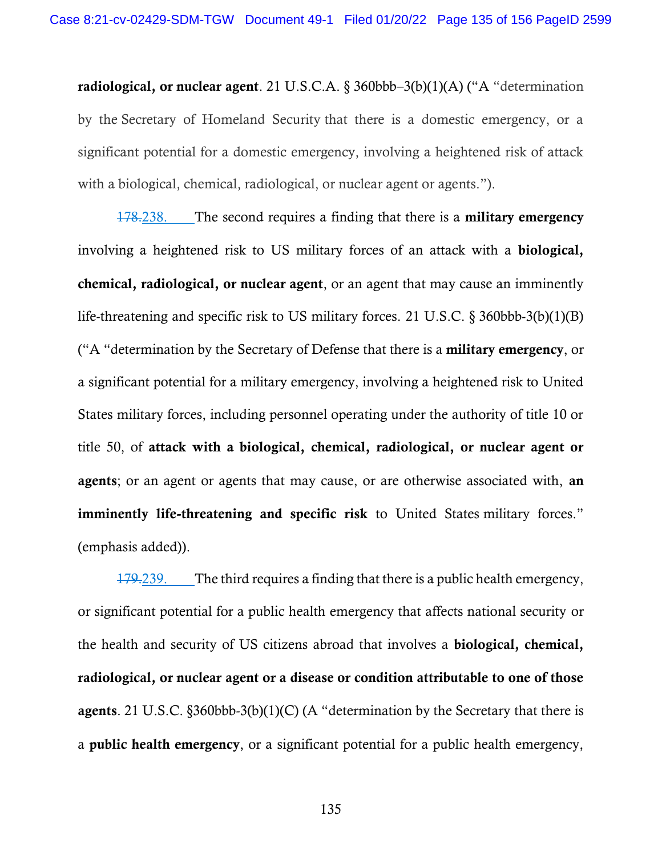radiological, or nuclear agent. 21 U.S.C.A.  $\S$  360bbb–3(b)(1)(A) ("A "determination by the Secretary of Homeland Security that there is a domestic emergency, or a significant potential for a domestic emergency, involving a heightened risk of attack with a biological, chemical, radiological, or nuclear agent or agents.").

178.238. The second requires a finding that there is a military emergency involving a heightened risk to US military forces of an attack with a biological, chemical, radiological, or nuclear agent, or an agent that may cause an imminently life-threatening and specific risk to US military forces. 21 U.S.C. § 360bbb-3(b)(1)(B) ("A "determination by the Secretary of Defense that there is a military emergency, or a significant potential for a military emergency, involving a heightened risk to United States military forces, including personnel operating under the authority of title 10 or title 50, of attack with a biological, chemical, radiological, or nuclear agent or agents; or an agent or agents that may cause, or are otherwise associated with, an imminently life-threatening and specific risk to United States military forces." (emphasis added)).

179.239. The third requires a finding that there is a public health emergency, or significant potential for a public health emergency that affects national security or the health and security of US citizens abroad that involves a biological, chemical, radiological, or nuclear agent or a disease or condition attributable to one of those agents. 21 U.S.C. §360bbb-3(b)(1)(C) (A "determination by the Secretary that there is a public health emergency, or a significant potential for a public health emergency,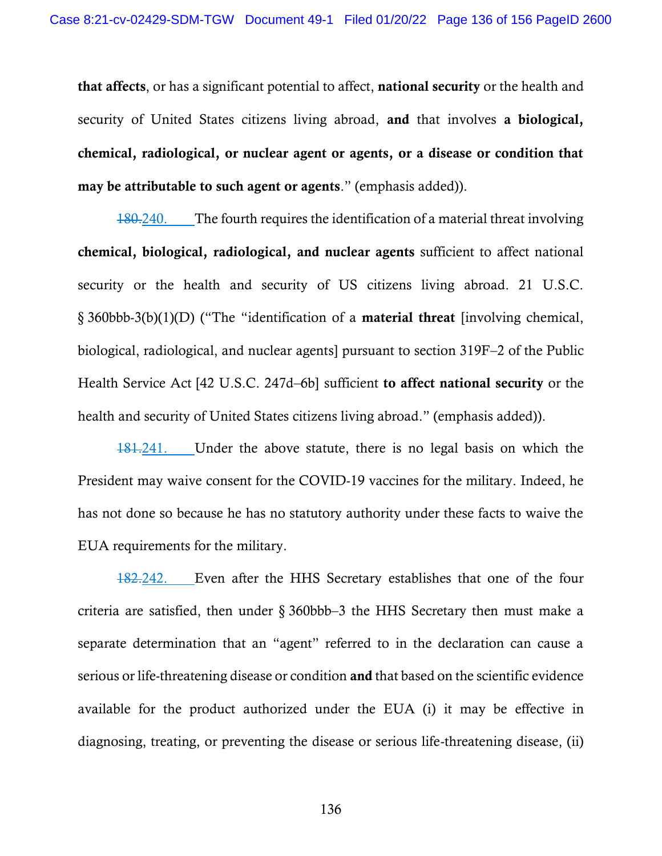that affects, or has a significant potential to affect, national security or the health and security of United States citizens living abroad, and that involves a biological, chemical, radiological, or nuclear agent or agents, or a disease or condition that may be attributable to such agent or agents." (emphasis added)).

180.240. The fourth requires the identification of a material threat involving chemical, biological, radiological, and nuclear agents sufficient to affect national security or the health and security of US citizens living abroad. 21 U.S.C. § 360bbb-3(b)(1)(D) ("The "identification of a material threat [involving chemical, biological, radiological, and nuclear agents] pursuant to section 319F–2 of the Public Health Service Act [42 U.S.C. 247d–6b] sufficient to affect national security or the health and security of United States citizens living abroad." (emphasis added)).

181.241. Under the above statute, there is no legal basis on which the President may waive consent for the COVID-19 vaccines for the military. Indeed, he has not done so because he has no statutory authority under these facts to waive the EUA requirements for the military.

182.242. Even after the HHS Secretary establishes that one of the four criteria are satisfied, then under § 360bbb–3 the HHS Secretary then must make a separate determination that an "agent" referred to in the declaration can cause a serious or life-threatening disease or condition and that based on the scientific evidence available for the product authorized under the EUA (i) it may be effective in diagnosing, treating, or preventing the disease or serious life-threatening disease, (ii)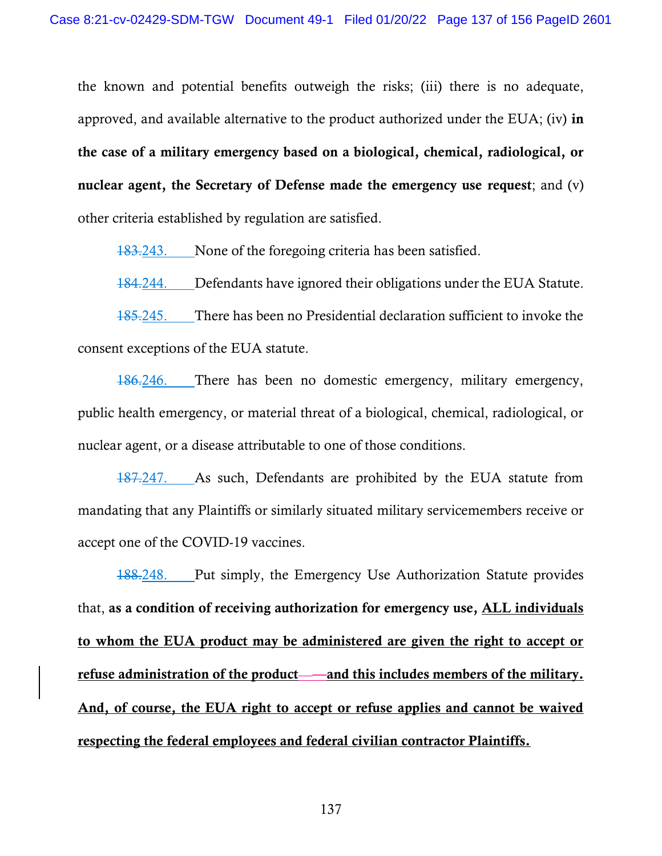the known and potential benefits outweigh the risks; (iii) there is no adequate, approved, and available alternative to the product authorized under the EUA; (iv) in the case of a military emergency based on a biological, chemical, radiological, or nuclear agent, the Secretary of Defense made the emergency use request; and (v) other criteria established by regulation are satisfied.

183.243. None of the foregoing criteria has been satisfied.

184.244. Defendants have ignored their obligations under the EUA Statute.

185.245. There has been no Presidential declaration sufficient to invoke the consent exceptions of the EUA statute.

186.246. There has been no domestic emergency, military emergency, public health emergency, or material threat of a biological, chemical, radiological, or nuclear agent, or a disease attributable to one of those conditions.

187.247. As such, Defendants are prohibited by the EUA statute from mandating that any Plaintiffs or similarly situated military servicemembers receive or accept one of the COVID-19 vaccines.

188.248. Put simply, the Emergency Use Authorization Statute provides that, as a condition of receiving authorization for emergency use, ALL individuals to whom the EUA product may be administered are given the right to accept or refuse administration of the product—and this includes members of the military. And, of course, the EUA right to accept or refuse applies and cannot be waived respecting the federal employees and federal civilian contractor Plaintiffs.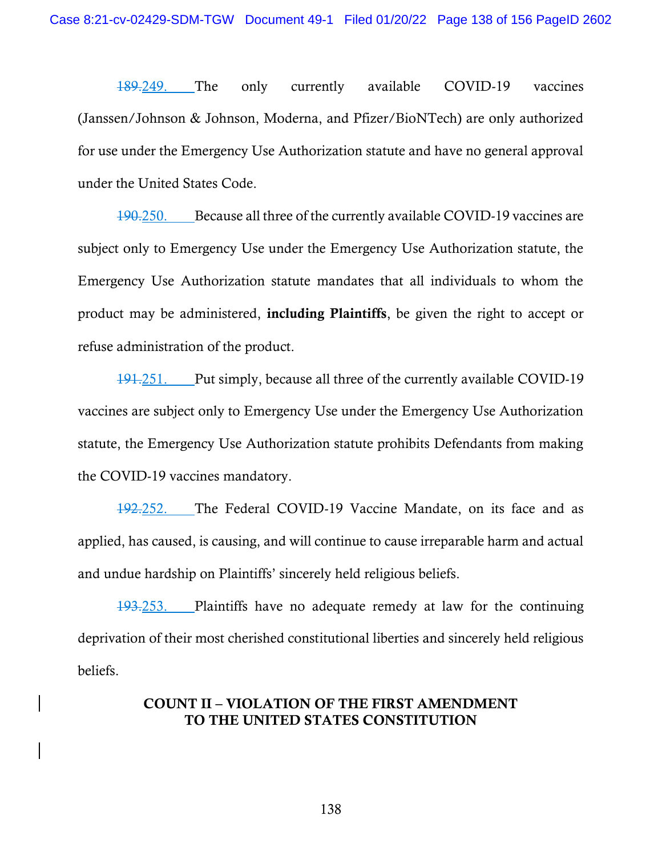189.249. The only currently available COVID-19 vaccines (Janssen/Johnson & Johnson, Moderna, and Pfizer/BioNTech) are only authorized for use under the Emergency Use Authorization statute and have no general approval under the United States Code.

190.250. Because all three of the currently available COVID-19 vaccines are subject only to Emergency Use under the Emergency Use Authorization statute, the Emergency Use Authorization statute mandates that all individuals to whom the product may be administered, including Plaintiffs, be given the right to accept or refuse administration of the product.

191.251. Put simply, because all three of the currently available COVID-19 vaccines are subject only to Emergency Use under the Emergency Use Authorization statute, the Emergency Use Authorization statute prohibits Defendants from making the COVID-19 vaccines mandatory.

192.252. The Federal COVID-19 Vaccine Mandate, on its face and as applied, has caused, is causing, and will continue to cause irreparable harm and actual and undue hardship on Plaintiffs' sincerely held religious beliefs.

193.253. Plaintiffs have no adequate remedy at law for the continuing deprivation of their most cherished constitutional liberties and sincerely held religious beliefs.

### COUNT II – VIOLATION OF THE FIRST AMENDMENT TO THE UNITED STATES CONSTITUTION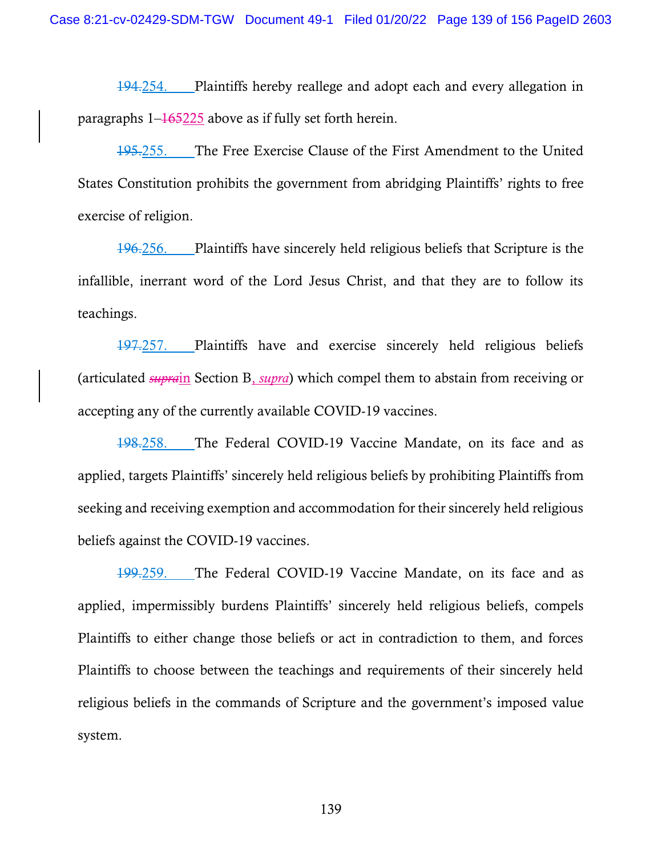194.254. Plaintiffs hereby reallege and adopt each and every allegation in paragraphs  $1-\frac{165225}{3}$  above as if fully set forth herein.

195.255. The Free Exercise Clause of the First Amendment to the United States Constitution prohibits the government from abridging Plaintiffs' rights to free exercise of religion.

196.256. Plaintiffs have sincerely held religious beliefs that Scripture is the infallible, inerrant word of the Lord Jesus Christ, and that they are to follow its teachings.

197.257. Plaintiffs have and exercise sincerely held religious beliefs (articulated *supra*in Section B, *supra*) which compel them to abstain from receiving or accepting any of the currently available COVID-19 vaccines.

198.258. The Federal COVID-19 Vaccine Mandate, on its face and as applied, targets Plaintiffs' sincerely held religious beliefs by prohibiting Plaintiffs from seeking and receiving exemption and accommodation for their sincerely held religious beliefs against the COVID-19 vaccines.

199.259. The Federal COVID-19 Vaccine Mandate, on its face and as applied, impermissibly burdens Plaintiffs' sincerely held religious beliefs, compels Plaintiffs to either change those beliefs or act in contradiction to them, and forces Plaintiffs to choose between the teachings and requirements of their sincerely held religious beliefs in the commands of Scripture and the government's imposed value system.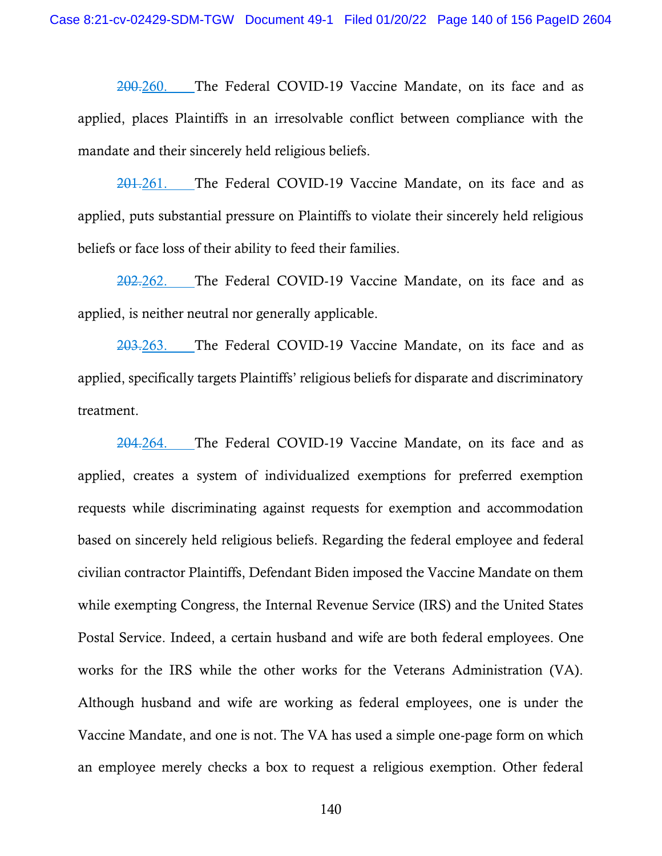200, 260. The Federal COVID-19 Vaccine Mandate, on its face and as applied, places Plaintiffs in an irresolvable conflict between compliance with the mandate and their sincerely held religious beliefs.

201, 261. The Federal COVID-19 Vaccine Mandate, on its face and as applied, puts substantial pressure on Plaintiffs to violate their sincerely held religious beliefs or face loss of their ability to feed their families.

202.262. The Federal COVID-19 Vaccine Mandate, on its face and as applied, is neither neutral nor generally applicable.

203.263. The Federal COVID-19 Vaccine Mandate, on its face and as applied, specifically targets Plaintiffs' religious beliefs for disparate and discriminatory treatment.

204,264. The Federal COVID-19 Vaccine Mandate, on its face and as applied, creates a system of individualized exemptions for preferred exemption requests while discriminating against requests for exemption and accommodation based on sincerely held religious beliefs. Regarding the federal employee and federal civilian contractor Plaintiffs, Defendant Biden imposed the Vaccine Mandate on them while exempting Congress, the Internal Revenue Service (IRS) and the United States Postal Service. Indeed, a certain husband and wife are both federal employees. One works for the IRS while the other works for the Veterans Administration (VA). Although husband and wife are working as federal employees, one is under the Vaccine Mandate, and one is not. The VA has used a simple one-page form on which an employee merely checks a box to request a religious exemption. Other federal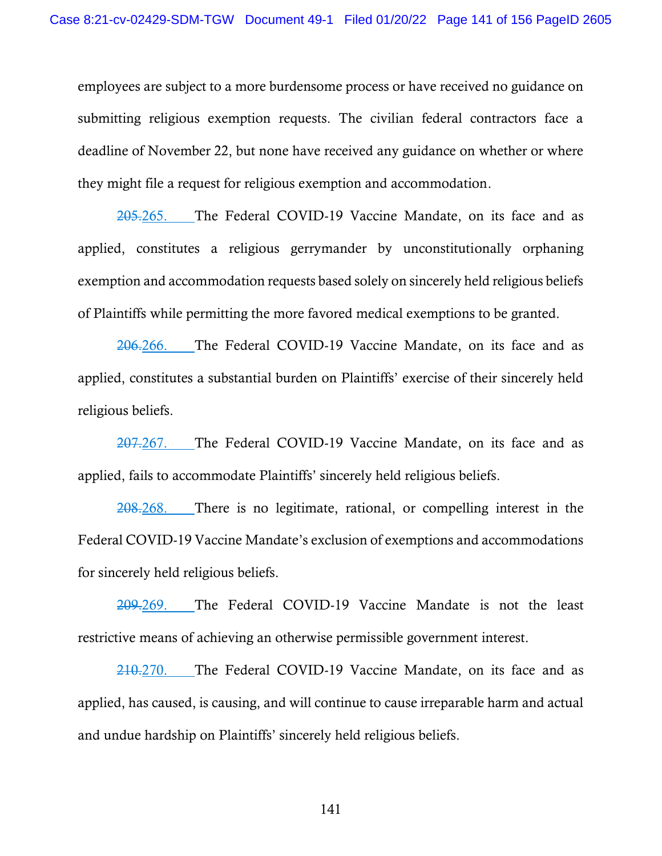employees are subject to a more burdensome process or have received no guidance on submitting religious exemption requests. The civilian federal contractors face a deadline of November 22, but none have received any guidance on whether or where they might file a request for religious exemption and accommodation.

205.265. The Federal COVID-19 Vaccine Mandate, on its face and as applied, constitutes a religious gerrymander by unconstitutionally orphaning exemption and accommodation requests based solely on sincerely held religious beliefs of Plaintiffs while permitting the more favored medical exemptions to be granted.

206.266. The Federal COVID-19 Vaccine Mandate, on its face and as applied, constitutes a substantial burden on Plaintiffs' exercise of their sincerely held religious beliefs.

207,267. The Federal COVID-19 Vaccine Mandate, on its face and as applied, fails to accommodate Plaintiffs' sincerely held religious beliefs.

208.268. There is no legitimate, rational, or compelling interest in the Federal COVID-19 Vaccine Mandate's exclusion of exemptions and accommodations for sincerely held religious beliefs.

209.269. The Federal COVID-19 Vaccine Mandate is not the least restrictive means of achieving an otherwise permissible government interest.

210.270. The Federal COVID-19 Vaccine Mandate, on its face and as applied, has caused, is causing, and will continue to cause irreparable harm and actual and undue hardship on Plaintiffs' sincerely held religious beliefs.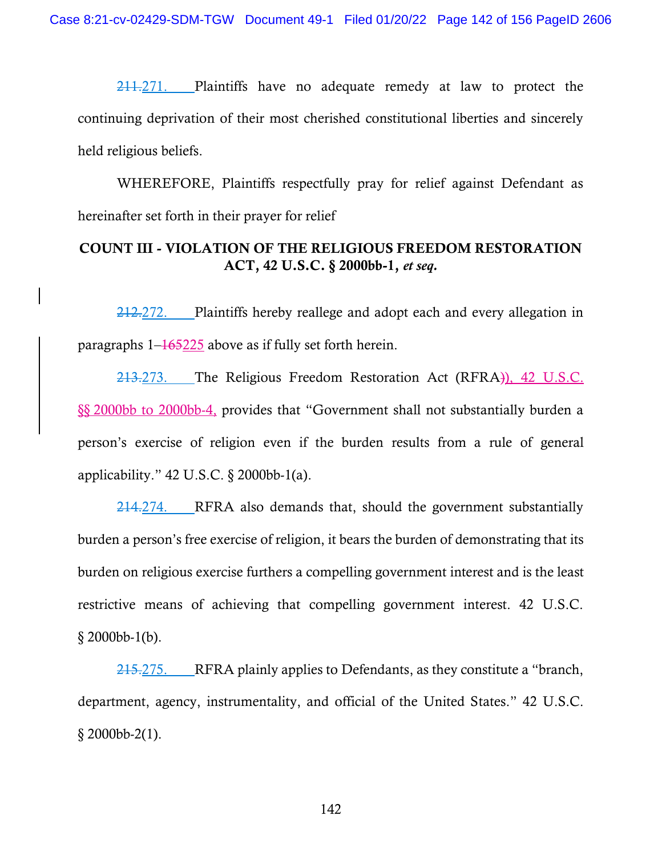211.271. Plaintiffs have no adequate remedy at law to protect the continuing deprivation of their most cherished constitutional liberties and sincerely held religious beliefs.

WHEREFORE, Plaintiffs respectfully pray for relief against Defendant as hereinafter set forth in their prayer for relief

#### COUNT III - VIOLATION OF THE RELIGIOUS FREEDOM RESTORATION ACT, 42 U.S.C. § 2000bb-1, *et seq.*

212.272. Plaintiffs hereby reallege and adopt each and every allegation in paragraphs 1–165225 above as if fully set forth herein.

213.273. The Religious Freedom Restoration Act (RFRA)), 42 U.S.C. §§ 2000bb to 2000bb-4, provides that "Government shall not substantially burden a person's exercise of religion even if the burden results from a rule of general applicability."  $42 \text{ U.S.C.}$  § 2000bb-1(a).

214.274. RFRA also demands that, should the government substantially burden a person's free exercise of religion, it bears the burden of demonstrating that its burden on religious exercise furthers a compelling government interest and is the least restrictive means of achieving that compelling government interest. 42 U.S.C. § 2000bb-1(b).

215.275. RFRA plainly applies to Defendants, as they constitute a "branch, department, agency, instrumentality, and official of the United States." 42 U.S.C. § 2000bb-2(1).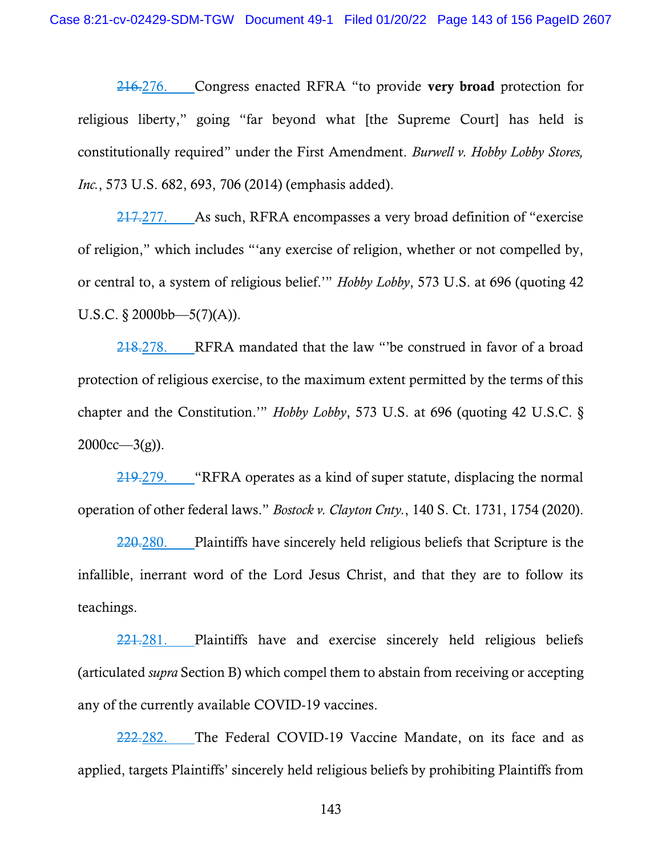216.276. Congress enacted RFRA "to provide very broad protection for religious liberty," going "far beyond what [the Supreme Court] has held is constitutionally required" under the First Amendment. *Burwell v. Hobby Lobby Stores, Inc.*, 573 U.S. 682, 693, 706 (2014) (emphasis added).

217.277. As such, RFRA encompasses a very broad definition of "exercise" of religion," which includes "'any exercise of religion, whether or not compelled by, or central to, a system of religious belief.'" *Hobby Lobby*, 573 U.S. at 696 (quoting 42 U.S.C.  $\S 2000bb - 5(7)(A)$ .

218.278. RFRA mandated that the law "'be construed in favor of a broad protection of religious exercise, to the maximum extent permitted by the terms of this chapter and the Constitution.'" *Hobby Lobby*, 573 U.S. at 696 (quoting 42 U.S.C. §  $2000cc - 3(g)$ ).

219.279. "RFRA operates as a kind of super statute, displacing the normal operation of other federal laws." *Bostock v. Clayton Cnty.*, 140 S. Ct. 1731, 1754 (2020).

220.280. Plaintiffs have sincerely held religious beliefs that Scripture is the infallible, inerrant word of the Lord Jesus Christ, and that they are to follow its teachings.

221,281. Plaintiffs have and exercise sincerely held religious beliefs (articulated *supra* Section B) which compel them to abstain from receiving or accepting any of the currently available COVID-19 vaccines.

222.282. The Federal COVID-19 Vaccine Mandate, on its face and as applied, targets Plaintiffs' sincerely held religious beliefs by prohibiting Plaintiffs from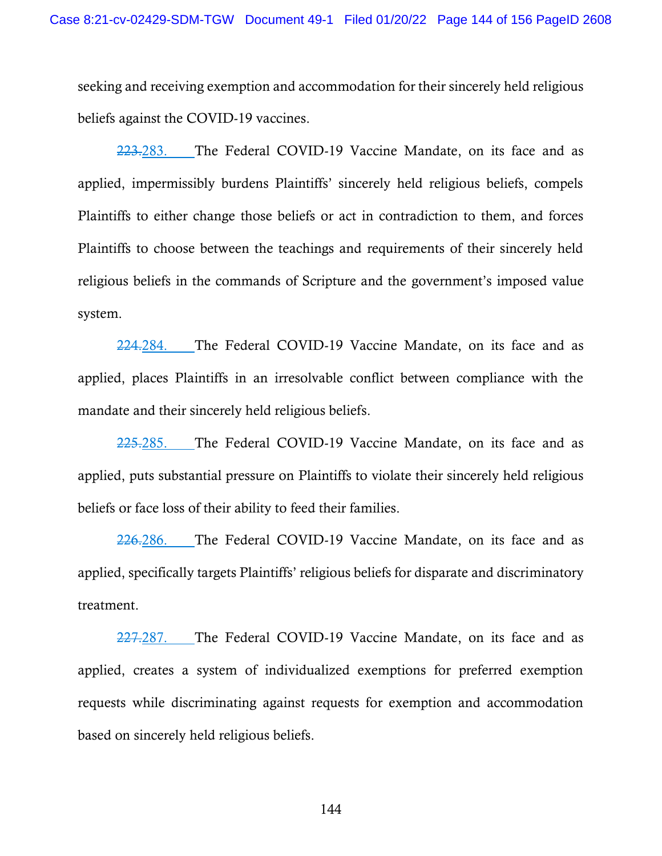seeking and receiving exemption and accommodation for their sincerely held religious beliefs against the COVID-19 vaccines.

223, 283. The Federal COVID-19 Vaccine Mandate, on its face and as applied, impermissibly burdens Plaintiffs' sincerely held religious beliefs, compels Plaintiffs to either change those beliefs or act in contradiction to them, and forces Plaintiffs to choose between the teachings and requirements of their sincerely held religious beliefs in the commands of Scripture and the government's imposed value system.

224,284. The Federal COVID-19 Vaccine Mandate, on its face and as applied, places Plaintiffs in an irresolvable conflict between compliance with the mandate and their sincerely held religious beliefs.

225.285. The Federal COVID-19 Vaccine Mandate, on its face and as applied, puts substantial pressure on Plaintiffs to violate their sincerely held religious beliefs or face loss of their ability to feed their families.

226,286. The Federal COVID-19 Vaccine Mandate, on its face and as applied, specifically targets Plaintiffs' religious beliefs for disparate and discriminatory treatment.

227.287. The Federal COVID-19 Vaccine Mandate, on its face and as applied, creates a system of individualized exemptions for preferred exemption requests while discriminating against requests for exemption and accommodation based on sincerely held religious beliefs.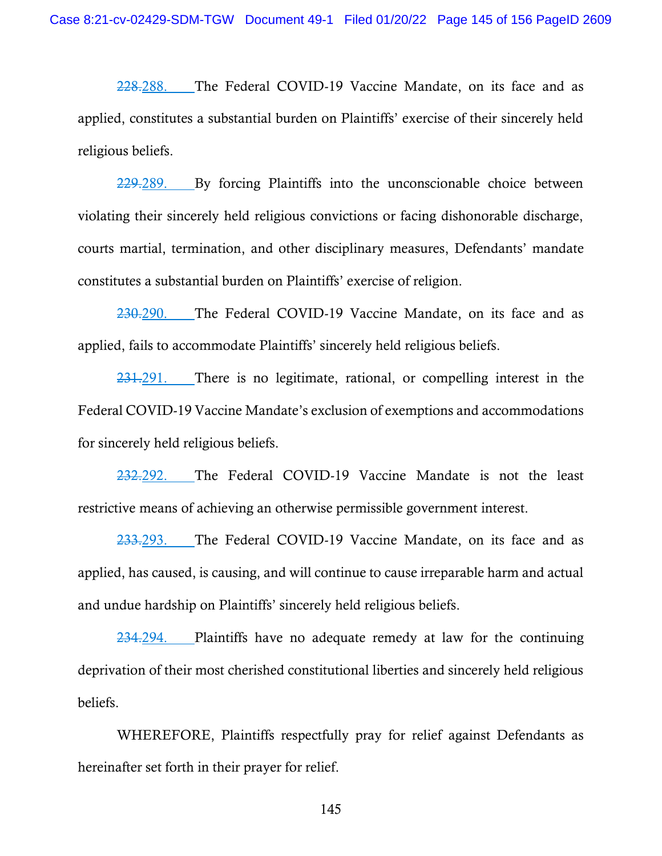228.288. The Federal COVID-19 Vaccine Mandate, on its face and as applied, constitutes a substantial burden on Plaintiffs' exercise of their sincerely held religious beliefs.

229,289. By forcing Plaintiffs into the unconscionable choice between violating their sincerely held religious convictions or facing dishonorable discharge, courts martial, termination, and other disciplinary measures, Defendants' mandate constitutes a substantial burden on Plaintiffs' exercise of religion.

230.290. The Federal COVID-19 Vaccine Mandate, on its face and as applied, fails to accommodate Plaintiffs' sincerely held religious beliefs.

231.291. There is no legitimate, rational, or compelling interest in the Federal COVID-19 Vaccine Mandate's exclusion of exemptions and accommodations for sincerely held religious beliefs.

232.292. The Federal COVID-19 Vaccine Mandate is not the least restrictive means of achieving an otherwise permissible government interest.

233, 293. The Federal COVID-19 Vaccine Mandate, on its face and as applied, has caused, is causing, and will continue to cause irreparable harm and actual and undue hardship on Plaintiffs' sincerely held religious beliefs.

234.294. Plaintiffs have no adequate remedy at law for the continuing deprivation of their most cherished constitutional liberties and sincerely held religious beliefs.

WHEREFORE, Plaintiffs respectfully pray for relief against Defendants as hereinafter set forth in their prayer for relief.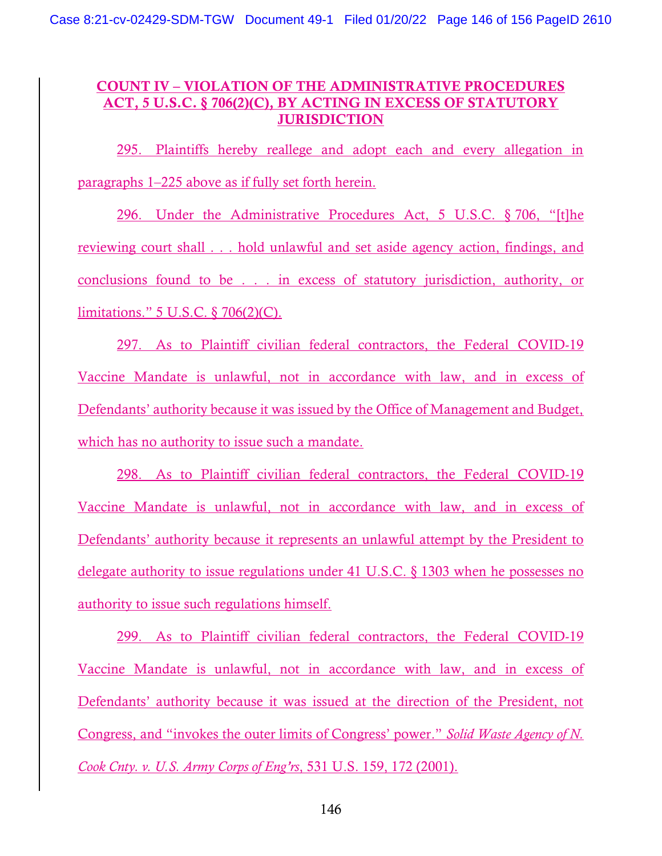## COUNT IV – VIOLATION OF THE ADMINISTRATIVE PROCEDURES ACT, 5 U.S.C. § 706(2)(C), BY ACTING IN EXCESS OF STATUTORY **JURISDICTION**

295. Plaintiffs hereby reallege and adopt each and every allegation in paragraphs 1–225 above as if fully set forth herein.

296. Under the Administrative Procedures Act, 5 U.S.C. § 706, "[t]he reviewing court shall . . . hold unlawful and set aside agency action, findings, and conclusions found to be . . . in excess of statutory jurisdiction, authority, or limitations." 5 U.S.C. § 706(2)(C).

297. As to Plaintiff civilian federal contractors, the Federal COVID-19 Vaccine Mandate is unlawful, not in accordance with law, and in excess of Defendants' authority because it was issued by the Office of Management and Budget, which has no authority to issue such a mandate.

298. As to Plaintiff civilian federal contractors, the Federal COVID-19 Vaccine Mandate is unlawful, not in accordance with law, and in excess of Defendants' authority because it represents an unlawful attempt by the President to delegate authority to issue regulations under 41 U.S.C. § 1303 when he possesses no authority to issue such regulations himself.

299. As to Plaintiff civilian federal contractors, the Federal COVID-19 Vaccine Mandate is unlawful, not in accordance with law, and in excess of Defendants' authority because it was issued at the direction of the President, not Congress, and "invokes the outer limits of Congress' power." *Solid Waste Agency of N. Cook Cnty. v. U.S. Army Corps of Eng'rs*, 531 U.S. 159, 172 (2001).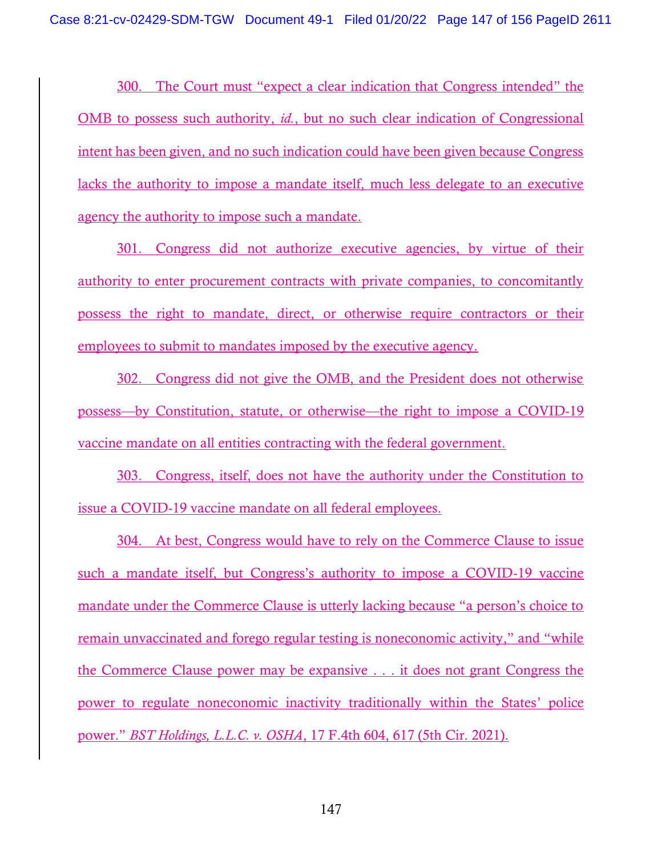300. The Court must "expect a clear indication that Congress intended" the OMB to possess such authority, *id.*, but no such clear indication of Congressional intent has been given, and no such indication could have been given because Congress lacks the authority to impose a mandate itself, much less delegate to an executive agency the authority to impose such a mandate.

301. Congress did not authorize executive agencies, by virtue of their authority to enter procurement contracts with private companies, to concomitantly possess the right to mandate, direct, or otherwise require contractors or their employees to submit to mandates imposed by the executive agency.

302. Congress did not give the OMB, and the President does not otherwise possess—by Constitution, statute, or otherwise—the right to impose a COVID-19 vaccine mandate on all entities contracting with the federal government.

303. Congress, itself, does not have the authority under the Constitution to issue a COVID-19 vaccine mandate on all federal employees.

304. At best, Congress would have to rely on the Commerce Clause to issue such a mandate itself, but Congress's authority to impose a COVID-19 vaccine mandate under the Commerce Clause is utterly lacking because "a person's choice to remain unvaccinated and forego regular testing is noneconomic activity," and "while the Commerce Clause power may be expansive . . . it does not grant Congress the power to regulate noneconomic inactivity traditionally within the States' police power." *BST Holdings, L.L.C. v. OSHA*, 17 F.4th 604, 617 (5th Cir. 2021).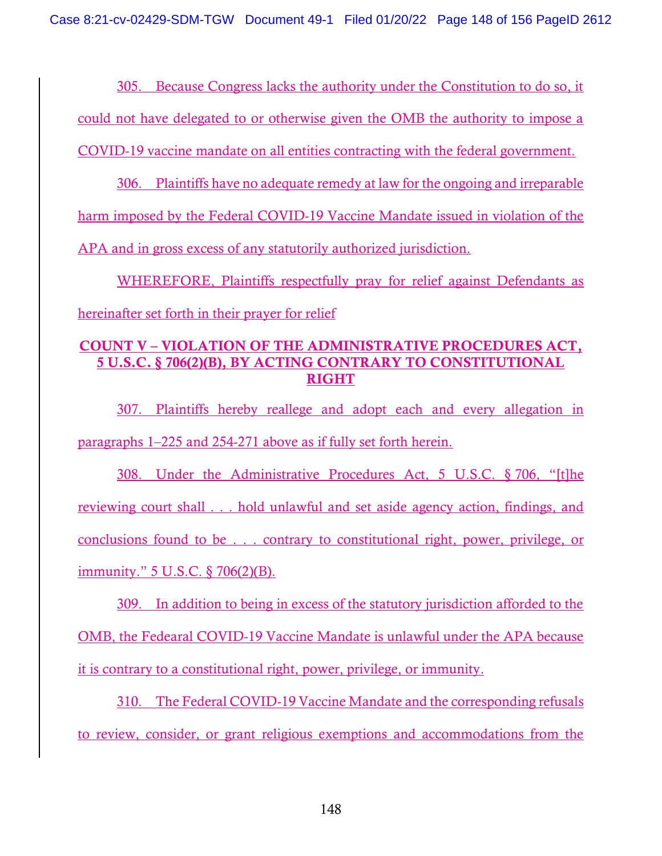305. Because Congress lacks the authority under the Constitution to do so, it could not have delegated to or otherwise given the OMB the authority to impose a COVID-19 vaccine mandate on all entities contracting with the federal government.

306. Plaintiffs have no adequate remedy at law for the ongoing and irreparable harm imposed by the Federal COVID-19 Vaccine Mandate issued in violation of the APA and in gross excess of any statutorily authorized jurisdiction.

WHEREFORE, Plaintiffs respectfully pray for relief against Defendants as hereinafter set forth in their prayer for relief

## COUNT V – VIOLATION OF THE ADMINISTRATIVE PROCEDURES ACT, 5 U.S.C. § 706(2)(B), BY ACTING CONTRARY TO CONSTITUTIONAL RIGHT

307. Plaintiffs hereby reallege and adopt each and every allegation in paragraphs 1–225 and 254-271 above as if fully set forth herein.

308. Under the Administrative Procedures Act, 5 U.S.C. § 706, "[t]he reviewing court shall . . . hold unlawful and set aside agency action, findings, and conclusions found to be . . . contrary to constitutional right, power, privilege, or immunity." 5 U.S.C. § 706(2)(B).

309. In addition to being in excess of the statutory jurisdiction afforded to the OMB, the Fedearal COVID-19 Vaccine Mandate is unlawful under the APA because it is contrary to a constitutional right, power, privilege, or immunity.

310. The Federal COVID-19 Vaccine Mandate and the corresponding refusals to review, consider, or grant religious exemptions and accommodations from the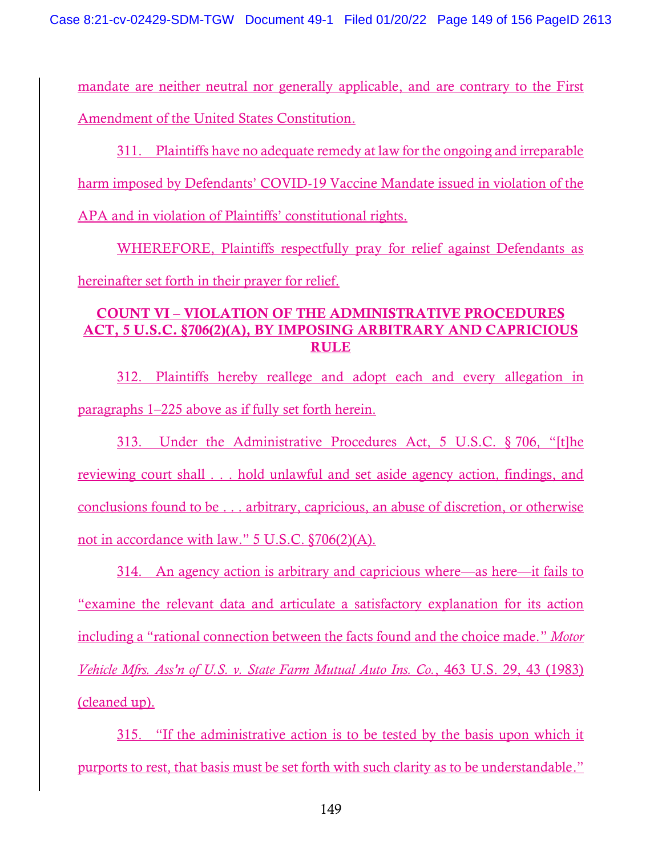mandate are neither neutral nor generally applicable, and are contrary to the First Amendment of the United States Constitution.

311. Plaintiffs have no adequate remedy at law for the ongoing and irreparable harm imposed by Defendants' COVID-19 Vaccine Mandate issued in violation of the APA and in violation of Plaintiffs' constitutional rights.

WHEREFORE, Plaintiffs respectfully pray for relief against Defendants as hereinafter set forth in their prayer for relief.

## COUNT VI – VIOLATION OF THE ADMINISTRATIVE PROCEDURES ACT, 5 U.S.C. §706(2)(A), BY IMPOSING ARBITRARY AND CAPRICIOUS RULE

312. Plaintiffs hereby reallege and adopt each and every allegation in paragraphs 1–225 above as if fully set forth herein.

313. Under the Administrative Procedures Act, 5 U.S.C. § 706, "[t]he reviewing court shall . . . hold unlawful and set aside agency action, findings, and conclusions found to be . . . arbitrary, capricious, an abuse of discretion, or otherwise not in accordance with law." 5 U.S.C. §706(2)(A).

314. An agency action is arbitrary and capricious where—as here—it fails to "examine the relevant data and articulate a satisfactory explanation for its action including a "rational connection between the facts found and the choice made." *Motor Vehicle Mfrs. Ass'n of U.S. v. State Farm Mutual Auto Ins. Co.*, 463 U.S. 29, 43 (1983) (cleaned up).

315. "If the administrative action is to be tested by the basis upon which it purports to rest, that basis must be set forth with such clarity as to be understandable."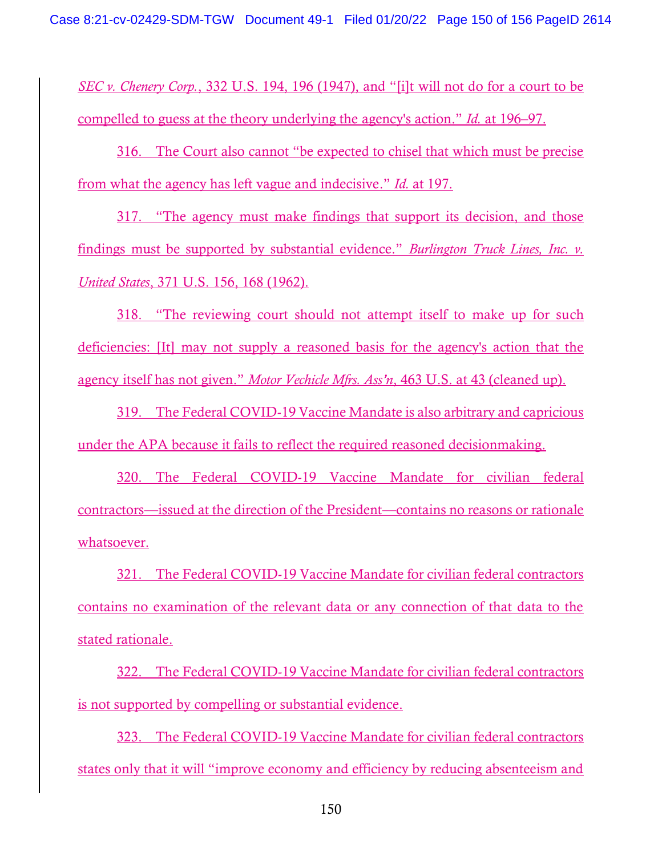*SEC v. Chenery Corp.*, 332 U.S. 194, 196 (1947), and "[i]t will not do for a court to be compelled to guess at the theory underlying the agency's action." *Id.* at 196–97.

316. The Court also cannot "be expected to chisel that which must be precise from what the agency has left vague and indecisive." *Id.* at 197.

317. "The agency must make findings that support its decision, and those findings must be supported by substantial evidence." *Burlington Truck Lines, Inc. v. United States*, 371 U.S. 156, 168 (1962).

318. "The reviewing court should not attempt itself to make up for such deficiencies: [It] may not supply a reasoned basis for the agency's action that the agency itself has not given." *Motor Vechicle Mfrs. Ass'n*, 463 U.S. at 43 (cleaned up).

319. The Federal COVID-19 Vaccine Mandate is also arbitrary and capricious under the APA because it fails to reflect the required reasoned decisionmaking.

320. The Federal COVID-19 Vaccine Mandate for civilian federal contractors—issued at the direction of the President—contains no reasons or rationale whatsoever.

321. The Federal COVID-19 Vaccine Mandate for civilian federal contractors contains no examination of the relevant data or any connection of that data to the stated rationale.

322. The Federal COVID-19 Vaccine Mandate for civilian federal contractors is not supported by compelling or substantial evidence.

323. The Federal COVID-19 Vaccine Mandate for civilian federal contractors states only that it will "improve economy and efficiency by reducing absenteeism and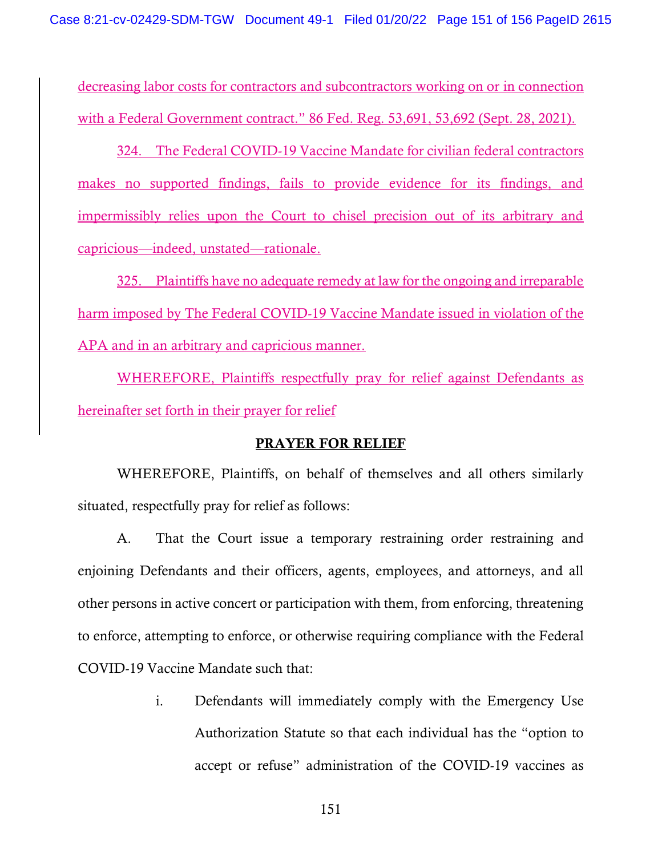decreasing labor costs for contractors and subcontractors working on or in connection with a Federal Government contract." 86 Fed. Reg. 53,691, 53,692 (Sept. 28, 2021).

324. The Federal COVID-19 Vaccine Mandate for civilian federal contractors makes no supported findings, fails to provide evidence for its findings, and impermissibly relies upon the Court to chisel precision out of its arbitrary and capricious—indeed, unstated—rationale.

325. Plaintiffs have no adequate remedy at law for the ongoing and irreparable harm imposed by The Federal COVID-19 Vaccine Mandate issued in violation of the APA and in an arbitrary and capricious manner.

WHEREFORE, Plaintiffs respectfully pray for relief against Defendants as hereinafter set forth in their prayer for relief

## PRAYER FOR RELIEF

WHEREFORE, Plaintiffs, on behalf of themselves and all others similarly situated, respectfully pray for relief as follows:

A. That the Court issue a temporary restraining order restraining and enjoining Defendants and their officers, agents, employees, and attorneys, and all other persons in active concert or participation with them, from enforcing, threatening to enforce, attempting to enforce, or otherwise requiring compliance with the Federal COVID-19 Vaccine Mandate such that:

> i. Defendants will immediately comply with the Emergency Use Authorization Statute so that each individual has the "option to accept or refuse" administration of the COVID-19 vaccines as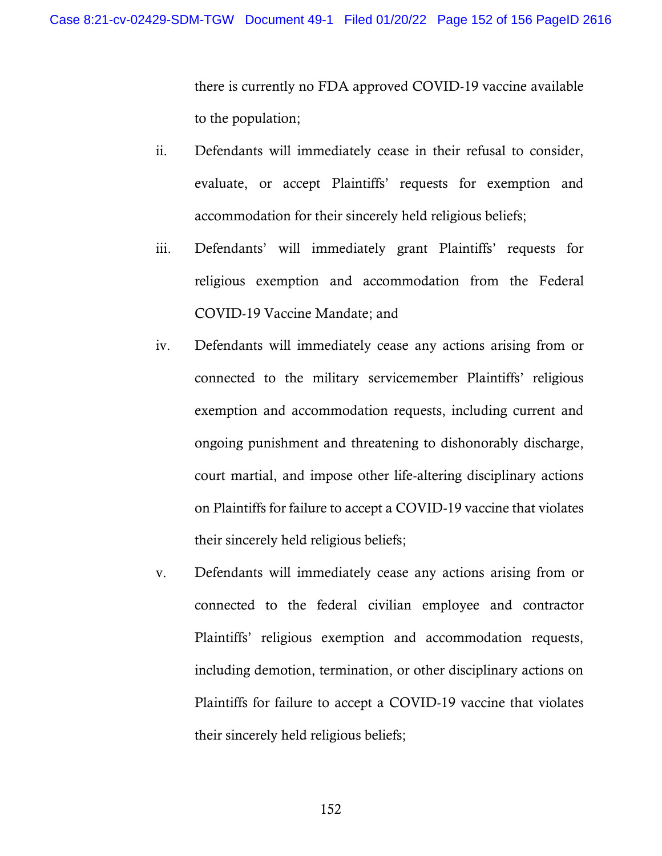there is currently no FDA approved COVID-19 vaccine available to the population;

- ii. Defendants will immediately cease in their refusal to consider, evaluate, or accept Plaintiffs' requests for exemption and accommodation for their sincerely held religious beliefs;
- iii. Defendants' will immediately grant Plaintiffs' requests for religious exemption and accommodation from the Federal COVID-19 Vaccine Mandate; and
- iv. Defendants will immediately cease any actions arising from or connected to the military servicemember Plaintiffs' religious exemption and accommodation requests, including current and ongoing punishment and threatening to dishonorably discharge, court martial, and impose other life-altering disciplinary actions on Plaintiffs for failure to accept a COVID-19 vaccine that violates their sincerely held religious beliefs;
- v. Defendants will immediately cease any actions arising from or connected to the federal civilian employee and contractor Plaintiffs' religious exemption and accommodation requests, including demotion, termination, or other disciplinary actions on Plaintiffs for failure to accept a COVID-19 vaccine that violates their sincerely held religious beliefs;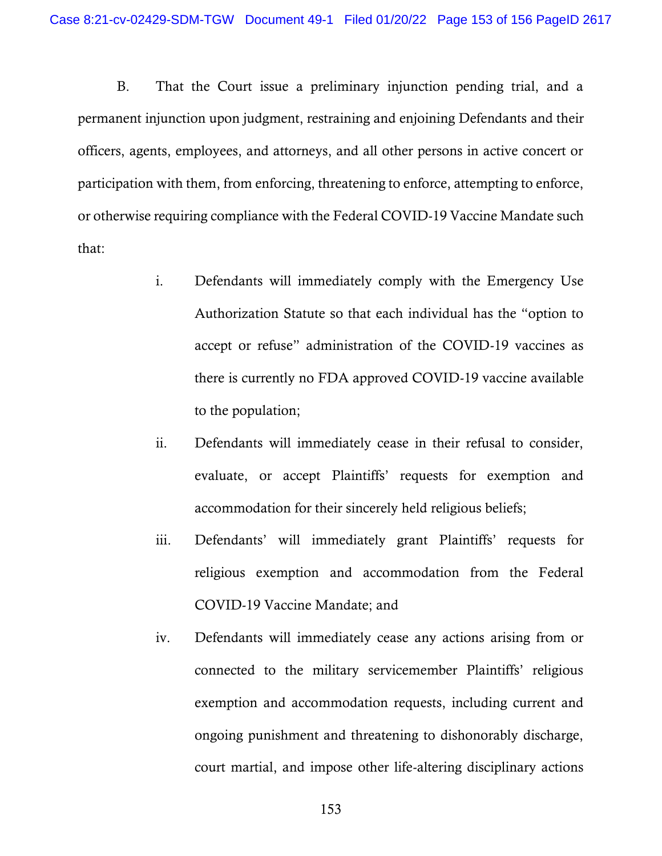B. That the Court issue a preliminary injunction pending trial, and a permanent injunction upon judgment, restraining and enjoining Defendants and their officers, agents, employees, and attorneys, and all other persons in active concert or participation with them, from enforcing, threatening to enforce, attempting to enforce, or otherwise requiring compliance with the Federal COVID-19 Vaccine Mandate such that:

- i. Defendants will immediately comply with the Emergency Use Authorization Statute so that each individual has the "option to accept or refuse" administration of the COVID-19 vaccines as there is currently no FDA approved COVID-19 vaccine available to the population;
- ii. Defendants will immediately cease in their refusal to consider, evaluate, or accept Plaintiffs' requests for exemption and accommodation for their sincerely held religious beliefs;
- iii. Defendants' will immediately grant Plaintiffs' requests for religious exemption and accommodation from the Federal COVID-19 Vaccine Mandate; and
- iv. Defendants will immediately cease any actions arising from or connected to the military servicemember Plaintiffs' religious exemption and accommodation requests, including current and ongoing punishment and threatening to dishonorably discharge, court martial, and impose other life-altering disciplinary actions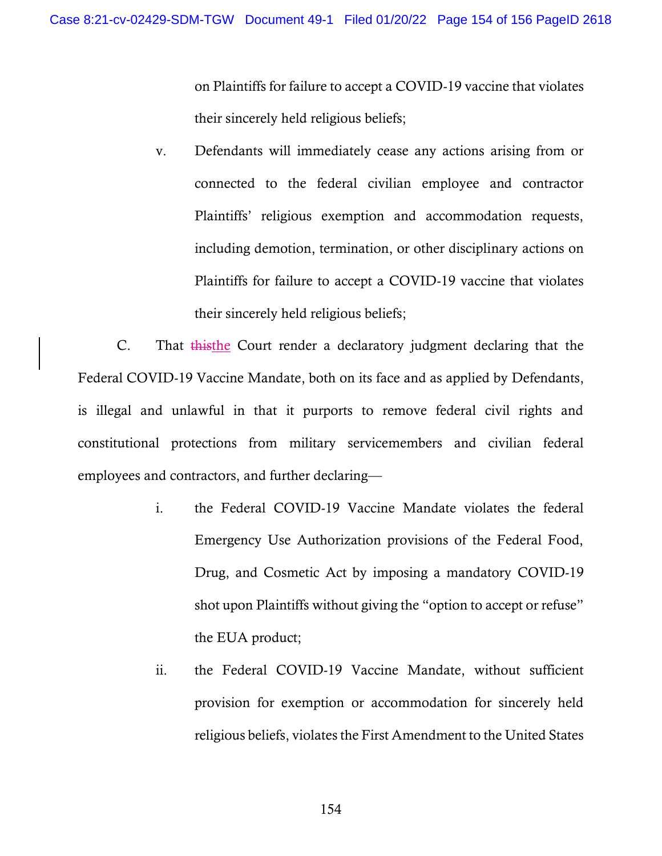on Plaintiffs for failure to accept a COVID-19 vaccine that violates their sincerely held religious beliefs;

v. Defendants will immediately cease any actions arising from or connected to the federal civilian employee and contractor Plaintiffs' religious exemption and accommodation requests, including demotion, termination, or other disciplinary actions on Plaintiffs for failure to accept a COVID-19 vaccine that violates their sincerely held religious beliefs;

C. That thisthe Court render a declaratory judgment declaring that the Federal COVID-19 Vaccine Mandate, both on its face and as applied by Defendants, is illegal and unlawful in that it purports to remove federal civil rights and constitutional protections from military servicemembers and civilian federal employees and contractors, and further declaring—

- i. the Federal COVID-19 Vaccine Mandate violates the federal Emergency Use Authorization provisions of the Federal Food, Drug, and Cosmetic Act by imposing a mandatory COVID-19 shot upon Plaintiffs without giving the "option to accept or refuse" the EUA product;
- ii. the Federal COVID-19 Vaccine Mandate, without sufficient provision for exemption or accommodation for sincerely held religious beliefs, violates the First Amendment to the United States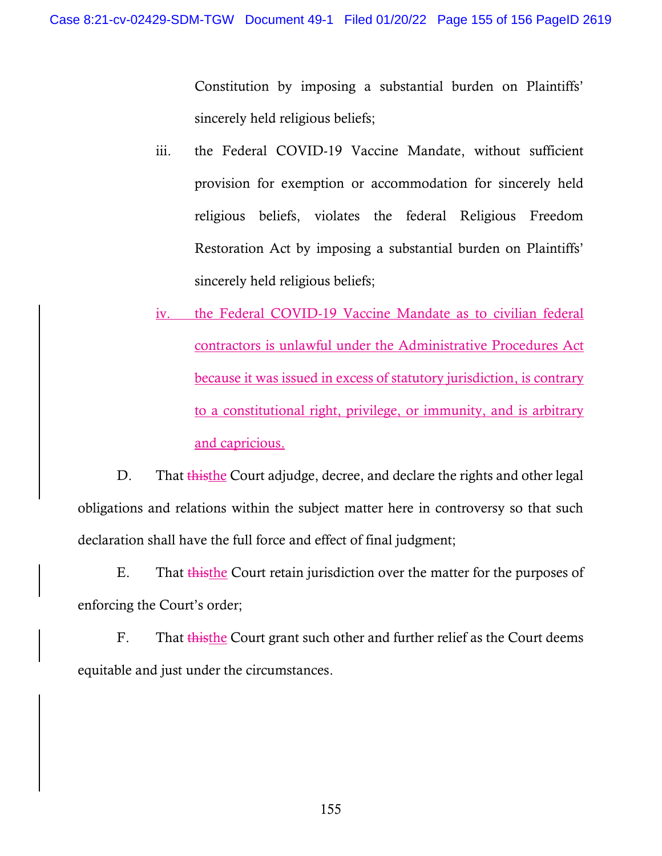Constitution by imposing a substantial burden on Plaintiffs' sincerely held religious beliefs;

- iii. the Federal COVID-19 Vaccine Mandate, without sufficient provision for exemption or accommodation for sincerely held religious beliefs, violates the federal Religious Freedom Restoration Act by imposing a substantial burden on Plaintiffs' sincerely held religious beliefs;
- iv. the Federal COVID-19 Vaccine Mandate as to civilian federal contractors is unlawful under the Administrative Procedures Act because it was issued in excess of statutory jurisdiction, is contrary to a constitutional right, privilege, or immunity, and is arbitrary and capricious.

D. That this the Court adjudge, decree, and declare the rights and other legal obligations and relations within the subject matter here in controversy so that such declaration shall have the full force and effect of final judgment;

E. That thisthe Court retain jurisdiction over the matter for the purposes of enforcing the Court's order;

F. That this the Court grant such other and further relief as the Court deems equitable and just under the circumstances.